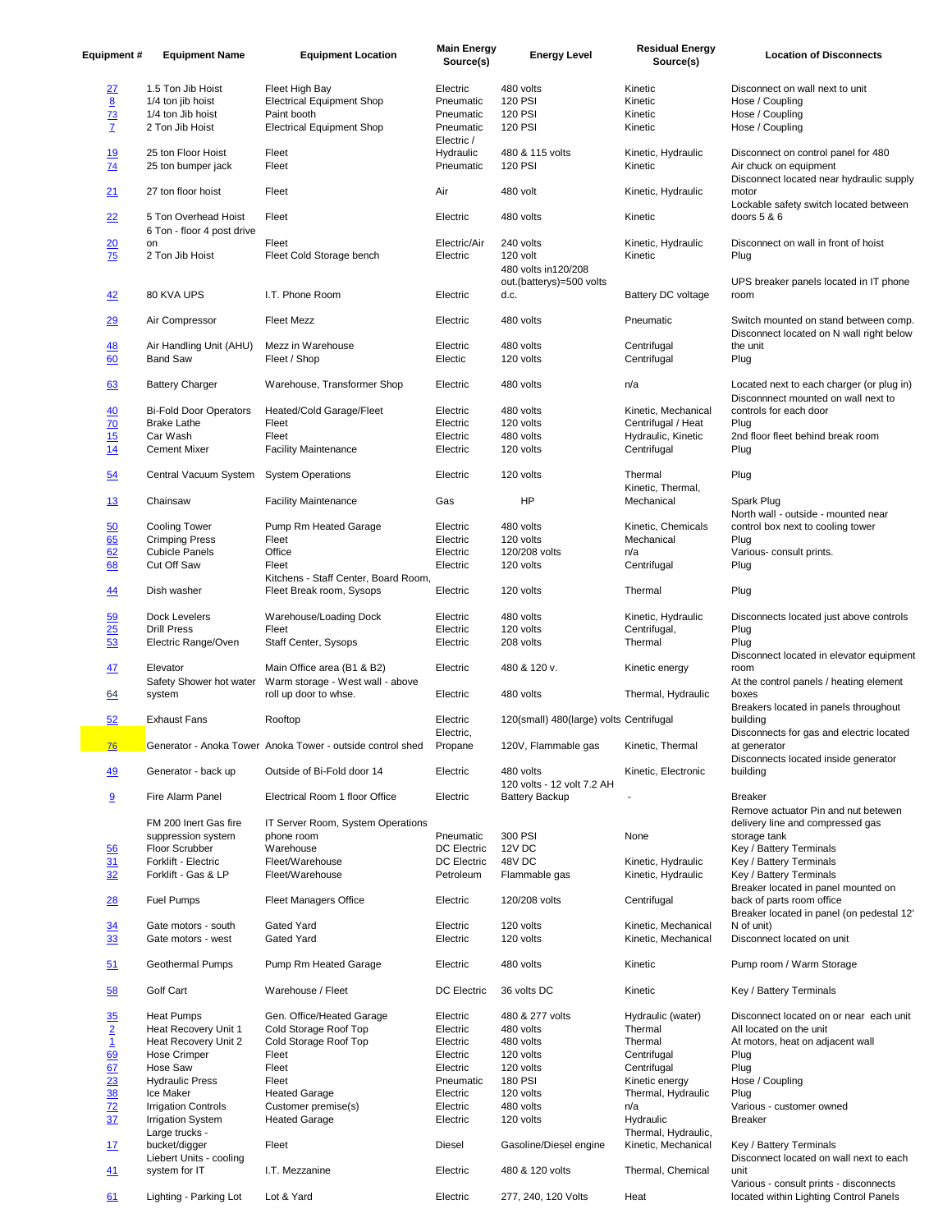| <b>Equipment#</b>                                            | <b>Equipment Name</b>                       | <b>Equipment Location</b>                                        | <b>Main Energy</b><br>Source(s) | <b>Energy Level</b>                              | <b>Residual Energy</b><br>Source(s)        | <b>Location of Disconnects</b>                                                    |
|--------------------------------------------------------------|---------------------------------------------|------------------------------------------------------------------|---------------------------------|--------------------------------------------------|--------------------------------------------|-----------------------------------------------------------------------------------|
|                                                              | 1.5 Ton Jib Hoist                           | Fleet High Bay                                                   | Electric                        | 480 volts                                        | Kinetic                                    | Disconnect on wall next to unit                                                   |
| <u> 27</u><br>8                                              | 1/4 ton jib hoist                           | <b>Electrical Equipment Shop</b>                                 | Pneumatic                       | 120 PSI                                          | Kinetic                                    | Hose / Coupling                                                                   |
| $\overline{73}$                                              | 1/4 ton Jib hoist                           | Paint booth                                                      | Pneumatic                       | <b>120 PSI</b>                                   | Kinetic                                    | Hose / Coupling                                                                   |
| $\overline{Z}$                                               | 2 Ton Jib Hoist                             | <b>Electrical Equipment Shop</b>                                 | Pneumatic                       | 120 PSI                                          | Kinetic                                    | Hose / Coupling                                                                   |
| 19                                                           | 25 ton Floor Hoist                          | Fleet                                                            | Electric /<br>Hydraulic         | 480 & 115 volts                                  | Kinetic, Hydraulic                         | Disconnect on control panel for 480                                               |
| $\overline{14}$                                              | 25 ton bumper jack                          | Fleet                                                            | Pneumatic                       | <b>120 PSI</b>                                   | Kinetic                                    | Air chuck on equipment                                                            |
| 21                                                           | 27 ton floor hoist                          | Fleet                                                            | Air                             | 480 volt                                         | Kinetic, Hydraulic                         | Disconnect located near hydraulic supply<br>motor                                 |
| 22                                                           | 5 Ton Overhead Hoist                        | Fleet                                                            | Electric                        | 480 volts                                        | Kinetic                                    | Lockable safety switch located between<br>doors 5 & 6                             |
|                                                              | 6 Ton - floor 4 post drive<br>on            | Fleet                                                            | Electric/Air                    | 240 volts                                        | Kinetic, Hydraulic                         | Disconnect on wall in front of hoist                                              |
| 20<br>75                                                     | 2 Ton Jib Hoist                             | Fleet Cold Storage bench                                         | Electric                        | 120 volt                                         | Kinetic                                    | Plug                                                                              |
|                                                              |                                             |                                                                  |                                 | 480 volts in 120/208<br>out.(batterys)=500 volts |                                            | UPS breaker panels located in IT phone                                            |
| 42                                                           | 80 KVA UPS                                  | I.T. Phone Room                                                  | Electric                        | d.c.                                             | Battery DC voltage                         | room                                                                              |
| 29                                                           | Air Compressor                              | <b>Fleet Mezz</b>                                                | Electric                        | 480 volts                                        | Pneumatic                                  | Switch mounted on stand between comp.<br>Disconnect located on N wall right below |
| <u>48</u>                                                    | Air Handling Unit (AHU)                     | Mezz in Warehouse                                                | Electric                        | 480 volts                                        | Centrifugal                                | the unit                                                                          |
| 60                                                           | <b>Band Saw</b>                             | Fleet / Shop                                                     | Electic                         | 120 volts                                        | Centrifugal                                | Plug                                                                              |
| 63                                                           | <b>Battery Charger</b>                      | Warehouse, Transformer Shop                                      | Electric                        | 480 volts                                        | n/a                                        | Located next to each charger (or plug in)<br>Disconnnect mounted on wall next to  |
| 40                                                           | <b>Bi-Fold Door Operators</b>               | Heated/Cold Garage/Fleet                                         | Electric                        | 480 volts                                        | Kinetic, Mechanical                        | controls for each door                                                            |
| 70                                                           | <b>Brake Lathe</b>                          | Fleet                                                            | Electric                        | 120 volts                                        | Centrifugal / Heat                         | Plug                                                                              |
| 15                                                           | Car Wash                                    | Fleet                                                            | Electric                        | 480 volts                                        | Hydraulic, Kinetic                         | 2nd floor fleet behind break room                                                 |
| 14                                                           | <b>Cement Mixer</b>                         | <b>Facility Maintenance</b>                                      | Electric                        | 120 volts                                        | Centrifugal                                | Plug                                                                              |
| $\underline{54}$                                             | Central Vacuum System                       | <b>System Operations</b>                                         | Electric                        | 120 volts                                        | Thermal<br>Kinetic, Thermal,               | Plug                                                                              |
| <u>13</u>                                                    | Chainsaw                                    | <b>Facility Maintenance</b>                                      | Gas                             | HP                                               | Mechanical                                 | Spark Plug<br>North wall - outside - mounted near                                 |
| 50                                                           | <b>Cooling Tower</b>                        | Pump Rm Heated Garage                                            | Electric                        | 480 volts                                        | Kinetic, Chemicals                         | control box next to cooling tower                                                 |
| 65                                                           | <b>Crimping Press</b>                       | Fleet                                                            | Electric                        | 120 volts                                        | Mechanical                                 | Plug                                                                              |
| 62<br>68                                                     | <b>Cubicle Panels</b><br>Cut Off Saw        | Office<br>Fleet                                                  | Electric<br>Electric            | 120/208 volts<br>120 volts                       | n/a<br>Centrifugal                         | Various- consult prints.<br>Plug                                                  |
| 44                                                           | Dish washer                                 | Kitchens - Staff Center, Board Room,<br>Fleet Break room, Sysops | Electric                        | 120 volts                                        | Thermal                                    | Plug                                                                              |
| 59                                                           | Dock Levelers                               | Warehouse/Loading Dock                                           | Electric                        | 480 volts                                        | Kinetic, Hydraulic                         | Disconnects located just above controls                                           |
| 25                                                           | <b>Drill Press</b>                          | Fleet                                                            | Electric                        | 120 volts                                        | Centrifugal,                               | Plug                                                                              |
| 53                                                           | Electric Range/Oven                         | Staff Center, Sysops                                             | Electric                        | 208 volts                                        | Thermal                                    | Plug<br>Disconnect located in elevator equipment                                  |
| 47                                                           | Elevator<br>Safety Shower hot water         | Main Office area (B1 & B2)<br>Warm storage - West wall - above   | Electric                        | 480 & 120 v.                                     | Kinetic energy                             | room<br>At the control panels / heating element                                   |
| 64                                                           | system                                      | roll up door to whse.                                            | Electric                        | 480 volts                                        | Thermal, Hydraulic                         | boxes<br>Breakers located in panels throughout                                    |
| 52                                                           | <b>Exhaust Fans</b>                         | Rooftop                                                          | Electric<br>Electric,           | 120(small) 480(large) volts Centrifugal          |                                            | building<br>Disconnects for gas and electric located                              |
| $\underline{76}$                                             |                                             | Generator - Anoka Tower Anoka Tower - outside control shed       | Propane                         | 120V, Flammable gas                              | Kinetic, Thermal                           | at generator<br>Disconnects located inside generator                              |
| 49                                                           | Generator - back up                         | Outside of Bi-Fold door 14                                       | Electric                        | 480 volts<br>120 volts - 12 volt 7.2 AH          | Kinetic, Electronic                        | building                                                                          |
| 9                                                            | Fire Alarm Panel                            | Electrical Room 1 floor Office                                   | Electric                        | <b>Battery Backup</b>                            |                                            | <b>Breaker</b><br>Remove actuator Pin and nut betewen                             |
|                                                              | FM 200 Inert Gas fire<br>suppression system | IT Server Room, System Operations<br>phone room                  | Pneumatic                       | 300 PSI                                          | None                                       | delivery line and compressed gas<br>storage tank                                  |
| $\frac{56}{5}$                                               | Floor Scrubber                              | Warehouse                                                        | <b>DC Electric</b>              | 12V DC                                           |                                            | Key / Battery Terminals                                                           |
| 31                                                           | Forklift - Electric                         | Fleet/Warehouse                                                  | DC Electric                     | 48V DC                                           | Kinetic, Hydraulic                         | Key / Battery Terminals                                                           |
| $\frac{1}{32}$                                               | Forklift - Gas & LP                         | Fleet/Warehouse                                                  | Petroleum                       | Flammable gas                                    | Kinetic, Hydraulic                         | Key / Battery Terminals<br>Breaker located in panel mounted on                    |
| $\frac{28}{2}$                                               | Fuel Pumps                                  | <b>Fleet Managers Office</b>                                     | Electric                        | 120/208 volts                                    | Centrifugal                                | back of parts room office<br>Breaker located in panel (on pedestal 12'            |
| 34<br>33                                                     | Gate motors - south<br>Gate motors - west   | Gated Yard<br>Gated Yard                                         | Electric<br>Electric            | 120 volts<br>120 volts                           | Kinetic, Mechanical<br>Kinetic, Mechanical | N of unit)<br>Disconnect located on unit                                          |
| 51                                                           | Geothermal Pumps                            | Pump Rm Heated Garage                                            | Electric                        | 480 volts                                        | Kinetic                                    | Pump room / Warm Storage                                                          |
| 58                                                           | Golf Cart                                   | Warehouse / Fleet                                                | DC Electric                     | 36 volts DC                                      | Kinetic                                    | Key / Battery Terminals                                                           |
| $\frac{35}{2}$ $\frac{1}{1}$ $\frac{69}{67}$ $\frac{67}{23}$ | <b>Heat Pumps</b><br>Heat Recovery Unit 1   | Gen. Office/Heated Garage<br>Cold Storage Roof Top               | Electric<br>Electric            | 480 & 277 volts<br>480 volts                     | Hydraulic (water)<br>Thermal               | Disconnect located on or near each unit<br>All located on the unit                |
|                                                              | Heat Recovery Unit 2                        | Cold Storage Roof Top                                            | Electric                        | 480 volts                                        | Thermal                                    | At motors, heat on adjacent wall                                                  |
|                                                              | Hose Crimper                                | Fleet                                                            | Electric                        | 120 volts                                        | Centrifugal                                | Plug                                                                              |
|                                                              | Hose Saw                                    | Fleet                                                            | Electric                        | 120 volts                                        | Centrifugal                                | Plug                                                                              |
|                                                              | <b>Hydraulic Press</b>                      | Fleet                                                            | Pneumatic                       | <b>180 PSI</b>                                   | Kinetic energy                             | Hose / Coupling                                                                   |
| 38                                                           | Ice Maker                                   | <b>Heated Garage</b>                                             | Electric                        | 120 volts                                        | Thermal, Hydraulic                         | Plug                                                                              |
| 72                                                           | <b>Irrigation Controls</b>                  | Customer premise(s)                                              | Electric                        | 480 volts                                        | n/a                                        | Various - customer owned                                                          |
| 37                                                           | <b>Irrigation System</b>                    | <b>Heated Garage</b>                                             | Electric                        | 120 volts                                        | Hydraulic                                  | <b>Breaker</b>                                                                    |
| 17                                                           | Large trucks -<br>bucket/digger             | Fleet                                                            | Diesel                          | Gasoline/Diesel engine                           | Thermal, Hydraulic,<br>Kinetic, Mechanical | Key / Battery Terminals                                                           |
| 41                                                           | Liebert Units - cooling<br>system for IT    | I.T. Mezzanine                                                   | Electric                        | 480 & 120 volts                                  | Thermal, Chemical                          | Disconnect located on wall next to each<br>unit                                   |
| 61                                                           | Lighting - Parking Lot                      | Lot & Yard                                                       | Electric                        | 277, 240, 120 Volts                              | Heat                                       | Various - consult prints - disconnects<br>located within Lighting Control Panels  |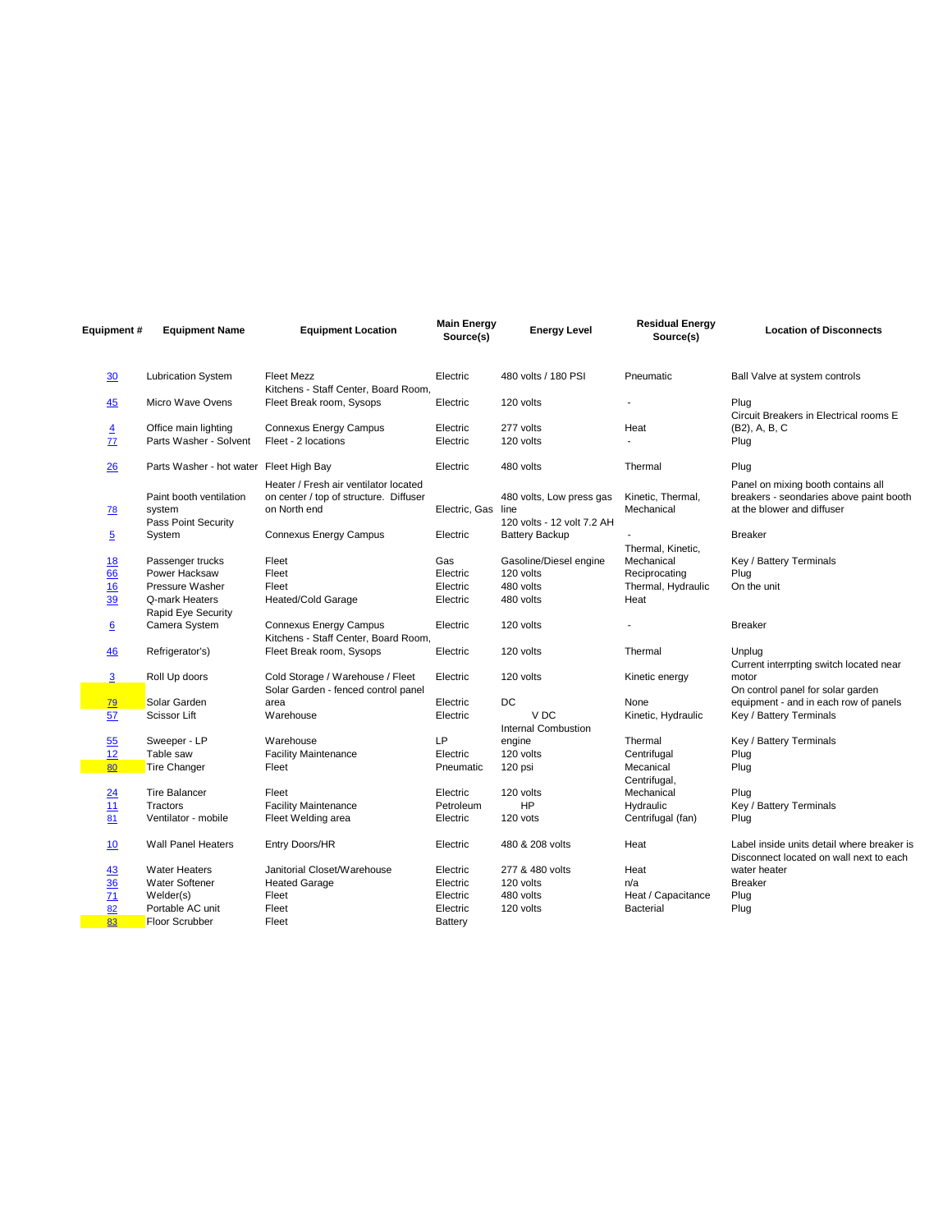| Equipment #      | <b>Equipment Name</b>                       | <b>Equipment Location</b>                                        | <b>Main Energy</b><br>Source(s) | <b>Energy Level</b>                    | <b>Residual Energy</b><br>Source(s) | <b>Location of Disconnects</b>                                                        |
|------------------|---------------------------------------------|------------------------------------------------------------------|---------------------------------|----------------------------------------|-------------------------------------|---------------------------------------------------------------------------------------|
| 30               | <b>Lubrication System</b>                   | <b>Fleet Mezz</b>                                                | Electric                        | 480 volts / 180 PSI                    | Pneumatic                           | Ball Valve at system controls                                                         |
| 45               | Micro Wave Ovens                            | Kitchens - Staff Center, Board Room,<br>Fleet Break room, Sysops | Electric                        | 120 volts                              |                                     | Plug<br>Circuit Breakers in Electrical rooms E                                        |
| $\overline{4}$   | Office main lighting                        | <b>Connexus Energy Campus</b>                                    | Electric                        | 277 volts                              | Heat                                | (B2), A, B, C                                                                         |
| 77               | Parts Washer - Solvent                      | Fleet - 2 locations                                              | Electric                        | 120 volts                              |                                     | Plug                                                                                  |
| 26               | Parts Washer - hot water Fleet High Bay     |                                                                  | Electric                        | 480 volts                              | Thermal                             | Plug                                                                                  |
|                  |                                             | Heater / Fresh air ventilator located                            |                                 |                                        |                                     | Panel on mixing booth contains all                                                    |
| <u>78</u>        | Paint booth ventilation<br>system           | on center / top of structure. Diffuser<br>on North end           | Electric, Gas line              | 480 volts, Low press gas               | Kinetic, Thermal,<br>Mechanical     | breakers - seondaries above paint booth<br>at the blower and diffuser                 |
|                  | Pass Point Security                         |                                                                  |                                 | 120 volts - 12 volt 7.2 AH             |                                     |                                                                                       |
| $\overline{5}$   | System                                      | <b>Connexus Energy Campus</b>                                    | Electric                        | <b>Battery Backup</b>                  | Thermal, Kinetic,                   | <b>Breaker</b>                                                                        |
| <u>18</u>        | Passenger trucks                            | Fleet                                                            | Gas                             | Gasoline/Diesel engine                 | Mechanical                          | Key / Battery Terminals                                                               |
| 66               | Power Hacksaw                               | Fleet                                                            | Electric                        | 120 volts                              | Reciprocating                       | Plug                                                                                  |
| 16               | Pressure Washer                             | Fleet                                                            | Electric                        | 480 volts                              | Thermal, Hydraulic                  | On the unit                                                                           |
| 39               | Q-mark Heaters<br><b>Rapid Eye Security</b> | <b>Heated/Cold Garage</b>                                        | Electric                        | 480 volts                              | Heat                                |                                                                                       |
| $6 \overline{6}$ | Camera System                               | Connexus Energy Campus<br>Kitchens - Staff Center, Board Room.   | Electric                        | 120 volts                              |                                     | <b>Breaker</b>                                                                        |
| 46               | Refrigerator's)                             | Fleet Break room, Sysops                                         | Electric                        | 120 volts                              | Thermal                             | Unplug                                                                                |
|                  |                                             |                                                                  |                                 |                                        |                                     | Current interrpting switch located near                                               |
| $\overline{3}$   | Roll Up doors                               | Cold Storage / Warehouse / Fleet                                 | Electric                        | 120 volts                              | Kinetic energy                      | motor                                                                                 |
|                  |                                             | Solar Garden - fenced control panel                              |                                 |                                        |                                     | On control panel for solar garden                                                     |
| 79               | Solar Garden                                | area                                                             | Electric                        | <b>DC</b>                              | None                                | equipment - and in each row of panels                                                 |
| 57               | <b>Scissor Lift</b>                         | Warehouse                                                        | Electric                        | V <sub>DC</sub><br>Internal Combustion | Kinetic, Hydraulic                  | Key / Battery Terminals                                                               |
| 55               | Sweeper - LP                                | Warehouse                                                        | LP                              | engine                                 | Thermal                             | Key / Battery Terminals                                                               |
| 12               | Table saw                                   | <b>Facility Maintenance</b>                                      | Electric                        | 120 volts                              | Centrifugal                         | Plug                                                                                  |
| 80               | Tire Changer                                | Fleet                                                            | Pneumatic                       | 120 psi                                | Mecanical<br>Centrifugal,           | Plug                                                                                  |
| 24               | <b>Tire Balancer</b>                        | Fleet                                                            | Electric                        | 120 volts                              | Mechanical                          | Plug                                                                                  |
| 11               | Tractors                                    | <b>Facility Maintenance</b>                                      | Petroleum                       | HP                                     | Hydraulic                           | Key / Battery Terminals                                                               |
| 81               | Ventilator - mobile                         | Fleet Welding area                                               | Electric                        | 120 vots                               | Centrifugal (fan)                   | Plug                                                                                  |
| 10               | <b>Wall Panel Heaters</b>                   | Entry Doors/HR                                                   | Electric                        | 480 & 208 volts                        | Heat                                | Label inside units detail where breaker is<br>Disconnect located on wall next to each |
| 43               | <b>Water Heaters</b>                        | Janitorial Closet/Warehouse                                      | Electric                        | 277 & 480 volts                        | Heat                                | water heater                                                                          |
| $\frac{36}{5}$   | <b>Water Softener</b>                       | <b>Heated Garage</b>                                             | Electric                        | 120 volts                              | n/a                                 | <b>Breaker</b>                                                                        |
| 71               | Welder(s)                                   | Fleet                                                            | Electric                        | 480 volts                              | Heat / Capacitance                  | Plug                                                                                  |
| 82               | Portable AC unit                            | Fleet                                                            | Electric                        | 120 volts                              | Bacterial                           | Plug                                                                                  |
| 83               | <b>Floor Scrubber</b>                       | Fleet                                                            | Battery                         |                                        |                                     |                                                                                       |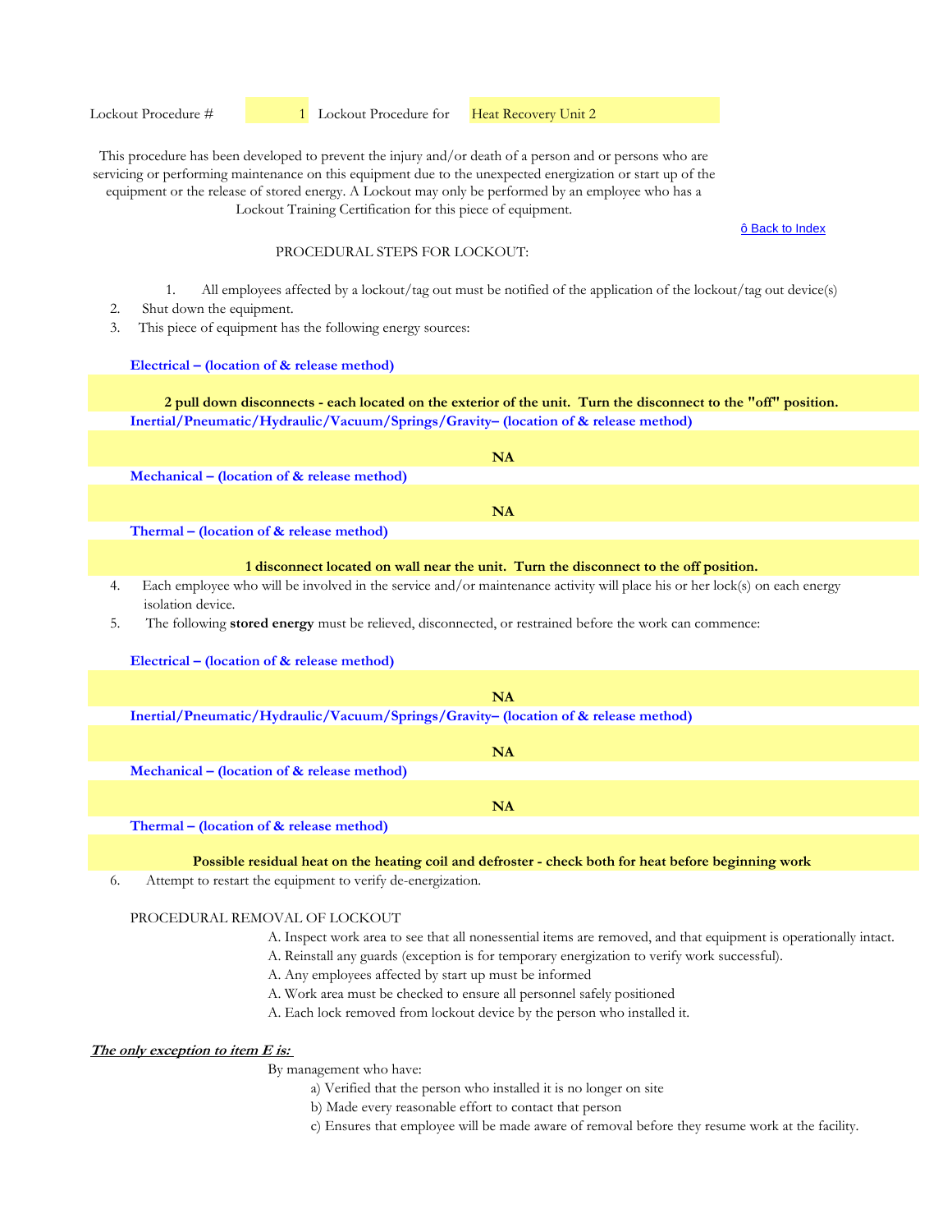ô Back to Index

## PROCEDURAL STEPS FOR LOCKOUT:

- 1. All employees affected by a lockout/tag out must be notified of the application of the lockout/tag out device(s)
- 2. Shut down the equipment.
- 3. This piece of equipment has the following energy sources:

#### **Electrical – (location of & release method)**

**Inertial/Pneumatic/Hydraulic/Vacuum/Springs/Gravity– (location of & release method) 2 pull down disconnects - each located on the exterior of the unit. Turn the disconnect to the "off" position.**

| NA                                                                   |
|----------------------------------------------------------------------|
| Mechanical – (location of $\&$ release method)                       |
|                                                                      |
| NA                                                                   |
| $\text{Thermal}-\text{location of } \mathbf{\hat{x}}$ release method |

**Thermal – (location of & release method)** 

#### **1 disconnect located on wall near the unit. Turn the disconnect to the off position.**

- 4. Each employee who will be involved in the service and/or maintenance activity will place his or her lock(s) on each energy isolation device.
- 5. The following **stored energy** must be relieved, disconnected, or restrained before the work can commence:

#### **Electrical – (location of & release method)**

| <b>NA</b>                                                                           |  |
|-------------------------------------------------------------------------------------|--|
| Inertial/Pneumatic/Hydraulic/Vacuum/Springs/Gravity- (location of & release method) |  |
| NA                                                                                  |  |
| Mechanical – (location of $\&$ release method)                                      |  |
| NA                                                                                  |  |
| and a<br>.                                                                          |  |

**Thermal – (location of & release method)** 

**Possible residual heat on the heating coil and defroster - check both for heat before beginning work**

6. Attempt to restart the equipment to verify de-energization.

# PROCEDURAL REMOVAL OF LOCKOUT

- A. Inspect work area to see that all nonessential items are removed, and that equipment is operationally intact.
- A. Reinstall any guards (exception is for temporary energization to verify work successful).
- A. Any employees affected by start up must be informed
- A. Work area must be checked to ensure all personnel safely positioned
- A. Each lock removed from lockout device by the person who installed it.

# **The only exception to item E is:**

- a) Verified that the person who installed it is no longer on site
- b) Made every reasonable effort to contact that person
- c) Ensures that employee will be made aware of removal before they resume work at the facility.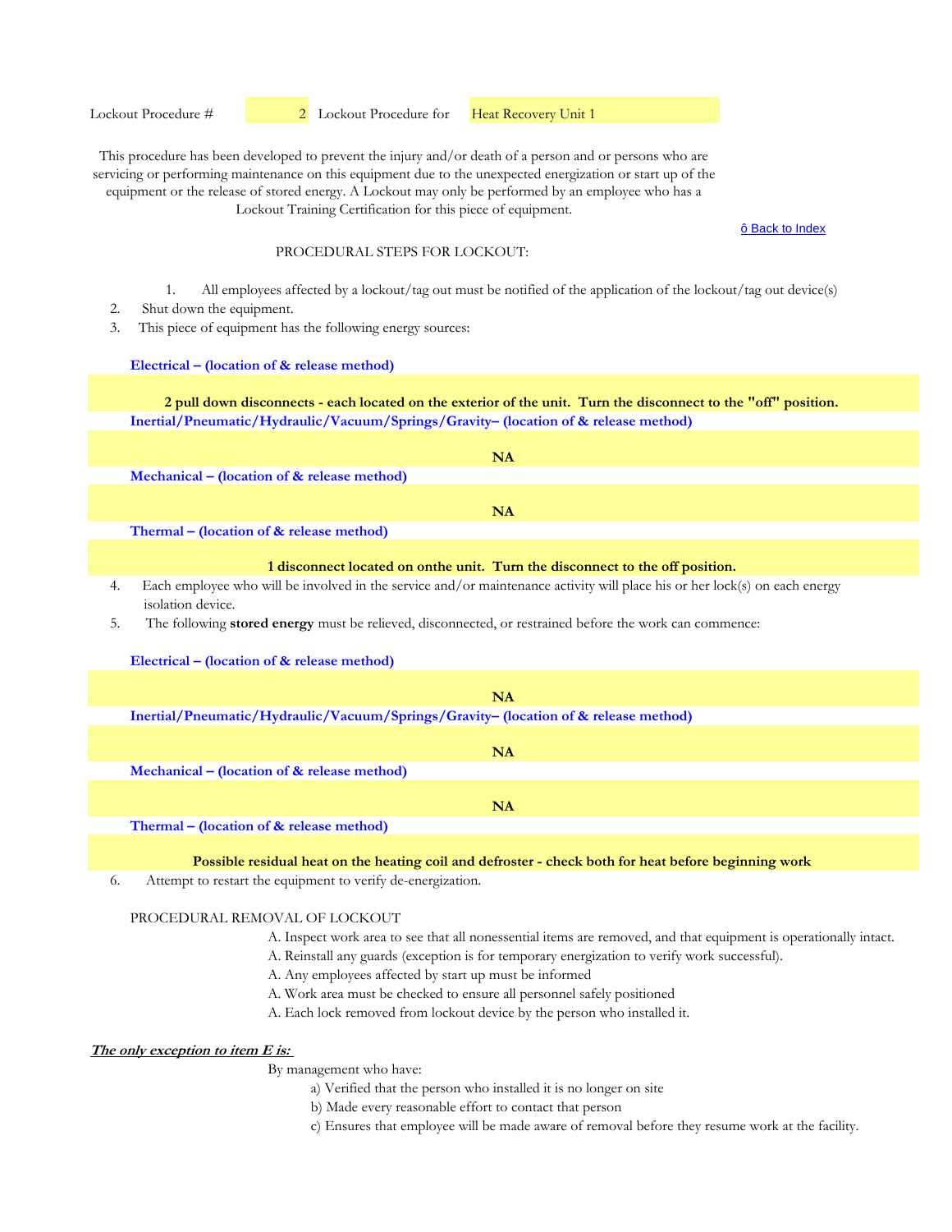ô Back to Index

## PROCEDURAL STEPS FOR LOCKOUT:

- 1. All employees affected by a lockout/tag out must be notified of the application of the lockout/tag out device(s)
- 2. Shut down the equipment.
- 3. This piece of equipment has the following energy sources:

#### **Electrical – (location of & release method)**

**Inertial/Pneumatic/Hydraulic/Vacuum/Springs/Gravity– (location of & release method) 2 pull down disconnects - each located on the exterior of the unit. Turn the disconnect to the "off" position.**

|                                                                  | NΑ |
|------------------------------------------------------------------|----|
| Mechanical – (location of $\&$ release method)                   |    |
|                                                                  |    |
|                                                                  | NA |
| $\text{Thermal}-\text{Location of } \mathcal{R}$ release method) |    |

**Thermal – (location of & release method)** 

#### **1 disconnect located on onthe unit. Turn the disconnect to the off position.**

- 4. Each employee who will be involved in the service and/or maintenance activity will place his or her lock(s) on each energy isolation device.
- 5. The following **stored energy** must be relieved, disconnected, or restrained before the work can commence:

#### **Electrical – (location of & release method)**

| <b>NA</b>                                                                                                                          |
|------------------------------------------------------------------------------------------------------------------------------------|
| Inertial/Pneumatic/Hydraulic/Vacuum/Springs/Gravity- (location of & release method)                                                |
|                                                                                                                                    |
| NA                                                                                                                                 |
| Mechanical – (location of $\&$ release method)                                                                                     |
|                                                                                                                                    |
| NA                                                                                                                                 |
| $\Delta T$ and $\Delta T$ and $\Delta T$ are $\Delta T$ and $\Delta T$ are $\Delta T$ and $\Delta T$ are $\Delta T$ and $\Delta T$ |

**Thermal – (location of & release method)** 

**Possible residual heat on the heating coil and defroster - check both for heat before beginning work**

6. Attempt to restart the equipment to verify de-energization.

#### PROCEDURAL REMOVAL OF LOCKOUT

- A. Inspect work area to see that all nonessential items are removed, and that equipment is operationally intact.
- A. Reinstall any guards (exception is for temporary energization to verify work successful).
- A. Any employees affected by start up must be informed
- A. Work area must be checked to ensure all personnel safely positioned
- A. Each lock removed from lockout device by the person who installed it.

# **The only exception to item E is:**

- a) Verified that the person who installed it is no longer on site
- b) Made every reasonable effort to contact that person
- c) Ensures that employee will be made aware of removal before they resume work at the facility.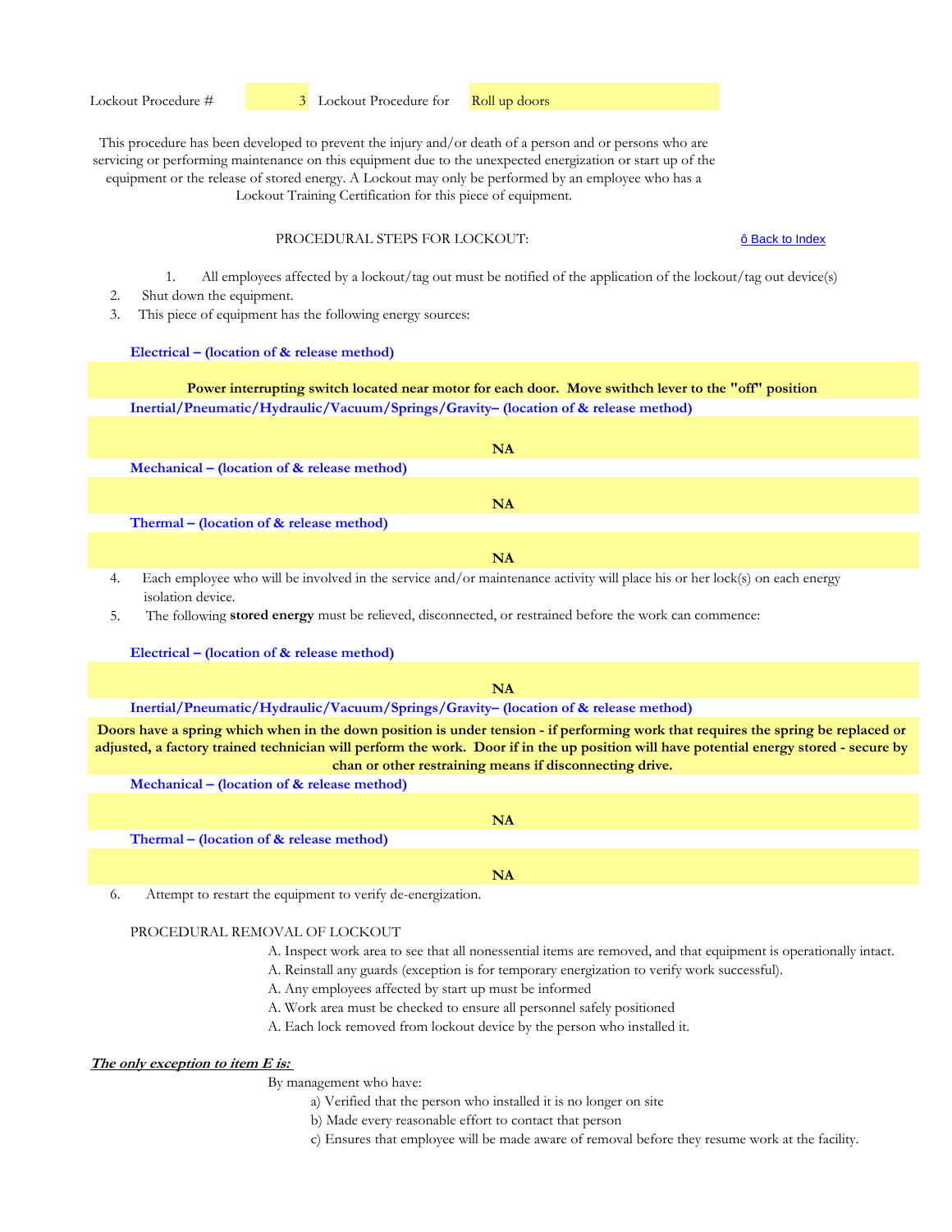Lockout Training Certification for this piece of equipment.

## PROCEDURAL STEPS FOR LOCKOUT:

ô Back to Index

1. All employees affected by a lockout/tag out must be notified of the application of the lockout/tag out device(s)

- 2. Shut down the equipment.
- 3. This piece of equipment has the following energy sources:

#### **Electrical – (location of & release method)**

**Inertial/Pneumatic/Hydraulic/Vacuum/Springs/Gravity– (location of & release method) Power interrupting switch located near motor for each door. Move swithch lever to the "off" position**

|                                                | NA |
|------------------------------------------------|----|
| Mechanical – (location of $\&$ release method) |    |
|                                                |    |
|                                                | NA |
| Thermal – (location of $&$ release method)     |    |
|                                                |    |
|                                                | NA |

4. Each employee who will be involved in the service and/or maintenance activity will place his or her lock(s) on each energy isolation device.

5. The following **stored energy** must be relieved, disconnected, or restrained before the work can commence:

**Electrical – (location of & release method)**

#### **NA**

## **Inertial/Pneumatic/Hydraulic/Vacuum/Springs/Gravity– (location of & release method)**

**Doors have a spring which when in the down position is under tension - if performing work that requires the spring be replaced or adjusted, a factory trained technician will perform the work. Door if in the up position will have potential energy stored - secure by chan or other restraining means if disconnecting drive.**

**Mechanical – (location of & release method)** 

|                                          | NA  |
|------------------------------------------|-----|
| Thermal – (location of & release method) |     |
|                                          |     |
|                                          | NΙA |
|                                          |     |

6. Attempt to restart the equipment to verify de-energization.

#### PROCEDURAL REMOVAL OF LOCKOUT

- A. Inspect work area to see that all nonessential items are removed, and that equipment is operationally intact.
- A. Reinstall any guards (exception is for temporary energization to verify work successful).
- A. Any employees affected by start up must be informed
- A. Work area must be checked to ensure all personnel safely positioned
- A. Each lock removed from lockout device by the person who installed it.

## **The only exception to item E is:**

- a) Verified that the person who installed it is no longer on site
- b) Made every reasonable effort to contact that person
- c) Ensures that employee will be made aware of removal before they resume work at the facility.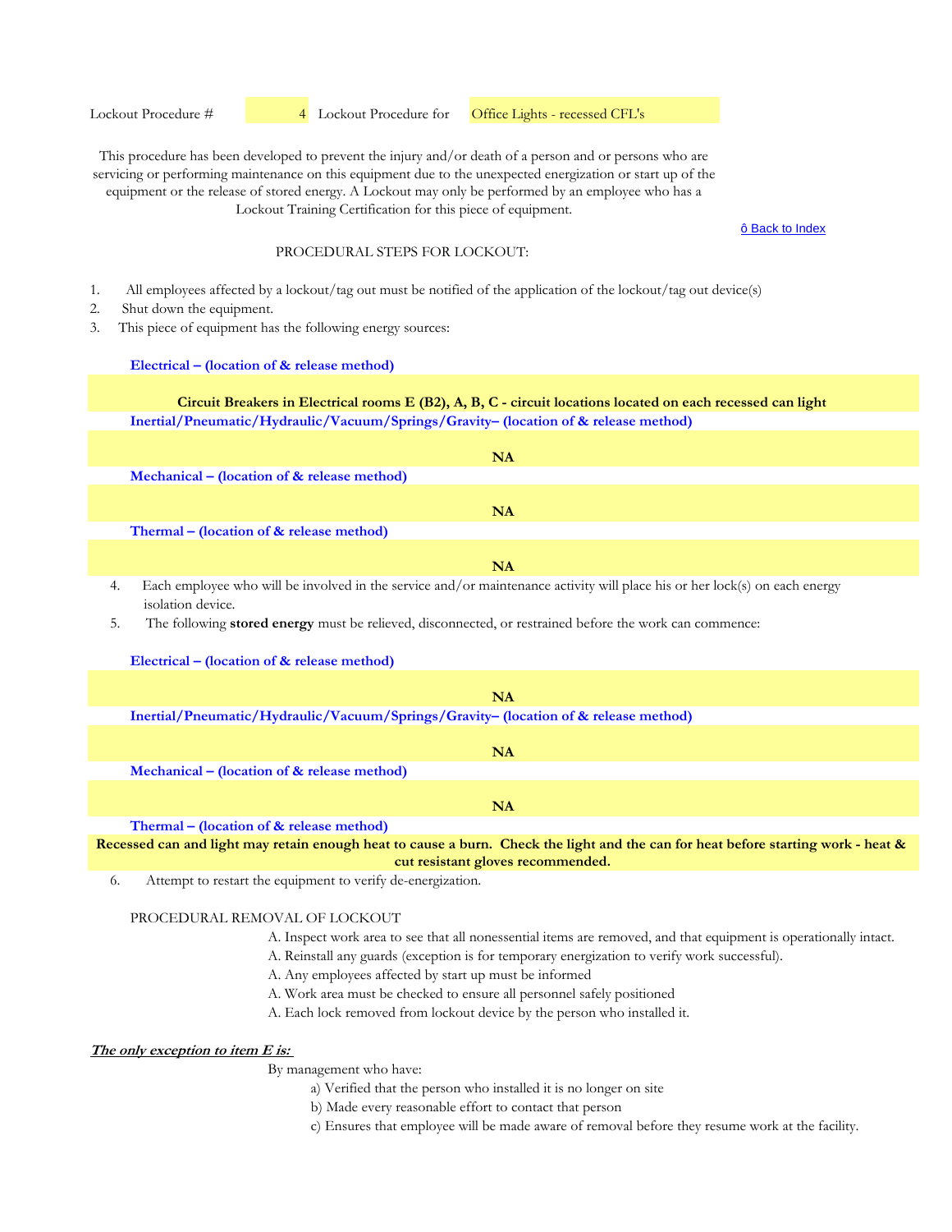#### Lockout Procedure #  4 Lockout Procedure for Office Lights - recessed CFL's

This procedure has been developed to prevent the injury and/or death of a person and or persons who are servicing or performing maintenance on this equipment due to the unexpected energization or start up of the equipment or the release of stored energy. A Lockout may only be performed by an employee who has a Lockout Training Certification for this piece of equipment.

#### ô Back to Index

#### PROCEDURAL STEPS FOR LOCKOUT:

- 1. All employees affected by a lockout/tag out must be notified of the application of the lockout/tag out device(s)
- 2. Shut down the equipment.
- 3. This piece of equipment has the following energy sources:

#### **Electrical – (location of & release method)**

## **Inertial/Pneumatic/Hydraulic/Vacuum/Springs/Gravity– (location of & release method) Circuit Breakers in Electrical rooms E (B2), A, B, C - circuit locations located on each recessed can light**

|                                                | NA                                                                                                                                                                                                                                         |
|------------------------------------------------|--------------------------------------------------------------------------------------------------------------------------------------------------------------------------------------------------------------------------------------------|
| Mechanical – (location of $\&$ release method) |                                                                                                                                                                                                                                            |
|                                                |                                                                                                                                                                                                                                            |
|                                                | NA                                                                                                                                                                                                                                         |
| Thermal – (location of $&$ release method)     |                                                                                                                                                                                                                                            |
|                                                |                                                                                                                                                                                                                                            |
|                                                | NA                                                                                                                                                                                                                                         |
|                                                | $\mathbf{r}$ , and the set of the set of the set of the set of the set of the set of the set of the set of the set of the set of the set of the set of the set of the set of the set of the set of the set of the set of the set<br>$\sim$ |

4. Each employee who will be involved in the service and/or maintenance activity will place his or her lock(s) on each energy isolation device.

5. The following **stored energy** must be relieved, disconnected, or restrained before the work can commence:

#### **Electrical – (location of & release method)**

| NA                                                                                  |
|-------------------------------------------------------------------------------------|
| Inertial/Pneumatic/Hydraulic/Vacuum/Springs/Gravity- (location of & release method) |
|                                                                                     |
|                                                                                     |

**Mechanical – (location of & release method)** 

**Thermal – (location of & release method)** 

**Recessed can and light may retain enough heat to cause a burn. Check the light and the can for heat before starting work - heat & cut resistant gloves recommended.**

**NA**

6. Attempt to restart the equipment to verify de-energization.

#### PROCEDURAL REMOVAL OF LOCKOUT

- A. Inspect work area to see that all nonessential items are removed, and that equipment is operationally intact.
- A. Reinstall any guards (exception is for temporary energization to verify work successful).
- A. Any employees affected by start up must be informed
- A. Work area must be checked to ensure all personnel safely positioned
- A. Each lock removed from lockout device by the person who installed it.

# **The only exception to item E is:**

- a) Verified that the person who installed it is no longer on site
- b) Made every reasonable effort to contact that person
- c) Ensures that employee will be made aware of removal before they resume work at the facility.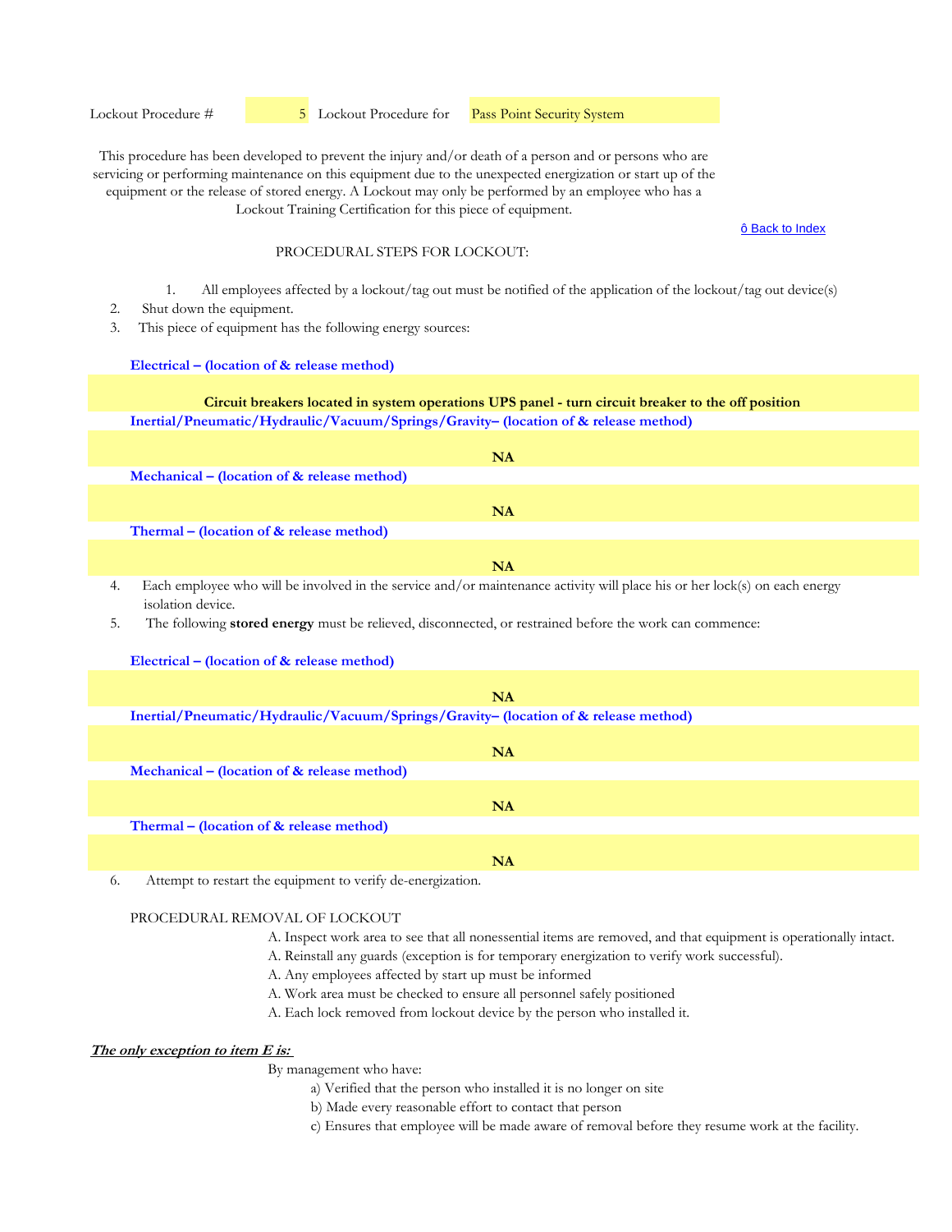Lockout Procedure #  $\overline{5}$  Lockout Procedure for **Pass Point Security System** 

This procedure has been developed to prevent the injury and/or death of a person and or persons who are servicing or performing maintenance on this equipment due to the unexpected energization or start up of the equipment or the release of stored energy. A Lockout may only be performed by an employee who has a Lockout Training Certification for this piece of equipment.

ô Back to Index

## PROCEDURAL STEPS FOR LOCKOUT:

- 1. All employees affected by a lockout/tag out must be notified of the application of the lockout/tag out device(s)
- 2. Shut down the equipment.
- 3. This piece of equipment has the following energy sources:

#### **Electrical – (location of & release method)**

## **Inertial/Pneumatic/Hydraulic/Vacuum/Springs/Gravity– (location of & release method) Circuit breakers located in system operations UPS panel - turn circuit breaker to the off position**

|                                                                                                                 | NA        |
|-----------------------------------------------------------------------------------------------------------------|-----------|
| Mechanical – (location of $\&$ release method)                                                                  |           |
|                                                                                                                 |           |
|                                                                                                                 | <b>NA</b> |
| Thermal – (location of $\&$ release method)                                                                     |           |
|                                                                                                                 |           |
|                                                                                                                 | NA        |
| the contract of the contract of the contract of the contract of the contract of the contract of the contract of |           |

4. Each employee who will be involved in the service and/or maintenance activity will place his or her lock(s) on each energy isolation device.

5. The following **stored energy** must be relieved, disconnected, or restrained before the work can commence:

## **Electrical – (location of & release method)**

|                                                                                     | <b>NA</b> |
|-------------------------------------------------------------------------------------|-----------|
| Inertial/Pneumatic/Hydraulic/Vacuum/Springs/Gravity- (location of & release method) |           |
|                                                                                     |           |
|                                                                                     | NA        |
| Mechanical – (location of $\&$ release method)                                      |           |
|                                                                                     |           |
|                                                                                     | <b>NA</b> |
| Thermal – (location of $\&$ release method)                                         |           |
|                                                                                     |           |
|                                                                                     | NA        |

6. Attempt to restart the equipment to verify de-energization.

## PROCEDURAL REMOVAL OF LOCKOUT

- A. Inspect work area to see that all nonessential items are removed, and that equipment is operationally intact.
- A. Reinstall any guards (exception is for temporary energization to verify work successful).
- A. Any employees affected by start up must be informed
- A. Work area must be checked to ensure all personnel safely positioned
- A. Each lock removed from lockout device by the person who installed it.

# **The only exception to item E is:**

- a) Verified that the person who installed it is no longer on site
- b) Made every reasonable effort to contact that person
- c) Ensures that employee will be made aware of removal before they resume work at the facility.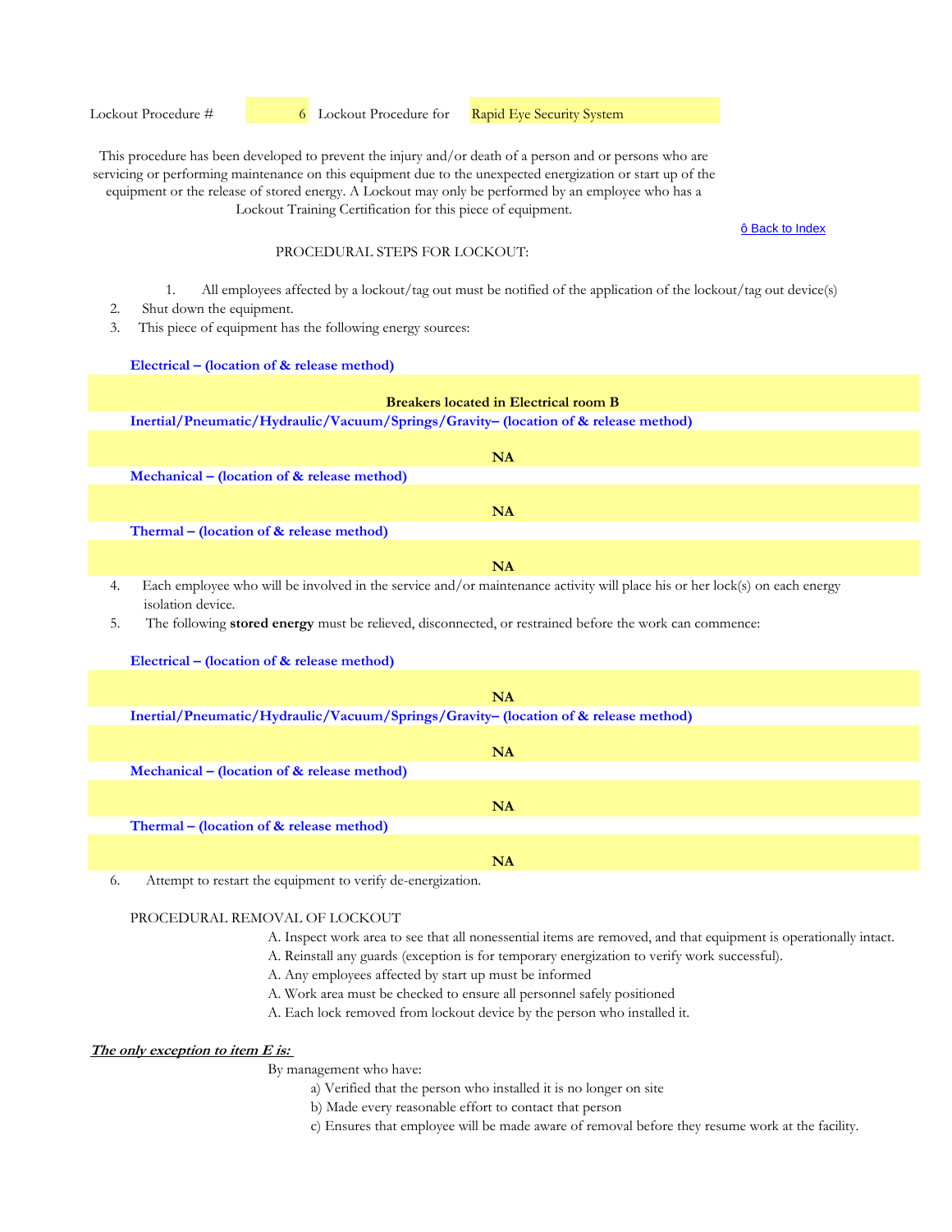Lockout Procedure #  6 Lockout Procedure for Rapid Eye Security System

This procedure has been developed to prevent the injury and/or death of a person and or persons who are servicing or performing maintenance on this equipment due to the unexpected energization or start up of the equipment or the release of stored energy. A Lockout may only be performed by an employee who has a Lockout Training Certification for this piece of equipment.

ô Back to Index

## PROCEDURAL STEPS FOR LOCKOUT:

- 1. All employees affected by a lockout/tag out must be notified of the application of the lockout/tag out device(s)
- 2. Shut down the equipment.
- 3. This piece of equipment has the following energy sources:

#### **Electrical – (location of & release method)**

# **Inertial/Pneumatic/Hydraulic/Vacuum/Springs/Gravity– (location of & release method) Mechanical – (location of & release method) Thermal – (location of & release method)**  4. Each employee who will be involved in the service and/or maintenance activity will place his or her lock(s) on each energy **NA NA NA Breakers located in Electrical room B**

isolation device.

5. The following **stored energy** must be relieved, disconnected, or restrained before the work can commence:

## **Electrical – (location of & release method)**

|                                                                                     | NA        |
|-------------------------------------------------------------------------------------|-----------|
| Inertial/Pneumatic/Hydraulic/Vacuum/Springs/Gravity- (location of & release method) |           |
|                                                                                     |           |
|                                                                                     | NA        |
| Mechanical – (location of $\&$ release method)                                      |           |
|                                                                                     |           |
|                                                                                     | <b>NA</b> |
| Thermal – (location of $\&$ release method)                                         |           |
|                                                                                     |           |
|                                                                                     | NA        |

6. Attempt to restart the equipment to verify de-energization.

## PROCEDURAL REMOVAL OF LOCKOUT

- A. Inspect work area to see that all nonessential items are removed, and that equipment is operationally intact.
- A. Reinstall any guards (exception is for temporary energization to verify work successful).
- A. Any employees affected by start up must be informed
- A. Work area must be checked to ensure all personnel safely positioned
- A. Each lock removed from lockout device by the person who installed it.

# **The only exception to item E is:**

- a) Verified that the person who installed it is no longer on site
- b) Made every reasonable effort to contact that person
- c) Ensures that employee will be made aware of removal before they resume work at the facility.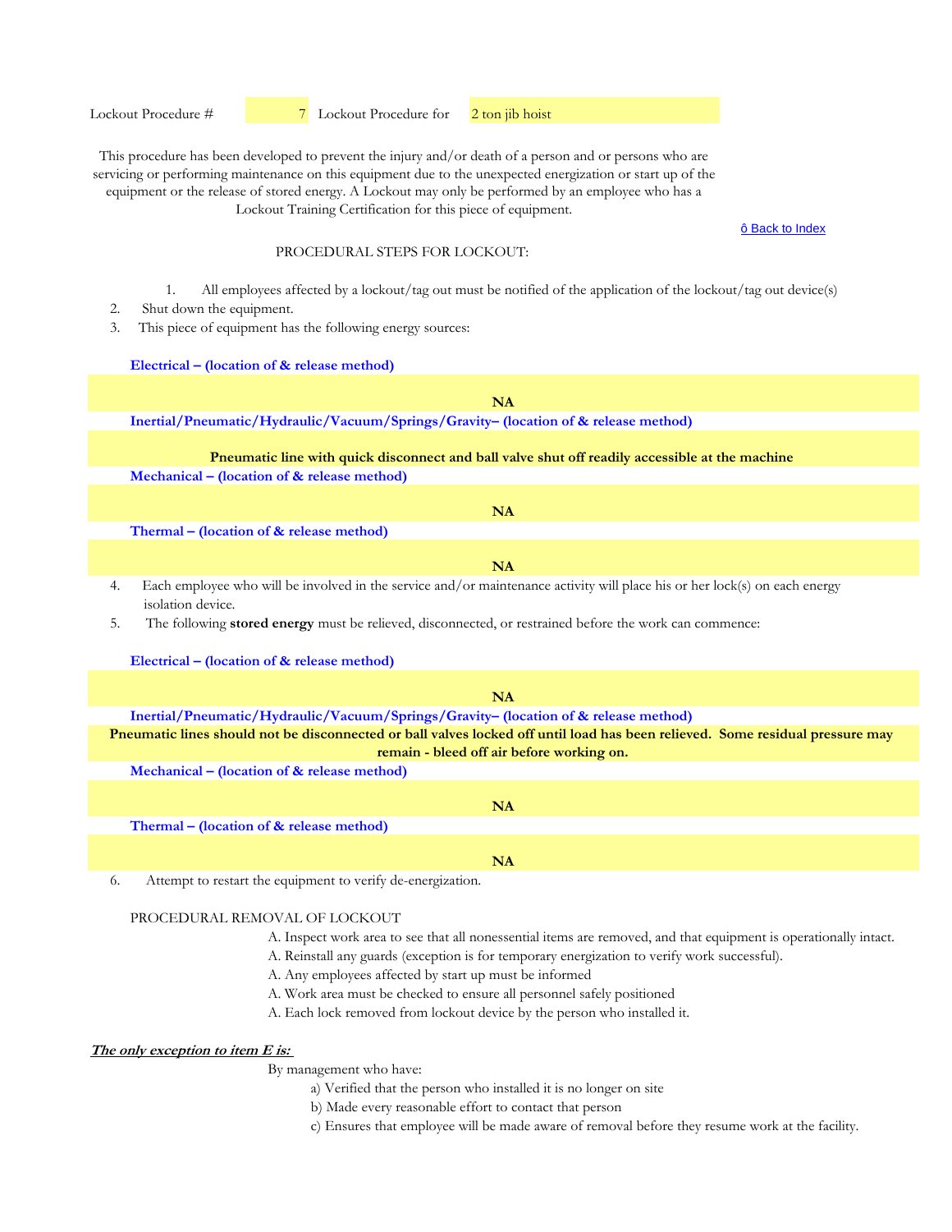Lockout Procedure #  $\frac{7}{7}$  Lockout Procedure for  $\frac{2 \text{ ton}}{1}$  hoist

This procedure has been developed to prevent the injury and/or death of a person and or persons who are servicing or performing maintenance on this equipment due to the unexpected energization or start up of the equipment or the release of stored energy. A Lockout may only be performed by an employee who has a Lockout Training Certification for this piece of equipment.

ô Back to Index

## PROCEDURAL STEPS FOR LOCKOUT:

- 1. All employees affected by a lockout/tag out must be notified of the application of the lockout/tag out device(s)
- 2. Shut down the equipment.
- 3. This piece of equipment has the following energy sources:

#### **Electrical – (location of & release method)**

**Inertial/Pneumatic/Hydraulic/Vacuum/Springs/Gravity– (location of & release method) Mechanical – (location of & release method) Thermal – (location of & release method)**  4. Each employee who will be involved in the service and/or maintenance activity will place his or her lock(s) on each energy isolation device. 5. The following **stored energy** must be relieved, disconnected, or restrained before the work can commence: **Electrical – (location of & release method) Inertial/Pneumatic/Hydraulic/Vacuum/Springs/Gravity– (location of & release method) Mechanical – (location of & release method) Thermal – (location of & release method) NA Pneumatic line with quick disconnect and ball valve shut off readily accessible at the machine NA NA NA NA Pneumatic lines should not be disconnected or ball valves locked off until load has been relieved. Some residual pressure may remain - bleed off air before working on.**

**NA**

6. Attempt to restart the equipment to verify de-energization.

## PROCEDURAL REMOVAL OF LOCKOUT

- A. Inspect work area to see that all nonessential items are removed, and that equipment is operationally intact.
- A. Reinstall any guards (exception is for temporary energization to verify work successful).
- A. Any employees affected by start up must be informed
- A. Work area must be checked to ensure all personnel safely positioned
- A. Each lock removed from lockout device by the person who installed it.

# **The only exception to item E is:**

- a) Verified that the person who installed it is no longer on site
- b) Made every reasonable effort to contact that person
- c) Ensures that employee will be made aware of removal before they resume work at the facility.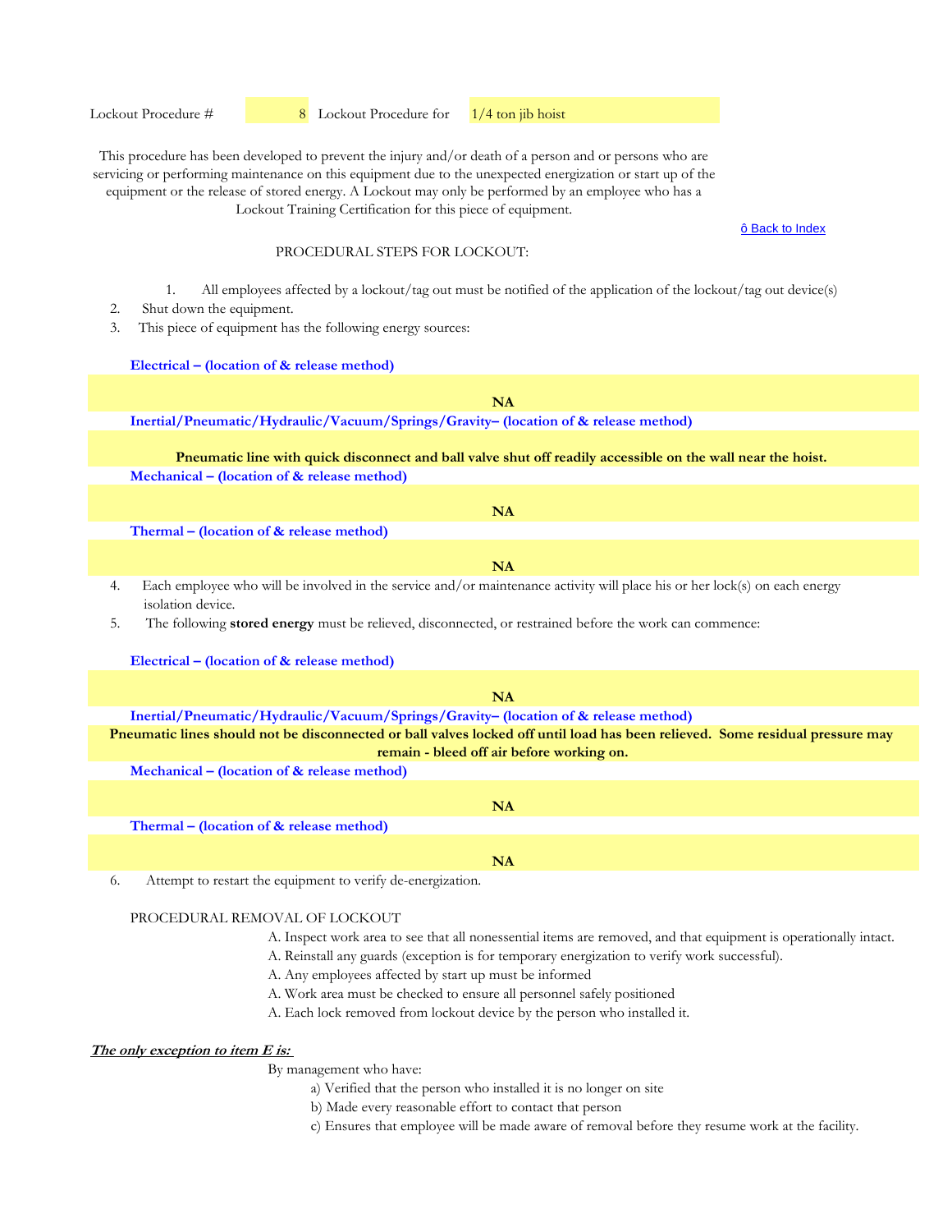ô Back to Index

#### PROCEDURAL STEPS FOR LOCKOUT:

- 1. All employees affected by a lockout/tag out must be notified of the application of the lockout/tag out device(s)
- 2. Shut down the equipment.
- 3. This piece of equipment has the following energy sources:

#### **Electrical – (location of & release method)**

# **Inertial/Pneumatic/Hydraulic/Vacuum/Springs/Gravity– (location of & release method) Mechanical – (location of & release method) Thermal – (location of & release method)**  4. Each employee who will be involved in the service and/or maintenance activity will place his or her lock(s) on each energy isolation device. 5. The following **stored energy** must be relieved, disconnected, or restrained before the work can commence: **Pneumatic line with quick disconnect and ball valve shut off readily accessible on the wall near the hoist. NA NA NA**

# **Electrical – (location of & release method)**

| <b>NA</b>                                                                                                                     |
|-------------------------------------------------------------------------------------------------------------------------------|
| Inertial/Pneumatic/Hydraulic/Vacuum/Springs/Gravity- (location of & release method)                                           |
| Pneumatic lines should not be disconnected or ball valves locked off until load has been relieved. Some residual pressure may |
| remain - bleed off air before working on.                                                                                     |
| Mechanical – (location of $\&$ release method)                                                                                |
|                                                                                                                               |
| <b>NA</b>                                                                                                                     |
| Thermal – (location of $\&$ release method)                                                                                   |
|                                                                                                                               |

**NA**

6. Attempt to restart the equipment to verify de-energization.

## PROCEDURAL REMOVAL OF LOCKOUT

- A. Inspect work area to see that all nonessential items are removed, and that equipment is operationally intact.
- A. Reinstall any guards (exception is for temporary energization to verify work successful).
- A. Any employees affected by start up must be informed
- A. Work area must be checked to ensure all personnel safely positioned
- A. Each lock removed from lockout device by the person who installed it.

# **The only exception to item E is:**

- a) Verified that the person who installed it is no longer on site
- b) Made every reasonable effort to contact that person
- c) Ensures that employee will be made aware of removal before they resume work at the facility.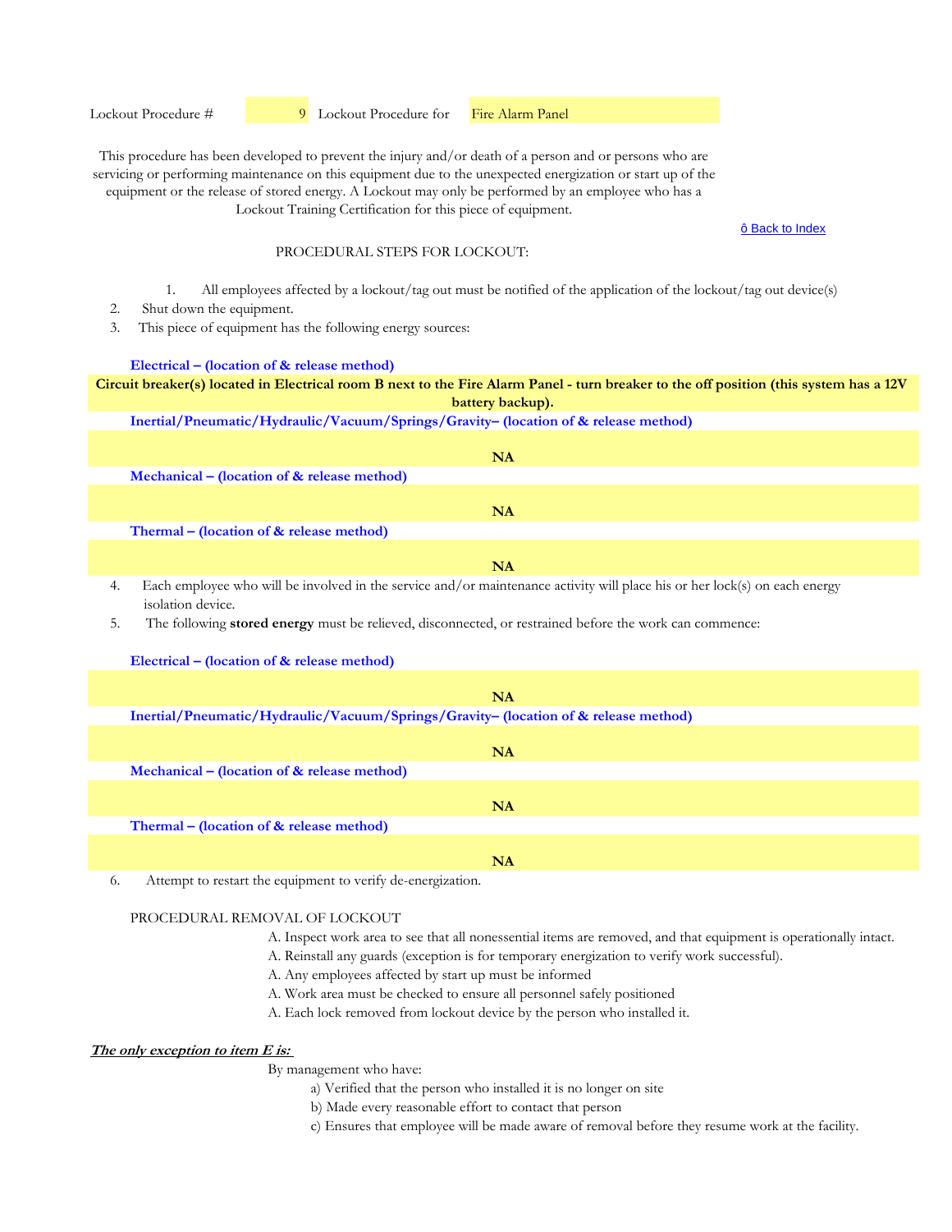#### Lockout Procedure #  9 Lockout Procedure for Fire Alarm Panel

This procedure has been developed to prevent the injury and/or death of a person and or persons who are servicing or performing maintenance on this equipment due to the unexpected energization or start up of the equipment or the release of stored energy. A Lockout may only be performed by an employee who has a Lockout Training Certification for this piece of equipment.

ô Back to Index

## PROCEDURAL STEPS FOR LOCKOUT:

- 1. All employees affected by a lockout/tag out must be notified of the application of the lockout/tag out device(s)
- 2. Shut down the equipment.
- 3. This piece of equipment has the following energy sources:

#### **Electrical – (location of & release method)**

## **Circuit breaker(s) located in Electrical room B next to the Fire Alarm Panel - turn breaker to the off position (this system has a 12V battery backup).**

**Inertial/Pneumatic/Hydraulic/Vacuum/Springs/Gravity– (location of & release method)** 

|                                                | NA |
|------------------------------------------------|----|
| Mechanical – (location of $\&$ release method) |    |
|                                                | NA |
| Thermal – (location of & release method)       |    |
|                                                | NA |

4. Each employee who will be involved in the service and/or maintenance activity will place his or her lock(s) on each energy isolation device.

5. The following **stored energy** must be relieved, disconnected, or restrained before the work can commence:

## **Electrical – (location of & release method)**

| <b>NA</b>                                                                           |  |
|-------------------------------------------------------------------------------------|--|
| Inertial/Pneumatic/Hydraulic/Vacuum/Springs/Gravity- (location of & release method) |  |
|                                                                                     |  |
| <b>NA</b>                                                                           |  |
| Mechanical – (location of $&$ release method)                                       |  |
|                                                                                     |  |
| <b>NA</b>                                                                           |  |
| Thermal – (location of $\&$ release method)                                         |  |
|                                                                                     |  |
| NA                                                                                  |  |

6. Attempt to restart the equipment to verify de-energization.

## PROCEDURAL REMOVAL OF LOCKOUT

- A. Inspect work area to see that all nonessential items are removed, and that equipment is operationally intact.
- A. Reinstall any guards (exception is for temporary energization to verify work successful).
- A. Any employees affected by start up must be informed
- A. Work area must be checked to ensure all personnel safely positioned
- A. Each lock removed from lockout device by the person who installed it.

# **The only exception to item E is:**

- a) Verified that the person who installed it is no longer on site
- b) Made every reasonable effort to contact that person
- c) Ensures that employee will be made aware of removal before they resume work at the facility.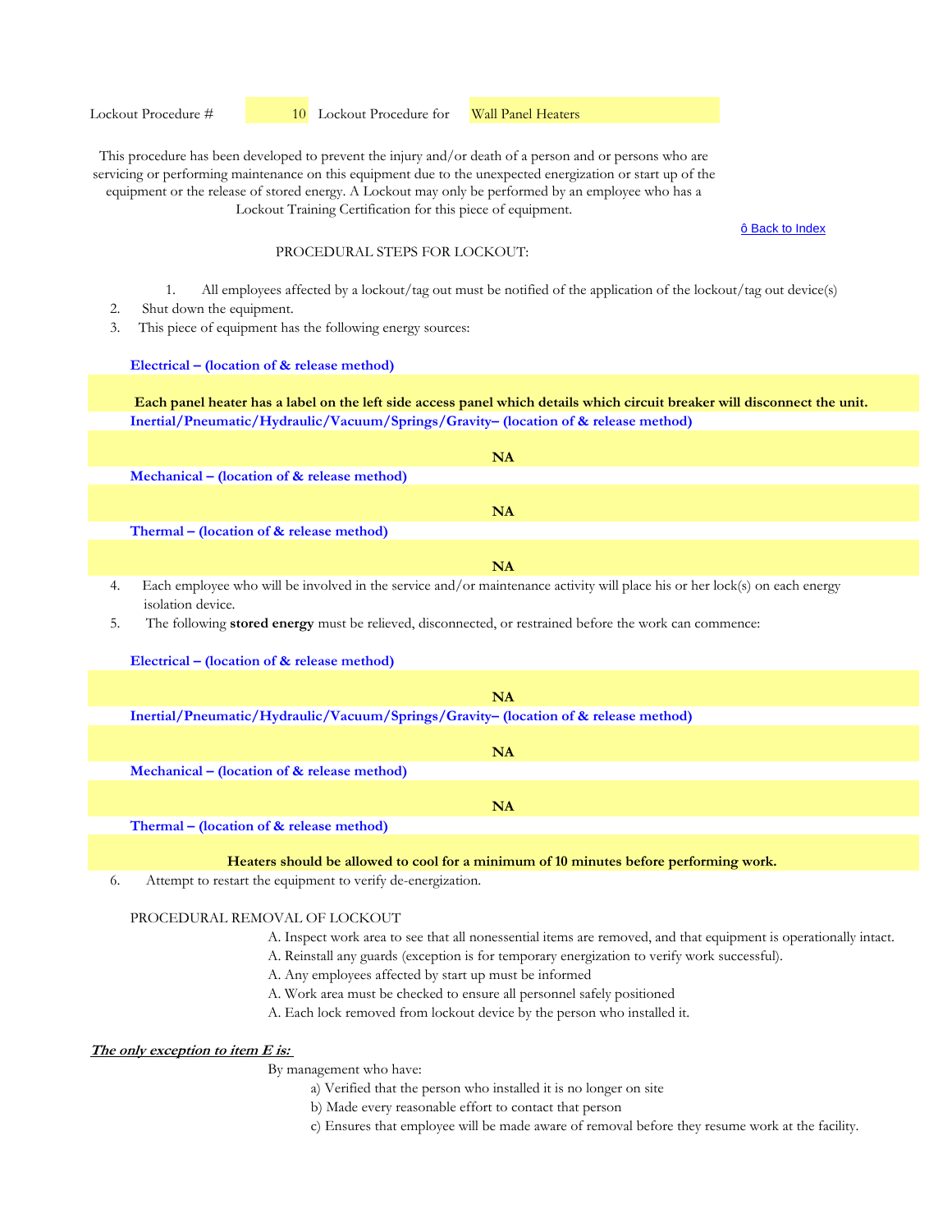ô Back to Index

## PROCEDURAL STEPS FOR LOCKOUT:

- 1. All employees affected by a lockout/tag out must be notified of the application of the lockout/tag out device(s)
- 2. Shut down the equipment.
- 3. This piece of equipment has the following energy sources:

#### **Electrical – (location of & release method)**

**Inertial/Pneumatic/Hydraulic/Vacuum/Springs/Gravity– (location of & release method) Each panel heater has a label on the left side access panel which details which circuit breaker will disconnect the unit.**

|                                                            | NA                                                                                                                                                                                                                                 |
|------------------------------------------------------------|------------------------------------------------------------------------------------------------------------------------------------------------------------------------------------------------------------------------------------|
| Mechanical – (location of $\&$ release method)             |                                                                                                                                                                                                                                    |
|                                                            |                                                                                                                                                                                                                                    |
|                                                            | NA                                                                                                                                                                                                                                 |
| Thermal – (location of $&$ release method)                 |                                                                                                                                                                                                                                    |
|                                                            |                                                                                                                                                                                                                                    |
|                                                            | NA                                                                                                                                                                                                                                 |
| $-11111$ $-111111$ $-1111111$ $-11111111$<br>$\frac{1}{2}$ | $\mathcal{L}$ , and the contract of the contract of the contract of the contract of the contract of the contract of the contract of the contract of the contract of the contract of the contract of the contract of the contract o |

Each employee who will be involved in the service and/or maintenance activity will place his or her lock(s) on each energy isolation device.

5. The following **stored energy** must be relieved, disconnected, or restrained before the work can commence:

## **Electrical – (location of & release method)**

| NA                                                                                  |
|-------------------------------------------------------------------------------------|
| Inertial/Pneumatic/Hydraulic/Vacuum/Springs/Gravity- (location of & release method) |
|                                                                                     |
| NA                                                                                  |
| Mechanical – (location of $\&$ release method)                                      |
|                                                                                     |
| NΑ                                                                                  |

**Thermal – (location of & release method)** 

**Heaters should be allowed to cool for a minimum of 10 minutes before performing work.**

6. Attempt to restart the equipment to verify de-energization.

## PROCEDURAL REMOVAL OF LOCKOUT

- A. Inspect work area to see that all nonessential items are removed, and that equipment is operationally intact.
- A. Reinstall any guards (exception is for temporary energization to verify work successful).
- A. Any employees affected by start up must be informed
- A. Work area must be checked to ensure all personnel safely positioned
- A. Each lock removed from lockout device by the person who installed it.

# **The only exception to item E is:**

- a) Verified that the person who installed it is no longer on site
- b) Made every reasonable effort to contact that person
- c) Ensures that employee will be made aware of removal before they resume work at the facility.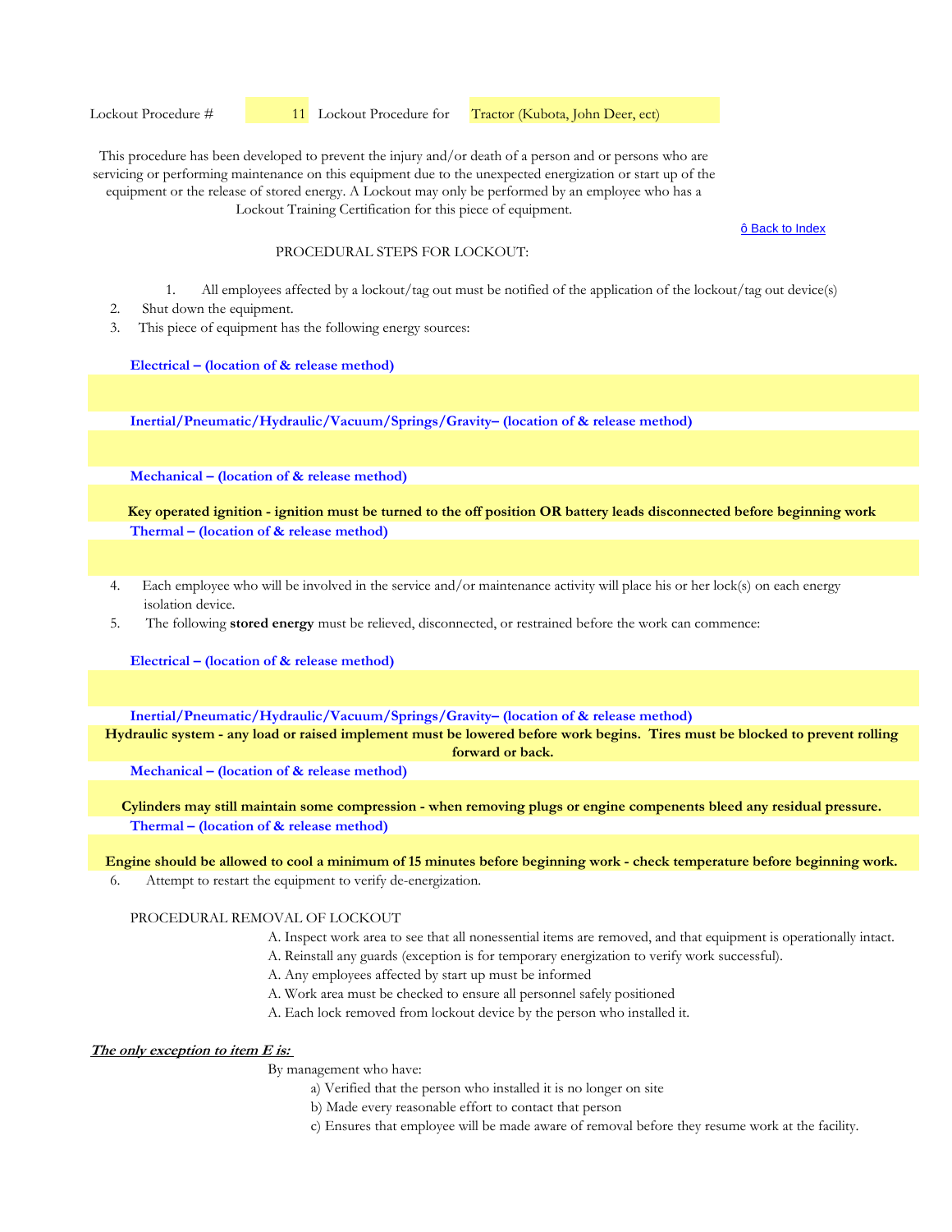Lockout Procedure #  11 Lockout Procedure for Tractor (Kubota, John Deer, ect)

This procedure has been developed to prevent the injury and/or death of a person and or persons who are servicing or performing maintenance on this equipment due to the unexpected energization or start up of the equipment or the release of stored energy. A Lockout may only be performed by an employee who has a Lockout Training Certification for this piece of equipment.

ô Back to Index

#### PROCEDURAL STEPS FOR LOCKOUT:

- 1. All employees affected by a lockout/tag out must be notified of the application of the lockout/tag out device(s)
- 2. Shut down the equipment.
- 3. This piece of equipment has the following energy sources:

**Electrical – (location of & release method)**

**Inertial/Pneumatic/Hydraulic/Vacuum/Springs/Gravity– (location of & release method)** 

**Mechanical – (location of & release method)** 

**Thermal – (location of & release method) Key operated ignition - ignition must be turned to the off position OR battery leads disconnected before beginning work**

- 4. Each employee who will be involved in the service and/or maintenance activity will place his or her lock(s) on each energy isolation device.
- 5. The following **stored energy** must be relieved, disconnected, or restrained before the work can commence:

**Electrical – (location of & release method)**

**Inertial/Pneumatic/Hydraulic/Vacuum/Springs/Gravity– (location of & release method)** 

**Hydraulic system - any load or raised implement must be lowered before work begins. Tires must be blocked to prevent rolling forward or back.**

**Mechanical – (location of & release method)** 

**Thermal – (location of & release method) Cylinders may still maintain some compression - when removing plugs or engine compenents bleed any residual pressure.**

**Engine should be allowed to cool a minimum of 15 minutes before beginning work - check temperature before beginning work.**

6. Attempt to restart the equipment to verify de-energization.

## PROCEDURAL REMOVAL OF LOCKOUT

- A. Inspect work area to see that all nonessential items are removed, and that equipment is operationally intact.
- A. Reinstall any guards (exception is for temporary energization to verify work successful).
- A. Any employees affected by start up must be informed
- A. Work area must be checked to ensure all personnel safely positioned
- A. Each lock removed from lockout device by the person who installed it.

## **The only exception to item E is:**

- a) Verified that the person who installed it is no longer on site
- b) Made every reasonable effort to contact that person
- c) Ensures that employee will be made aware of removal before they resume work at the facility.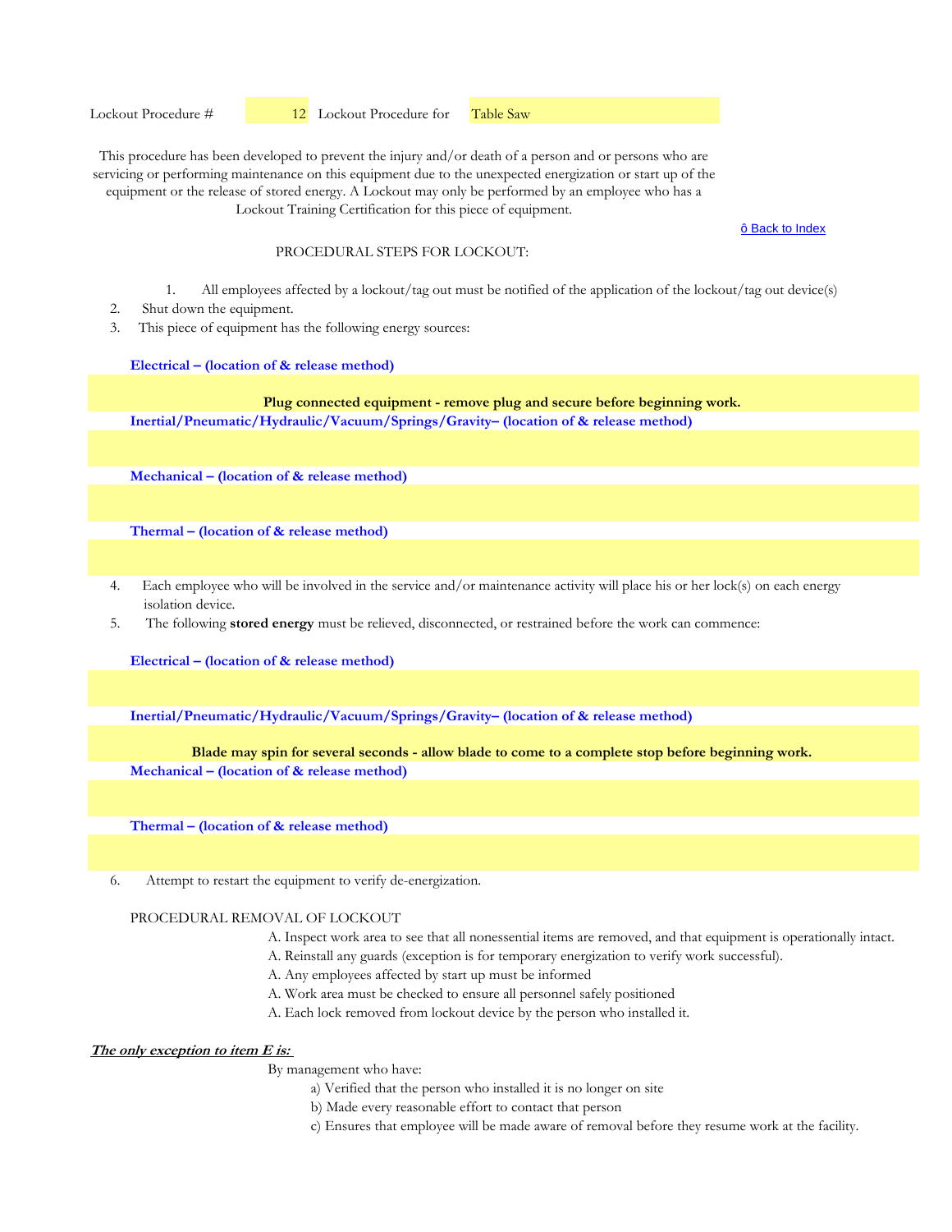ô Back to Index

#### PROCEDURAL STEPS FOR LOCKOUT:

- 1. All employees affected by a lockout/tag out must be notified of the application of the lockout/tag out device(s)
- 2. Shut down the equipment.
- 3. This piece of equipment has the following energy sources:

#### **Electrical – (location of & release method)**

**Inertial/Pneumatic/Hydraulic/Vacuum/Springs/Gravity– (location of & release method) Plug connected equipment - remove plug and secure before beginning work.**

**Mechanical – (location of & release method)** 

**Thermal – (location of & release method)** 

- 4. Each employee who will be involved in the service and/or maintenance activity will place his or her lock(s) on each energy isolation device.
- 5. The following **stored energy** must be relieved, disconnected, or restrained before the work can commence:

**Electrical – (location of & release method)**

**Inertial/Pneumatic/Hydraulic/Vacuum/Springs/Gravity– (location of & release method)** 

#### **Blade may spin for several seconds - allow blade to come to a complete stop before beginning work.**

**Mechanical – (location of & release method)** 

**Thermal – (location of & release method)** 

6. Attempt to restart the equipment to verify de-energization.

#### PROCEDURAL REMOVAL OF LOCKOUT

- A. Inspect work area to see that all nonessential items are removed, and that equipment is operationally intact.
- A. Reinstall any guards (exception is for temporary energization to verify work successful).
- A. Any employees affected by start up must be informed
- A. Work area must be checked to ensure all personnel safely positioned
- A. Each lock removed from lockout device by the person who installed it.

# **The only exception to item E is:**

- a) Verified that the person who installed it is no longer on site
- b) Made every reasonable effort to contact that person
- c) Ensures that employee will be made aware of removal before they resume work at the facility.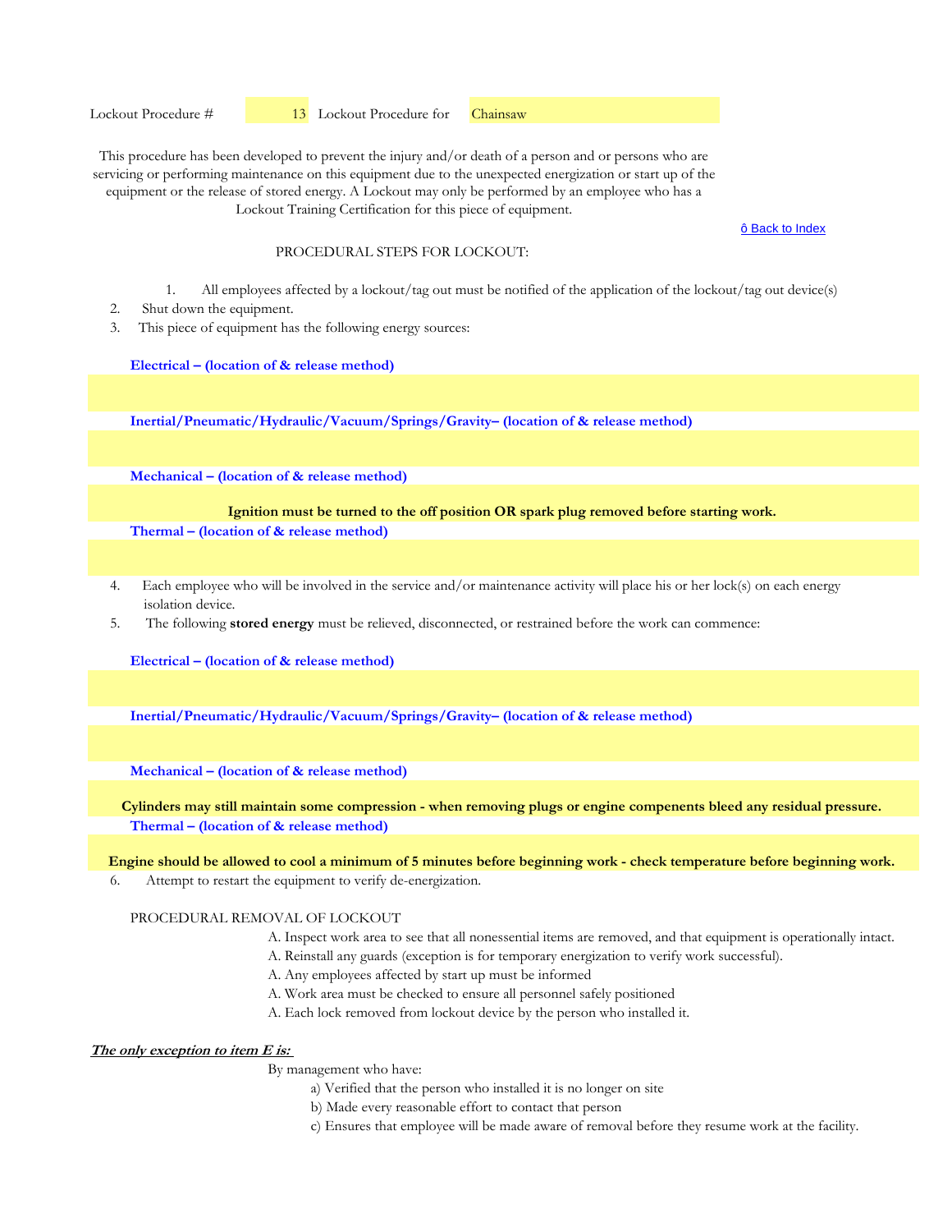ô Back to Index

## PROCEDURAL STEPS FOR LOCKOUT:

- 1. All employees affected by a lockout/tag out must be notified of the application of the lockout/tag out device(s)
- 2. Shut down the equipment.
- 3. This piece of equipment has the following energy sources:

**Electrical – (location of & release method)**

**Inertial/Pneumatic/Hydraulic/Vacuum/Springs/Gravity– (location of & release method)** 

**Mechanical – (location of & release method)** 

**Ignition must be turned to the off position OR spark plug removed before starting work.**

**Thermal – (location of & release method)** 

- 4. Each employee who will be involved in the service and/or maintenance activity will place his or her lock(s) on each energy isolation device.
- 5. The following **stored energy** must be relieved, disconnected, or restrained before the work can commence:

**Electrical – (location of & release method)**

**Inertial/Pneumatic/Hydraulic/Vacuum/Springs/Gravity– (location of & release method)** 

**Mechanical – (location of & release method)** 

**Thermal – (location of & release method) Cylinders may still maintain some compression - when removing plugs or engine compenents bleed any residual pressure.**

**Engine should be allowed to cool a minimum of 5 minutes before beginning work - check temperature before beginning work.**

6. Attempt to restart the equipment to verify de-energization.

# PROCEDURAL REMOVAL OF LOCKOUT

- A. Inspect work area to see that all nonessential items are removed, and that equipment is operationally intact.
- A. Reinstall any guards (exception is for temporary energization to verify work successful).
- A. Any employees affected by start up must be informed
- A. Work area must be checked to ensure all personnel safely positioned
- A. Each lock removed from lockout device by the person who installed it.

# **The only exception to item E is:**

- a) Verified that the person who installed it is no longer on site
- b) Made every reasonable effort to contact that person
- c) Ensures that employee will be made aware of removal before they resume work at the facility.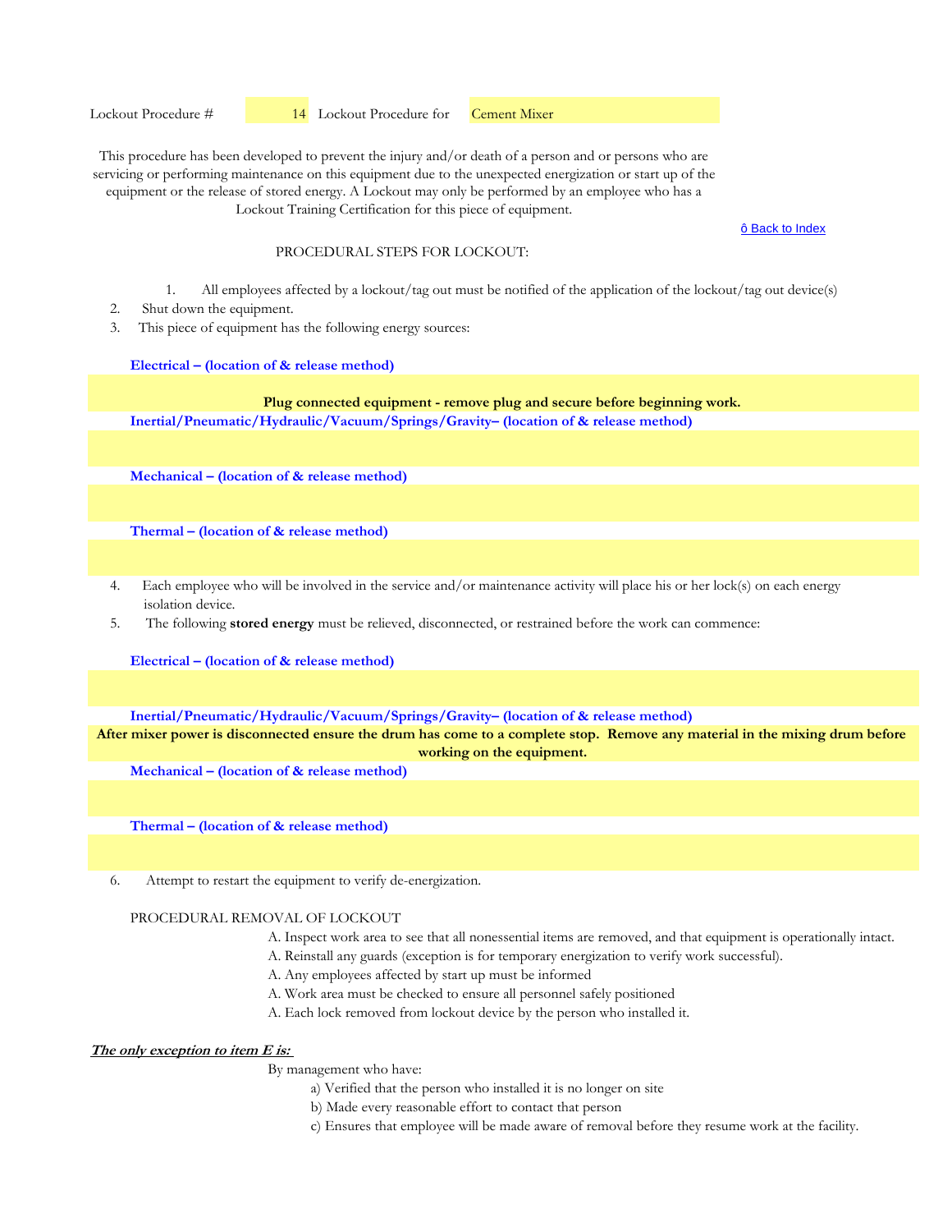ô Back to Index

#### PROCEDURAL STEPS FOR LOCKOUT:

- 1. All employees affected by a lockout/tag out must be notified of the application of the lockout/tag out device(s)
- 2. Shut down the equipment.
- 3. This piece of equipment has the following energy sources:

#### **Electrical – (location of & release method)**

**Inertial/Pneumatic/Hydraulic/Vacuum/Springs/Gravity– (location of & release method) Plug connected equipment - remove plug and secure before beginning work.**

**Mechanical – (location of & release method)** 

**Thermal – (location of & release method)** 

- 4. Each employee who will be involved in the service and/or maintenance activity will place his or her lock(s) on each energy isolation device.
- 5. The following **stored energy** must be relieved, disconnected, or restrained before the work can commence:

**Electrical – (location of & release method)**

**Inertial/Pneumatic/Hydraulic/Vacuum/Springs/Gravity– (location of & release method)** 

**After mixer power is disconnected ensure the drum has come to a complete stop. Remove any material in the mixing drum before working on the equipment.**

**Mechanical – (location of & release method)** 

**Thermal – (location of & release method)** 

6. Attempt to restart the equipment to verify de-energization.

#### PROCEDURAL REMOVAL OF LOCKOUT

- A. Inspect work area to see that all nonessential items are removed, and that equipment is operationally intact.
- A. Reinstall any guards (exception is for temporary energization to verify work successful).
- A. Any employees affected by start up must be informed
- A. Work area must be checked to ensure all personnel safely positioned
- A. Each lock removed from lockout device by the person who installed it.

# **The only exception to item E is:**

- a) Verified that the person who installed it is no longer on site
- b) Made every reasonable effort to contact that person
- c) Ensures that employee will be made aware of removal before they resume work at the facility.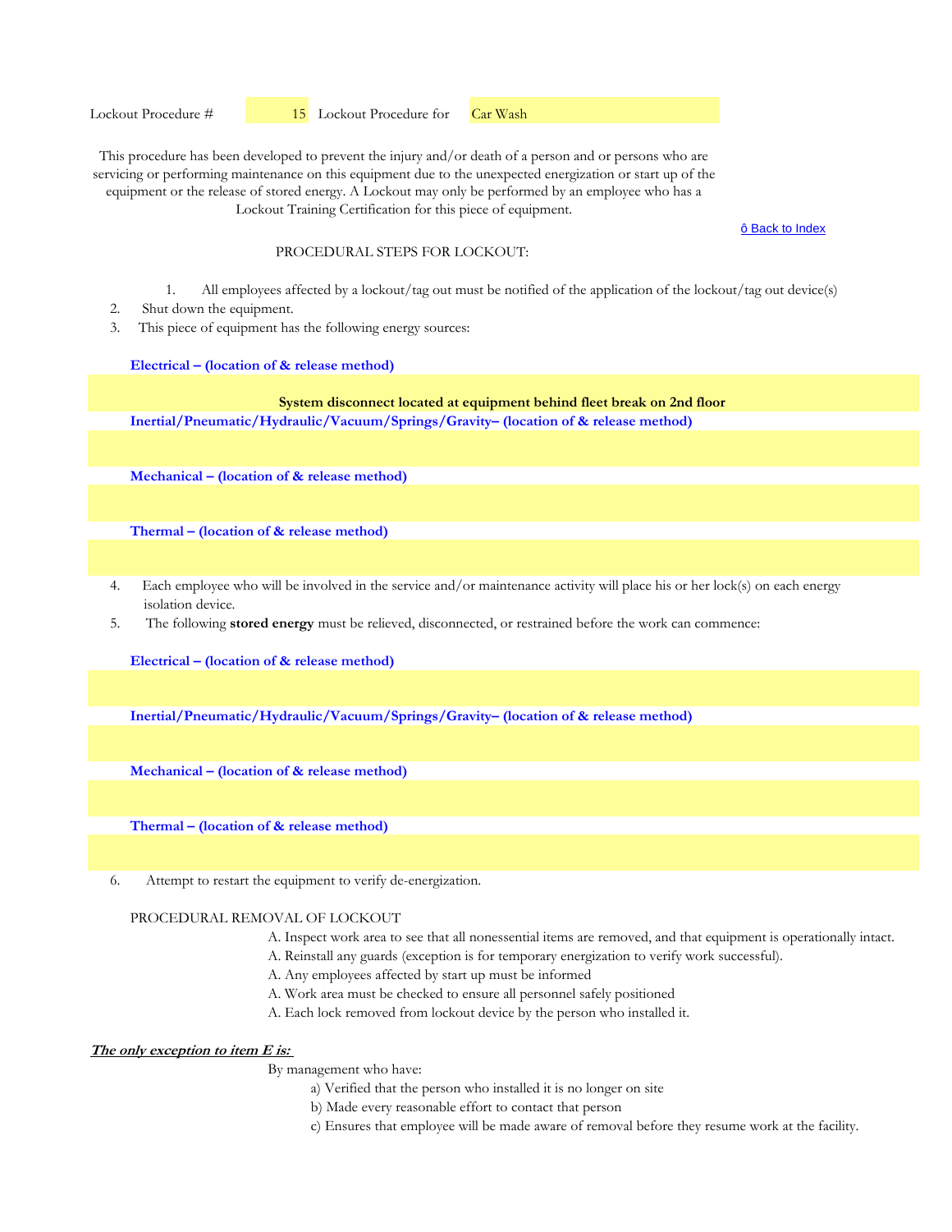ô Back to Index

## PROCEDURAL STEPS FOR LOCKOUT:

- 1. All employees affected by a lockout/tag out must be notified of the application of the lockout/tag out device(s)
- 2. Shut down the equipment.
- 3. This piece of equipment has the following energy sources:

#### **Electrical – (location of & release method)**

## **Inertial/Pneumatic/Hydraulic/Vacuum/Springs/Gravity– (location of & release method) System disconnect located at equipment behind fleet break on 2nd floor**

**Mechanical – (location of & release method)** 

**Thermal – (location of & release method)** 

- 4. Each employee who will be involved in the service and/or maintenance activity will place his or her lock(s) on each energy isolation device.
- 5. The following **stored energy** must be relieved, disconnected, or restrained before the work can commence:

**Electrical – (location of & release method)**

**Inertial/Pneumatic/Hydraulic/Vacuum/Springs/Gravity– (location of & release method)** 

**Mechanical – (location of & release method)** 

**Thermal – (location of & release method)** 

6. Attempt to restart the equipment to verify de-energization.

#### PROCEDURAL REMOVAL OF LOCKOUT

- A. Inspect work area to see that all nonessential items are removed, and that equipment is operationally intact.
- A. Reinstall any guards (exception is for temporary energization to verify work successful).
- A. Any employees affected by start up must be informed
- A. Work area must be checked to ensure all personnel safely positioned
- A. Each lock removed from lockout device by the person who installed it.

# **The only exception to item E is:**

- a) Verified that the person who installed it is no longer on site
- b) Made every reasonable effort to contact that person
- c) Ensures that employee will be made aware of removal before they resume work at the facility.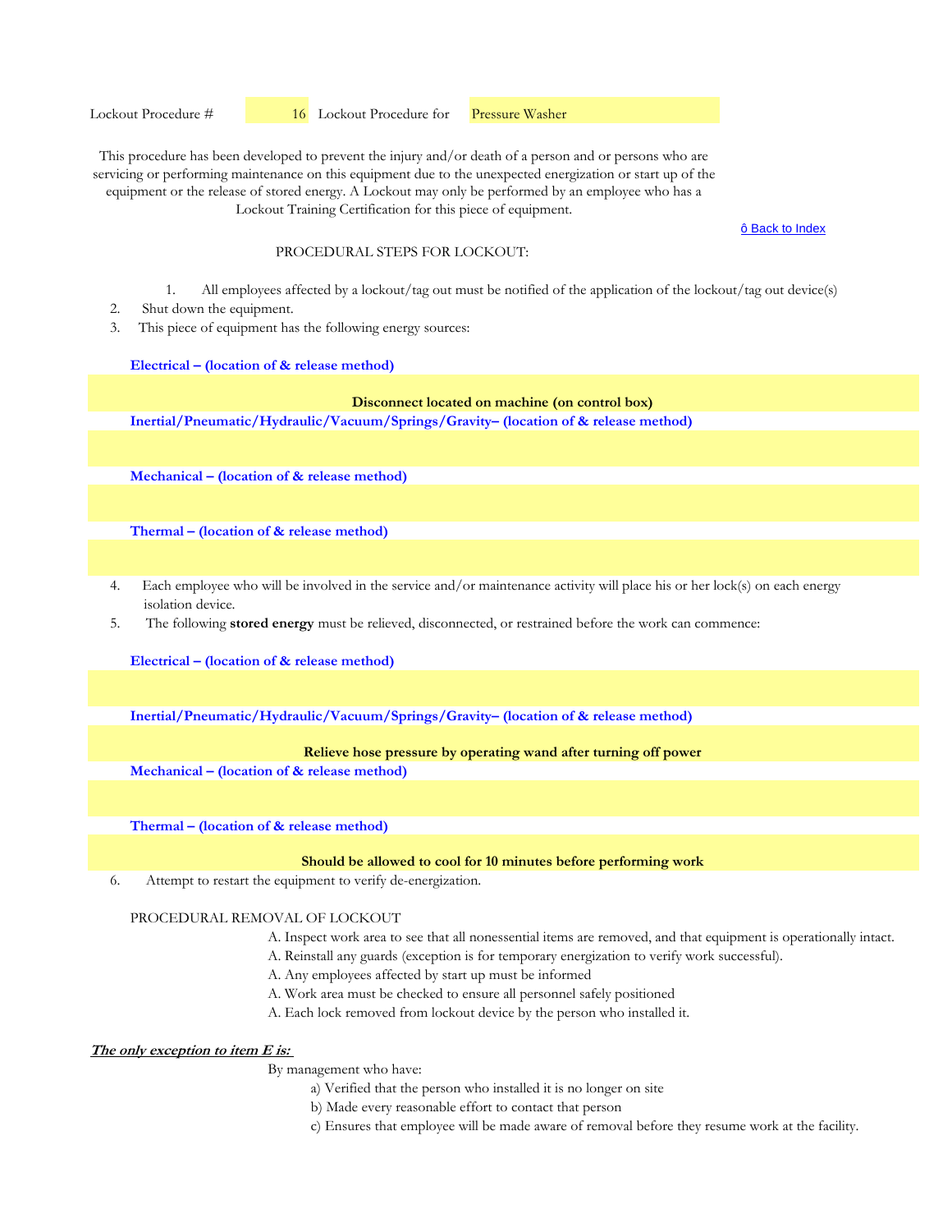ô Back to Index

## PROCEDURAL STEPS FOR LOCKOUT:

- 1. All employees affected by a lockout/tag out must be notified of the application of the lockout/tag out device(s)
- 2. Shut down the equipment.
- 3. This piece of equipment has the following energy sources:

#### **Electrical – (location of & release method)**

## **Disconnect located on machine (on control box)**

**Inertial/Pneumatic/Hydraulic/Vacuum/Springs/Gravity– (location of & release method)** 

**Mechanical – (location of & release method)** 

**Thermal – (location of & release method)** 

- 4. Each employee who will be involved in the service and/or maintenance activity will place his or her lock(s) on each energy isolation device.
- 5. The following **stored energy** must be relieved, disconnected, or restrained before the work can commence:

**Electrical – (location of & release method)**

**Inertial/Pneumatic/Hydraulic/Vacuum/Springs/Gravity– (location of & release method)** 

## **Relieve hose pressure by operating wand after turning off power**

**Mechanical – (location of & release method)** 

**Thermal – (location of & release method)** 

## **Should be allowed to cool for 10 minutes before performing work**

6. Attempt to restart the equipment to verify de-energization.

#### PROCEDURAL REMOVAL OF LOCKOUT

- A. Inspect work area to see that all nonessential items are removed, and that equipment is operationally intact.
- A. Reinstall any guards (exception is for temporary energization to verify work successful).
- A. Any employees affected by start up must be informed
- A. Work area must be checked to ensure all personnel safely positioned
- A. Each lock removed from lockout device by the person who installed it.

# **The only exception to item E is:**

- a) Verified that the person who installed it is no longer on site
- b) Made every reasonable effort to contact that person
- c) Ensures that employee will be made aware of removal before they resume work at the facility.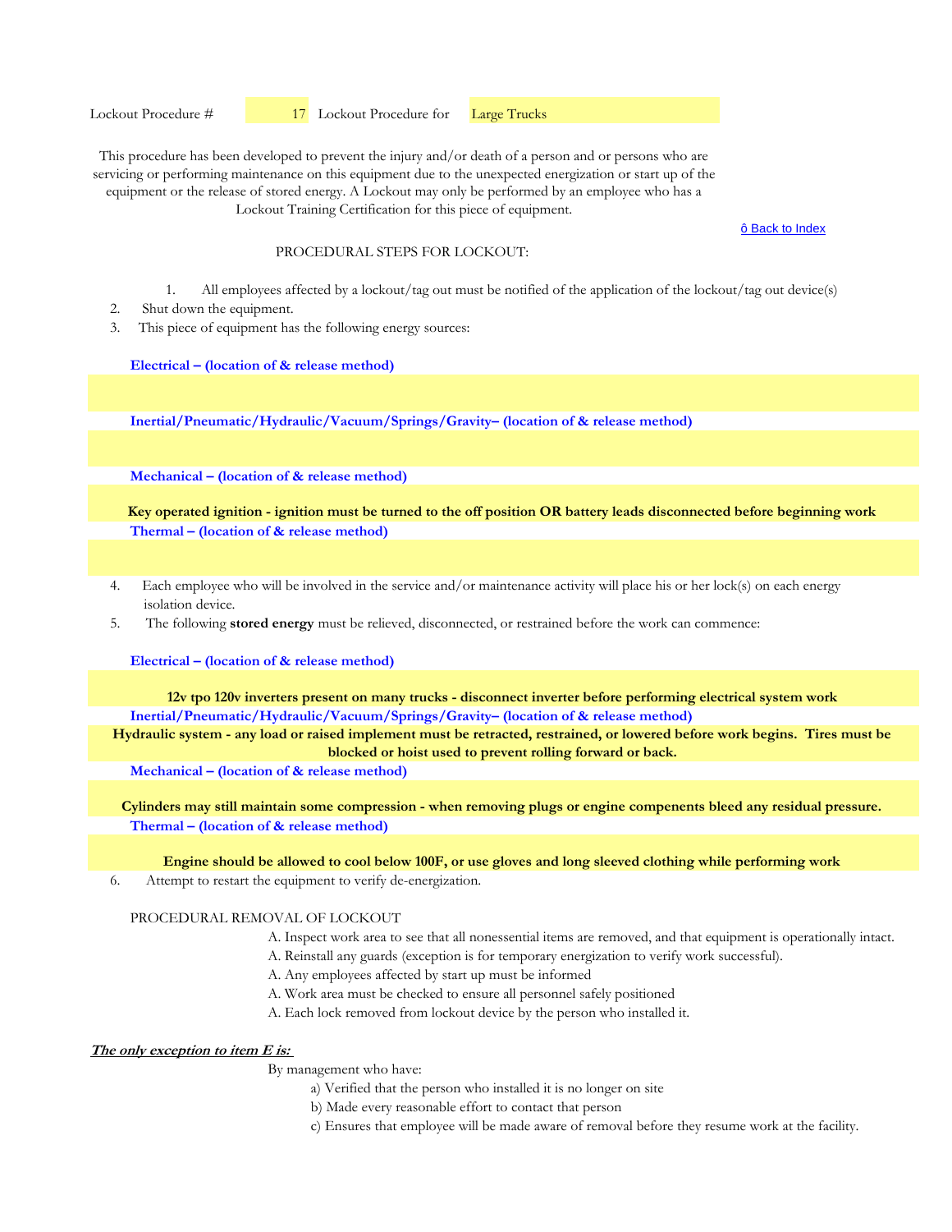ô Back to Index

## PROCEDURAL STEPS FOR LOCKOUT:

- 1. All employees affected by a lockout/tag out must be notified of the application of the lockout/tag out device(s)
- 2. Shut down the equipment.
- 3. This piece of equipment has the following energy sources:

**Electrical – (location of & release method)**

**Inertial/Pneumatic/Hydraulic/Vacuum/Springs/Gravity– (location of & release method)** 

**Mechanical – (location of & release method)** 

**Thermal – (location of & release method) Key operated ignition - ignition must be turned to the off position OR battery leads disconnected before beginning work**

- 4. Each employee who will be involved in the service and/or maintenance activity will place his or her lock(s) on each energy isolation device.
- 5. The following **stored energy** must be relieved, disconnected, or restrained before the work can commence:

**Electrical – (location of & release method)**

**Inertial/Pneumatic/Hydraulic/Vacuum/Springs/Gravity– (location of & release method) 12v tpo 120v inverters present on many trucks - disconnect inverter before performing electrical system work**

**Hydraulic system - any load or raised implement must be retracted, restrained, or lowered before work begins. Tires must be blocked or hoist used to prevent rolling forward or back.**

**Mechanical – (location of & release method)** 

**Thermal – (location of & release method) Cylinders may still maintain some compression - when removing plugs or engine compenents bleed any residual pressure.**

**Engine should be allowed to cool below 100F, or use gloves and long sleeved clothing while performing work**

6. Attempt to restart the equipment to verify de-energization.

# PROCEDURAL REMOVAL OF LOCKOUT

- A. Inspect work area to see that all nonessential items are removed, and that equipment is operationally intact.
- A. Reinstall any guards (exception is for temporary energization to verify work successful).
- A. Any employees affected by start up must be informed
- A. Work area must be checked to ensure all personnel safely positioned
- A. Each lock removed from lockout device by the person who installed it.

#### **The only exception to item E is:**

- a) Verified that the person who installed it is no longer on site
- b) Made every reasonable effort to contact that person
- c) Ensures that employee will be made aware of removal before they resume work at the facility.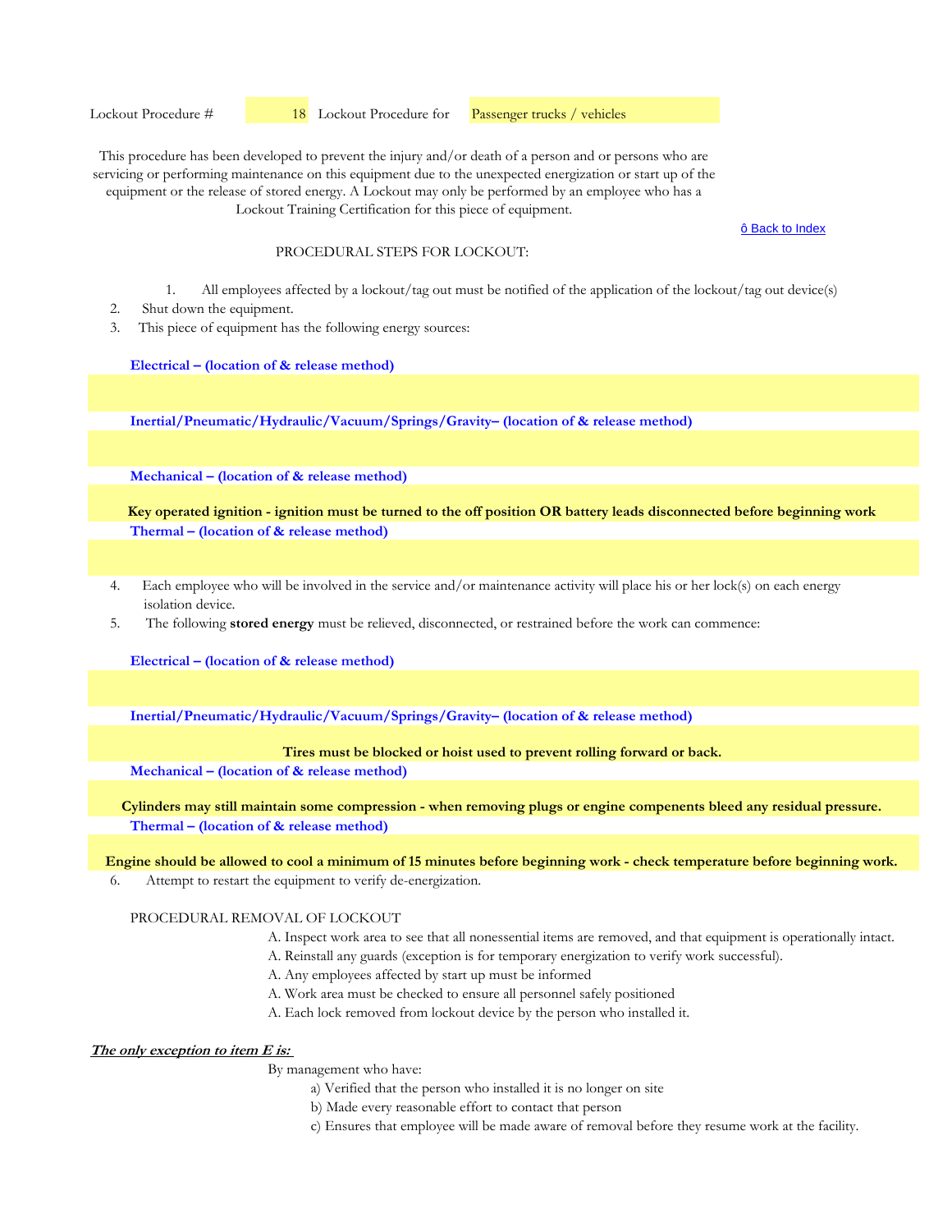ô Back to Index

#### PROCEDURAL STEPS FOR LOCKOUT:

- 1. All employees affected by a lockout/tag out must be notified of the application of the lockout/tag out device(s)
- 2. Shut down the equipment.
- 3. This piece of equipment has the following energy sources:

#### **Electrical – (location of & release method)**

**Inertial/Pneumatic/Hydraulic/Vacuum/Springs/Gravity– (location of & release method)** 

**Mechanical – (location of & release method)** 

**Thermal – (location of & release method) Key operated ignition - ignition must be turned to the off position OR battery leads disconnected before beginning work**

- 4. Each employee who will be involved in the service and/or maintenance activity will place his or her lock(s) on each energy isolation device.
- 5. The following **stored energy** must be relieved, disconnected, or restrained before the work can commence:

**Electrical – (location of & release method)**

**Inertial/Pneumatic/Hydraulic/Vacuum/Springs/Gravity– (location of & release method)** 

## **Tires must be blocked or hoist used to prevent rolling forward or back.**

**Mechanical – (location of & release method)** 

**Thermal – (location of & release method) Cylinders may still maintain some compression - when removing plugs or engine compenents bleed any residual pressure.**

#### **Engine should be allowed to cool a minimum of 15 minutes before beginning work - check temperature before beginning work.**

6. Attempt to restart the equipment to verify de-energization.

# PROCEDURAL REMOVAL OF LOCKOUT

- A. Inspect work area to see that all nonessential items are removed, and that equipment is operationally intact.
- A. Reinstall any guards (exception is for temporary energization to verify work successful).
- A. Any employees affected by start up must be informed
- A. Work area must be checked to ensure all personnel safely positioned
- A. Each lock removed from lockout device by the person who installed it.

# **The only exception to item E is:**

- a) Verified that the person who installed it is no longer on site
- b) Made every reasonable effort to contact that person
- c) Ensures that employee will be made aware of removal before they resume work at the facility.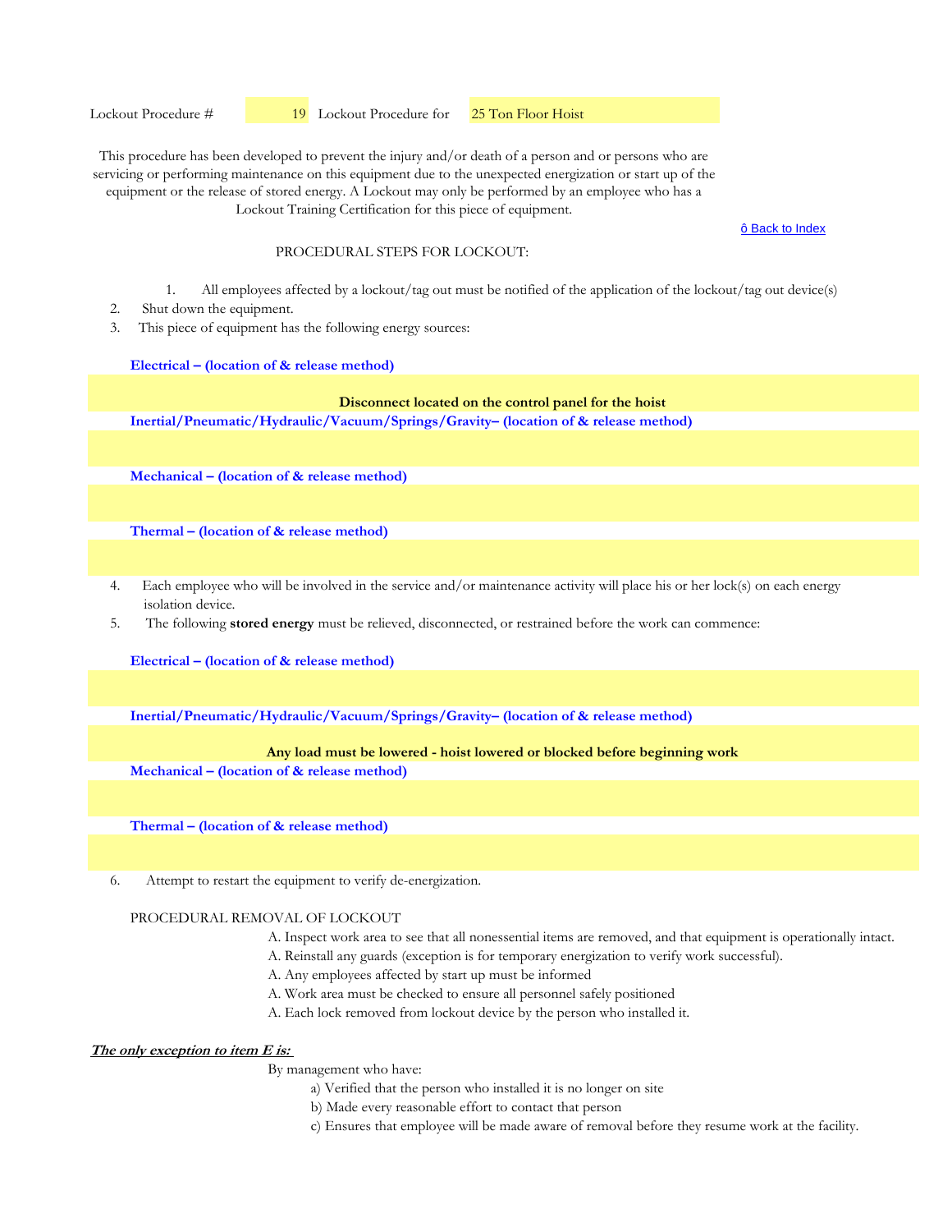ô Back to Index

## PROCEDURAL STEPS FOR LOCKOUT:

- 1. All employees affected by a lockout/tag out must be notified of the application of the lockout/tag out device(s)
- 2. Shut down the equipment.
- 3. This piece of equipment has the following energy sources:

#### **Electrical – (location of & release method)**

# **Disconnect located on the control panel for the hoist**

**Inertial/Pneumatic/Hydraulic/Vacuum/Springs/Gravity– (location of & release method)** 

**Mechanical – (location of & release method)** 

**Thermal – (location of & release method)** 

- 4. Each employee who will be involved in the service and/or maintenance activity will place his or her lock(s) on each energy isolation device.
- 5. The following **stored energy** must be relieved, disconnected, or restrained before the work can commence:

**Electrical – (location of & release method)**

**Inertial/Pneumatic/Hydraulic/Vacuum/Springs/Gravity– (location of & release method)** 

#### **Any load must be lowered - hoist lowered or blocked before beginning work**

**Mechanical – (location of & release method)** 

**Thermal – (location of & release method)** 

6. Attempt to restart the equipment to verify de-energization.

## PROCEDURAL REMOVAL OF LOCKOUT

- A. Inspect work area to see that all nonessential items are removed, and that equipment is operationally intact.
- A. Reinstall any guards (exception is for temporary energization to verify work successful).
- A. Any employees affected by start up must be informed
- A. Work area must be checked to ensure all personnel safely positioned
- A. Each lock removed from lockout device by the person who installed it.

# **The only exception to item E is:**

- a) Verified that the person who installed it is no longer on site
- b) Made every reasonable effort to contact that person
- c) Ensures that employee will be made aware of removal before they resume work at the facility.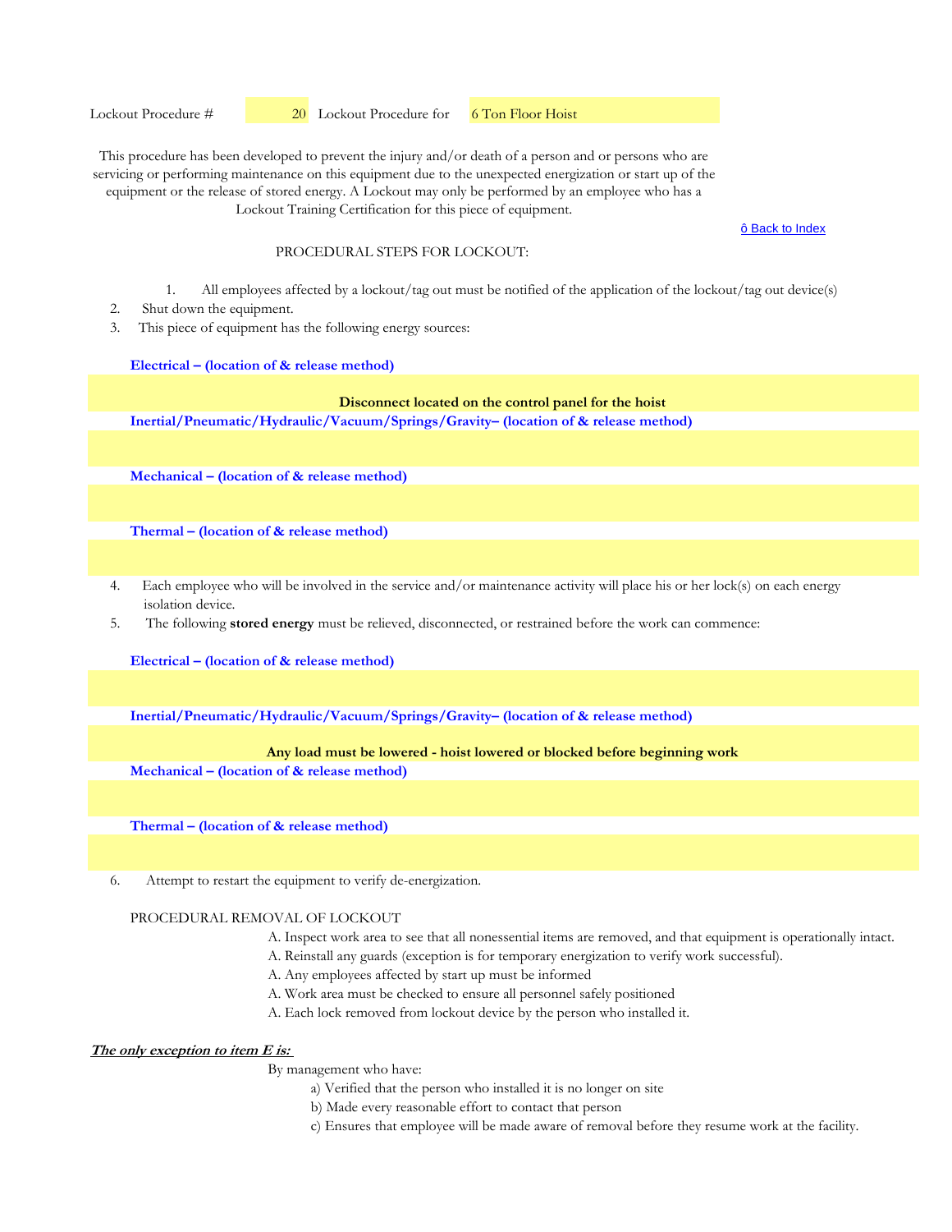ô Back to Index

## PROCEDURAL STEPS FOR LOCKOUT:

- 1. All employees affected by a lockout/tag out must be notified of the application of the lockout/tag out device(s)
- 2. Shut down the equipment.
- 3. This piece of equipment has the following energy sources:

#### **Electrical – (location of & release method)**

# **Disconnect located on the control panel for the hoist**

**Inertial/Pneumatic/Hydraulic/Vacuum/Springs/Gravity– (location of & release method)** 

**Mechanical – (location of & release method)** 

**Thermal – (location of & release method)** 

- 4. Each employee who will be involved in the service and/or maintenance activity will place his or her lock(s) on each energy isolation device.
- 5. The following **stored energy** must be relieved, disconnected, or restrained before the work can commence:

**Electrical – (location of & release method)**

**Inertial/Pneumatic/Hydraulic/Vacuum/Springs/Gravity– (location of & release method)** 

#### **Any load must be lowered - hoist lowered or blocked before beginning work**

**Mechanical – (location of & release method)** 

**Thermal – (location of & release method)** 

6. Attempt to restart the equipment to verify de-energization.

## PROCEDURAL REMOVAL OF LOCKOUT

- A. Inspect work area to see that all nonessential items are removed, and that equipment is operationally intact.
- A. Reinstall any guards (exception is for temporary energization to verify work successful).
- A. Any employees affected by start up must be informed
- A. Work area must be checked to ensure all personnel safely positioned
- A. Each lock removed from lockout device by the person who installed it.

# **The only exception to item E is:**

- a) Verified that the person who installed it is no longer on site
- b) Made every reasonable effort to contact that person
- c) Ensures that employee will be made aware of removal before they resume work at the facility.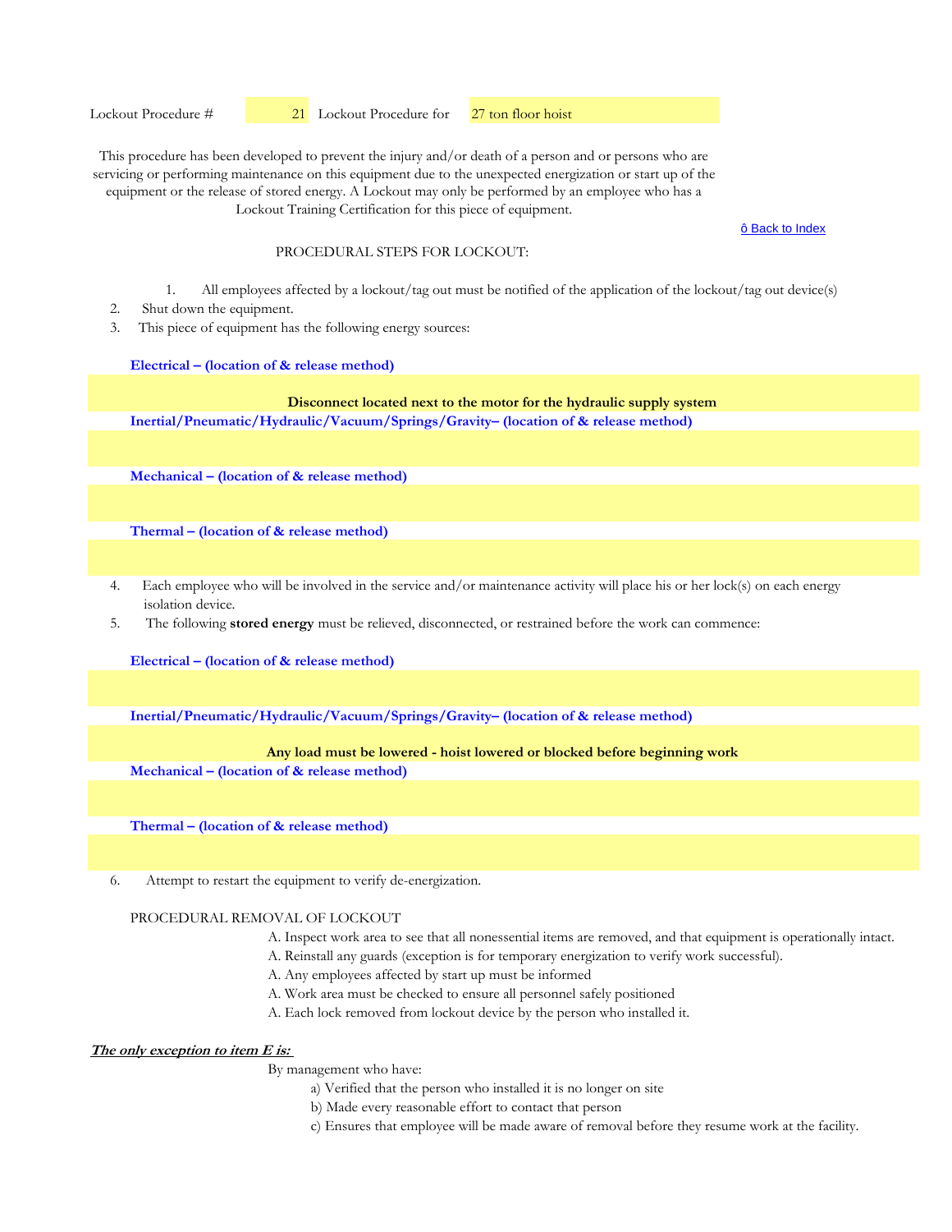ô Back to Index

## PROCEDURAL STEPS FOR LOCKOUT:

- 1. All employees affected by a lockout/tag out must be notified of the application of the lockout/tag out device(s)
- 2. Shut down the equipment.
- 3. This piece of equipment has the following energy sources:

#### **Electrical – (location of & release method)**

# **Disconnect located next to the motor for the hydraulic supply system**

**Inertial/Pneumatic/Hydraulic/Vacuum/Springs/Gravity– (location of & release method)** 

**Mechanical – (location of & release method)** 

**Thermal – (location of & release method)** 

- 4. Each employee who will be involved in the service and/or maintenance activity will place his or her lock(s) on each energy isolation device.
- 5. The following **stored energy** must be relieved, disconnected, or restrained before the work can commence:

**Electrical – (location of & release method)**

**Inertial/Pneumatic/Hydraulic/Vacuum/Springs/Gravity– (location of & release method)** 

## **Any load must be lowered - hoist lowered or blocked before beginning work**

**Mechanical – (location of & release method)** 

**Thermal – (location of & release method)** 

6. Attempt to restart the equipment to verify de-energization.

#### PROCEDURAL REMOVAL OF LOCKOUT

- A. Inspect work area to see that all nonessential items are removed, and that equipment is operationally intact.
- A. Reinstall any guards (exception is for temporary energization to verify work successful).
- A. Any employees affected by start up must be informed
- A. Work area must be checked to ensure all personnel safely positioned
- A. Each lock removed from lockout device by the person who installed it.

## **The only exception to item E is:**

- a) Verified that the person who installed it is no longer on site
- b) Made every reasonable effort to contact that person
- c) Ensures that employee will be made aware of removal before they resume work at the facility.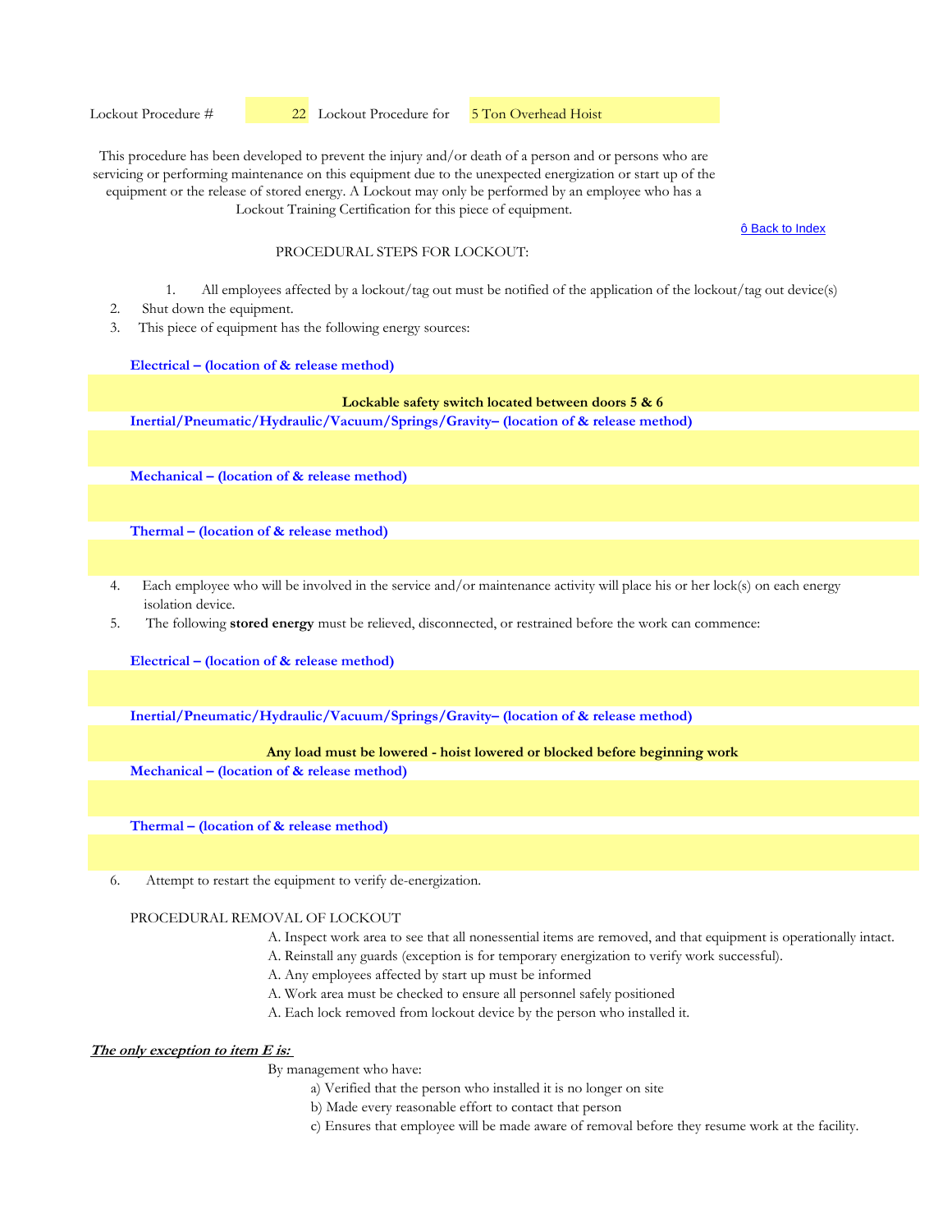ô Back to Index

## PROCEDURAL STEPS FOR LOCKOUT:

- 1. All employees affected by a lockout/tag out must be notified of the application of the lockout/tag out device(s)
- 2. Shut down the equipment.
- 3. This piece of equipment has the following energy sources:

#### **Electrical – (location of & release method)**

# **Lockable safety switch located between doors 5 & 6**

**Inertial/Pneumatic/Hydraulic/Vacuum/Springs/Gravity– (location of & release method)** 

**Mechanical – (location of & release method)** 

**Thermal – (location of & release method)** 

- 4. Each employee who will be involved in the service and/or maintenance activity will place his or her lock(s) on each energy isolation device.
- 5. The following **stored energy** must be relieved, disconnected, or restrained before the work can commence:

**Electrical – (location of & release method)**

**Inertial/Pneumatic/Hydraulic/Vacuum/Springs/Gravity– (location of & release method)** 

## **Any load must be lowered - hoist lowered or blocked before beginning work**

**Mechanical – (location of & release method)** 

**Thermal – (location of & release method)** 

6. Attempt to restart the equipment to verify de-energization.

#### PROCEDURAL REMOVAL OF LOCKOUT

- A. Inspect work area to see that all nonessential items are removed, and that equipment is operationally intact.
- A. Reinstall any guards (exception is for temporary energization to verify work successful).
- A. Any employees affected by start up must be informed
- A. Work area must be checked to ensure all personnel safely positioned
- A. Each lock removed from lockout device by the person who installed it.

# **The only exception to item E is:**

- a) Verified that the person who installed it is no longer on site
- b) Made every reasonable effort to contact that person
- c) Ensures that employee will be made aware of removal before they resume work at the facility.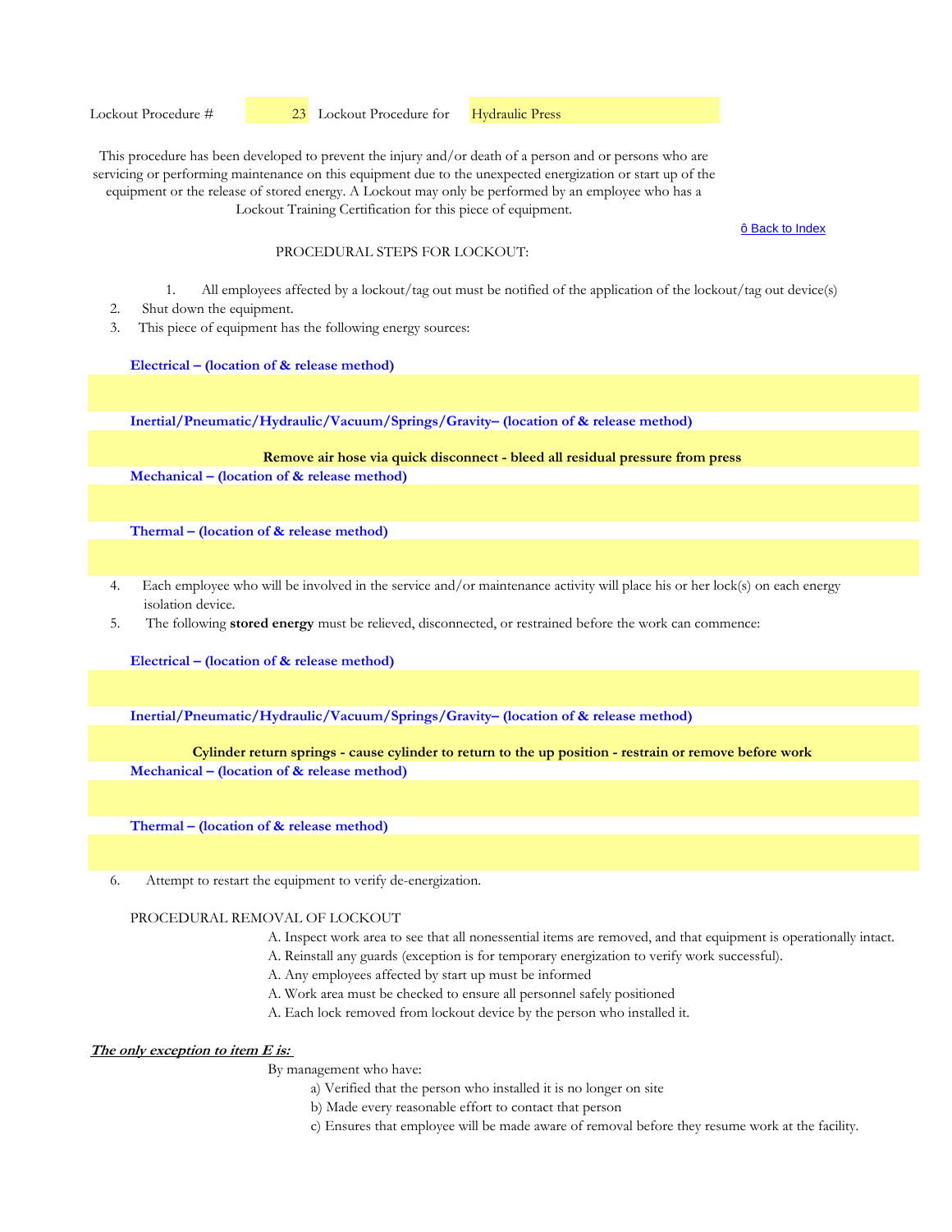ô Back to Index

#### PROCEDURAL STEPS FOR LOCKOUT:

- 1. All employees affected by a lockout/tag out must be notified of the application of the lockout/tag out device(s)
- 2. Shut down the equipment.
- 3. This piece of equipment has the following energy sources:

#### **Electrical – (location of & release method)**

**Inertial/Pneumatic/Hydraulic/Vacuum/Springs/Gravity– (location of & release method)** 

**Mechanical – (location of & release method) Remove air hose via quick disconnect - bleed all residual pressure from press**

**Thermal – (location of & release method)** 

- 4. Each employee who will be involved in the service and/or maintenance activity will place his or her lock(s) on each energy isolation device.
- 5. The following **stored energy** must be relieved, disconnected, or restrained before the work can commence:

**Electrical – (location of & release method)**

**Inertial/Pneumatic/Hydraulic/Vacuum/Springs/Gravity– (location of & release method)** 

#### **Cylinder return springs - cause cylinder to return to the up position - restrain or remove before work**

**Mechanical – (location of & release method)** 

**Thermal – (location of & release method)** 

6. Attempt to restart the equipment to verify de-energization.

#### PROCEDURAL REMOVAL OF LOCKOUT

- A. Inspect work area to see that all nonessential items are removed, and that equipment is operationally intact.
- A. Reinstall any guards (exception is for temporary energization to verify work successful).
- A. Any employees affected by start up must be informed
- A. Work area must be checked to ensure all personnel safely positioned
- A. Each lock removed from lockout device by the person who installed it.

# **The only exception to item E is:**

- a) Verified that the person who installed it is no longer on site
- b) Made every reasonable effort to contact that person
- c) Ensures that employee will be made aware of removal before they resume work at the facility.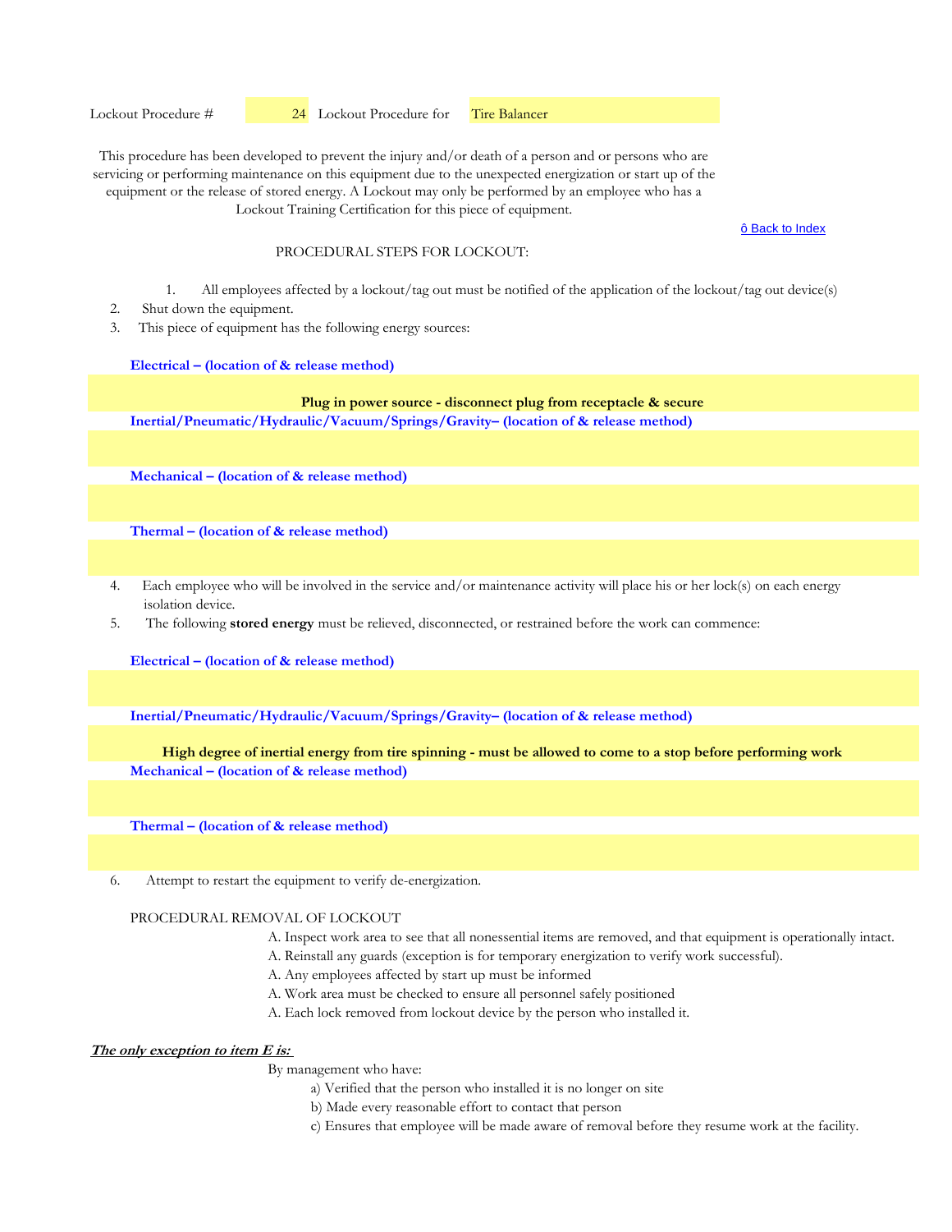ô Back to Index

## PROCEDURAL STEPS FOR LOCKOUT:

- 1. All employees affected by a lockout/tag out must be notified of the application of the lockout/tag out device(s)
- 2. Shut down the equipment.
- 3. This piece of equipment has the following energy sources:

#### **Electrical – (location of & release method)**

# **Plug in power source - disconnect plug from receptacle & secure**

**Inertial/Pneumatic/Hydraulic/Vacuum/Springs/Gravity– (location of & release method)** 

**Mechanical – (location of & release method)** 

**Thermal – (location of & release method)** 

- 4. Each employee who will be involved in the service and/or maintenance activity will place his or her lock(s) on each energy isolation device.
- 5. The following **stored energy** must be relieved, disconnected, or restrained before the work can commence:

**Electrical – (location of & release method)**

**Inertial/Pneumatic/Hydraulic/Vacuum/Springs/Gravity– (location of & release method)** 

#### **High degree of inertial energy from tire spinning - must be allowed to come to a stop before performing work**

**Mechanical – (location of & release method)** 

**Thermal – (location of & release method)** 

6. Attempt to restart the equipment to verify de-energization.

#### PROCEDURAL REMOVAL OF LOCKOUT

- A. Inspect work area to see that all nonessential items are removed, and that equipment is operationally intact.
- A. Reinstall any guards (exception is for temporary energization to verify work successful).
- A. Any employees affected by start up must be informed
- A. Work area must be checked to ensure all personnel safely positioned
- A. Each lock removed from lockout device by the person who installed it.

## **The only exception to item E is:**

- a) Verified that the person who installed it is no longer on site
- b) Made every reasonable effort to contact that person
- c) Ensures that employee will be made aware of removal before they resume work at the facility.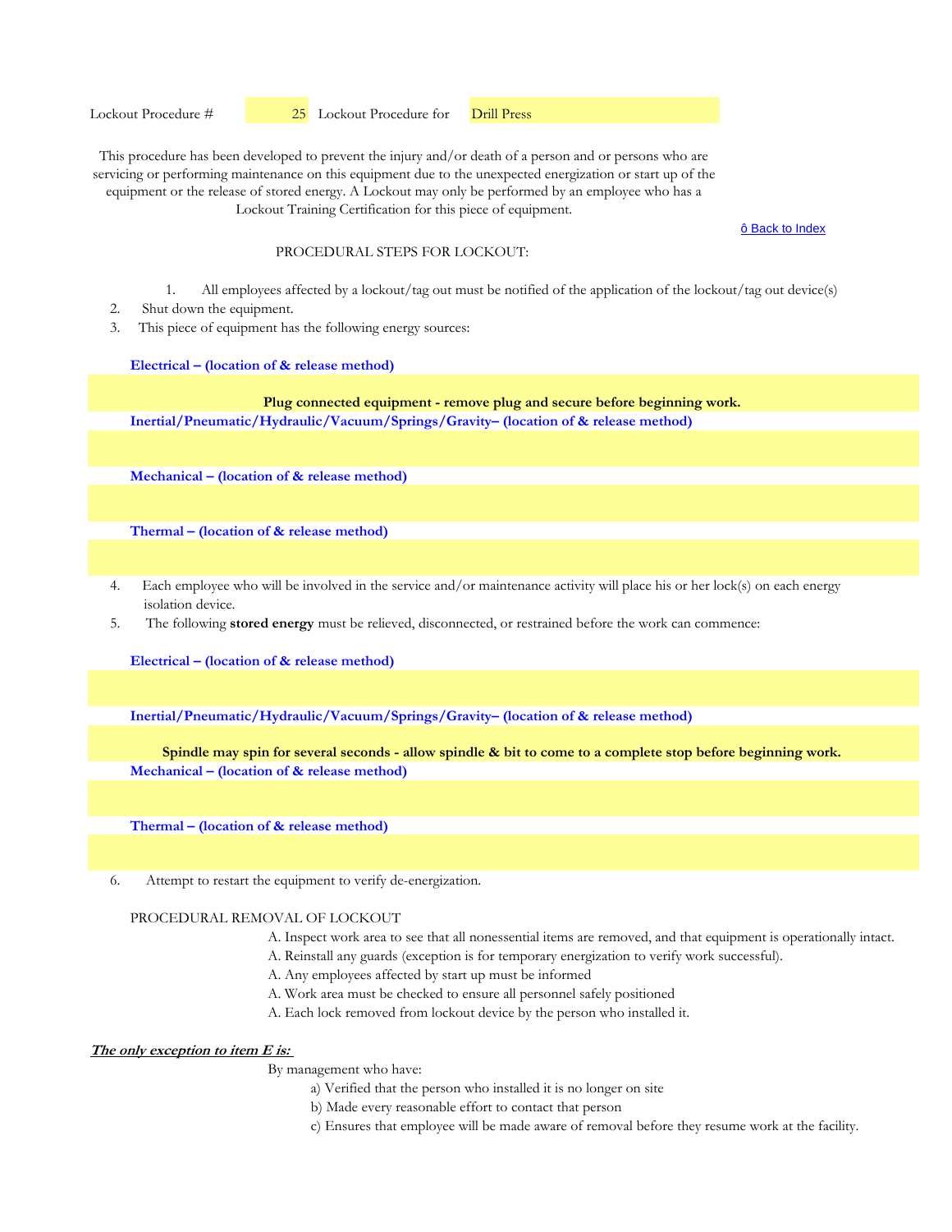ô Back to Index

#### PROCEDURAL STEPS FOR LOCKOUT:

- 1. All employees affected by a lockout/tag out must be notified of the application of the lockout/tag out device(s)
- 2. Shut down the equipment.
- 3. This piece of equipment has the following energy sources:

#### **Electrical – (location of & release method)**

**Inertial/Pneumatic/Hydraulic/Vacuum/Springs/Gravity– (location of & release method) Plug connected equipment - remove plug and secure before beginning work.**

**Mechanical – (location of & release method)** 

**Thermal – (location of & release method)** 

- 4. Each employee who will be involved in the service and/or maintenance activity will place his or her lock(s) on each energy isolation device.
- 5. The following **stored energy** must be relieved, disconnected, or restrained before the work can commence:

**Electrical – (location of & release method)**

**Inertial/Pneumatic/Hydraulic/Vacuum/Springs/Gravity– (location of & release method)** 

## **Spindle may spin for several seconds - allow spindle & bit to come to a complete stop before beginning work.**

**Mechanical – (location of & release method)** 

**Thermal – (location of & release method)** 

6. Attempt to restart the equipment to verify de-energization.

## PROCEDURAL REMOVAL OF LOCKOUT

- A. Inspect work area to see that all nonessential items are removed, and that equipment is operationally intact.
- A. Reinstall any guards (exception is for temporary energization to verify work successful).
- A. Any employees affected by start up must be informed
- A. Work area must be checked to ensure all personnel safely positioned
- A. Each lock removed from lockout device by the person who installed it.

# **The only exception to item E is:**

- a) Verified that the person who installed it is no longer on site
- b) Made every reasonable effort to contact that person
- c) Ensures that employee will be made aware of removal before they resume work at the facility.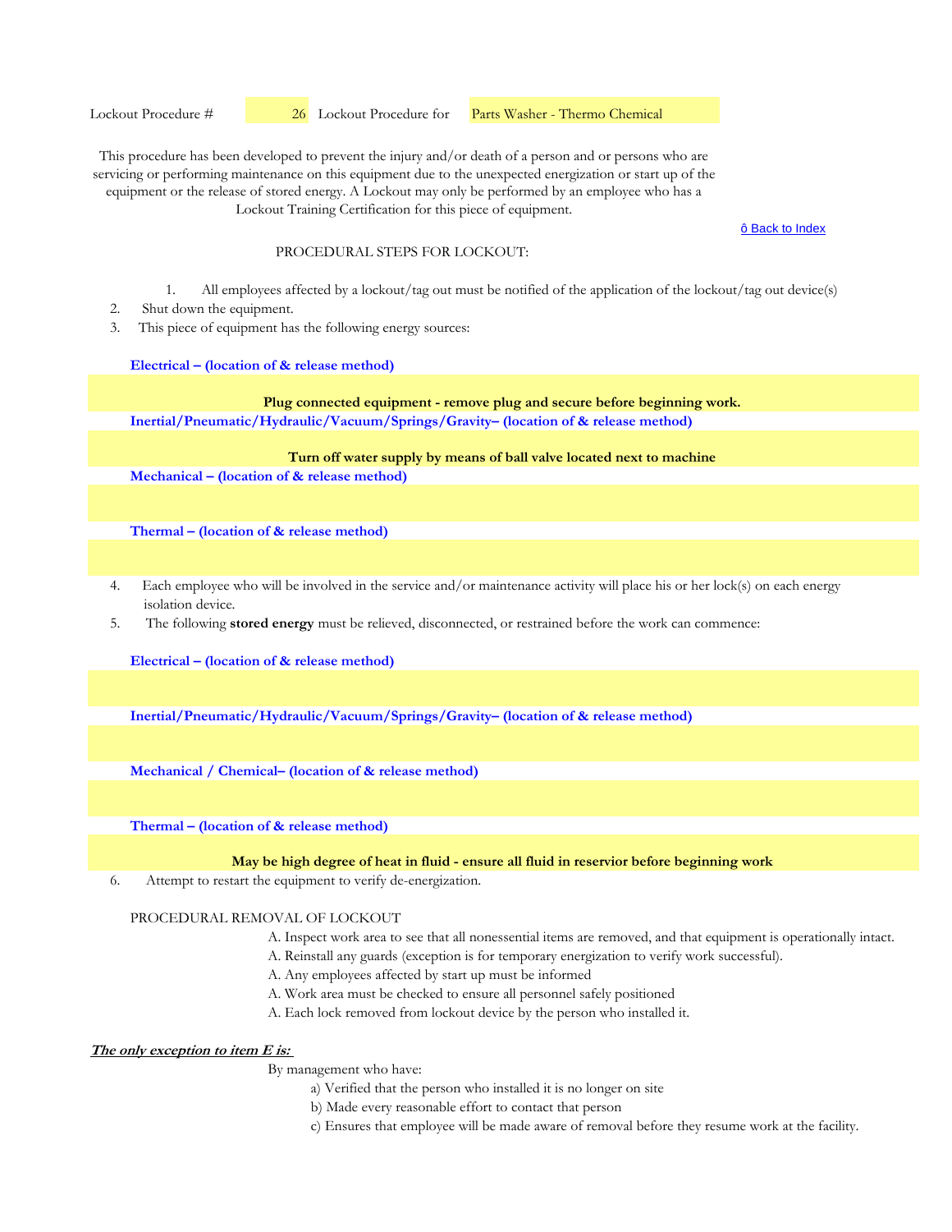Lockout Procedure #  26 Lockout Procedure for Parts Washer - Thermo Chemical

This procedure has been developed to prevent the injury and/or death of a person and or persons who are servicing or performing maintenance on this equipment due to the unexpected energization or start up of the equipment or the release of stored energy. A Lockout may only be performed by an employee who has a Lockout Training Certification for this piece of equipment.

ô Back to Index

#### PROCEDURAL STEPS FOR LOCKOUT:

- 1. All employees affected by a lockout/tag out must be notified of the application of the lockout/tag out device(s)
- 2. Shut down the equipment.
- 3. This piece of equipment has the following energy sources:

#### **Electrical – (location of & release method)**

**Inertial/Pneumatic/Hydraulic/Vacuum/Springs/Gravity– (location of & release method) Plug connected equipment - remove plug and secure before beginning work.**

**Turn off water supply by means of ball valve located next to machine**

**Mechanical – (location of & release method)** 

**Thermal – (location of & release method)** 

- 4. Each employee who will be involved in the service and/or maintenance activity will place his or her lock(s) on each energy isolation device.
- 5. The following **stored energy** must be relieved, disconnected, or restrained before the work can commence:

**Electrical – (location of & release method)**

**Inertial/Pneumatic/Hydraulic/Vacuum/Springs/Gravity– (location of & release method)** 

**Mechanical / Chemical– (location of & release method)** 

**Thermal – (location of & release method)** 

#### **May be high degree of heat in fluid - ensure all fluid in reservior before beginning work**

6. Attempt to restart the equipment to verify de-energization.

#### PROCEDURAL REMOVAL OF LOCKOUT

- A. Inspect work area to see that all nonessential items are removed, and that equipment is operationally intact.
- A. Reinstall any guards (exception is for temporary energization to verify work successful).
- A. Any employees affected by start up must be informed
- A. Work area must be checked to ensure all personnel safely positioned
- A. Each lock removed from lockout device by the person who installed it.

# **The only exception to item E is:**

- a) Verified that the person who installed it is no longer on site
- b) Made every reasonable effort to contact that person
- c) Ensures that employee will be made aware of removal before they resume work at the facility.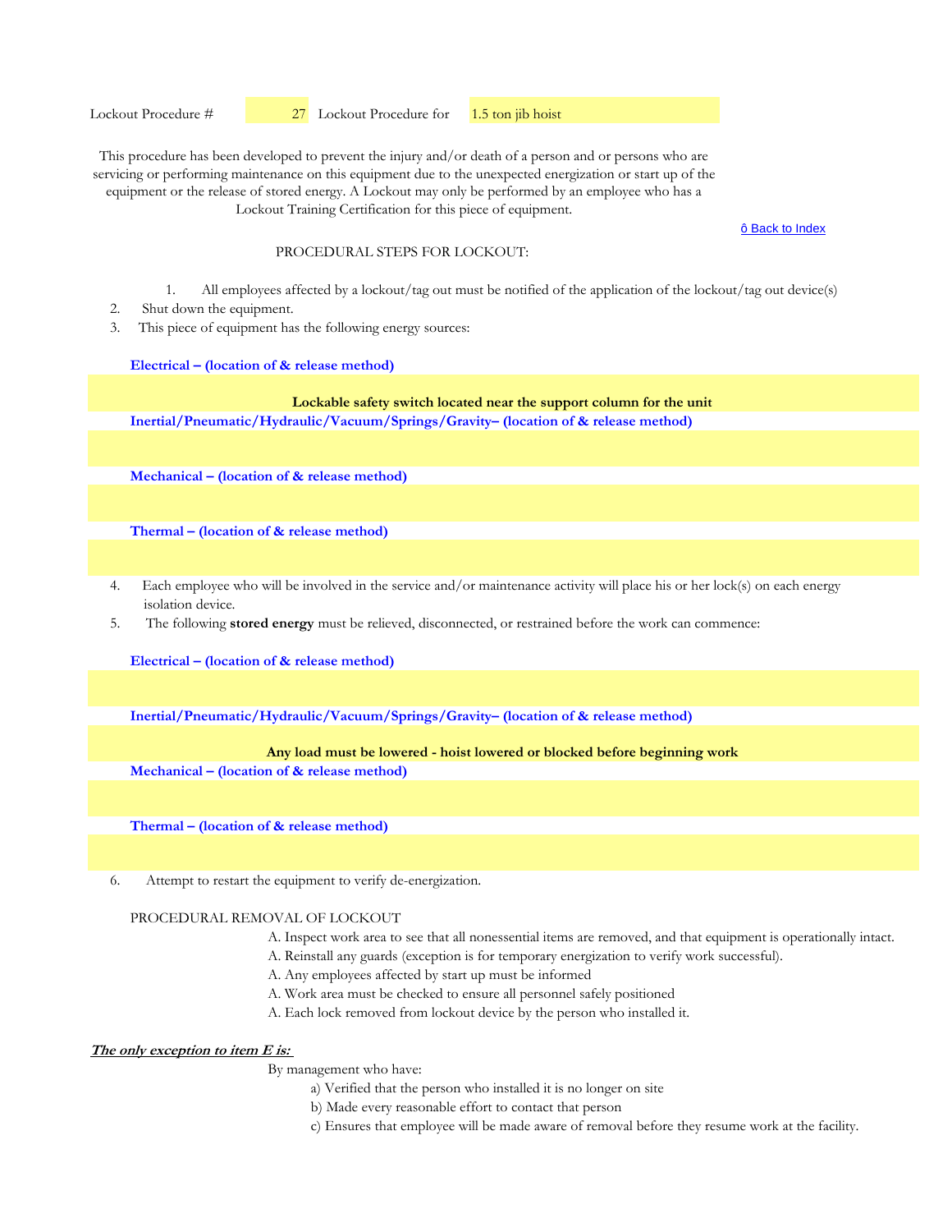ô Back to Index

#### PROCEDURAL STEPS FOR LOCKOUT:

- 1. All employees affected by a lockout/tag out must be notified of the application of the lockout/tag out device(s)
- 2. Shut down the equipment.
- 3. This piece of equipment has the following energy sources:

#### **Electrical – (location of & release method)**

## **Inertial/Pneumatic/Hydraulic/Vacuum/Springs/Gravity– (location of & release method) Lockable safety switch located near the support column for the unit**

**Mechanical – (location of & release method)** 

**Thermal – (location of & release method)** 

- 4. Each employee who will be involved in the service and/or maintenance activity will place his or her lock(s) on each energy isolation device.
- 5. The following **stored energy** must be relieved, disconnected, or restrained before the work can commence:

**Electrical – (location of & release method)**

**Inertial/Pneumatic/Hydraulic/Vacuum/Springs/Gravity– (location of & release method)** 

#### **Any load must be lowered - hoist lowered or blocked before beginning work**

**Mechanical – (location of & release method)** 

**Thermal – (location of & release method)** 

6. Attempt to restart the equipment to verify de-energization.

## PROCEDURAL REMOVAL OF LOCKOUT

- A. Inspect work area to see that all nonessential items are removed, and that equipment is operationally intact.
- A. Reinstall any guards (exception is for temporary energization to verify work successful).
- A. Any employees affected by start up must be informed
- A. Work area must be checked to ensure all personnel safely positioned
- A. Each lock removed from lockout device by the person who installed it.

# **The only exception to item E is:**

- a) Verified that the person who installed it is no longer on site
- b) Made every reasonable effort to contact that person
- c) Ensures that employee will be made aware of removal before they resume work at the facility.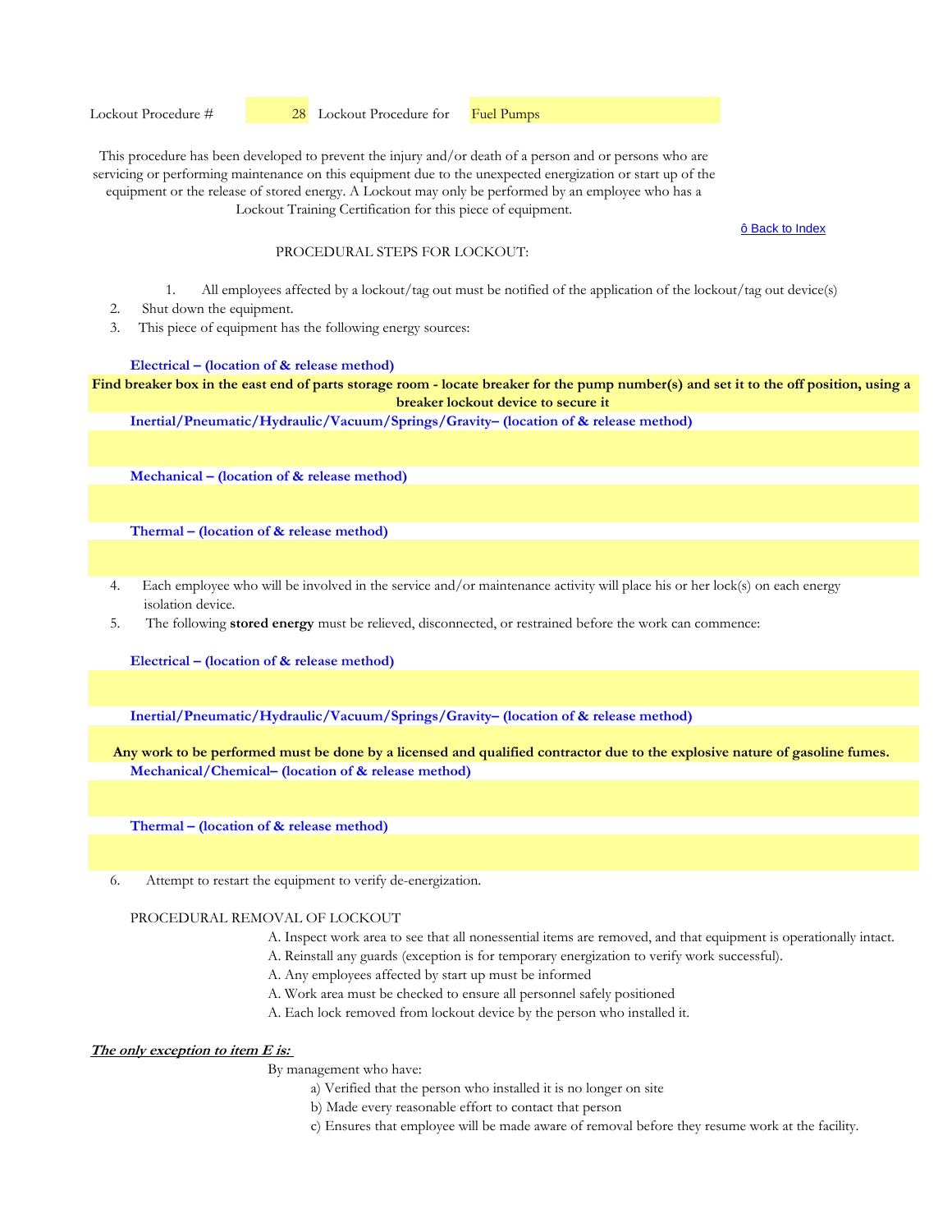Lockout Procedure #  $\frac{28}{28}$  Lockout Procedure for **Fuel Pumps** 

This procedure has been developed to prevent the injury and/or death of a person and or persons who are servicing or performing maintenance on this equipment due to the unexpected energization or start up of the equipment or the release of stored energy. A Lockout may only be performed by an employee who has a Lockout Training Certification for this piece of equipment.

ô Back to Index

#### PROCEDURAL STEPS FOR LOCKOUT:

- 1. All employees affected by a lockout/tag out must be notified of the application of the lockout/tag out device(s)
- 2. Shut down the equipment.
- 3. This piece of equipment has the following energy sources:

#### **Electrical – (location of & release method)**

**Find breaker box in the east end of parts storage room - locate breaker for the pump number(s) and set it to the off position, using a breaker lockout device to secure it**

**Inertial/Pneumatic/Hydraulic/Vacuum/Springs/Gravity– (location of & release method)** 

**Mechanical – (location of & release method)** 

**Thermal – (location of & release method)** 

- 4. Each employee who will be involved in the service and/or maintenance activity will place his or her lock(s) on each energy isolation device.
- 5. The following **stored energy** must be relieved, disconnected, or restrained before the work can commence:

**Electrical – (location of & release method)**

**Inertial/Pneumatic/Hydraulic/Vacuum/Springs/Gravity– (location of & release method)** 

**Mechanical/Chemical– (location of & release method) Any work to be performed must be done by a licensed and qualified contractor due to the explosive nature of gasoline fumes.**

**Thermal – (location of & release method)** 

6. Attempt to restart the equipment to verify de-energization.

## PROCEDURAL REMOVAL OF LOCKOUT

- A. Inspect work area to see that all nonessential items are removed, and that equipment is operationally intact.
- A. Reinstall any guards (exception is for temporary energization to verify work successful).
- A. Any employees affected by start up must be informed
- A. Work area must be checked to ensure all personnel safely positioned
- A. Each lock removed from lockout device by the person who installed it.

# **The only exception to item E is:**

- a) Verified that the person who installed it is no longer on site
- b) Made every reasonable effort to contact that person
- c) Ensures that employee will be made aware of removal before they resume work at the facility.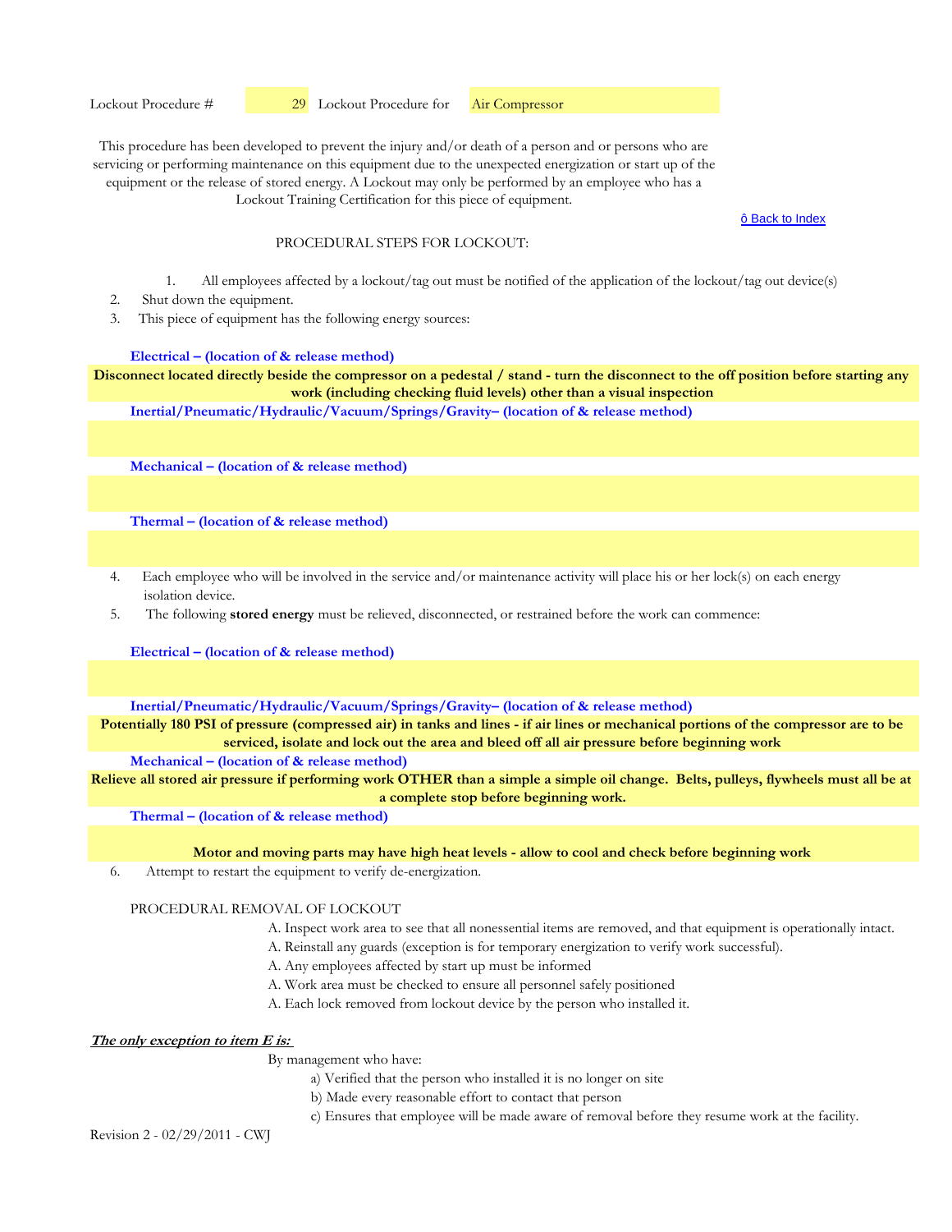Lockout Training Certification for this piece of equipment.

ô Back to Index

#### PROCEDURAL STEPS FOR LOCKOUT:

- 1. All employees affected by a lockout/tag out must be notified of the application of the lockout/tag out device(s)
- 2. Shut down the equipment.
- 3. This piece of equipment has the following energy sources:

#### **Electrical – (location of & release method)**

**Disconnect located directly beside the compressor on a pedestal / stand - turn the disconnect to the off position before starting any work (including checking fluid levels) other than a visual inspection**

**Inertial/Pneumatic/Hydraulic/Vacuum/Springs/Gravity– (location of & release method)** 

**Mechanical – (location of & release method)** 

**Thermal – (location of & release method)** 

- 4. Each employee who will be involved in the service and/or maintenance activity will place his or her lock(s) on each energy isolation device.
- 5. The following **stored energy** must be relieved, disconnected, or restrained before the work can commence:

**Electrical – (location of & release method)**

**Inertial/Pneumatic/Hydraulic/Vacuum/Springs/Gravity– (location of & release method)** 

**Potentially 180 PSI of pressure (compressed air) in tanks and lines - if air lines or mechanical portions of the compressor are to be serviced, isolate and lock out the area and bleed off all air pressure before beginning work**

**Mechanical – (location of & release method)** 

**Relieve all stored air pressure if performing work OTHER than a simple a simple oil change. Belts, pulleys, flywheels must all be at a complete stop before beginning work.**

**Thermal – (location of & release method)** 

**Motor and moving parts may have high heat levels - allow to cool and check before beginning work**

6. Attempt to restart the equipment to verify de-energization.

#### PROCEDURAL REMOVAL OF LOCKOUT

- A. Inspect work area to see that all nonessential items are removed, and that equipment is operationally intact.
- A. Reinstall any guards (exception is for temporary energization to verify work successful).
- A. Any employees affected by start up must be informed
- A. Work area must be checked to ensure all personnel safely positioned
- A. Each lock removed from lockout device by the person who installed it.

#### **The only exception to item E is:**

## By management who have:

- a) Verified that the person who installed it is no longer on site
- b) Made every reasonable effort to contact that person
- c) Ensures that employee will be made aware of removal before they resume work at the facility.

Revision 2 - 02/29/2011 - CWJ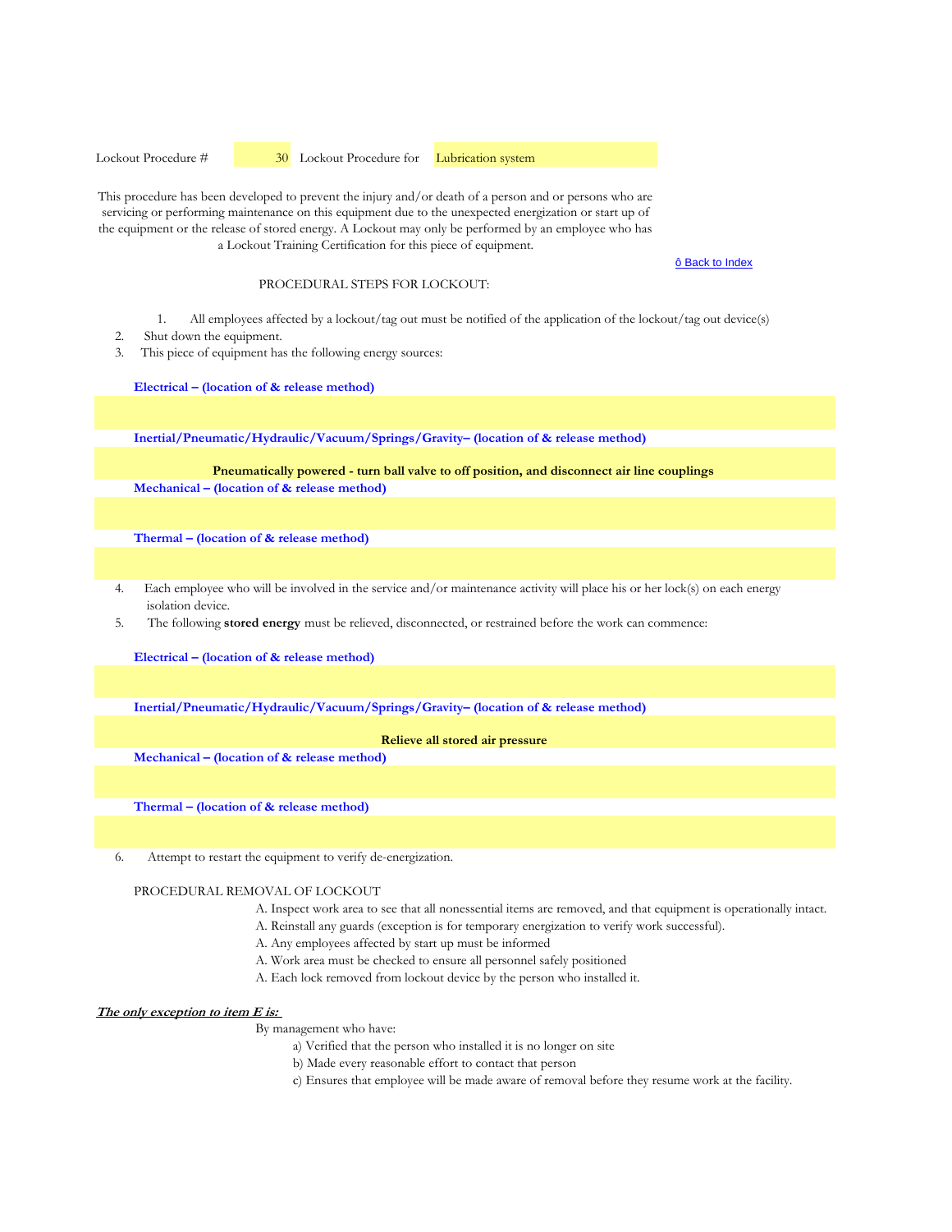Lockout Procedure #  30 Lockout Procedure for Lubrication system

This procedure has been developed to prevent the injury and/or death of a person and or persons who are servicing or performing maintenance on this equipment due to the unexpected energization or start up of the equipment or the release of stored energy. A Lockout may only be performed by an employee who has a Lockout Training Certification for this piece of equipment.

ô Back to Index

#### PROCEDURAL STEPS FOR LOCKOUT:

- 1. All employees affected by a lockout/tag out must be notified of the application of the lockout/tag out device(s)
- 2. Shut down the equipment.
- 3. This piece of equipment has the following energy sources:

**Electrical – (location of & release method)**

**Inertial/Pneumatic/Hydraulic/Vacuum/Springs/Gravity– (location of & release method)** 

#### **Mechanical – (location of & release method) Pneumatically powered - turn ball valve to off position, and disconnect air line couplings**

**Thermal – (location of & release method)** 

- 4. Each employee who will be involved in the service and/or maintenance activity will place his or her lock(s) on each energy isolation device.
- 5. The following **stored energy** must be relieved, disconnected, or restrained before the work can commence:

**Electrical – (location of & release method)**

**Inertial/Pneumatic/Hydraulic/Vacuum/Springs/Gravity– (location of & release method)** 

#### **Relieve all stored air pressure**

**Mechanical – (location of & release method)** 

**Thermal – (location of & release method)** 

6. Attempt to restart the equipment to verify de-energization.

## PROCEDURAL REMOVAL OF LOCKOUT

- A. Inspect work area to see that all nonessential items are removed, and that equipment is operationally intact.
- A. Reinstall any guards (exception is for temporary energization to verify work successful).
- A. Any employees affected by start up must be informed
- A. Work area must be checked to ensure all personnel safely positioned
- A. Each lock removed from lockout device by the person who installed it.

#### **The only exception to item E is:**

- a) Verified that the person who installed it is no longer on site
	- b) Made every reasonable effort to contact that person
	- c) Ensures that employee will be made aware of removal before they resume work at the facility.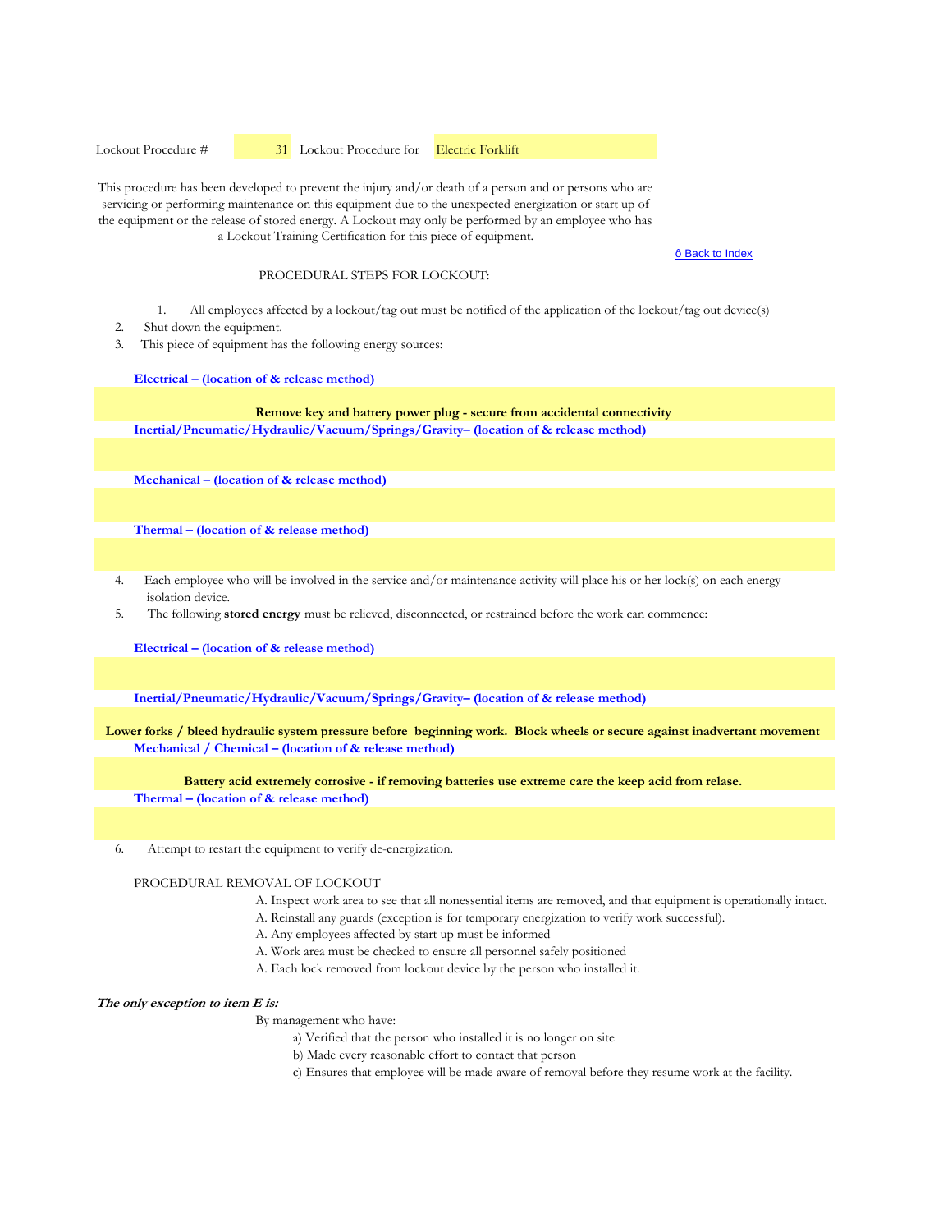Lockout Procedure #  31 Lockout Procedure for Electric Forklift

This procedure has been developed to prevent the injury and/or death of a person and or persons who are servicing or performing maintenance on this equipment due to the unexpected energization or start up of the equipment or the release of stored energy. A Lockout may only be performed by an employee who has a Lockout Training Certification for this piece of equipment.

ô Back to Index

#### PROCEDURAL STEPS FOR LOCKOUT:

1. All employees affected by a lockout/tag out must be notified of the application of the lockout/tag out device(s)

- 2. Shut down the equipment.
- 3. This piece of equipment has the following energy sources:

#### **Electrical – (location of & release method)**

**Remove key and battery power plug - secure from accidental connectivity**

**Inertial/Pneumatic/Hydraulic/Vacuum/Springs/Gravity– (location of & release method)** 

**Mechanical – (location of & release method)** 

**Thermal – (location of & release method)** 

- 4. Each employee who will be involved in the service and/or maintenance activity will place his or her lock(s) on each energy isolation device.
- 5. The following **stored energy** must be relieved, disconnected, or restrained before the work can commence:

**Electrical – (location of & release method)**

**Inertial/Pneumatic/Hydraulic/Vacuum/Springs/Gravity– (location of & release method)** 

**Mechanical / Chemical – (location of & release method) Lower forks / bleed hydraulic system pressure before beginning work. Block wheels or secure against inadvertant movement**

#### **Battery acid extremely corrosive - if removing batteries use extreme care the keep acid from relase.**

**Thermal – (location of & release method)** 

6. Attempt to restart the equipment to verify de-energization.

#### PROCEDURAL REMOVAL OF LOCKOUT

- A. Inspect work area to see that all nonessential items are removed, and that equipment is operationally intact.
- A. Reinstall any guards (exception is for temporary energization to verify work successful).
- A. Any employees affected by start up must be informed
- A. Work area must be checked to ensure all personnel safely positioned
- A. Each lock removed from lockout device by the person who installed it.

#### **The only exception to item E is:**

- a) Verified that the person who installed it is no longer on site
- b) Made every reasonable effort to contact that person
- c) Ensures that employee will be made aware of removal before they resume work at the facility.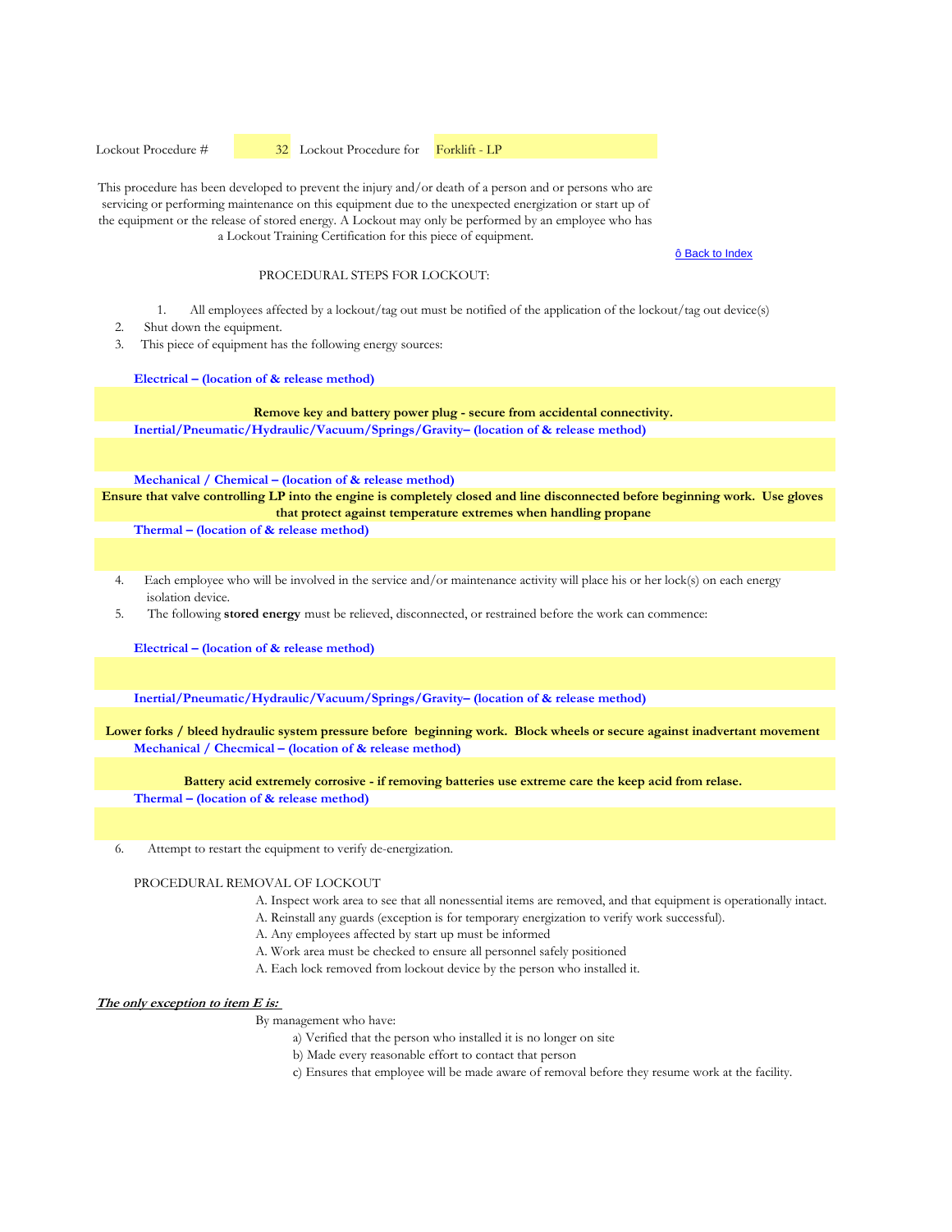Lockout Procedure #  32 Lockout Procedure for Forklift - LP

This procedure has been developed to prevent the injury and/or death of a person and or persons who are servicing or performing maintenance on this equipment due to the unexpected energization or start up of the equipment or the release of stored energy. A Lockout may only be performed by an employee who has a Lockout Training Certification for this piece of equipment.

#### ô Back to Index

#### PROCEDURAL STEPS FOR LOCKOUT:

1. All employees affected by a lockout/tag out must be notified of the application of the lockout/tag out device(s)

- 2. Shut down the equipment.
- 3. This piece of equipment has the following energy sources:

#### **Electrical – (location of & release method)**

**Remove key and battery power plug - secure from accidental connectivity.** 

**Inertial/Pneumatic/Hydraulic/Vacuum/Springs/Gravity– (location of & release method)** 

**Mechanical / Chemical – (location of & release method)** 

**Ensure that valve controlling LP into the engine is completely closed and line disconnected before beginning work. Use gloves that protect against temperature extremes when handling propane**

**Thermal – (location of & release method)** 

- 4. Each employee who will be involved in the service and/or maintenance activity will place his or her lock(s) on each energy isolation device.
- 5. The following **stored energy** must be relieved, disconnected, or restrained before the work can commence:

**Electrical – (location of & release method)**

**Inertial/Pneumatic/Hydraulic/Vacuum/Springs/Gravity– (location of & release method)** 

**Mechanical / Checmical – (location of & release method) Lower forks / bleed hydraulic system pressure before beginning work. Block wheels or secure against inadvertant movement**

#### **Battery acid extremely corrosive - if removing batteries use extreme care the keep acid from relase.**

**Thermal – (location of & release method)** 

6. Attempt to restart the equipment to verify de-energization.

#### PROCEDURAL REMOVAL OF LOCKOUT

- A. Inspect work area to see that all nonessential items are removed, and that equipment is operationally intact.
- A. Reinstall any guards (exception is for temporary energization to verify work successful).
- A. Any employees affected by start up must be informed
- A. Work area must be checked to ensure all personnel safely positioned
- A. Each lock removed from lockout device by the person who installed it.

#### **The only exception to item E is:**

- a) Verified that the person who installed it is no longer on site
- b) Made every reasonable effort to contact that person
- c) Ensures that employee will be made aware of removal before they resume work at the facility.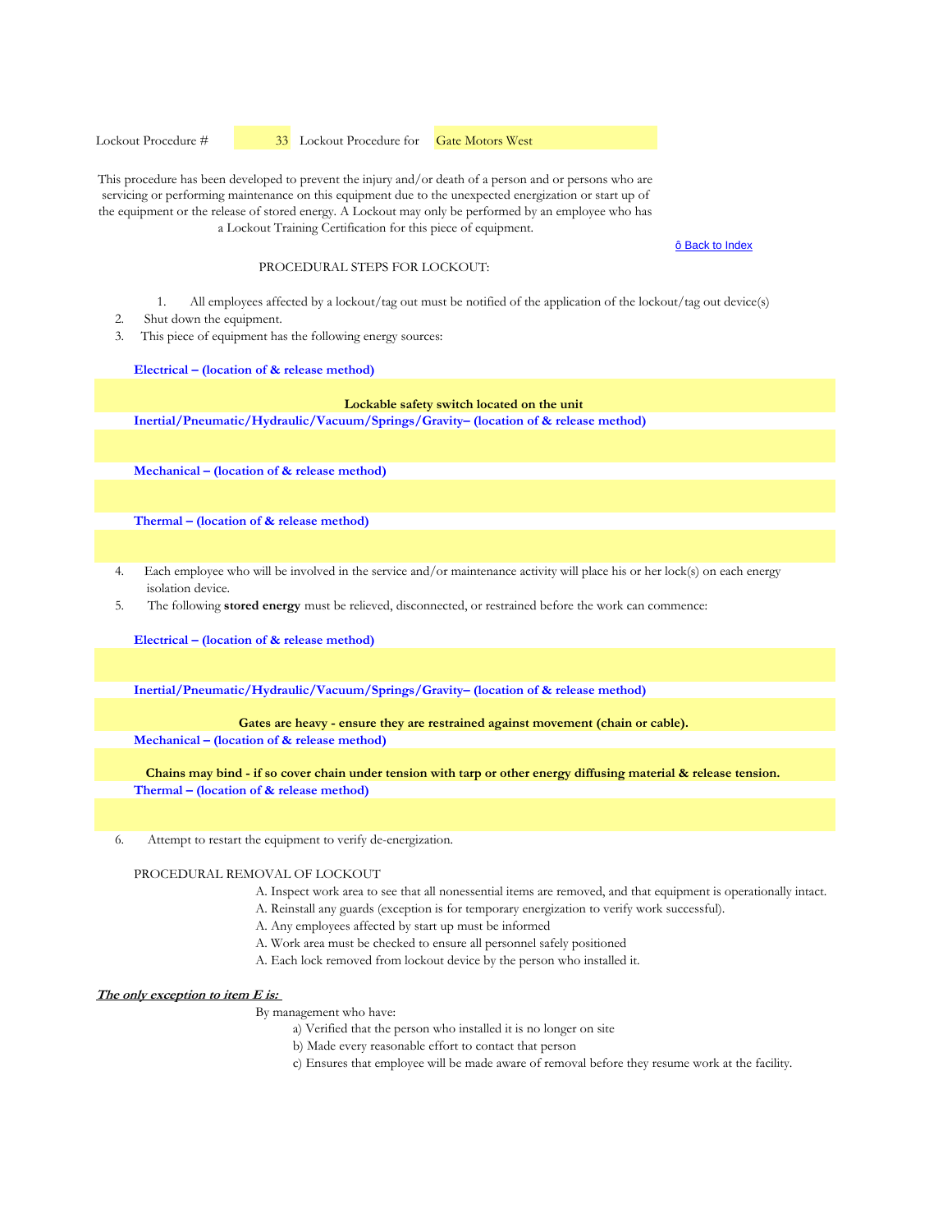Lockout Procedure #  33 Lockout Procedure for Gate Motors West

This procedure has been developed to prevent the injury and/or death of a person and or persons who are servicing or performing maintenance on this equipment due to the unexpected energization or start up of the equipment or the release of stored energy. A Lockout may only be performed by an employee who has a Lockout Training Certification for this piece of equipment.

ô Back to Index

#### PROCEDURAL STEPS FOR LOCKOUT:

- 1. All employees affected by a lockout/tag out must be notified of the application of the lockout/tag out device(s)
- 2. Shut down the equipment.
- 3. This piece of equipment has the following energy sources:

#### **Electrical – (location of & release method)**

#### **Lockable safety switch located on the unit**

**Inertial/Pneumatic/Hydraulic/Vacuum/Springs/Gravity– (location of & release method)** 

**Mechanical – (location of & release method)** 

**Thermal – (location of & release method)** 

- 4. Each employee who will be involved in the service and/or maintenance activity will place his or her lock(s) on each energy isolation device.
- 5. The following **stored energy** must be relieved, disconnected, or restrained before the work can commence:

**Electrical – (location of & release method)**

**Inertial/Pneumatic/Hydraulic/Vacuum/Springs/Gravity– (location of & release method)** 

Gates are heavy - ensure they are restrained against movement (chain or cable).

**Mechanical – (location of & release method)** 

**Thermal – (location of & release method) Chains may bind - if so cover chain under tension with tarp or other energy diffusing material & release tension.**

6. Attempt to restart the equipment to verify de-energization.

PROCEDURAL REMOVAL OF LOCKOUT

- A. Inspect work area to see that all nonessential items are removed, and that equipment is operationally intact.
- A. Reinstall any guards (exception is for temporary energization to verify work successful).
- A. Any employees affected by start up must be informed
- A. Work area must be checked to ensure all personnel safely positioned
- A. Each lock removed from lockout device by the person who installed it.

#### **The only exception to item E is:**

- a) Verified that the person who installed it is no longer on site
- b) Made every reasonable effort to contact that person
- c) Ensures that employee will be made aware of removal before they resume work at the facility.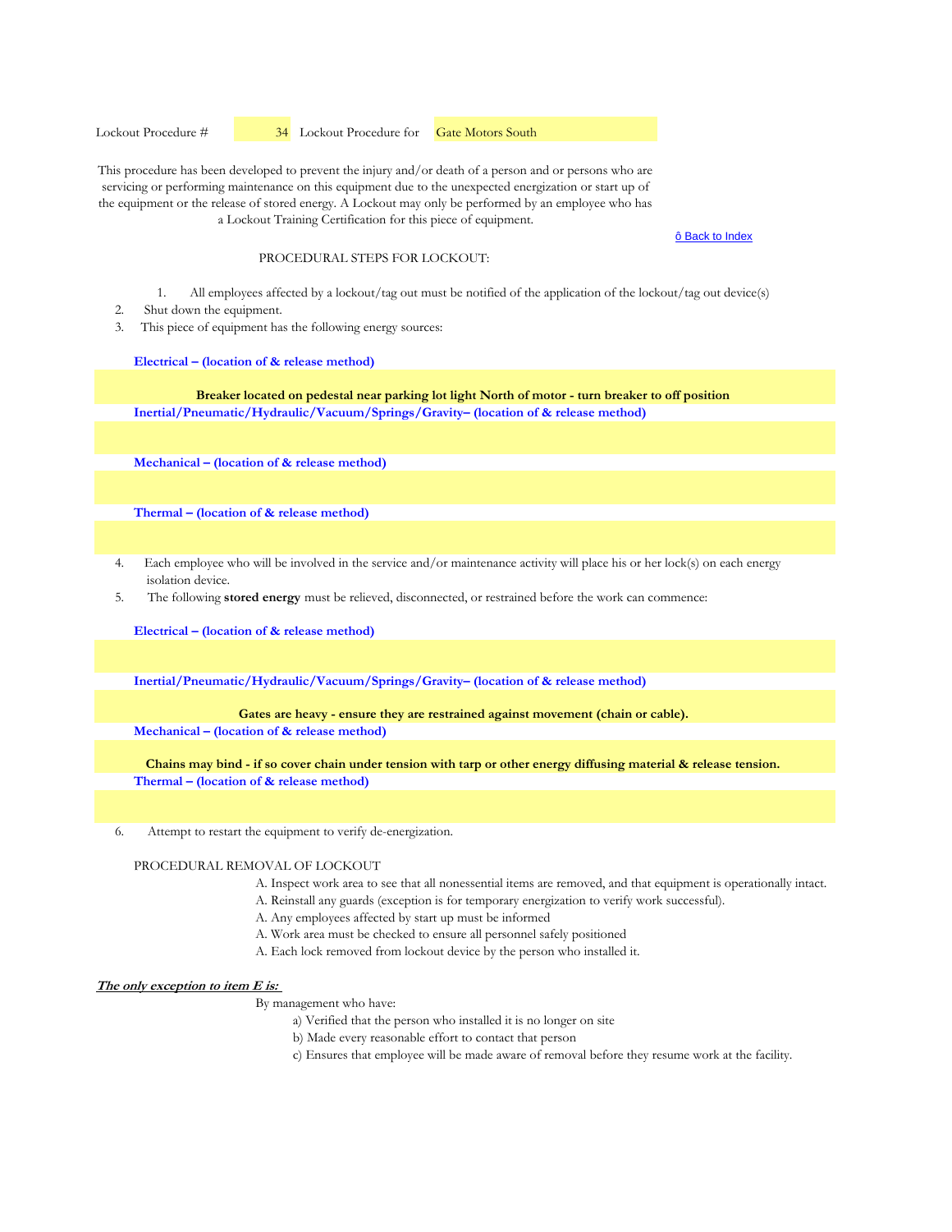Lockout Procedure #  34 Lockout Procedure for Gate Motors South

This procedure has been developed to prevent the injury and/or death of a person and or persons who are servicing or performing maintenance on this equipment due to the unexpected energization or start up of the equipment or the release of stored energy. A Lockout may only be performed by an employee who has a Lockout Training Certification for this piece of equipment.

#### ô Back to Index

## PROCEDURAL STEPS FOR LOCKOUT:

- 1. All employees affected by a lockout/tag out must be notified of the application of the lockout/tag out device(s)
- 2. Shut down the equipment.
- 3. This piece of equipment has the following energy sources:

**Electrical – (location of & release method)**

**Inertial/Pneumatic/Hydraulic/Vacuum/Springs/Gravity– (location of & release method) Breaker located on pedestal near parking lot light North of motor - turn breaker to off position**

**Mechanical – (location of & release method)** 

**Thermal – (location of & release method)** 

- 4. Each employee who will be involved in the service and/or maintenance activity will place his or her lock(s) on each energy isolation device.
- 5. The following **stored energy** must be relieved, disconnected, or restrained before the work can commence:

**Electrical – (location of & release method)**

**Inertial/Pneumatic/Hydraulic/Vacuum/Springs/Gravity– (location of & release method)** 

Gates are heavy - ensure they are restrained against movement (chain or cable).

**Mechanical – (location of & release method)** 

**Thermal – (location of & release method) Chains may bind - if so cover chain under tension with tarp or other energy diffusing material & release tension.**

6. Attempt to restart the equipment to verify de-energization.

#### PROCEDURAL REMOVAL OF LOCKOUT

- A. Inspect work area to see that all nonessential items are removed, and that equipment is operationally intact.
- A. Reinstall any guards (exception is for temporary energization to verify work successful).
- A. Any employees affected by start up must be informed
- A. Work area must be checked to ensure all personnel safely positioned
- A. Each lock removed from lockout device by the person who installed it.

#### **The only exception to item E is:**

- a) Verified that the person who installed it is no longer on site
- b) Made every reasonable effort to contact that person
- c) Ensures that employee will be made aware of removal before they resume work at the facility.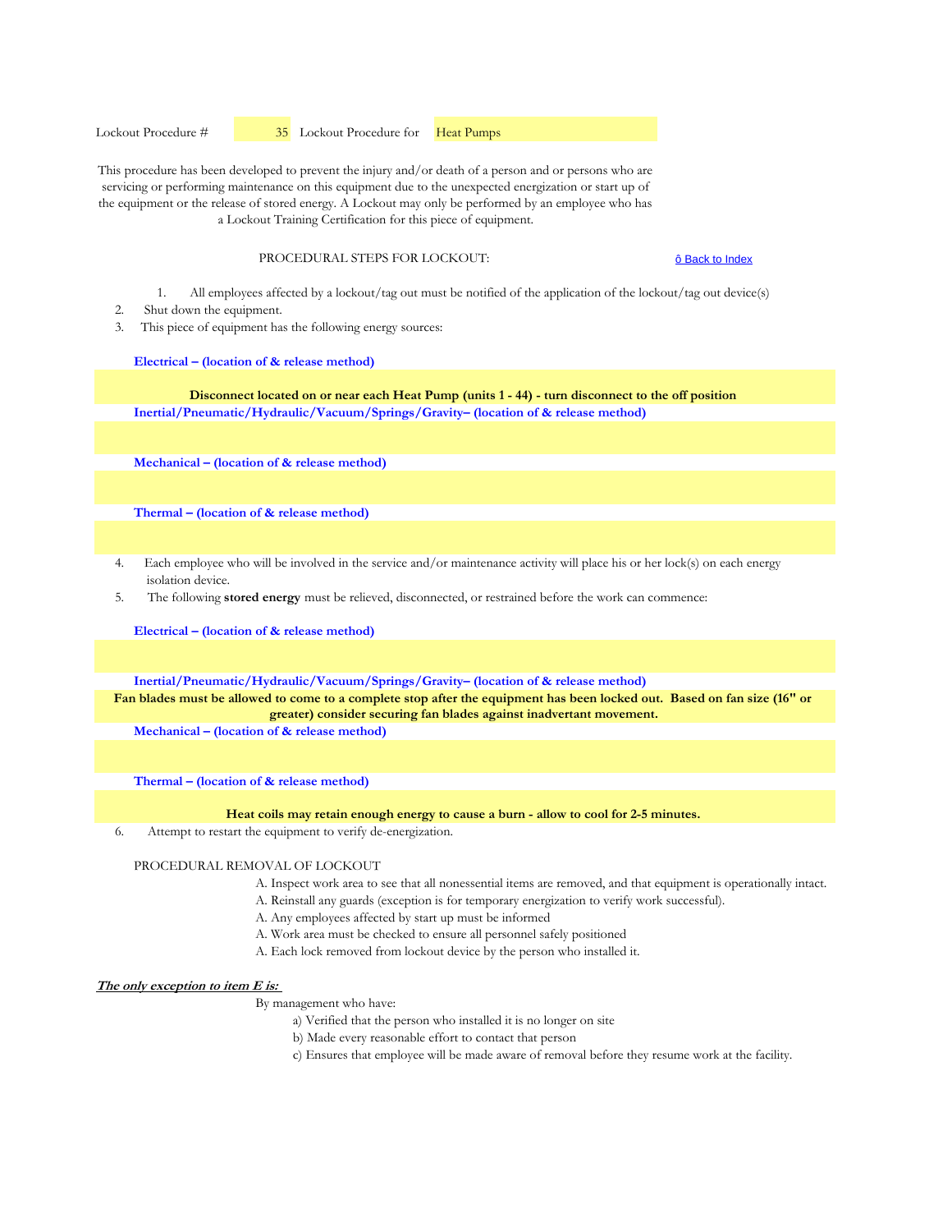Lockout Procedure #  $35$  Lockout Procedure for **Heat Pumps** 

This procedure has been developed to prevent the injury and/or death of a person and or persons who are servicing or performing maintenance on this equipment due to the unexpected energization or start up of the equipment or the release of stored energy. A Lockout may only be performed by an employee who has a Lockout Training Certification for this piece of equipment.

PROCEDURAL STEPS FOR LOCKOUT:

ô Back to Index

- 1. All employees affected by a lockout/tag out must be notified of the application of the lockout/tag out device(s)
- 2. Shut down the equipment.
- 3. This piece of equipment has the following energy sources:

**Electrical – (location of & release method)**

**Inertial/Pneumatic/Hydraulic/Vacuum/Springs/Gravity– (location of & release method) Disconnect located on or near each Heat Pump (units 1 - 44) - turn disconnect to the off position**

**Mechanical – (location of & release method)** 

**Thermal – (location of & release method)** 

- 4. Each employee who will be involved in the service and/or maintenance activity will place his or her lock(s) on each energy isolation device.
- 5. The following **stored energy** must be relieved, disconnected, or restrained before the work can commence:

**Electrical – (location of & release method)**

**Inertial/Pneumatic/Hydraulic/Vacuum/Springs/Gravity– (location of & release method)** 

**Fan blades must be allowed to come to a complete stop after the equipment has been locked out. Based on fan size (16" or greater) consider securing fan blades against inadvertant movement.**

**Mechanical – (location of & release method)** 

**Thermal – (location of & release method)** 

#### **Heat coils may retain enough energy to cause a burn - allow to cool for 2-5 minutes.**

6. Attempt to restart the equipment to verify de-energization.

#### PROCEDURAL REMOVAL OF LOCKOUT

- A. Inspect work area to see that all nonessential items are removed, and that equipment is operationally intact.
- A. Reinstall any guards (exception is for temporary energization to verify work successful).
- A. Any employees affected by start up must be informed
- A. Work area must be checked to ensure all personnel safely positioned
- A. Each lock removed from lockout device by the person who installed it.

#### **The only exception to item E is:**

- a) Verified that the person who installed it is no longer on site
- b) Made every reasonable effort to contact that person
- c) Ensures that employee will be made aware of removal before they resume work at the facility.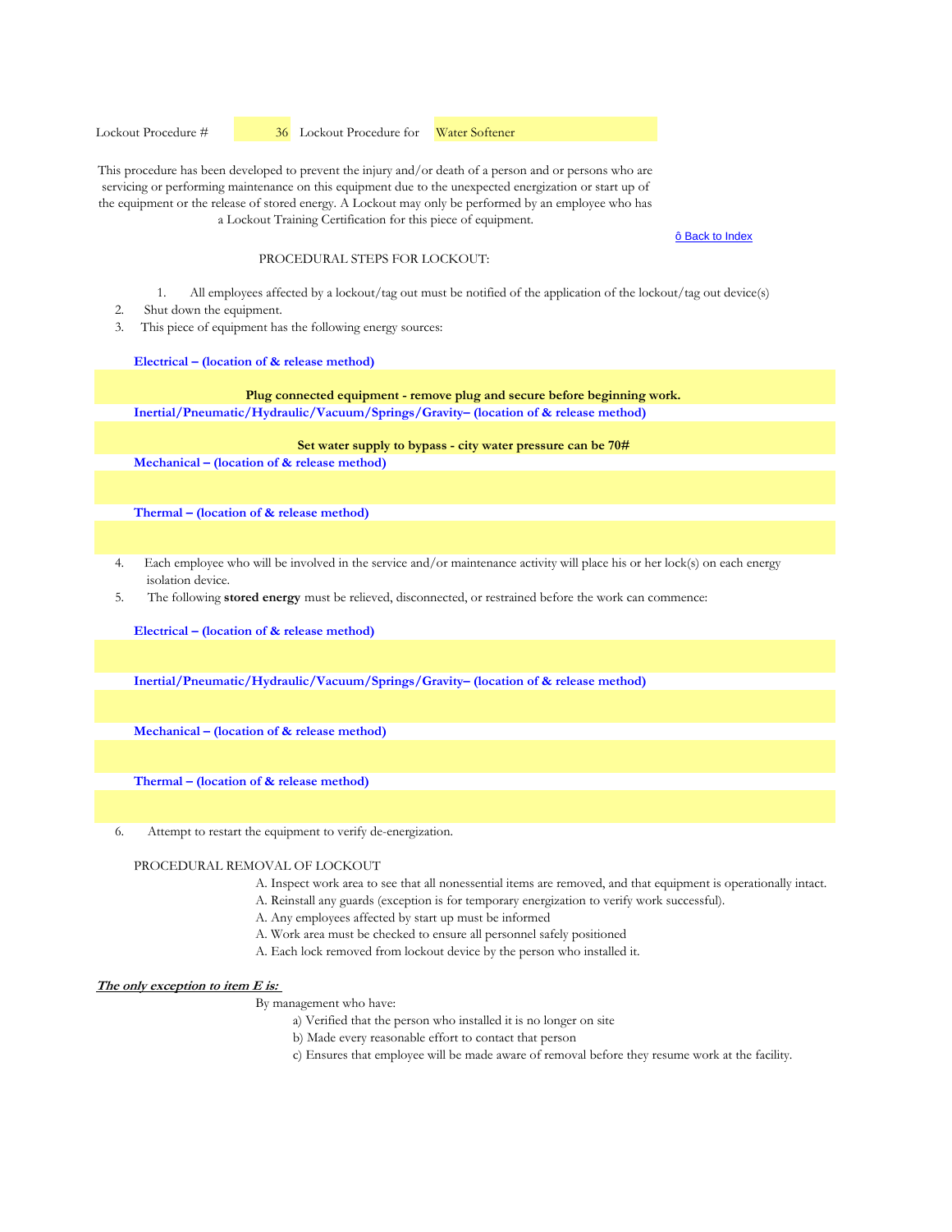Lockout Procedure #  36 Lockout Procedure for Water Softener

This procedure has been developed to prevent the injury and/or death of a person and or persons who are servicing or performing maintenance on this equipment due to the unexpected energization or start up of the equipment or the release of stored energy. A Lockout may only be performed by an employee who has a Lockout Training Certification for this piece of equipment.

#### ô Back to Index

# PROCEDURAL STEPS FOR LOCKOUT:

- 1. All employees affected by a lockout/tag out must be notified of the application of the lockout/tag out device(s)
- 2. Shut down the equipment.
- 3. This piece of equipment has the following energy sources:

**Electrical – (location of & release method)**

**Inertial/Pneumatic/Hydraulic/Vacuum/Springs/Gravity– (location of & release method) Plug connected equipment - remove plug and secure before beginning work.**

## **Set water supply to bypass - city water pressure can be 70#**

**Mechanical – (location of & release method)** 

**Thermal – (location of & release method)** 

- 4. Each employee who will be involved in the service and/or maintenance activity will place his or her lock(s) on each energy isolation device.
- 5. The following **stored energy** must be relieved, disconnected, or restrained before the work can commence:

**Electrical – (location of & release method)**

**Inertial/Pneumatic/Hydraulic/Vacuum/Springs/Gravity– (location of & release method)** 

**Mechanical – (location of & release method)** 

**Thermal – (location of & release method)** 

6. Attempt to restart the equipment to verify de-energization.

#### PROCEDURAL REMOVAL OF LOCKOUT

- A. Inspect work area to see that all nonessential items are removed, and that equipment is operationally intact.
- A. Reinstall any guards (exception is for temporary energization to verify work successful).
- A. Any employees affected by start up must be informed
- A. Work area must be checked to ensure all personnel safely positioned
- A. Each lock removed from lockout device by the person who installed it.

#### **The only exception to item E is:**

- a) Verified that the person who installed it is no longer on site
- b) Made every reasonable effort to contact that person
- c) Ensures that employee will be made aware of removal before they resume work at the facility.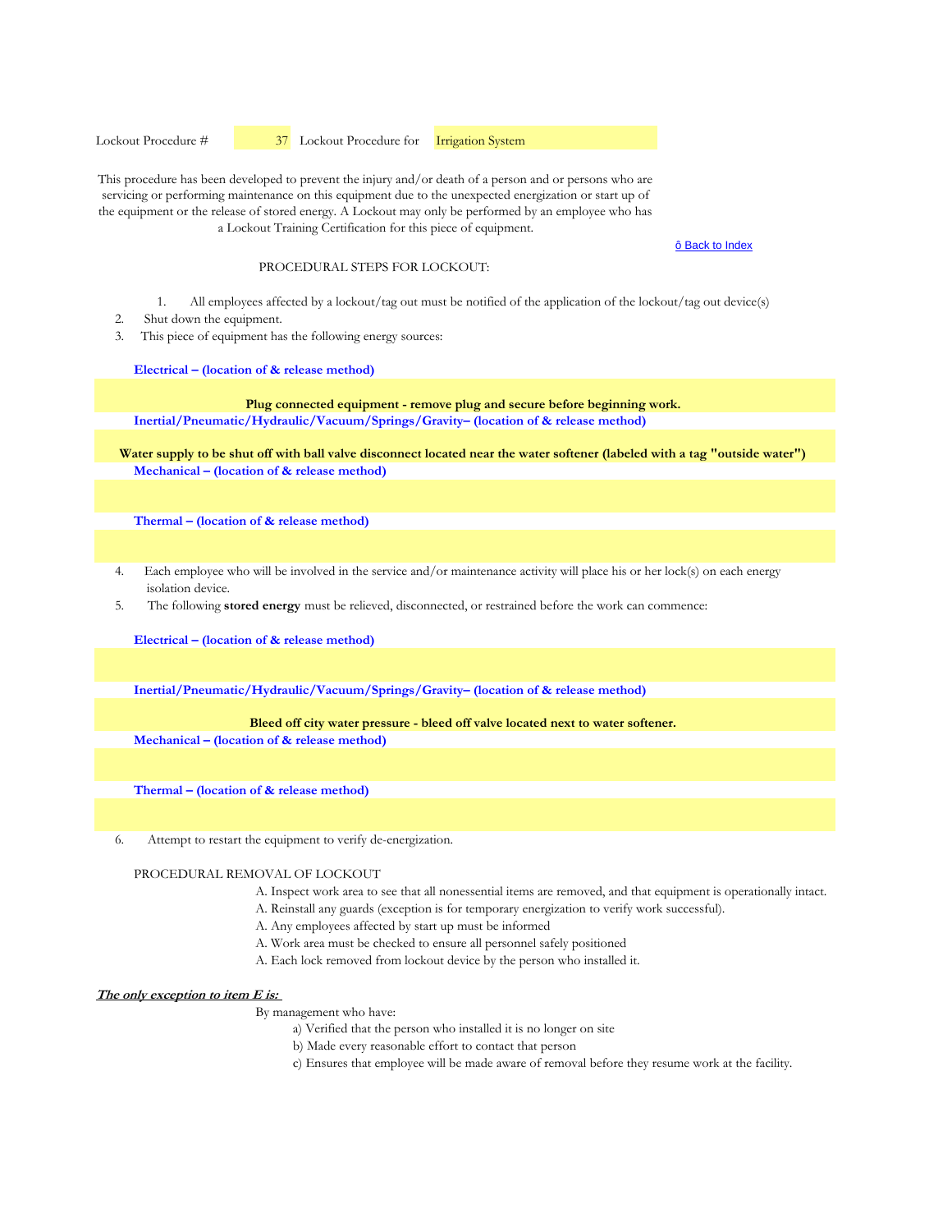Lockout Procedure #  $\frac{37}{2}$  Lockout Procedure for **Irrigation System** 

This procedure has been developed to prevent the injury and/or death of a person and or persons who are servicing or performing maintenance on this equipment due to the unexpected energization or start up of the equipment or the release of stored energy. A Lockout may only be performed by an employee who has a Lockout Training Certification for this piece of equipment.

#### ô Back to Index

#### PROCEDURAL STEPS FOR LOCKOUT:

- 1. All employees affected by a lockout/tag out must be notified of the application of the lockout/tag out device(s)
- 2. Shut down the equipment.
- 3. This piece of equipment has the following energy sources:

#### **Electrical – (location of & release method)**

**Inertial/Pneumatic/Hydraulic/Vacuum/Springs/Gravity– (location of & release method) Plug connected equipment - remove plug and secure before beginning work.**

**Mechanical – (location of & release method) Water supply to be shut off with ball valve disconnect located near the water softener (labeled with a tag "outside water")**

**Thermal – (location of & release method)** 

- 4. Each employee who will be involved in the service and/or maintenance activity will place his or her lock(s) on each energy isolation device.
- 5. The following **stored energy** must be relieved, disconnected, or restrained before the work can commence:

**Electrical – (location of & release method)**

**Inertial/Pneumatic/Hydraulic/Vacuum/Springs/Gravity– (location of & release method)** 

#### **Bleed off city water pressure - bleed off valve located next to water softener.**

**Mechanical – (location of & release method)** 

**Thermal – (location of & release method)** 

6. Attempt to restart the equipment to verify de-energization.

PROCEDURAL REMOVAL OF LOCKOUT

- A. Inspect work area to see that all nonessential items are removed, and that equipment is operationally intact.
- A. Reinstall any guards (exception is for temporary energization to verify work successful).
- A. Any employees affected by start up must be informed
- A. Work area must be checked to ensure all personnel safely positioned
- A. Each lock removed from lockout device by the person who installed it.

#### **The only exception to item E is:**

- a) Verified that the person who installed it is no longer on site
- b) Made every reasonable effort to contact that person
- c) Ensures that employee will be made aware of removal before they resume work at the facility.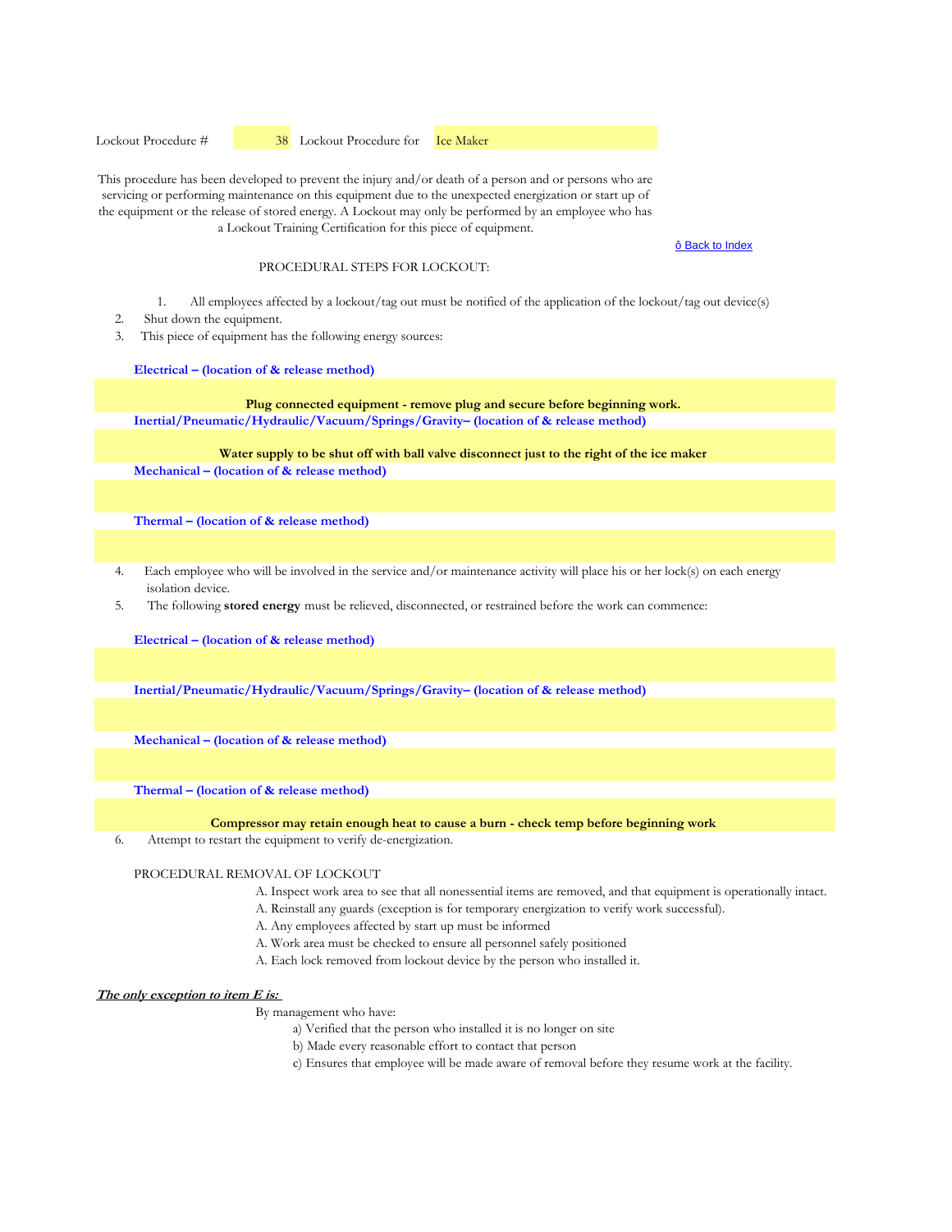Lockout Procedure #  38 Lockout Procedure for Ice Maker

This procedure has been developed to prevent the injury and/or death of a person and or persons who are servicing or performing maintenance on this equipment due to the unexpected energization or start up of the equipment or the release of stored energy. A Lockout may only be performed by an employee who has a Lockout Training Certification for this piece of equipment.

ô Back to Index

#### PROCEDURAL STEPS FOR LOCKOUT:

- 1. All employees affected by a lockout/tag out must be notified of the application of the lockout/tag out device(s)
- 2. Shut down the equipment.
- 3. This piece of equipment has the following energy sources:

#### **Electrical – (location of & release method)**

**Plug connected equipment - remove plug and secure before beginning work.**

**Inertial/Pneumatic/Hydraulic/Vacuum/Springs/Gravity– (location of & release method)** 

**Mechanical – (location of & release method) Water supply to be shut off with ball valve disconnect just to the right of the ice maker**

**Thermal – (location of & release method)** 

- 4. Each employee who will be involved in the service and/or maintenance activity will place his or her lock(s) on each energy isolation device.
- 5. The following **stored energy** must be relieved, disconnected, or restrained before the work can commence:

**Electrical – (location of & release method)**

**Inertial/Pneumatic/Hydraulic/Vacuum/Springs/Gravity– (location of & release method)** 

**Mechanical – (location of & release method)** 

**Thermal – (location of & release method)** 

**Compressor may retain enough heat to cause a burn - check temp before beginning work**

6. Attempt to restart the equipment to verify de-energization.

PROCEDURAL REMOVAL OF LOCKOUT

- A. Inspect work area to see that all nonessential items are removed, and that equipment is operationally intact.
- A. Reinstall any guards (exception is for temporary energization to verify work successful).
- A. Any employees affected by start up must be informed
- A. Work area must be checked to ensure all personnel safely positioned
- A. Each lock removed from lockout device by the person who installed it.

**The only exception to item E is:** 

- a) Verified that the person who installed it is no longer on site
- b) Made every reasonable effort to contact that person
- c) Ensures that employee will be made aware of removal before they resume work at the facility.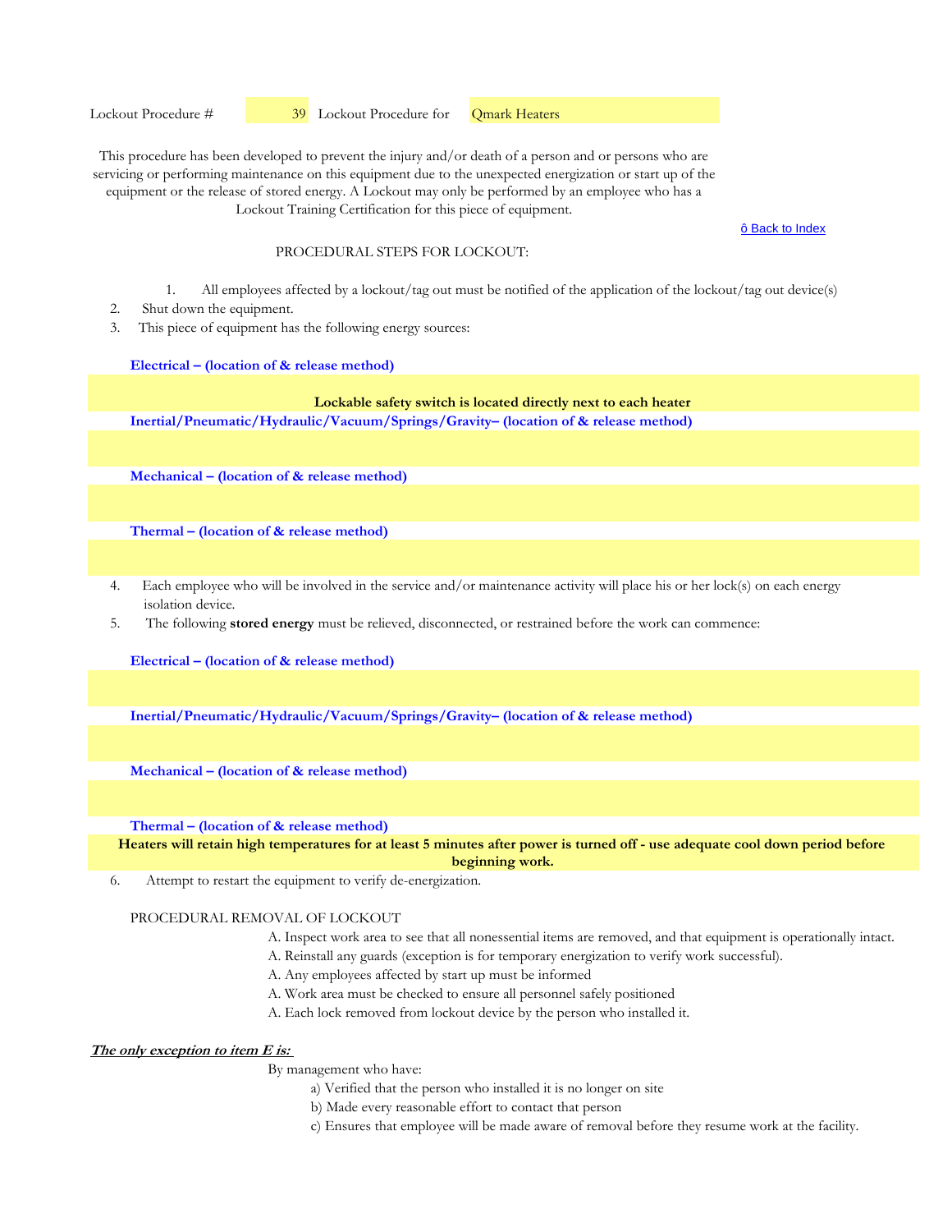ô Back to Index

# PROCEDURAL STEPS FOR LOCKOUT:

- 1. All employees affected by a lockout/tag out must be notified of the application of the lockout/tag out device(s)
- 2. Shut down the equipment.
- 3. This piece of equipment has the following energy sources:

## **Electrical – (location of & release method)**

# **Lockable safety switch is located directly next to each heater**

**Inertial/Pneumatic/Hydraulic/Vacuum/Springs/Gravity– (location of & release method)** 

**Mechanical – (location of & release method)** 

**Thermal – (location of & release method)** 

- 4. Each employee who will be involved in the service and/or maintenance activity will place his or her lock(s) on each energy isolation device.
- 5. The following **stored energy** must be relieved, disconnected, or restrained before the work can commence:

**Electrical – (location of & release method)**

**Inertial/Pneumatic/Hydraulic/Vacuum/Springs/Gravity– (location of & release method)** 

**Mechanical – (location of & release method)** 

**Thermal – (location of & release method)** 

**Heaters will retain high temperatures for at least 5 minutes after power is turned off - use adequate cool down period before beginning work.**

6. Attempt to restart the equipment to verify de-energization.

#### PROCEDURAL REMOVAL OF LOCKOUT

- A. Inspect work area to see that all nonessential items are removed, and that equipment is operationally intact.
- A. Reinstall any guards (exception is for temporary energization to verify work successful).
- A. Any employees affected by start up must be informed
- A. Work area must be checked to ensure all personnel safely positioned
- A. Each lock removed from lockout device by the person who installed it.

# **The only exception to item E is:**

- a) Verified that the person who installed it is no longer on site
- b) Made every reasonable effort to contact that person
- c) Ensures that employee will be made aware of removal before they resume work at the facility.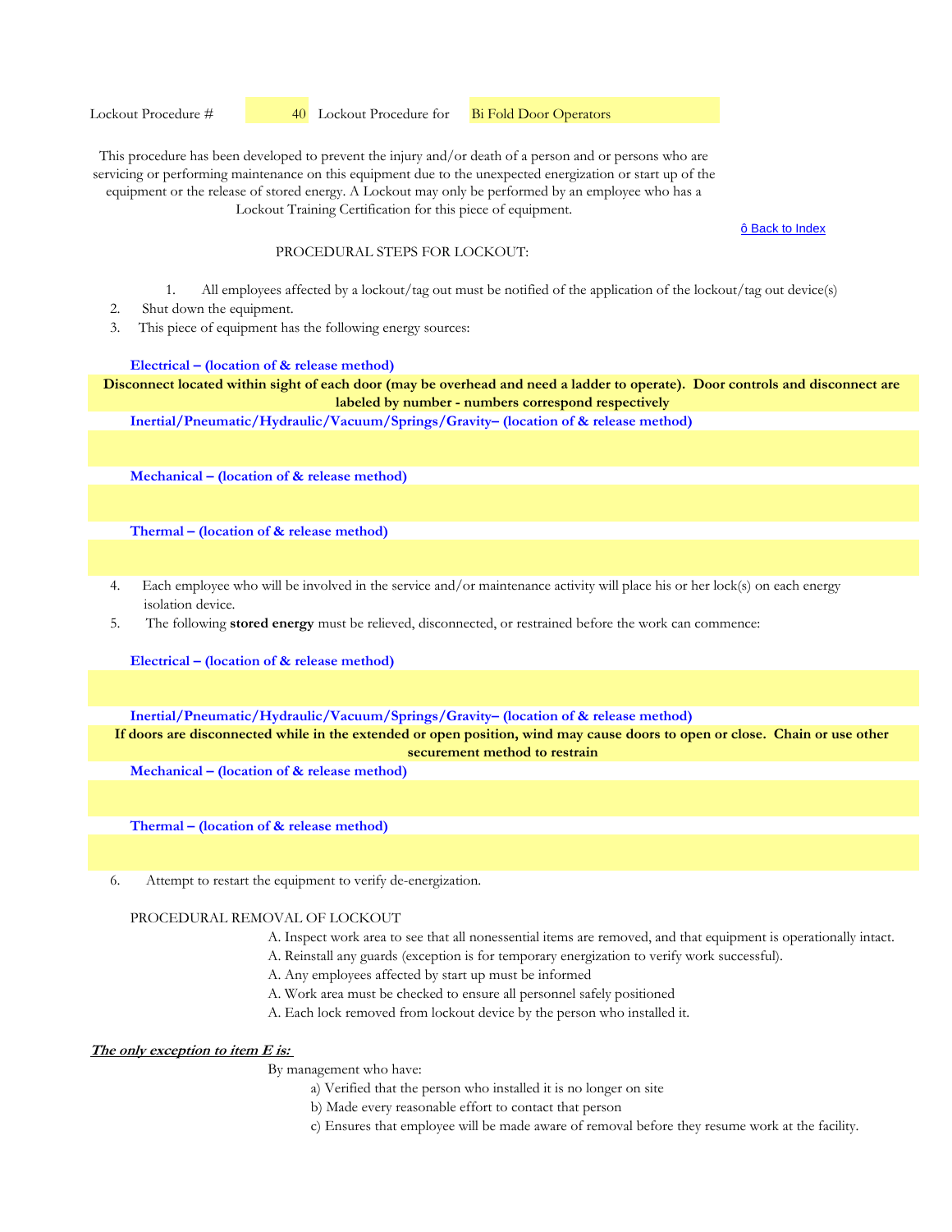Lockout Procedure #  40 Lockout Procedure for Bi Fold Door Operators

This procedure has been developed to prevent the injury and/or death of a person and or persons who are servicing or performing maintenance on this equipment due to the unexpected energization or start up of the equipment or the release of stored energy. A Lockout may only be performed by an employee who has a Lockout Training Certification for this piece of equipment.

ô Back to Index

# PROCEDURAL STEPS FOR LOCKOUT:

- 1. All employees affected by a lockout/tag out must be notified of the application of the lockout/tag out device(s)
- 2. Shut down the equipment.
- 3. This piece of equipment has the following energy sources:

#### **Electrical – (location of & release method)**

**Disconnect located within sight of each door (may be overhead and need a ladder to operate). Door controls and disconnect are labeled by number - numbers correspond respectively**

**Inertial/Pneumatic/Hydraulic/Vacuum/Springs/Gravity– (location of & release method)** 

**Mechanical – (location of & release method)** 

**Thermal – (location of & release method)** 

- 4. Each employee who will be involved in the service and/or maintenance activity will place his or her lock(s) on each energy isolation device.
- 5. The following **stored energy** must be relieved, disconnected, or restrained before the work can commence:

**Electrical – (location of & release method)**

**Inertial/Pneumatic/Hydraulic/Vacuum/Springs/Gravity– (location of & release method)** 

# **If doors are disconnected while in the extended or open position, wind may cause doors to open or close. Chain or use other securement method to restrain**

**Mechanical – (location of & release method)** 

**Thermal – (location of & release method)** 

6. Attempt to restart the equipment to verify de-energization.

#### PROCEDURAL REMOVAL OF LOCKOUT

- A. Inspect work area to see that all nonessential items are removed, and that equipment is operationally intact.
- A. Reinstall any guards (exception is for temporary energization to verify work successful).
- A. Any employees affected by start up must be informed
- A. Work area must be checked to ensure all personnel safely positioned
- A. Each lock removed from lockout device by the person who installed it.

# **The only exception to item E is:**

- a) Verified that the person who installed it is no longer on site
- b) Made every reasonable effort to contact that person
- c) Ensures that employee will be made aware of removal before they resume work at the facility.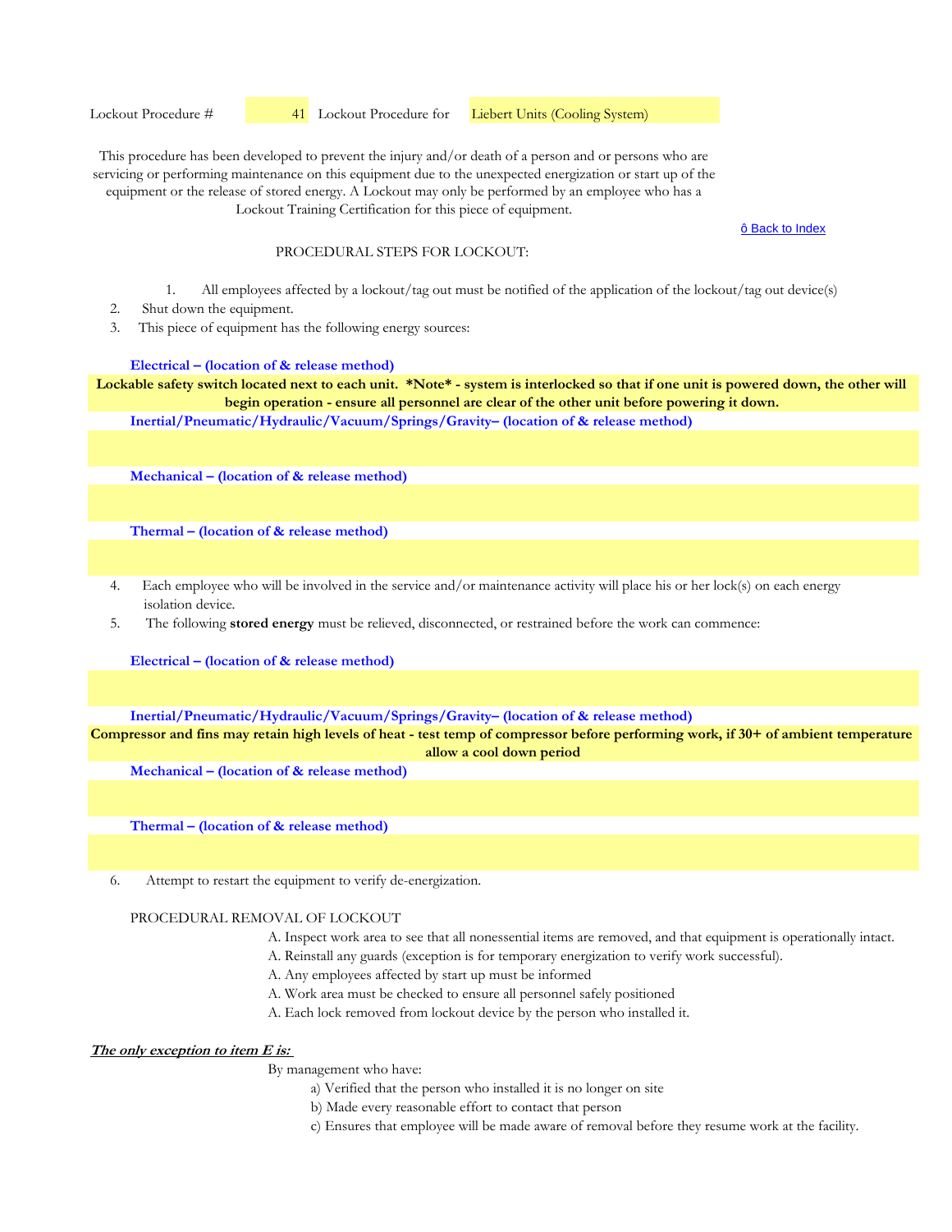Lockout Procedure #  41 Lockout Procedure for Liebert Units (Cooling System)

This procedure has been developed to prevent the injury and/or death of a person and or persons who are servicing or performing maintenance on this equipment due to the unexpected energization or start up of the equipment or the release of stored energy. A Lockout may only be performed by an employee who has a Lockout Training Certification for this piece of equipment.

ô Back to Index

### PROCEDURAL STEPS FOR LOCKOUT:

- 1. All employees affected by a lockout/tag out must be notified of the application of the lockout/tag out device(s)
- 2. Shut down the equipment.
- 3. This piece of equipment has the following energy sources:

## **Electrical – (location of & release method)**

Lockable safety switch located next to each unit. \*Note\* - system is interlocked so that if one unit is powered down, the other will **begin operation - ensure all personnel are clear of the other unit before powering it down.**

**Inertial/Pneumatic/Hydraulic/Vacuum/Springs/Gravity– (location of & release method)** 

**Mechanical – (location of & release method)** 

**Thermal – (location of & release method)** 

- 4. Each employee who will be involved in the service and/or maintenance activity will place his or her lock(s) on each energy isolation device.
- 5. The following **stored energy** must be relieved, disconnected, or restrained before the work can commence:

**Electrical – (location of & release method)**

**Inertial/Pneumatic/Hydraulic/Vacuum/Springs/Gravity– (location of & release method)** 

**Compressor and fins may retain high levels of heat - test temp of compressor before performing work, if 30+ of ambient temperature allow a cool down period**

**Mechanical – (location of & release method)** 

**Thermal – (location of & release method)** 

6. Attempt to restart the equipment to verify de-energization.

## PROCEDURAL REMOVAL OF LOCKOUT

- A. Inspect work area to see that all nonessential items are removed, and that equipment is operationally intact.
- A. Reinstall any guards (exception is for temporary energization to verify work successful).
- A. Any employees affected by start up must be informed
- A. Work area must be checked to ensure all personnel safely positioned
- A. Each lock removed from lockout device by the person who installed it.

# **The only exception to item E is:**

- a) Verified that the person who installed it is no longer on site
- b) Made every reasonable effort to contact that person
- c) Ensures that employee will be made aware of removal before they resume work at the facility.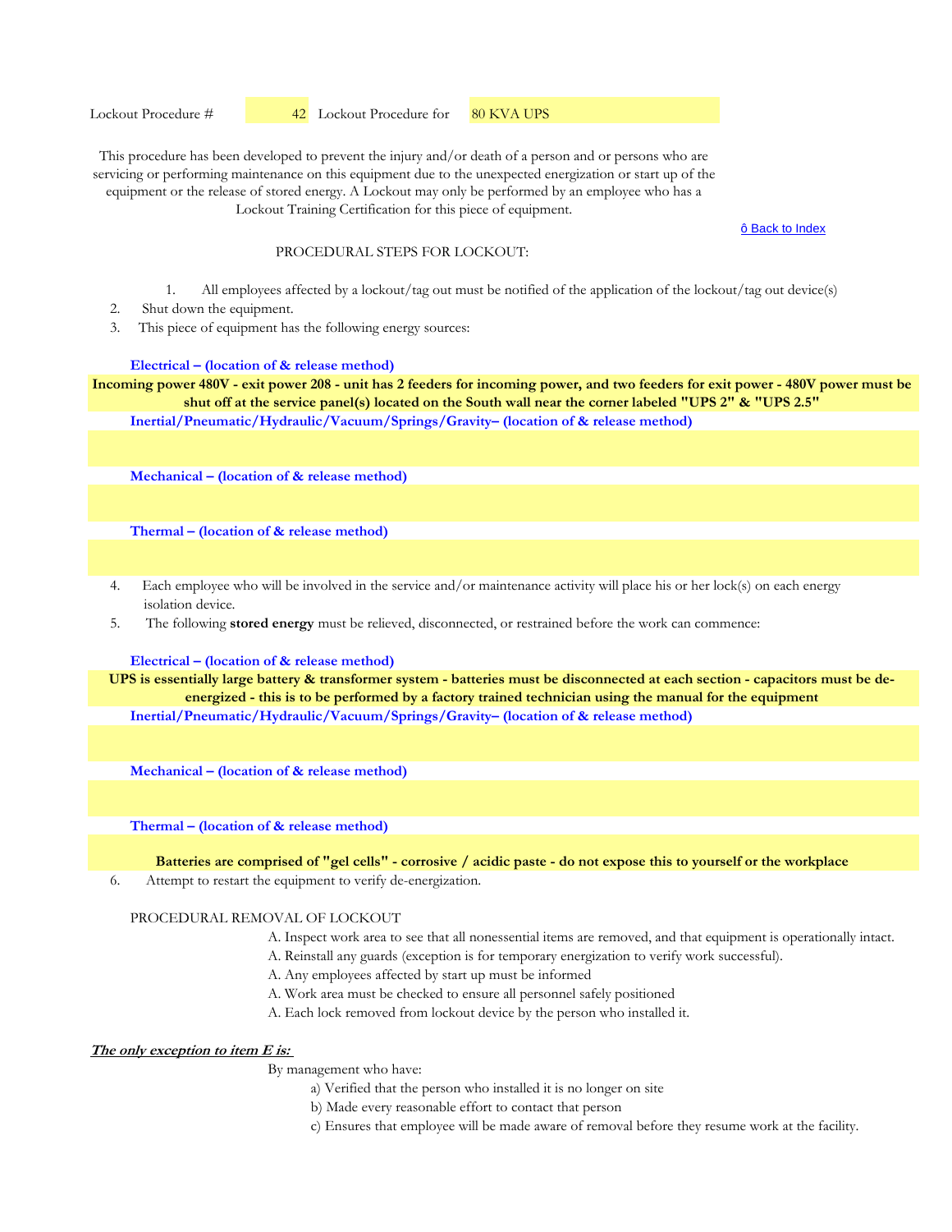Lockout Procedure #  42 Lockout Procedure for 80 KVA UPS

This procedure has been developed to prevent the injury and/or death of a person and or persons who are servicing or performing maintenance on this equipment due to the unexpected energization or start up of the equipment or the release of stored energy. A Lockout may only be performed by an employee who has a Lockout Training Certification for this piece of equipment.

ô Back to Index

## PROCEDURAL STEPS FOR LOCKOUT:

- 1. All employees affected by a lockout/tag out must be notified of the application of the lockout/tag out device(s)
- 2. Shut down the equipment.
- 3. This piece of equipment has the following energy sources:

#### **Electrical – (location of & release method)**

**Inertial/Pneumatic/Hydraulic/Vacuum/Springs/Gravity– (location of & release method) Incoming power 480V - exit power 208 - unit has 2 feeders for incoming power, and two feeders for exit power - 480V power must be shut off at the service panel(s) located on the South wall near the corner labeled "UPS 2" & "UPS 2.5"**

**Mechanical – (location of & release method)** 

**Thermal – (location of & release method)** 

- 4. Each employee who will be involved in the service and/or maintenance activity will place his or her lock(s) on each energy isolation device.
- 5. The following **stored energy** must be relieved, disconnected, or restrained before the work can commence:

#### **Electrical – (location of & release method)**

**UPS is essentially large battery & transformer system - batteries must be disconnected at each section - capacitors must be deenergized - this is to be performed by a factory trained technician using the manual for the equipment**

**Inertial/Pneumatic/Hydraulic/Vacuum/Springs/Gravity– (location of & release method)** 

**Mechanical – (location of & release method)** 

**Thermal – (location of & release method)** 

**Batteries are comprised of "gel cells" - corrosive / acidic paste - do not expose this to yourself or the workplace**

6. Attempt to restart the equipment to verify de-energization.

#### PROCEDURAL REMOVAL OF LOCKOUT

- A. Inspect work area to see that all nonessential items are removed, and that equipment is operationally intact.
- A. Reinstall any guards (exception is for temporary energization to verify work successful).
- A. Any employees affected by start up must be informed
- A. Work area must be checked to ensure all personnel safely positioned
- A. Each lock removed from lockout device by the person who installed it.

# **The only exception to item E is:**

- a) Verified that the person who installed it is no longer on site
- b) Made every reasonable effort to contact that person
- c) Ensures that employee will be made aware of removal before they resume work at the facility.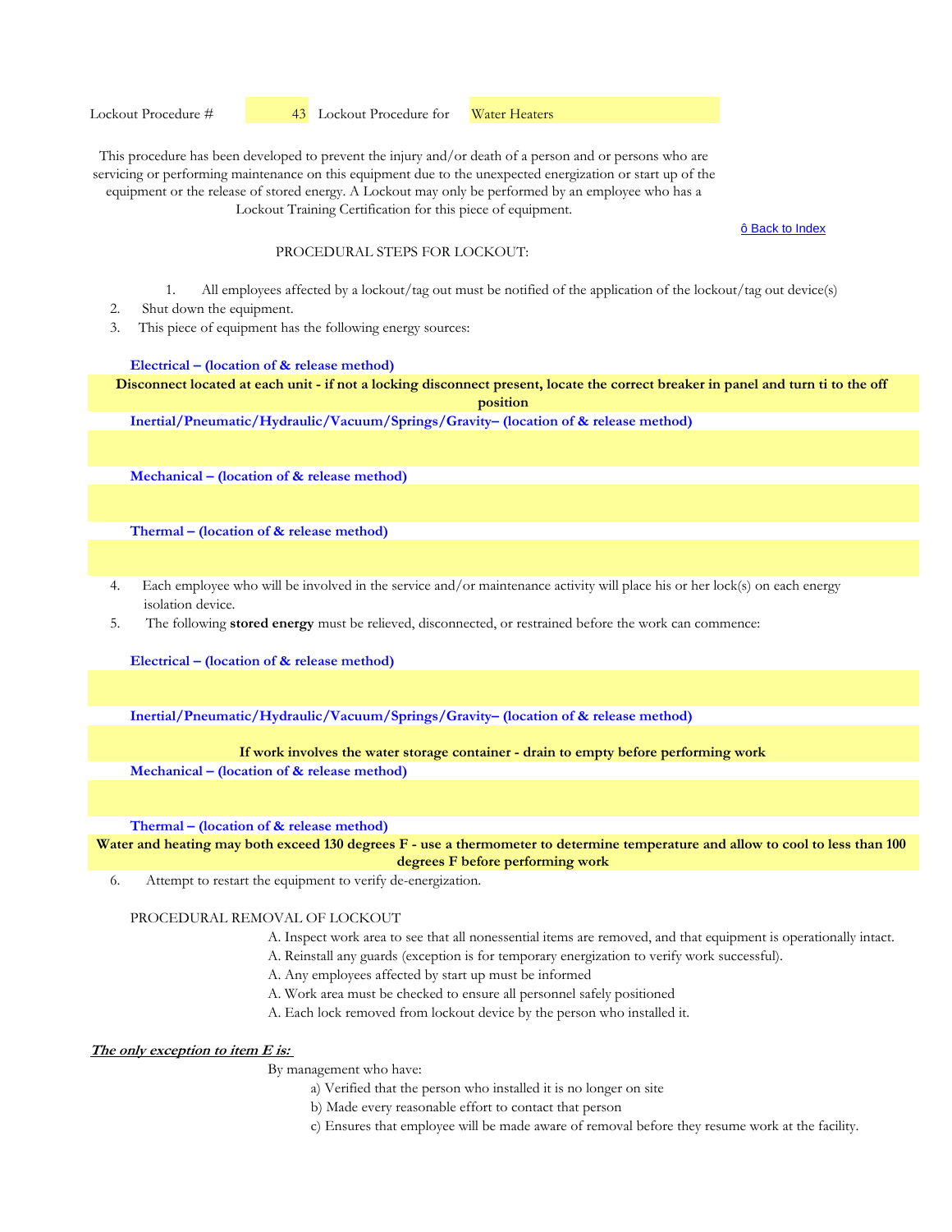ô Back to Index

### PROCEDURAL STEPS FOR LOCKOUT:

- 1. All employees affected by a lockout/tag out must be notified of the application of the lockout/tag out device(s)
- 2. Shut down the equipment.
- 3. This piece of equipment has the following energy sources:

#### **Electrical – (location of & release method)**

**Disconnect located at each unit - if not a locking disconnect present, locate the correct breaker in panel and turn ti to the off position** 

**Inertial/Pneumatic/Hydraulic/Vacuum/Springs/Gravity– (location of & release method)** 

**Mechanical – (location of & release method)** 

**Thermal – (location of & release method)** 

- 4. Each employee who will be involved in the service and/or maintenance activity will place his or her lock(s) on each energy isolation device.
- 5. The following **stored energy** must be relieved, disconnected, or restrained before the work can commence:

**Electrical – (location of & release method)**

**Inertial/Pneumatic/Hydraulic/Vacuum/Springs/Gravity– (location of & release method)** 

# **If work involves the water storage container - drain to empty before performing work**

**Mechanical – (location of & release method)** 

**Thermal – (location of & release method)** 

**Water and heating may both exceed 130 degrees F - use a thermometer to determine temperature and allow to cool to less than 100 degrees F before performing work**

6. Attempt to restart the equipment to verify de-energization.

## PROCEDURAL REMOVAL OF LOCKOUT

- A. Inspect work area to see that all nonessential items are removed, and that equipment is operationally intact.
- A. Reinstall any guards (exception is for temporary energization to verify work successful).
- A. Any employees affected by start up must be informed
- A. Work area must be checked to ensure all personnel safely positioned
- A. Each lock removed from lockout device by the person who installed it.

# **The only exception to item E is:**

- a) Verified that the person who installed it is no longer on site
- b) Made every reasonable effort to contact that person
- c) Ensures that employee will be made aware of removal before they resume work at the facility.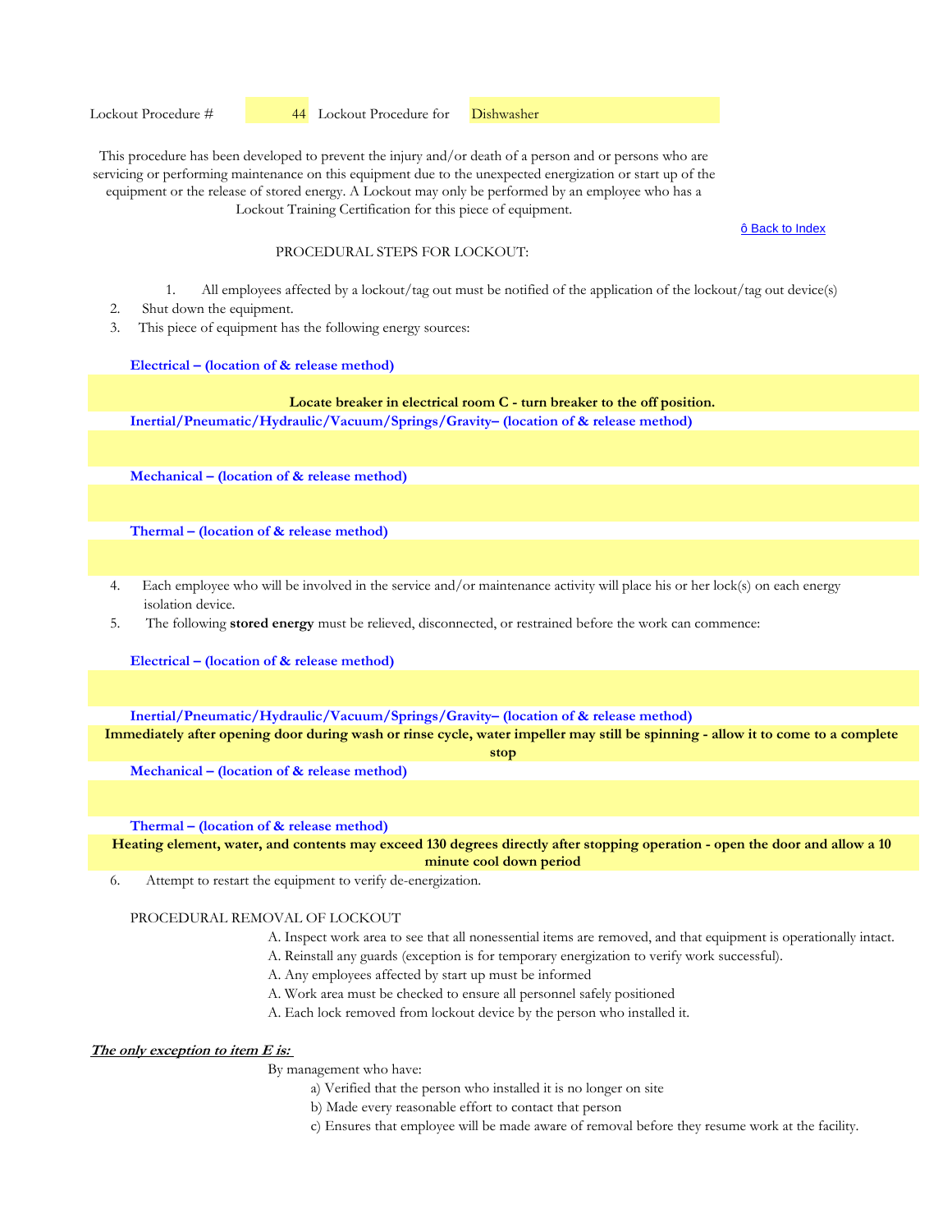ô Back to Index

#### PROCEDURAL STEPS FOR LOCKOUT:

- 1. All employees affected by a lockout/tag out must be notified of the application of the lockout/tag out device(s)
- 2. Shut down the equipment.
- 3. This piece of equipment has the following energy sources:

#### **Electrical – (location of & release method)**

# **Locate breaker in electrical room C - turn breaker to the off position.**

**Inertial/Pneumatic/Hydraulic/Vacuum/Springs/Gravity– (location of & release method)** 

**Mechanical – (location of & release method)** 

**Thermal – (location of & release method)** 

- 4. Each employee who will be involved in the service and/or maintenance activity will place his or her lock(s) on each energy isolation device.
- 5. The following **stored energy** must be relieved, disconnected, or restrained before the work can commence:

**Electrical – (location of & release method)**

**Inertial/Pneumatic/Hydraulic/Vacuum/Springs/Gravity– (location of & release method)** 

**Immediately after opening door during wash or rinse cycle, water impeller may still be spinning - allow it to come to a complete stop**

**Mechanical – (location of & release method)** 

**Thermal – (location of & release method)** 

**Heating element, water, and contents may exceed 130 degrees directly after stopping operation - open the door and allow a 10 minute cool down period** 

6. Attempt to restart the equipment to verify de-energization.

#### PROCEDURAL REMOVAL OF LOCKOUT

- A. Inspect work area to see that all nonessential items are removed, and that equipment is operationally intact.
- A. Reinstall any guards (exception is for temporary energization to verify work successful).
- A. Any employees affected by start up must be informed
- A. Work area must be checked to ensure all personnel safely positioned
- A. Each lock removed from lockout device by the person who installed it.

# **The only exception to item E is:**

- a) Verified that the person who installed it is no longer on site
- b) Made every reasonable effort to contact that person
- c) Ensures that employee will be made aware of removal before they resume work at the facility.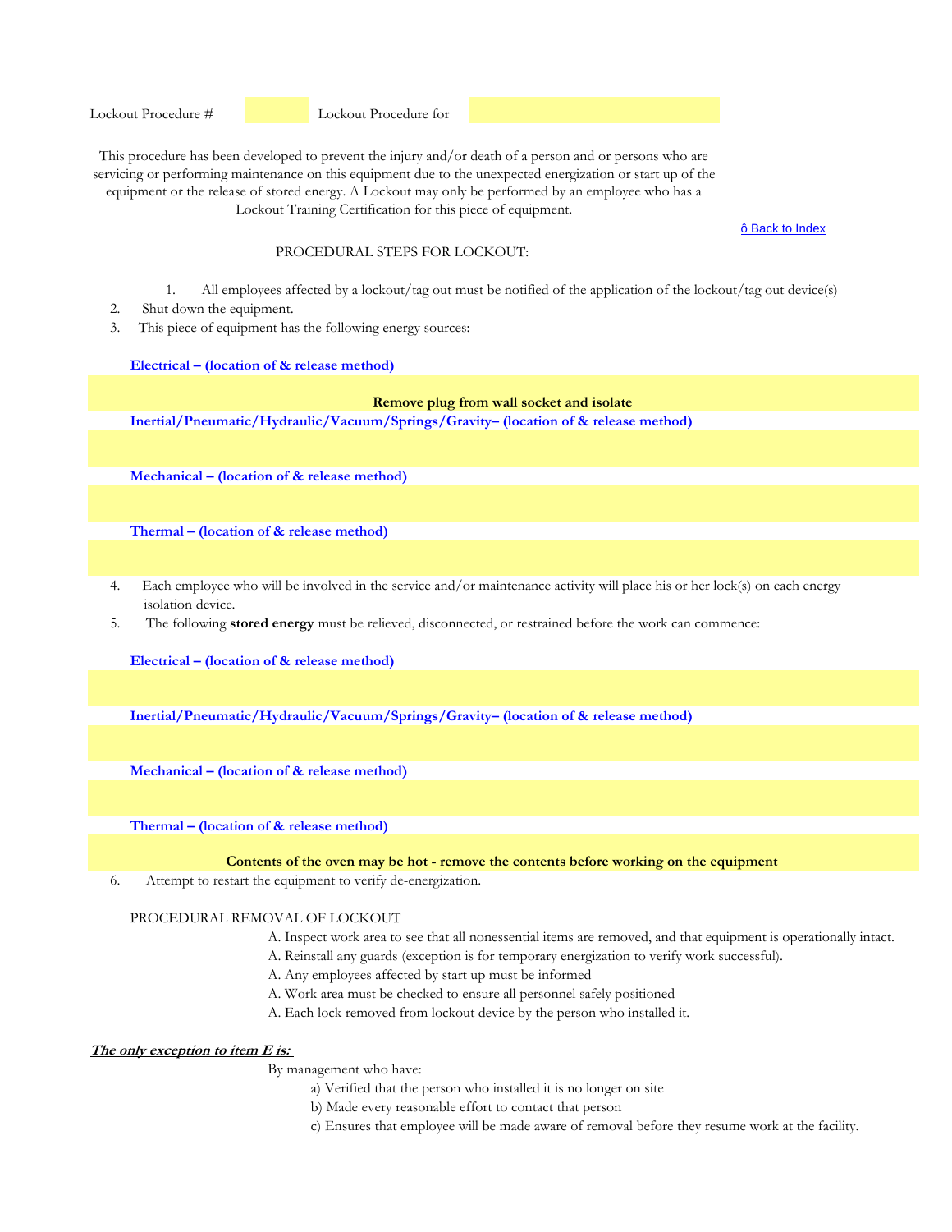Lockout Procedure #  Lockout Procedure for

This procedure has been developed to prevent the injury and/or death of a person and or persons who are servicing or performing maintenance on this equipment due to the unexpected energization or start up of the equipment or the release of stored energy. A Lockout may only be performed by an employee who has a Lockout Training Certification for this piece of equipment.

ô Back to Index

# PROCEDURAL STEPS FOR LOCKOUT:

- 1. All employees affected by a lockout/tag out must be notified of the application of the lockout/tag out device(s)
- 2. Shut down the equipment.
- 3. This piece of equipment has the following energy sources:

## **Electrical – (location of & release method)**

# **Remove plug from wall socket and isolate**

**Inertial/Pneumatic/Hydraulic/Vacuum/Springs/Gravity– (location of & release method)** 

**Mechanical – (location of & release method)** 

**Thermal – (location of & release method)** 

- 4. Each employee who will be involved in the service and/or maintenance activity will place his or her lock(s) on each energy isolation device.
- 5. The following **stored energy** must be relieved, disconnected, or restrained before the work can commence:

**Electrical – (location of & release method)**

**Inertial/Pneumatic/Hydraulic/Vacuum/Springs/Gravity– (location of & release method)** 

**Mechanical – (location of & release method)** 

**Thermal – (location of & release method)** 

#### **Contents of the oven may be hot - remove the contents before working on the equipment**

6. Attempt to restart the equipment to verify de-energization.

#### PROCEDURAL REMOVAL OF LOCKOUT

- A. Inspect work area to see that all nonessential items are removed, and that equipment is operationally intact.
- A. Reinstall any guards (exception is for temporary energization to verify work successful).
- A. Any employees affected by start up must be informed
- A. Work area must be checked to ensure all personnel safely positioned
- A. Each lock removed from lockout device by the person who installed it.

# **The only exception to item E is:**

- a) Verified that the person who installed it is no longer on site
- b) Made every reasonable effort to contact that person
- c) Ensures that employee will be made aware of removal before they resume work at the facility.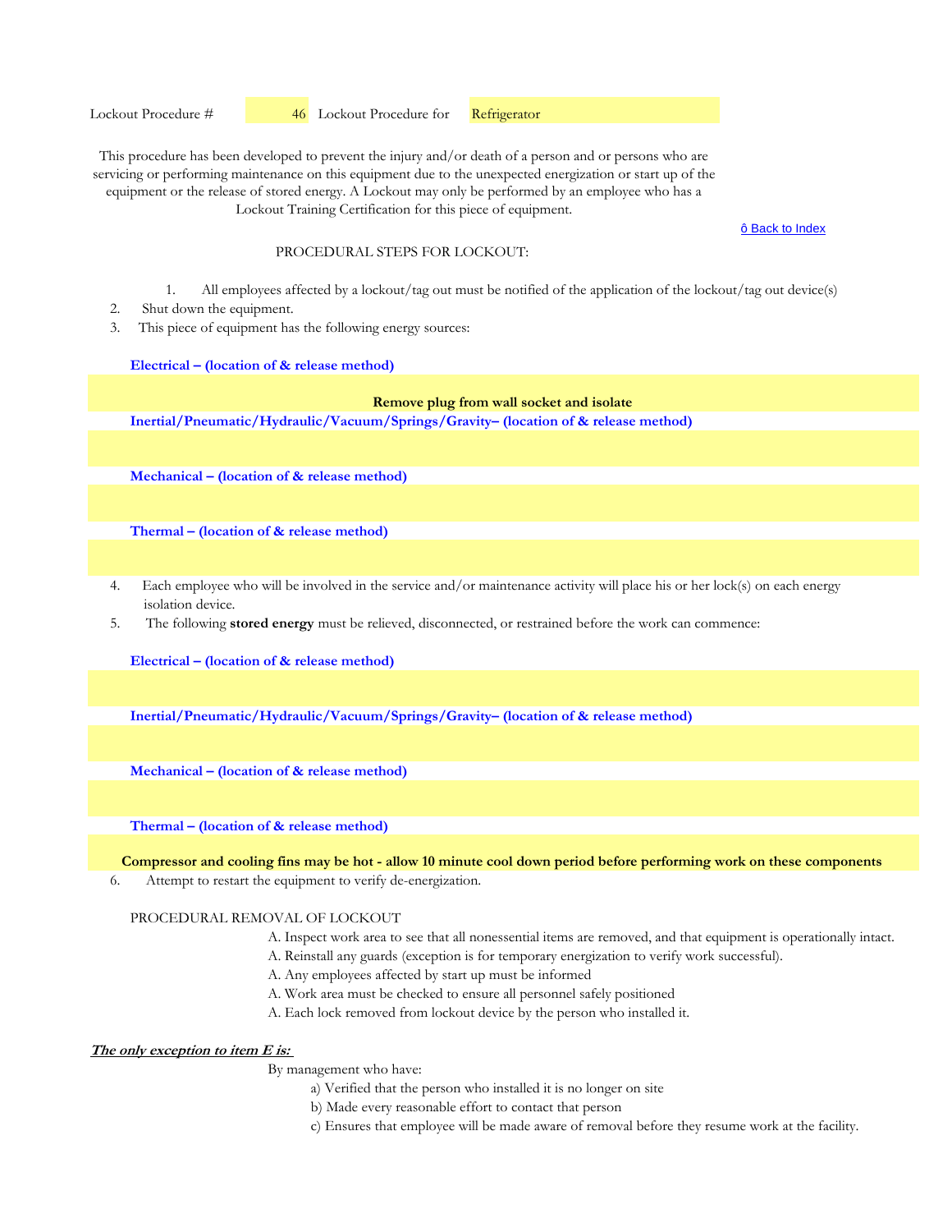ô Back to Index

# PROCEDURAL STEPS FOR LOCKOUT:

- 1. All employees affected by a lockout/tag out must be notified of the application of the lockout/tag out device(s)
- 2. Shut down the equipment.
- 3. This piece of equipment has the following energy sources:

#### **Electrical – (location of & release method)**

# **Remove plug from wall socket and isolate**

**Inertial/Pneumatic/Hydraulic/Vacuum/Springs/Gravity– (location of & release method)** 

**Mechanical – (location of & release method)** 

**Thermal – (location of & release method)** 

- 4. Each employee who will be involved in the service and/or maintenance activity will place his or her lock(s) on each energy isolation device.
- 5. The following **stored energy** must be relieved, disconnected, or restrained before the work can commence:

**Electrical – (location of & release method)**

**Inertial/Pneumatic/Hydraulic/Vacuum/Springs/Gravity– (location of & release method)** 

**Mechanical – (location of & release method)** 

**Thermal – (location of & release method)** 

**Compressor and cooling fins may be hot - allow 10 minute cool down period before performing work on these components**

6. Attempt to restart the equipment to verify de-energization.

## PROCEDURAL REMOVAL OF LOCKOUT

- A. Inspect work area to see that all nonessential items are removed, and that equipment is operationally intact.
- A. Reinstall any guards (exception is for temporary energization to verify work successful).
- A. Any employees affected by start up must be informed
- A. Work area must be checked to ensure all personnel safely positioned
- A. Each lock removed from lockout device by the person who installed it.

# **The only exception to item E is:**

- a) Verified that the person who installed it is no longer on site
- b) Made every reasonable effort to contact that person
- c) Ensures that employee will be made aware of removal before they resume work at the facility.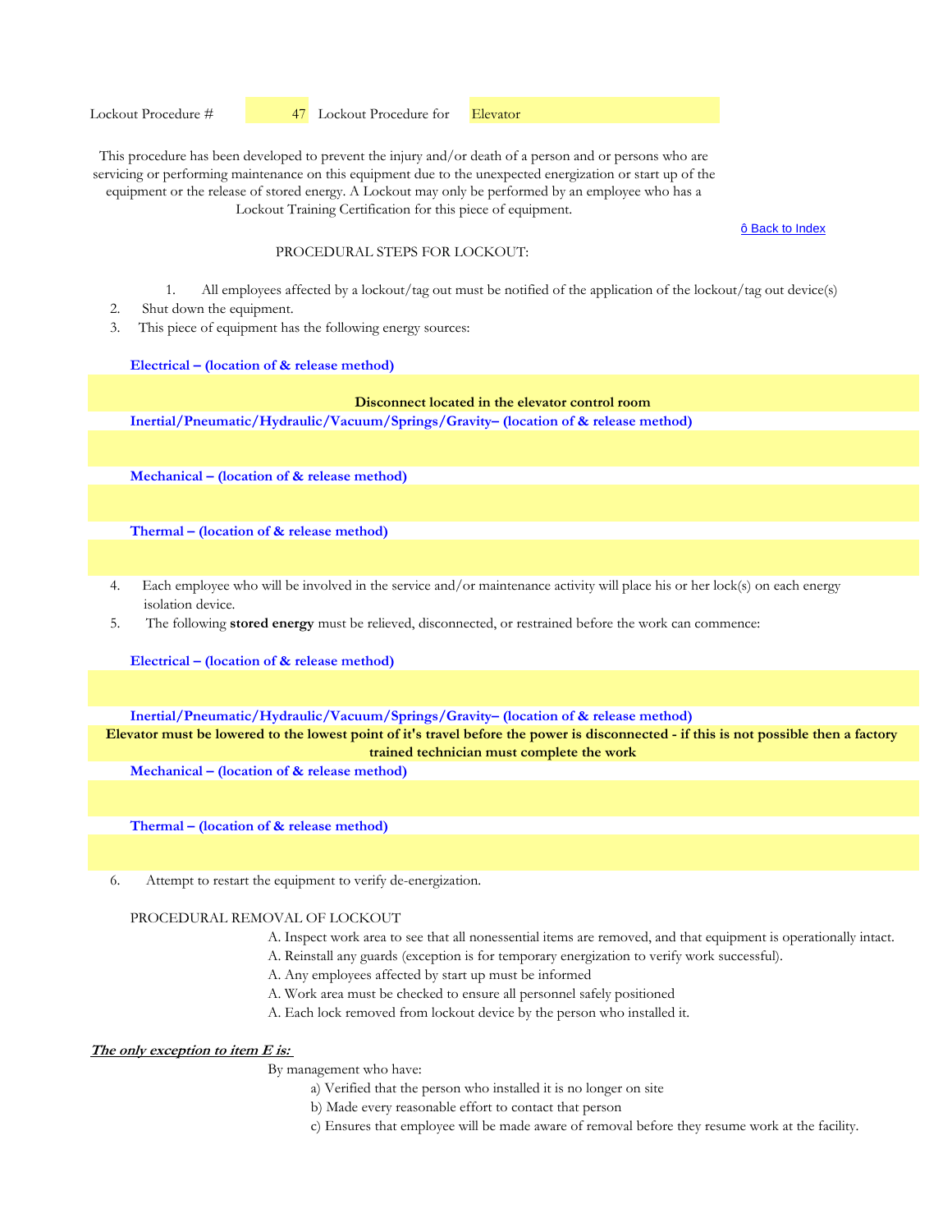ô Back to Index

## PROCEDURAL STEPS FOR LOCKOUT:

- 1. All employees affected by a lockout/tag out must be notified of the application of the lockout/tag out device(s)
- 2. Shut down the equipment.
- 3. This piece of equipment has the following energy sources:

#### **Electrical – (location of & release method)**

# **Disconnect located in the elevator control room**

**Inertial/Pneumatic/Hydraulic/Vacuum/Springs/Gravity– (location of & release method)** 

**Mechanical – (location of & release method)** 

**Thermal – (location of & release method)** 

- 4. Each employee who will be involved in the service and/or maintenance activity will place his or her lock(s) on each energy isolation device.
- 5. The following **stored energy** must be relieved, disconnected, or restrained before the work can commence:

**Electrical – (location of & release method)**

**Inertial/Pneumatic/Hydraulic/Vacuum/Springs/Gravity– (location of & release method)** 

**Elevator must be lowered to the lowest point of it's travel before the power is disconnected - if this is not possible then a factory trained technician must complete the work**

**Mechanical – (location of & release method)** 

**Thermal – (location of & release method)** 

6. Attempt to restart the equipment to verify de-energization.

#### PROCEDURAL REMOVAL OF LOCKOUT

- A. Inspect work area to see that all nonessential items are removed, and that equipment is operationally intact.
- A. Reinstall any guards (exception is for temporary energization to verify work successful).
- A. Any employees affected by start up must be informed
- A. Work area must be checked to ensure all personnel safely positioned
- A. Each lock removed from lockout device by the person who installed it.

# **The only exception to item E is:**

- a) Verified that the person who installed it is no longer on site
- b) Made every reasonable effort to contact that person
- c) Ensures that employee will be made aware of removal before they resume work at the facility.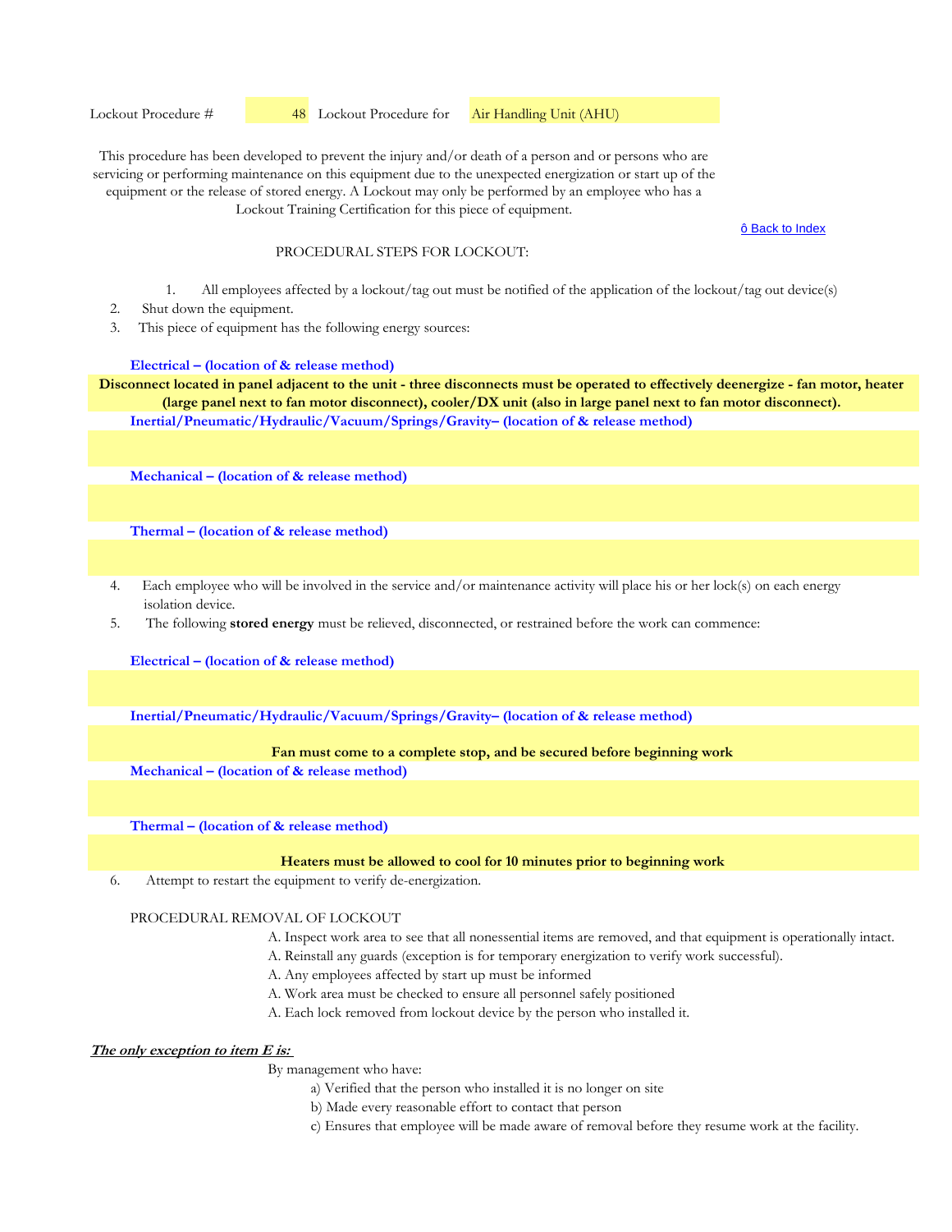Lockout Procedure # **48** Lockout Procedure for **Air Handling Unit (AHU)** 

This procedure has been developed to prevent the injury and/or death of a person and or persons who are servicing or performing maintenance on this equipment due to the unexpected energization or start up of the equipment or the release of stored energy. A Lockout may only be performed by an employee who has a Lockout Training Certification for this piece of equipment.

ô Back to Index

## PROCEDURAL STEPS FOR LOCKOUT:

- 1. All employees affected by a lockout/tag out must be notified of the application of the lockout/tag out device(s)
- 2. Shut down the equipment.
- 3. This piece of equipment has the following energy sources:

## **Electrical – (location of & release method)**

**Inertial/Pneumatic/Hydraulic/Vacuum/Springs/Gravity– (location of & release method) Disconnect located in panel adjacent to the unit - three disconnects must be operated to effectively deenergize - fan motor, heater (large panel next to fan motor disconnect), cooler/DX unit (also in large panel next to fan motor disconnect).**

**Mechanical – (location of & release method)** 

**Thermal – (location of & release method)** 

- 4. Each employee who will be involved in the service and/or maintenance activity will place his or her lock(s) on each energy isolation device.
- 5. The following **stored energy** must be relieved, disconnected, or restrained before the work can commence:

**Electrical – (location of & release method)**

**Inertial/Pneumatic/Hydraulic/Vacuum/Springs/Gravity– (location of & release method)** 

# **Fan must come to a complete stop, and be secured before beginning work**

**Mechanical – (location of & release method)** 

**Thermal – (location of & release method)** 

#### **Heaters must be allowed to cool for 10 minutes prior to beginning work**

6. Attempt to restart the equipment to verify de-energization.

## PROCEDURAL REMOVAL OF LOCKOUT

- A. Inspect work area to see that all nonessential items are removed, and that equipment is operationally intact.
- A. Reinstall any guards (exception is for temporary energization to verify work successful).
- A. Any employees affected by start up must be informed
- A. Work area must be checked to ensure all personnel safely positioned
- A. Each lock removed from lockout device by the person who installed it.

# **The only exception to item E is:**

- a) Verified that the person who installed it is no longer on site
- b) Made every reasonable effort to contact that person
- c) Ensures that employee will be made aware of removal before they resume work at the facility.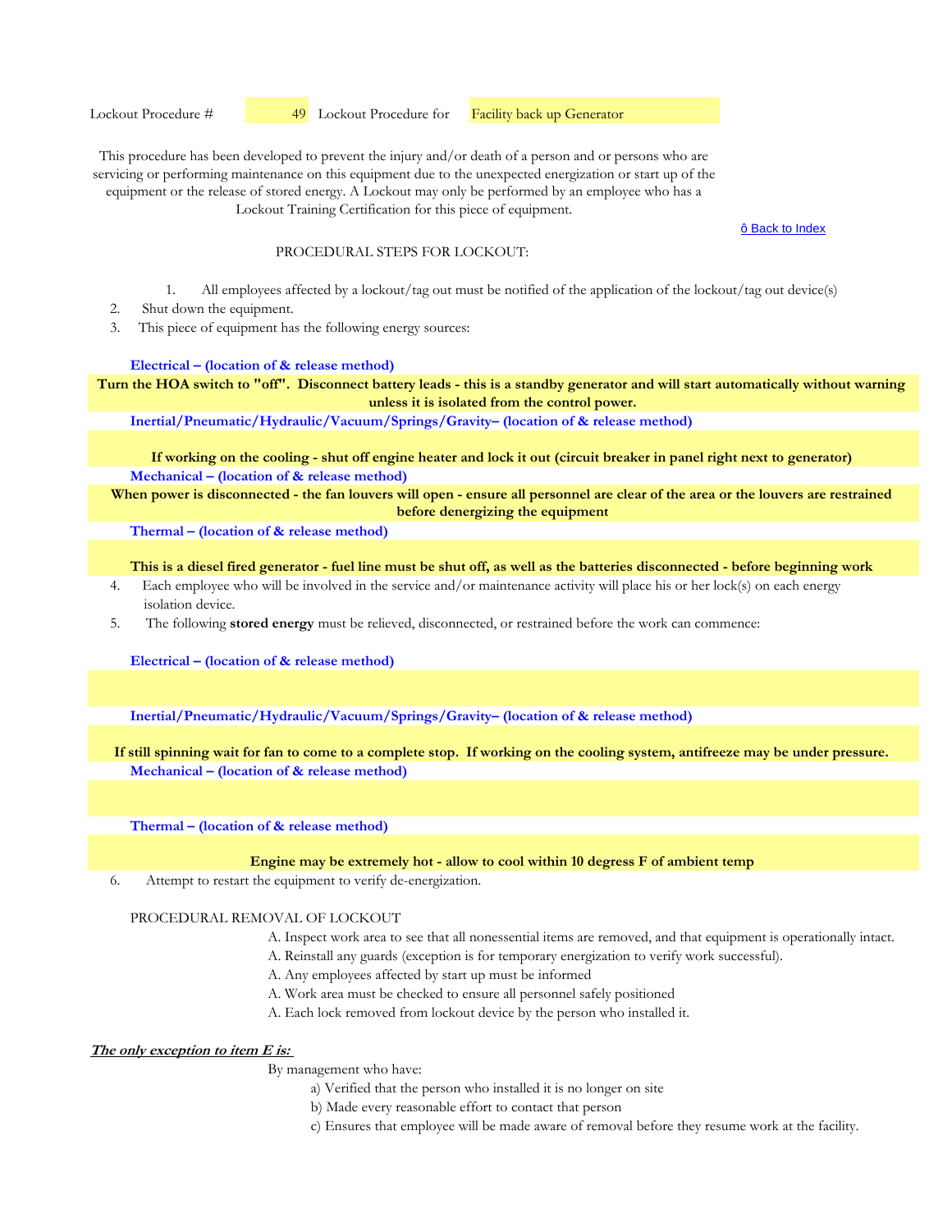Lockout Procedure # **49** Lockout Procedure for **Facility back up Generator** 

This procedure has been developed to prevent the injury and/or death of a person and or persons who are servicing or performing maintenance on this equipment due to the unexpected energization or start up of the equipment or the release of stored energy. A Lockout may only be performed by an employee who has a

Lockout Training Certification for this piece of equipment.

#### ô Back to Index

# PROCEDURAL STEPS FOR LOCKOUT:

- 1. All employees affected by a lockout/tag out must be notified of the application of the lockout/tag out device(s)
- 2. Shut down the equipment.
- 3. This piece of equipment has the following energy sources:

## **Electrical – (location of & release method)**

**Turn the HOA switch to "off". Disconnect battery leads - this is a standby generator and will start automatically without warning unless it is isolated from the control power.**

**Inertial/Pneumatic/Hydraulic/Vacuum/Springs/Gravity– (location of & release method)** 

**Mechanical – (location of & release method) If working on the cooling - shut off engine heater and lock it out (circuit breaker in panel right next to generator)**

When power is disconnected - the fan louvers will open - ensure all personnel are clear of the area or the louvers are restrained **before denergizing the equipment**

**Thermal – (location of & release method)** 

**This is a diesel fired generator - fuel line must be shut off, as well as the batteries disconnected - before beginning work**

- 4. Each employee who will be involved in the service and/or maintenance activity will place his or her lock(s) on each energy isolation device.
- 5. The following **stored energy** must be relieved, disconnected, or restrained before the work can commence:

**Electrical – (location of & release method)**

**Inertial/Pneumatic/Hydraulic/Vacuum/Springs/Gravity– (location of & release method)** 

**Mechanical – (location of & release method) If still spinning wait for fan to come to a complete stop. If working on the cooling system, antifreeze may be under pressure.**

**Thermal – (location of & release method)** 

#### **Engine may be extremely hot - allow to cool within 10 degress F of ambient temp**

6. Attempt to restart the equipment to verify de-energization.

## PROCEDURAL REMOVAL OF LOCKOUT

- A. Inspect work area to see that all nonessential items are removed, and that equipment is operationally intact.
- A. Reinstall any guards (exception is for temporary energization to verify work successful).
- A. Any employees affected by start up must be informed
- A. Work area must be checked to ensure all personnel safely positioned
- A. Each lock removed from lockout device by the person who installed it.

# **The only exception to item E is:**

- a) Verified that the person who installed it is no longer on site
- b) Made every reasonable effort to contact that person
- c) Ensures that employee will be made aware of removal before they resume work at the facility.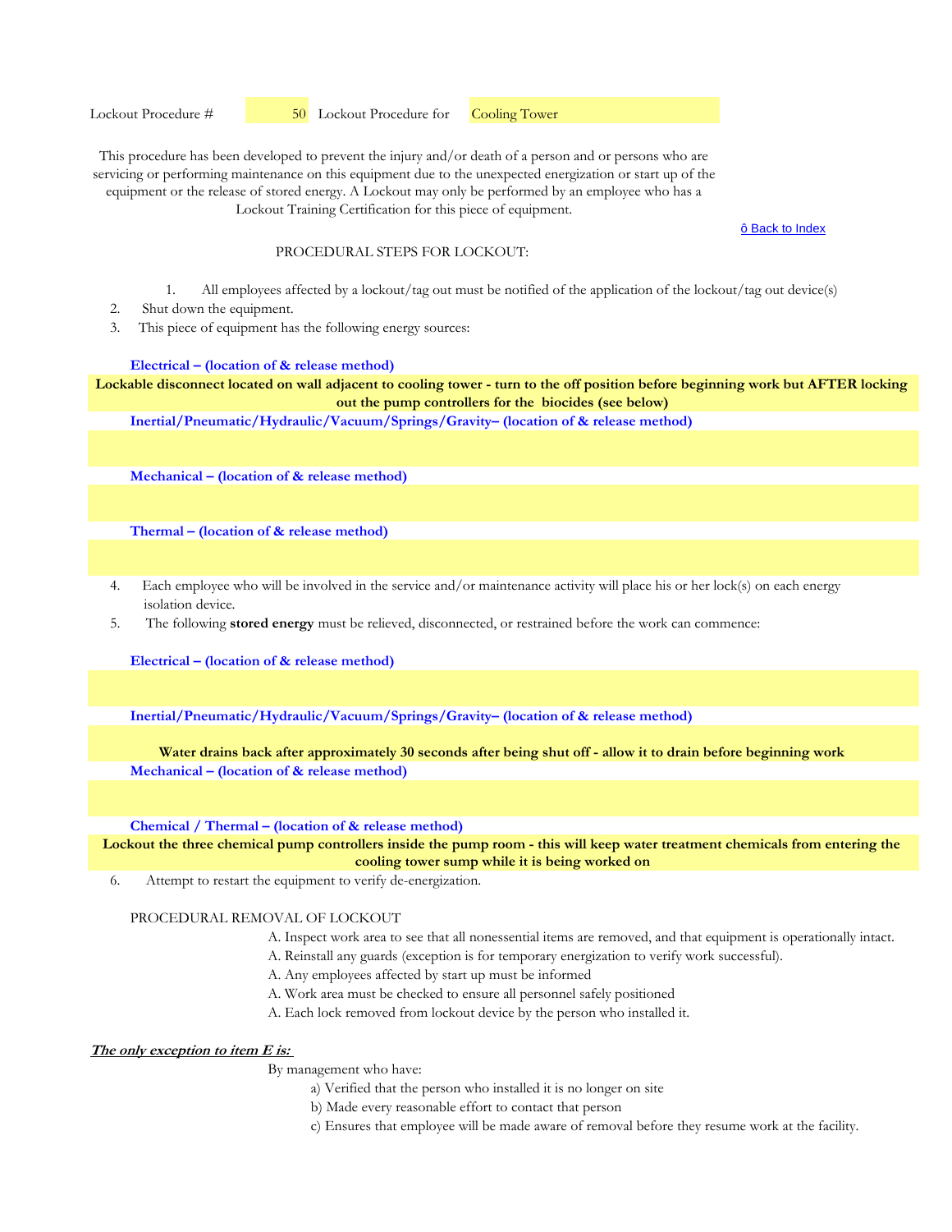Lockout Procedure #  50 Lockout Procedure for Cooling Tower

This procedure has been developed to prevent the injury and/or death of a person and or persons who are servicing or performing maintenance on this equipment due to the unexpected energization or start up of the equipment or the release of stored energy. A Lockout may only be performed by an employee who has a Lockout Training Certification for this piece of equipment.

ô Back to Index

## PROCEDURAL STEPS FOR LOCKOUT:

- 1. All employees affected by a lockout/tag out must be notified of the application of the lockout/tag out device(s)
- 2. Shut down the equipment.
- 3. This piece of equipment has the following energy sources:

#### **Electrical – (location of & release method)**

**Lockable disconnect located on wall adjacent to cooling tower - turn to the off position before beginning work but AFTER locking out the pump controllers for the biocides (see below)**

**Inertial/Pneumatic/Hydraulic/Vacuum/Springs/Gravity– (location of & release method)** 

**Mechanical – (location of & release method)** 

**Thermal – (location of & release method)** 

- 4. Each employee who will be involved in the service and/or maintenance activity will place his or her lock(s) on each energy isolation device.
- 5. The following **stored energy** must be relieved, disconnected, or restrained before the work can commence:

**Electrical – (location of & release method)**

**Inertial/Pneumatic/Hydraulic/Vacuum/Springs/Gravity– (location of & release method)** 

## **Water drains back after approximately 30 seconds after being shut off - allow it to drain before beginning work**

**Mechanical – (location of & release method)** 

**Chemical / Thermal – (location of & release method)** 

**Lockout the three chemical pump controllers inside the pump room - this will keep water treatment chemicals from entering the cooling tower sump while it is being worked on**

6. Attempt to restart the equipment to verify de-energization.

## PROCEDURAL REMOVAL OF LOCKOUT

- A. Inspect work area to see that all nonessential items are removed, and that equipment is operationally intact.
- A. Reinstall any guards (exception is for temporary energization to verify work successful).
- A. Any employees affected by start up must be informed
- A. Work area must be checked to ensure all personnel safely positioned
- A. Each lock removed from lockout device by the person who installed it.

# **The only exception to item E is:**

- a) Verified that the person who installed it is no longer on site
- b) Made every reasonable effort to contact that person
- c) Ensures that employee will be made aware of removal before they resume work at the facility.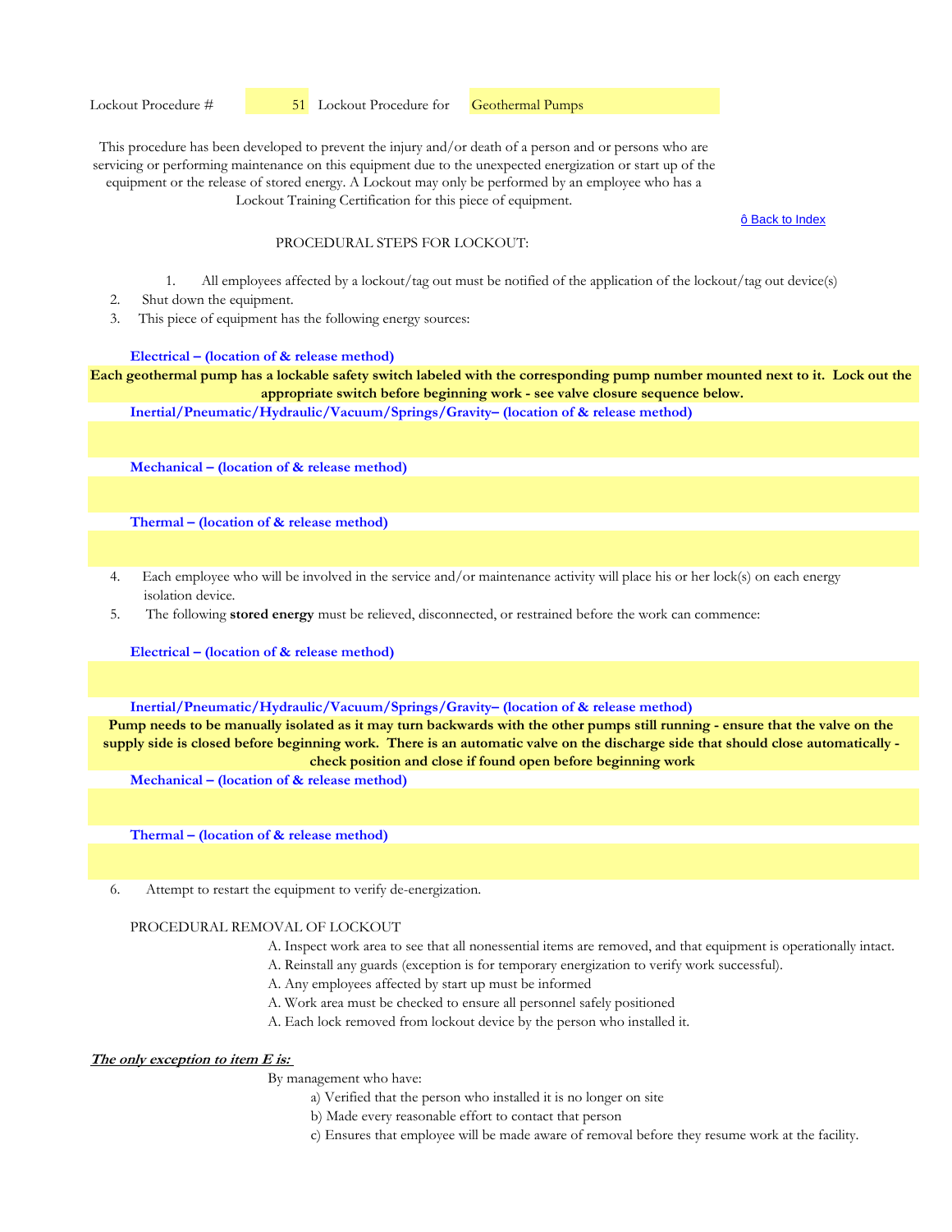Lockout Training Certification for this piece of equipment.

ô Back to Index

## PROCEDURAL STEPS FOR LOCKOUT:

- 1. All employees affected by a lockout/tag out must be notified of the application of the lockout/tag out device(s)
- 2. Shut down the equipment.
- 3. This piece of equipment has the following energy sources:

## **Electrical – (location of & release method)**

**Each geothermal pump has a lockable safety switch labeled with the corresponding pump number mounted next to it. Lock out the appropriate switch before beginning work - see valve closure sequence below.**

**Inertial/Pneumatic/Hydraulic/Vacuum/Springs/Gravity– (location of & release method)** 

**Mechanical – (location of & release method)** 

**Thermal – (location of & release method)** 

- 4. Each employee who will be involved in the service and/or maintenance activity will place his or her lock(s) on each energy isolation device.
- 5. The following **stored energy** must be relieved, disconnected, or restrained before the work can commence:

**Electrical – (location of & release method)**

**Inertial/Pneumatic/Hydraulic/Vacuum/Springs/Gravity– (location of & release method)** 

**Pump needs to be manually isolated as it may turn backwards with the other pumps still running - ensure that the valve on the supply side is closed before beginning work. There is an automatic valve on the discharge side that should close automatically check position and close if found open before beginning work**

**Mechanical – (location of & release method)** 

**Thermal – (location of & release method)** 

6. Attempt to restart the equipment to verify de-energization.

#### PROCEDURAL REMOVAL OF LOCKOUT

- A. Inspect work area to see that all nonessential items are removed, and that equipment is operationally intact.
- A. Reinstall any guards (exception is for temporary energization to verify work successful).
- A. Any employees affected by start up must be informed
- A. Work area must be checked to ensure all personnel safely positioned
- A. Each lock removed from lockout device by the person who installed it.

# **The only exception to item E is:**

- a) Verified that the person who installed it is no longer on site
- b) Made every reasonable effort to contact that person
- c) Ensures that employee will be made aware of removal before they resume work at the facility.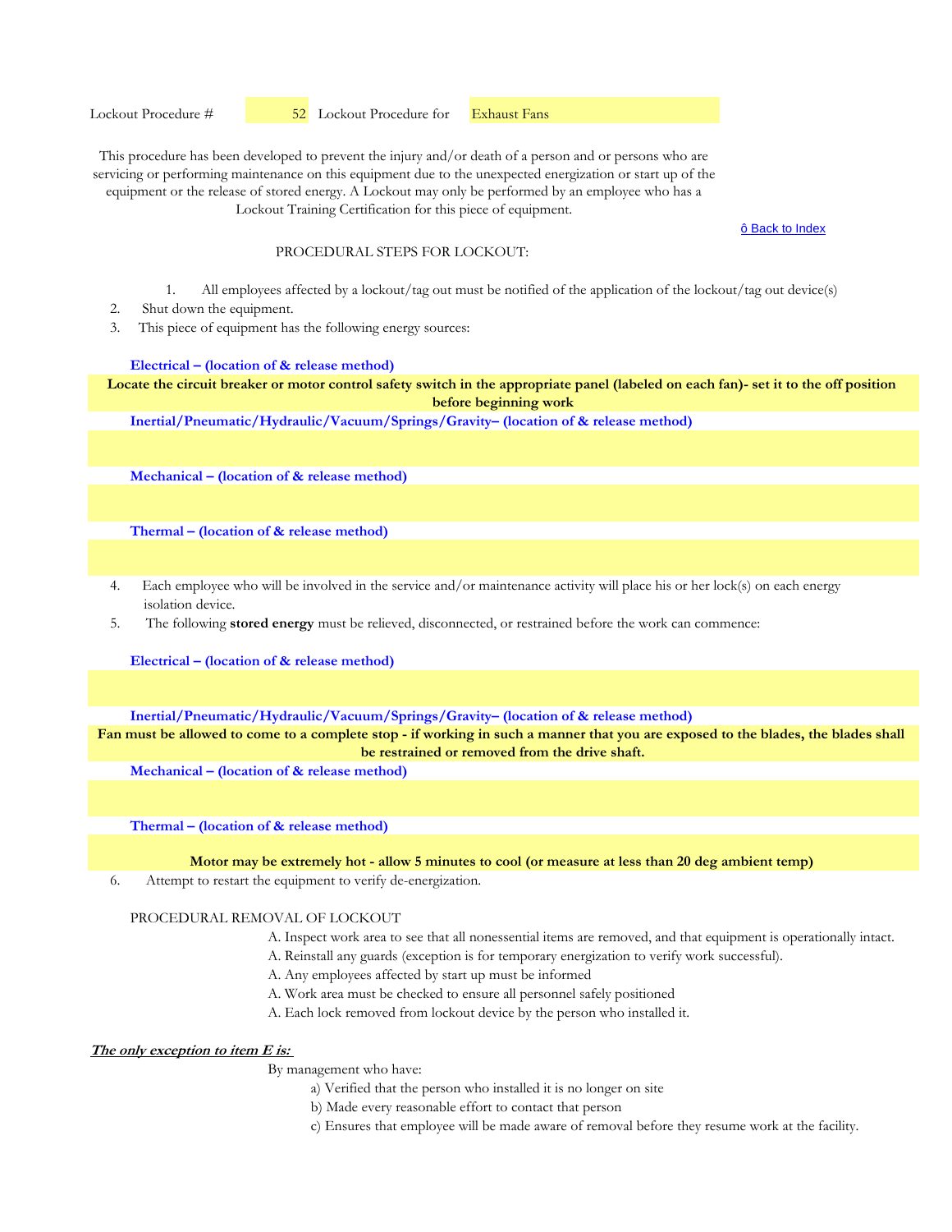Lockout Procedure #  52 Lockout Procedure for Exhaust Fans

This procedure has been developed to prevent the injury and/or death of a person and or persons who are servicing or performing maintenance on this equipment due to the unexpected energization or start up of the equipment or the release of stored energy. A Lockout may only be performed by an employee who has a Lockout Training Certification for this piece of equipment.

ô Back to Index

# PROCEDURAL STEPS FOR LOCKOUT:

- 1. All employees affected by a lockout/tag out must be notified of the application of the lockout/tag out device(s)
- 2. Shut down the equipment.
- 3. This piece of equipment has the following energy sources:

#### **Electrical – (location of & release method)**

**Locate the circuit breaker or motor control safety switch in the appropriate panel (labeled on each fan)- set it to the off position before beginning work**

**Inertial/Pneumatic/Hydraulic/Vacuum/Springs/Gravity– (location of & release method)** 

**Mechanical – (location of & release method)** 

**Thermal – (location of & release method)** 

- 4. Each employee who will be involved in the service and/or maintenance activity will place his or her lock(s) on each energy isolation device.
- 5. The following **stored energy** must be relieved, disconnected, or restrained before the work can commence:

**Electrical – (location of & release method)**

**Inertial/Pneumatic/Hydraulic/Vacuum/Springs/Gravity– (location of & release method)** 

**Fan must be allowed to come to a complete stop - if working in such a manner that you are exposed to the blades, the blades shall be restrained or removed from the drive shaft.**

**Mechanical – (location of & release method)** 

**Thermal – (location of & release method)** 

**Motor may be extremely hot - allow 5 minutes to cool (or measure at less than 20 deg ambient temp)**

6. Attempt to restart the equipment to verify de-energization.

# PROCEDURAL REMOVAL OF LOCKOUT

- A. Inspect work area to see that all nonessential items are removed, and that equipment is operationally intact.
- A. Reinstall any guards (exception is for temporary energization to verify work successful).
- A. Any employees affected by start up must be informed
- A. Work area must be checked to ensure all personnel safely positioned
- A. Each lock removed from lockout device by the person who installed it.

# **The only exception to item E is:**

- a) Verified that the person who installed it is no longer on site
- b) Made every reasonable effort to contact that person
- c) Ensures that employee will be made aware of removal before they resume work at the facility.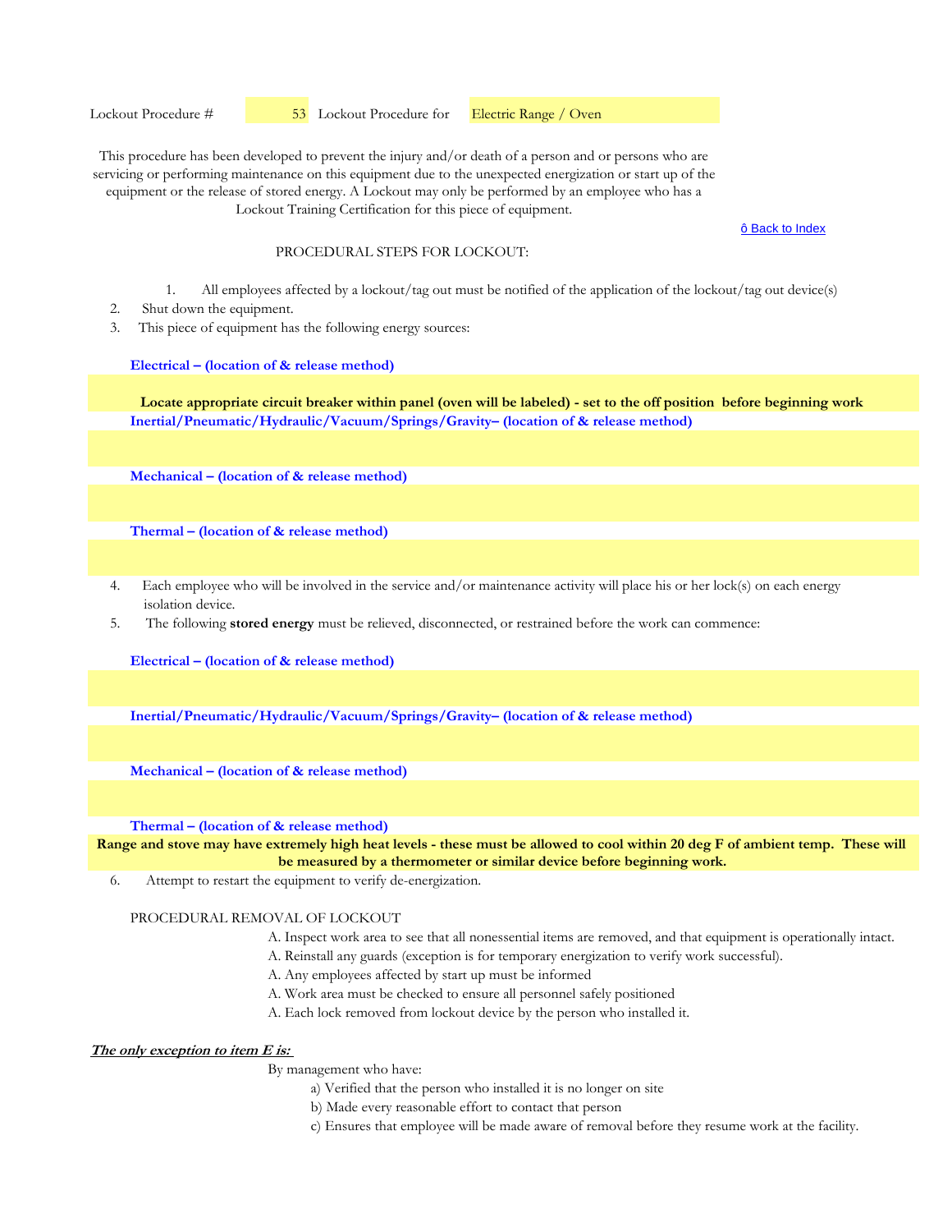ô Back to Index

# PROCEDURAL STEPS FOR LOCKOUT:

- 1. All employees affected by a lockout/tag out must be notified of the application of the lockout/tag out device(s)
- 2. Shut down the equipment.
- 3. This piece of equipment has the following energy sources:

## **Electrical – (location of & release method)**

**Inertial/Pneumatic/Hydraulic/Vacuum/Springs/Gravity– (location of & release method) Locate appropriate circuit breaker within panel (oven will be labeled) - set to the off position before beginning work**

**Mechanical – (location of & release method)** 

**Thermal – (location of & release method)** 

- 4. Each employee who will be involved in the service and/or maintenance activity will place his or her lock(s) on each energy isolation device.
- 5. The following **stored energy** must be relieved, disconnected, or restrained before the work can commence:

**Electrical – (location of & release method)**

**Inertial/Pneumatic/Hydraulic/Vacuum/Springs/Gravity– (location of & release method)** 

**Mechanical – (location of & release method)** 

**Thermal – (location of & release method)** 

**Range and stove may have extremely high heat levels - these must be allowed to cool within 20 deg F of ambient temp. These will be measured by a thermometer or similar device before beginning work.**

6. Attempt to restart the equipment to verify de-energization.

#### PROCEDURAL REMOVAL OF LOCKOUT

- A. Inspect work area to see that all nonessential items are removed, and that equipment is operationally intact.
- A. Reinstall any guards (exception is for temporary energization to verify work successful).
- A. Any employees affected by start up must be informed
- A. Work area must be checked to ensure all personnel safely positioned
- A. Each lock removed from lockout device by the person who installed it.

# **The only exception to item E is:**

- a) Verified that the person who installed it is no longer on site
- b) Made every reasonable effort to contact that person
- c) Ensures that employee will be made aware of removal before they resume work at the facility.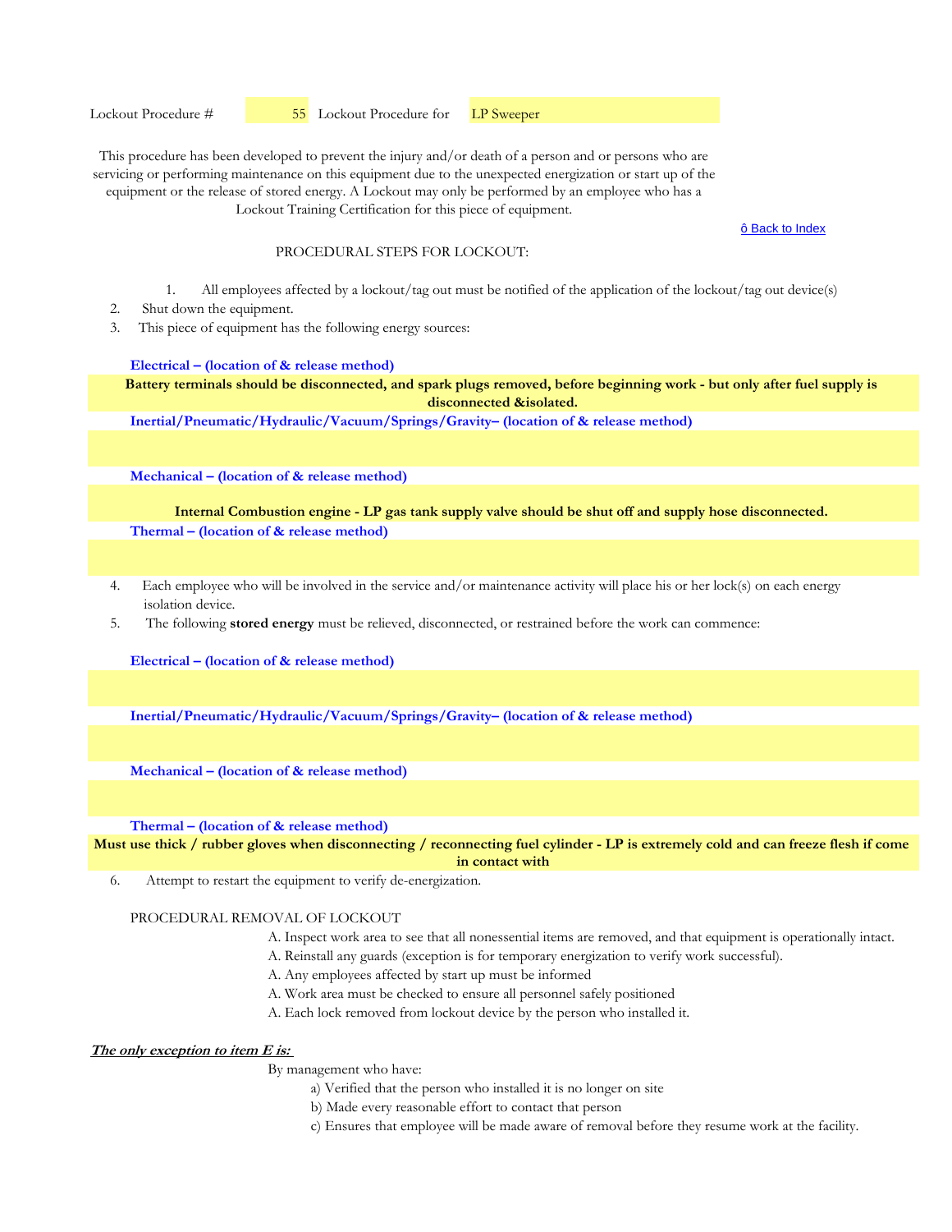ô Back to Index

## PROCEDURAL STEPS FOR LOCKOUT:

- 1. All employees affected by a lockout/tag out must be notified of the application of the lockout/tag out device(s)
- 2. Shut down the equipment.
- 3. This piece of equipment has the following energy sources:

## **Electrical – (location of & release method)**

**Battery terminals should be disconnected, and spark plugs removed, before beginning work - but only after fuel supply is disconnected &isolated.**

**Inertial/Pneumatic/Hydraulic/Vacuum/Springs/Gravity– (location of & release method)** 

**Mechanical – (location of & release method)** 

**Thermal – (location of & release method) Internal Combustion engine - LP gas tank supply valve should be shut off and supply hose disconnected.**

- 4. Each employee who will be involved in the service and/or maintenance activity will place his or her lock(s) on each energy isolation device.
- 5. The following **stored energy** must be relieved, disconnected, or restrained before the work can commence:

**Electrical – (location of & release method)**

**Inertial/Pneumatic/Hydraulic/Vacuum/Springs/Gravity– (location of & release method)** 

**Mechanical – (location of & release method)** 

**Thermal – (location of & release method)** 

**Must use thick / rubber gloves when disconnecting / reconnecting fuel cylinder - LP is extremely cold and can freeze flesh if come in contact with** 

6. Attempt to restart the equipment to verify de-energization.

# PROCEDURAL REMOVAL OF LOCKOUT

- A. Inspect work area to see that all nonessential items are removed, and that equipment is operationally intact.
- A. Reinstall any guards (exception is for temporary energization to verify work successful).
- A. Any employees affected by start up must be informed
- A. Work area must be checked to ensure all personnel safely positioned
- A. Each lock removed from lockout device by the person who installed it.

# **The only exception to item E is:**

- a) Verified that the person who installed it is no longer on site
- b) Made every reasonable effort to contact that person
- c) Ensures that employee will be made aware of removal before they resume work at the facility.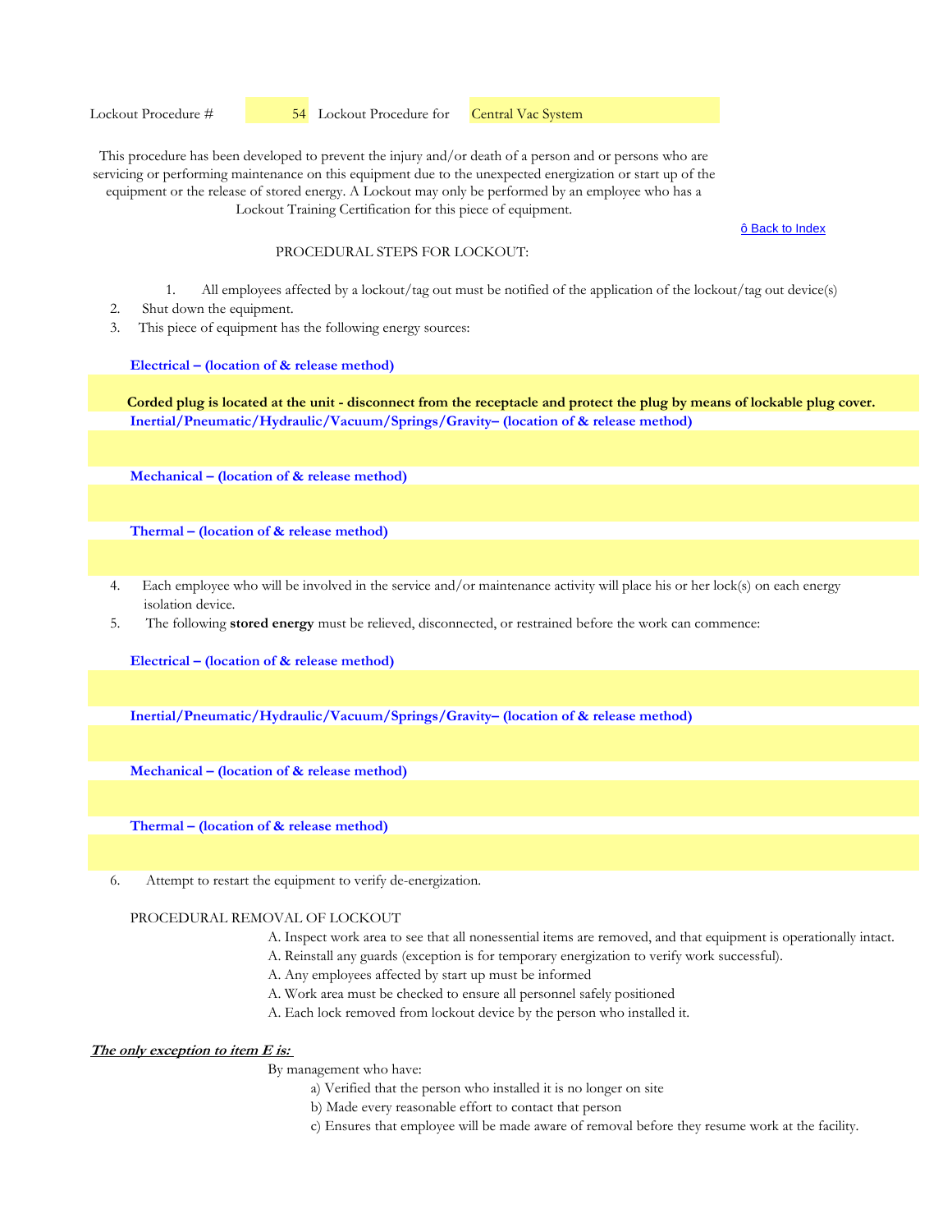ô Back to Index

## PROCEDURAL STEPS FOR LOCKOUT:

- 1. All employees affected by a lockout/tag out must be notified of the application of the lockout/tag out device(s)
- 2. Shut down the equipment.
- 3. This piece of equipment has the following energy sources:

## **Electrical – (location of & release method)**

**Inertial/Pneumatic/Hydraulic/Vacuum/Springs/Gravity– (location of & release method) Corded plug is located at the unit - disconnect from the receptacle and protect the plug by means of lockable plug cover.**

**Mechanical – (location of & release method)** 

**Thermal – (location of & release method)** 

- 4. Each employee who will be involved in the service and/or maintenance activity will place his or her lock(s) on each energy isolation device.
- 5. The following **stored energy** must be relieved, disconnected, or restrained before the work can commence:

**Electrical – (location of & release method)**

**Inertial/Pneumatic/Hydraulic/Vacuum/Springs/Gravity– (location of & release method)** 

**Mechanical – (location of & release method)** 

**Thermal – (location of & release method)** 

6. Attempt to restart the equipment to verify de-energization.

#### PROCEDURAL REMOVAL OF LOCKOUT

- A. Inspect work area to see that all nonessential items are removed, and that equipment is operationally intact.
- A. Reinstall any guards (exception is for temporary energization to verify work successful).
- A. Any employees affected by start up must be informed
- A. Work area must be checked to ensure all personnel safely positioned
- A. Each lock removed from lockout device by the person who installed it.

# **The only exception to item E is:**

- a) Verified that the person who installed it is no longer on site
- b) Made every reasonable effort to contact that person
- c) Ensures that employee will be made aware of removal before they resume work at the facility.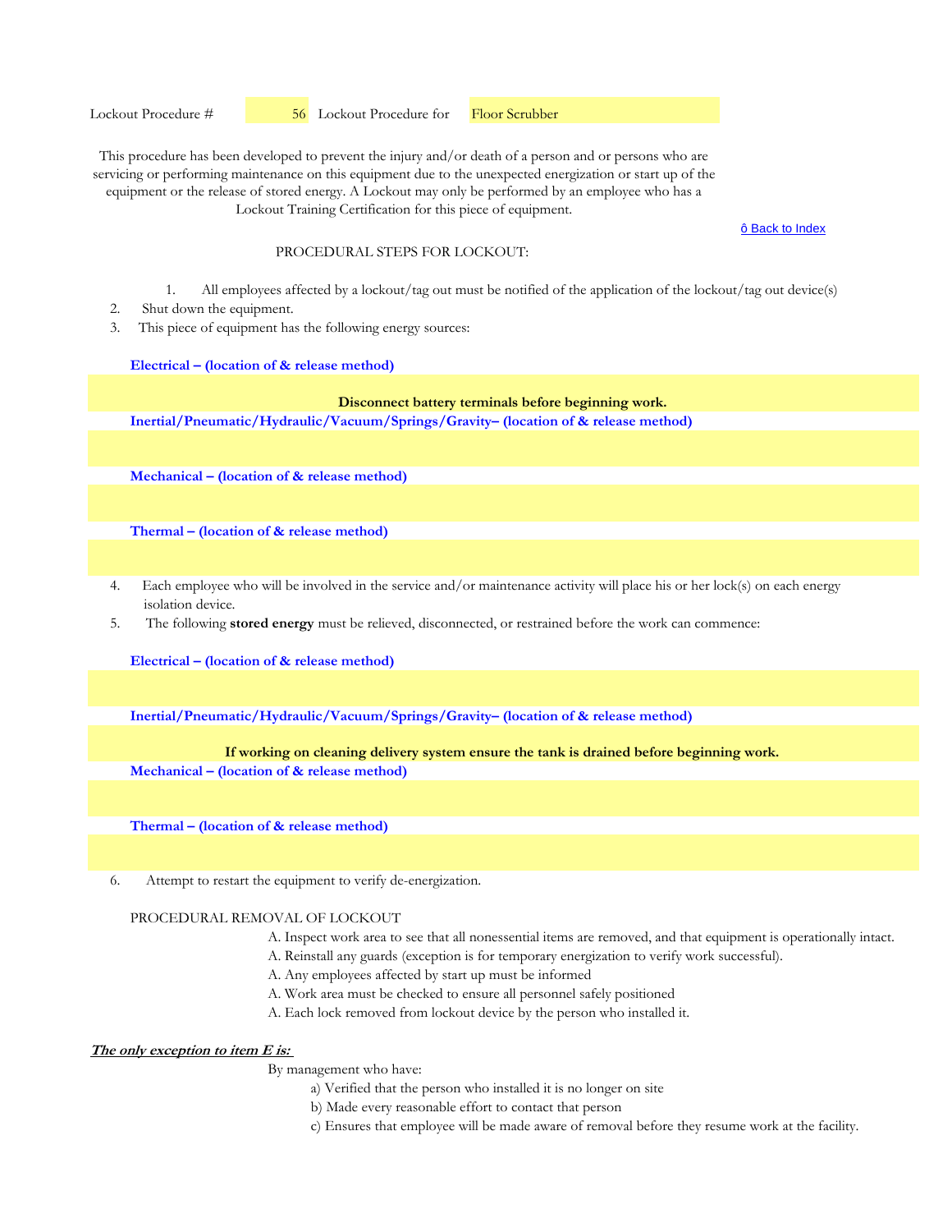ô Back to Index

# PROCEDURAL STEPS FOR LOCKOUT:

- 1. All employees affected by a lockout/tag out must be notified of the application of the lockout/tag out device(s)
- 2. Shut down the equipment.
- 3. This piece of equipment has the following energy sources:

## **Electrical – (location of & release method)**

# **Disconnect battery terminals before beginning work.**

**Inertial/Pneumatic/Hydraulic/Vacuum/Springs/Gravity– (location of & release method)** 

**Mechanical – (location of & release method)** 

**Thermal – (location of & release method)** 

- 4. Each employee who will be involved in the service and/or maintenance activity will place his or her lock(s) on each energy isolation device.
- 5. The following **stored energy** must be relieved, disconnected, or restrained before the work can commence:

**Electrical – (location of & release method)**

**Inertial/Pneumatic/Hydraulic/Vacuum/Springs/Gravity– (location of & release method)** 

## **If working on cleaning delivery system ensure the tank is drained before beginning work.**

**Mechanical – (location of & release method)** 

**Thermal – (location of & release method)** 

6. Attempt to restart the equipment to verify de-energization.

# PROCEDURAL REMOVAL OF LOCKOUT

- A. Inspect work area to see that all nonessential items are removed, and that equipment is operationally intact.
- A. Reinstall any guards (exception is for temporary energization to verify work successful).
- A. Any employees affected by start up must be informed
- A. Work area must be checked to ensure all personnel safely positioned
- A. Each lock removed from lockout device by the person who installed it.

# **The only exception to item E is:**

- a) Verified that the person who installed it is no longer on site
- b) Made every reasonable effort to contact that person
- c) Ensures that employee will be made aware of removal before they resume work at the facility.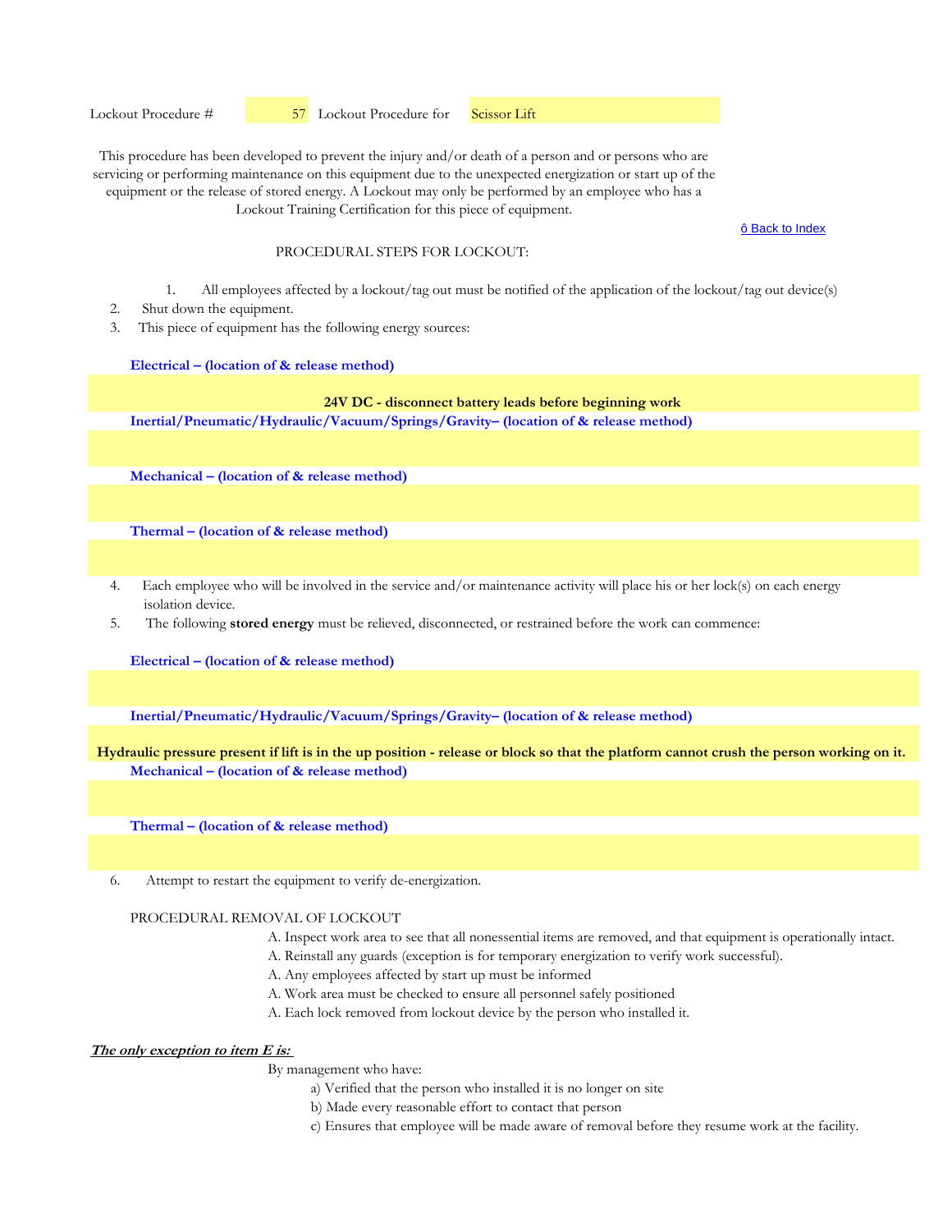ô Back to Index

## PROCEDURAL STEPS FOR LOCKOUT:

- 1. All employees affected by a lockout/tag out must be notified of the application of the lockout/tag out device(s)
- 2. Shut down the equipment.
- 3. This piece of equipment has the following energy sources:

#### **Electrical – (location of & release method)**

# **24V DC - disconnect battery leads before beginning work**

**Inertial/Pneumatic/Hydraulic/Vacuum/Springs/Gravity– (location of & release method)** 

**Mechanical – (location of & release method)** 

**Thermal – (location of & release method)** 

- 4. Each employee who will be involved in the service and/or maintenance activity will place his or her lock(s) on each energy isolation device.
- 5. The following **stored energy** must be relieved, disconnected, or restrained before the work can commence:

**Electrical – (location of & release method)**

**Inertial/Pneumatic/Hydraulic/Vacuum/Springs/Gravity– (location of & release method)** 

**Mechanical – (location of & release method) Hydraulic pressure present if lift is in the up position - release or block so that the platform cannot crush the person working on it.**

**Thermal – (location of & release method)** 

6. Attempt to restart the equipment to verify de-energization.

#### PROCEDURAL REMOVAL OF LOCKOUT

- A. Inspect work area to see that all nonessential items are removed, and that equipment is operationally intact.
- A. Reinstall any guards (exception is for temporary energization to verify work successful).
- A. Any employees affected by start up must be informed
- A. Work area must be checked to ensure all personnel safely positioned
- A. Each lock removed from lockout device by the person who installed it.

# **The only exception to item E is:**

- a) Verified that the person who installed it is no longer on site
- b) Made every reasonable effort to contact that person
- c) Ensures that employee will be made aware of removal before they resume work at the facility.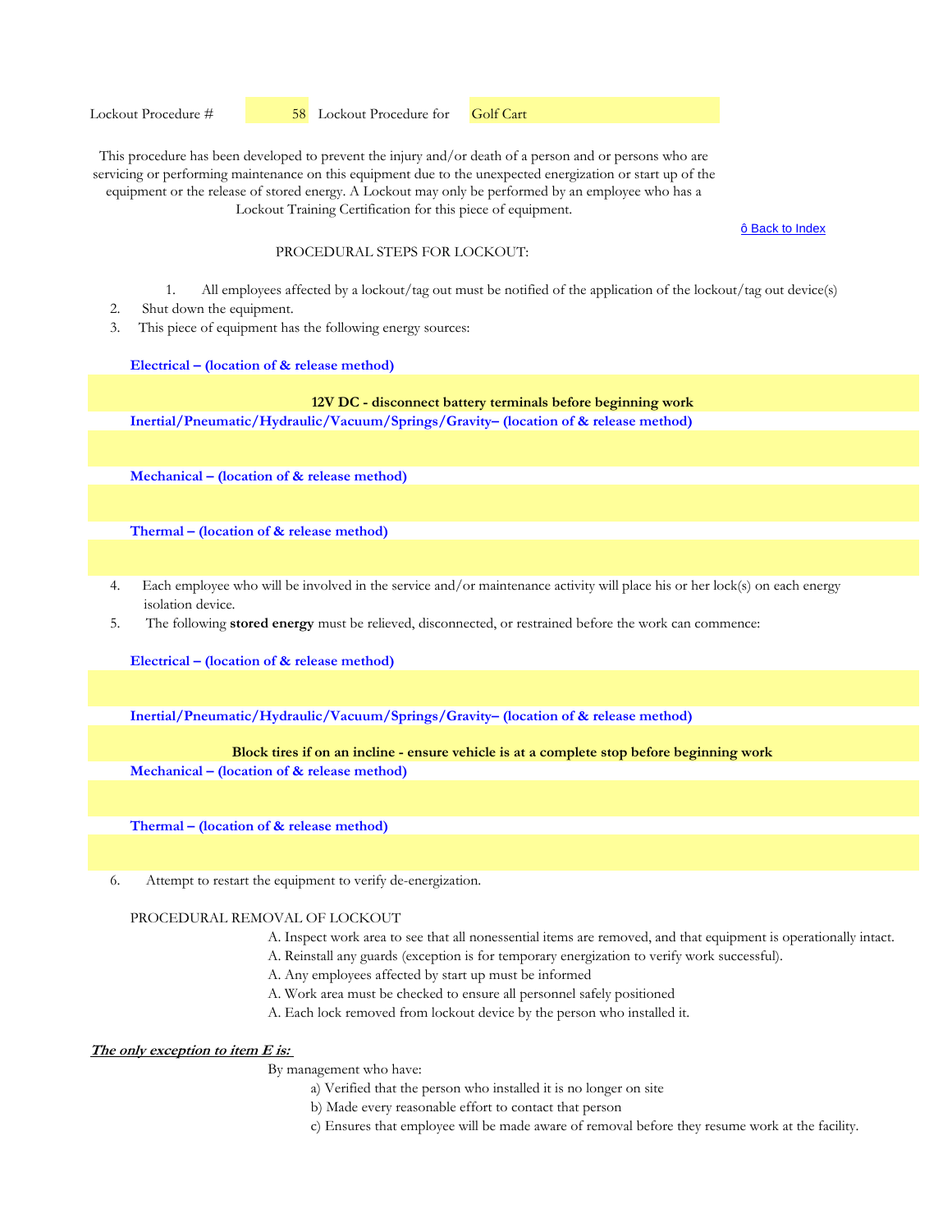ô Back to Index

## PROCEDURAL STEPS FOR LOCKOUT:

- 1. All employees affected by a lockout/tag out must be notified of the application of the lockout/tag out device(s)
- 2. Shut down the equipment.
- 3. This piece of equipment has the following energy sources:

#### **Electrical – (location of & release method)**

# **12V DC - disconnect battery terminals before beginning work**

**Inertial/Pneumatic/Hydraulic/Vacuum/Springs/Gravity– (location of & release method)** 

**Mechanical – (location of & release method)** 

**Thermal – (location of & release method)** 

- 4. Each employee who will be involved in the service and/or maintenance activity will place his or her lock(s) on each energy isolation device.
- 5. The following **stored energy** must be relieved, disconnected, or restrained before the work can commence:

**Electrical – (location of & release method)**

**Inertial/Pneumatic/Hydraulic/Vacuum/Springs/Gravity– (location of & release method)** 

## **Block tires if on an incline - ensure vehicle is at a complete stop before beginning work**

**Mechanical – (location of & release method)** 

**Thermal – (location of & release method)** 

6. Attempt to restart the equipment to verify de-energization.

## PROCEDURAL REMOVAL OF LOCKOUT

- A. Inspect work area to see that all nonessential items are removed, and that equipment is operationally intact.
- A. Reinstall any guards (exception is for temporary energization to verify work successful).
- A. Any employees affected by start up must be informed
- A. Work area must be checked to ensure all personnel safely positioned
- A. Each lock removed from lockout device by the person who installed it.

# **The only exception to item E is:**

- a) Verified that the person who installed it is no longer on site
- b) Made every reasonable effort to contact that person
- c) Ensures that employee will be made aware of removal before they resume work at the facility.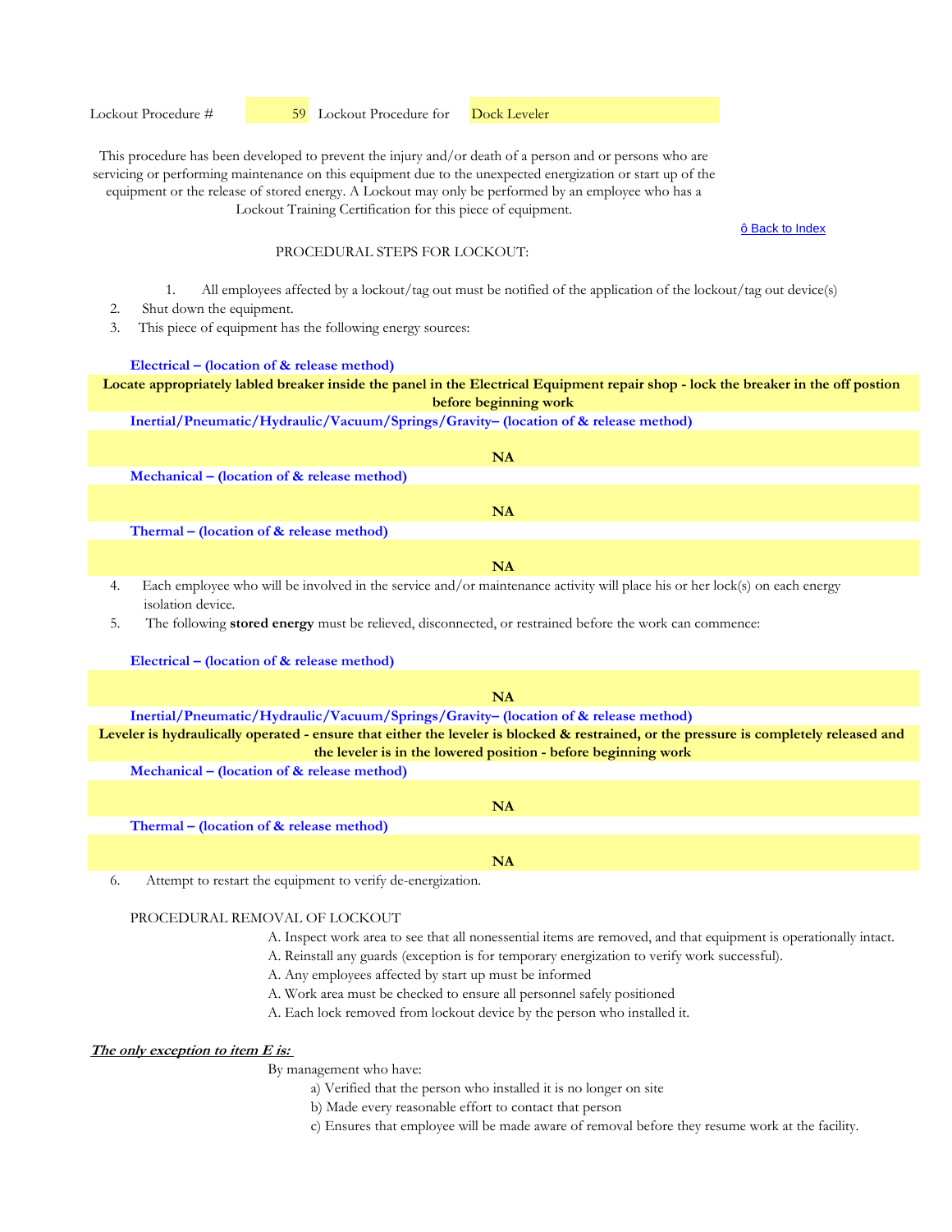Lockout Procedure #  59 Lockout Procedure for Dock Leveler

This procedure has been developed to prevent the injury and/or death of a person and or persons who are servicing or performing maintenance on this equipment due to the unexpected energization or start up of the equipment or the release of stored energy. A Lockout may only be performed by an employee who has a Lockout Training Certification for this piece of equipment.

ô Back to Index

## PROCEDURAL STEPS FOR LOCKOUT:

- 1. All employees affected by a lockout/tag out must be notified of the application of the lockout/tag out device(s)
- 2. Shut down the equipment.
- 3. This piece of equipment has the following energy sources:

## **Electrical – (location of & release method)**

# **Locate appropriately labled breaker inside the panel in the Electrical Equipment repair shop - lock the breaker in the off postion before beginning work**

## **Inertial/Pneumatic/Hydraulic/Vacuum/Springs/Gravity– (location of & release method)**

| NA                                                                                                                                                                                                                                                                                                                                                                                                                           |
|------------------------------------------------------------------------------------------------------------------------------------------------------------------------------------------------------------------------------------------------------------------------------------------------------------------------------------------------------------------------------------------------------------------------------|
| Mechanical – (location of $\&$ release method)                                                                                                                                                                                                                                                                                                                                                                               |
|                                                                                                                                                                                                                                                                                                                                                                                                                              |
| NA                                                                                                                                                                                                                                                                                                                                                                                                                           |
| Thermal – (location of $&$ release method)                                                                                                                                                                                                                                                                                                                                                                                   |
|                                                                                                                                                                                                                                                                                                                                                                                                                              |
| NA                                                                                                                                                                                                                                                                                                                                                                                                                           |
| $\mathcal{A} = \mathbf{1} \mathbf{1} + \mathbf{1} + \mathbf{1} + \mathbf{1} + \mathbf{1} + \mathbf{1} + \mathbf{1} + \mathbf{1} + \mathbf{1} + \mathbf{1} + \mathbf{1} + \mathbf{1} + \mathbf{1} + \mathbf{1} + \mathbf{1} + \mathbf{1} + \mathbf{1} + \mathbf{1} + \mathbf{1} + \mathbf{1} + \mathbf{1} + \mathbf{1} + \mathbf{1} + \mathbf{1} + \mathbf{1} + \mathbf{1} + \mathbf{1} + \mathbf{1} + \mathbf{1} + \mathbf{$ |

Each employee who will be involved in the service and/or maintenance activity will place his or her lock(s) on each energy isolation device.

5. The following **stored energy** must be relieved, disconnected, or restrained before the work can commence:

#### **Electrical – (location of & release method)**

| NA                                                                                                                                     |
|----------------------------------------------------------------------------------------------------------------------------------------|
| Inertial/Pneumatic/Hydraulic/Vacuum/Springs/Gravity- (location of & release method)                                                    |
| Leveler is hydraulically operated - ensure that either the leveler is blocked & restrained, or the pressure is completely released and |
| the leveler is in the lowered position - before beginning work                                                                         |
| Mechanical – (location of $\&$ release method)                                                                                         |
|                                                                                                                                        |
| <b>NA</b>                                                                                                                              |
| Thermal – (location of & release method)                                                                                               |

**NA**

6. Attempt to restart the equipment to verify de-energization.

# PROCEDURAL REMOVAL OF LOCKOUT

- A. Inspect work area to see that all nonessential items are removed, and that equipment is operationally intact.
- A. Reinstall any guards (exception is for temporary energization to verify work successful).
- A. Any employees affected by start up must be informed
- A. Work area must be checked to ensure all personnel safely positioned
- A. Each lock removed from lockout device by the person who installed it.

# **The only exception to item E is:**

- a) Verified that the person who installed it is no longer on site
- b) Made every reasonable effort to contact that person
- c) Ensures that employee will be made aware of removal before they resume work at the facility.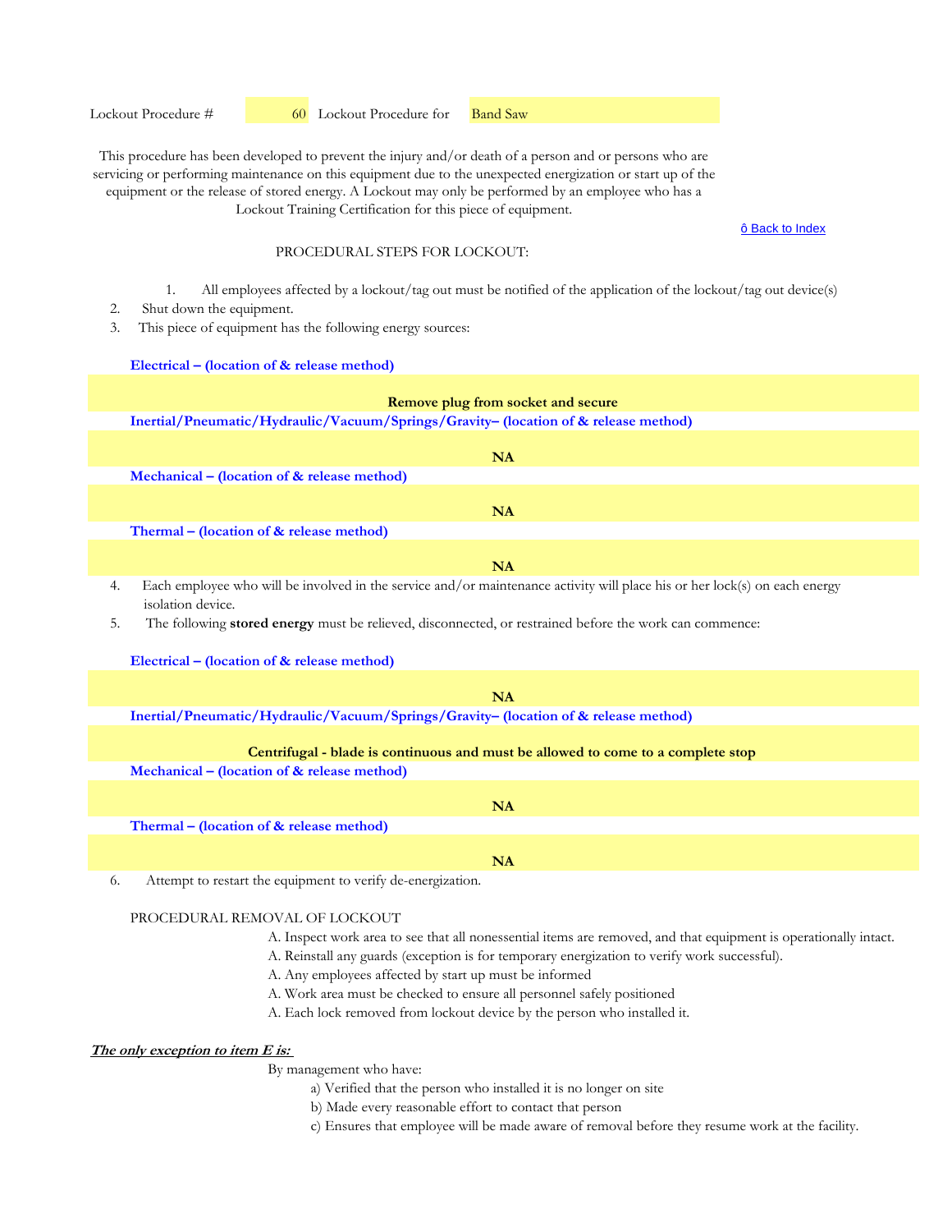ô Back to Index

## PROCEDURAL STEPS FOR LOCKOUT:

- 1. All employees affected by a lockout/tag out must be notified of the application of the lockout/tag out device(s)
- 2. Shut down the equipment.
- 3. This piece of equipment has the following energy sources:

## **Electrical – (location of & release method)**

| Remove plug from socket and secure                                                                                                                                                                                                                                     |
|------------------------------------------------------------------------------------------------------------------------------------------------------------------------------------------------------------------------------------------------------------------------|
| Inertial/Pneumatic/Hydraulic/Vacuum/Springs/Gravity- (location of & release method)                                                                                                                                                                                    |
| NA<br>Mechanical – (location of & release method)                                                                                                                                                                                                                      |
| <b>NA</b>                                                                                                                                                                                                                                                              |
| Thermal – (location of & release method)                                                                                                                                                                                                                               |
| NA                                                                                                                                                                                                                                                                     |
| Each employee who will be involved in the service and/or maintenance activity will place his or her lock(s) on each energy<br>4.<br>isolation device.<br>The following stored energy must be relieved, disconnected, or restrained before the work can commence:<br>5. |
| Electrical – (location of & release method)                                                                                                                                                                                                                            |
| NA                                                                                                                                                                                                                                                                     |
| Inertial/Pneumatic/Hydraulic/Vacuum/Springs/Gravity- (location of & release method)                                                                                                                                                                                    |
| Centrifugal - blade is continuous and must be allowed to come to a complete stop                                                                                                                                                                                       |
| Mechanical – (location of $\&$ release method)                                                                                                                                                                                                                         |
| <b>NA</b>                                                                                                                                                                                                                                                              |
| Thermal - (location of & release method)                                                                                                                                                                                                                               |
| <b>NA</b>                                                                                                                                                                                                                                                              |

6. Attempt to restart the equipment to verify de-energization.

## PROCEDURAL REMOVAL OF LOCKOUT

- A. Inspect work area to see that all nonessential items are removed, and that equipment is operationally intact.
- A. Reinstall any guards (exception is for temporary energization to verify work successful).
- A. Any employees affected by start up must be informed
- A. Work area must be checked to ensure all personnel safely positioned
- A. Each lock removed from lockout device by the person who installed it.

# **The only exception to item E is:**

- a) Verified that the person who installed it is no longer on site
- b) Made every reasonable effort to contact that person
- c) Ensures that employee will be made aware of removal before they resume work at the facility.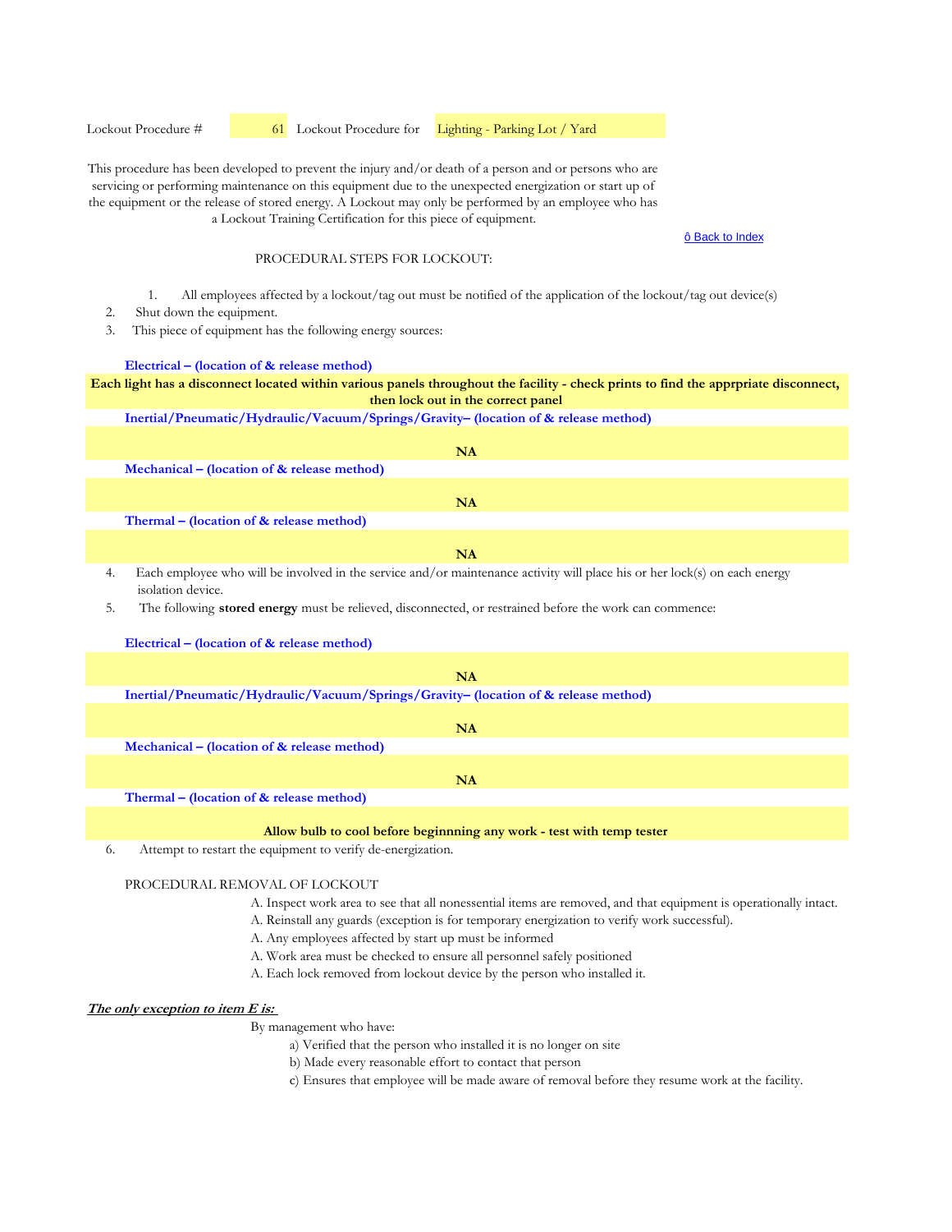Lockout Procedure #  61 Lockout Procedure for Lighting - Parking Lot / Yard

This procedure has been developed to prevent the injury and/or death of a person and or persons who are servicing or performing maintenance on this equipment due to the unexpected energization or start up of the equipment or the release of stored energy. A Lockout may only be performed by an employee who has a Lockout Training Certification for this piece of equipment.

#### ô Back to Index

# PROCEDURAL STEPS FOR LOCKOUT:

- 1. All employees affected by a lockout/tag out must be notified of the application of the lockout/tag out device(s)
- 2. Shut down the equipment.
- 3. This piece of equipment has the following energy sources:

#### **Electrical – (location of & release method)**

**Each light has a disconnect located within various panels throughout the facility - check prints to find the apprpriate disconnect, then lock out in the correct panel**

## **Inertial/Pneumatic/Hydraulic/Vacuum/Springs/Gravity– (location of & release method)**

|    | NA                                                                                                                                              |
|----|-------------------------------------------------------------------------------------------------------------------------------------------------|
|    | Mechanical – (location of $\&$ release method)                                                                                                  |
|    | NA                                                                                                                                              |
|    | Thermal – (location of $&$ release method)                                                                                                      |
|    | NA                                                                                                                                              |
| 4. | Each employee who will be involved in the service and/or maintenance activity will place his or her lock(s) on each energy<br>isolation device. |
| 5. | The following <b>stored energy</b> must be relieved, disconnected, or restrained before the work can commence:                                  |
|    | Electrical – (location of & release method)                                                                                                     |

| NA                                                                                  |
|-------------------------------------------------------------------------------------|
| Inertial/Pneumatic/Hydraulic/Vacuum/Springs/Gravity- (location of & release method) |
|                                                                                     |
| <b>NA</b>                                                                           |
| Mechanical – (location of $&$ release method)                                       |
|                                                                                     |
| NA                                                                                  |
| Thermal – (location of & release method)                                            |
|                                                                                     |
| Allow bulb to good before beginning ony work toot with term tester                  |

**Allow bulb to cool before beginnning any work - test with temp tester**

6. Attempt to restart the equipment to verify de-energization.

# PROCEDURAL REMOVAL OF LOCKOUT

- A. Inspect work area to see that all nonessential items are removed, and that equipment is operationally intact.
- A. Reinstall any guards (exception is for temporary energization to verify work successful).
- A. Any employees affected by start up must be informed
- A. Work area must be checked to ensure all personnel safely positioned
- A. Each lock removed from lockout device by the person who installed it.

# **The only exception to item E is:**

- a) Verified that the person who installed it is no longer on site
	- b) Made every reasonable effort to contact that person
- c) Ensures that employee will be made aware of removal before they resume work at the facility.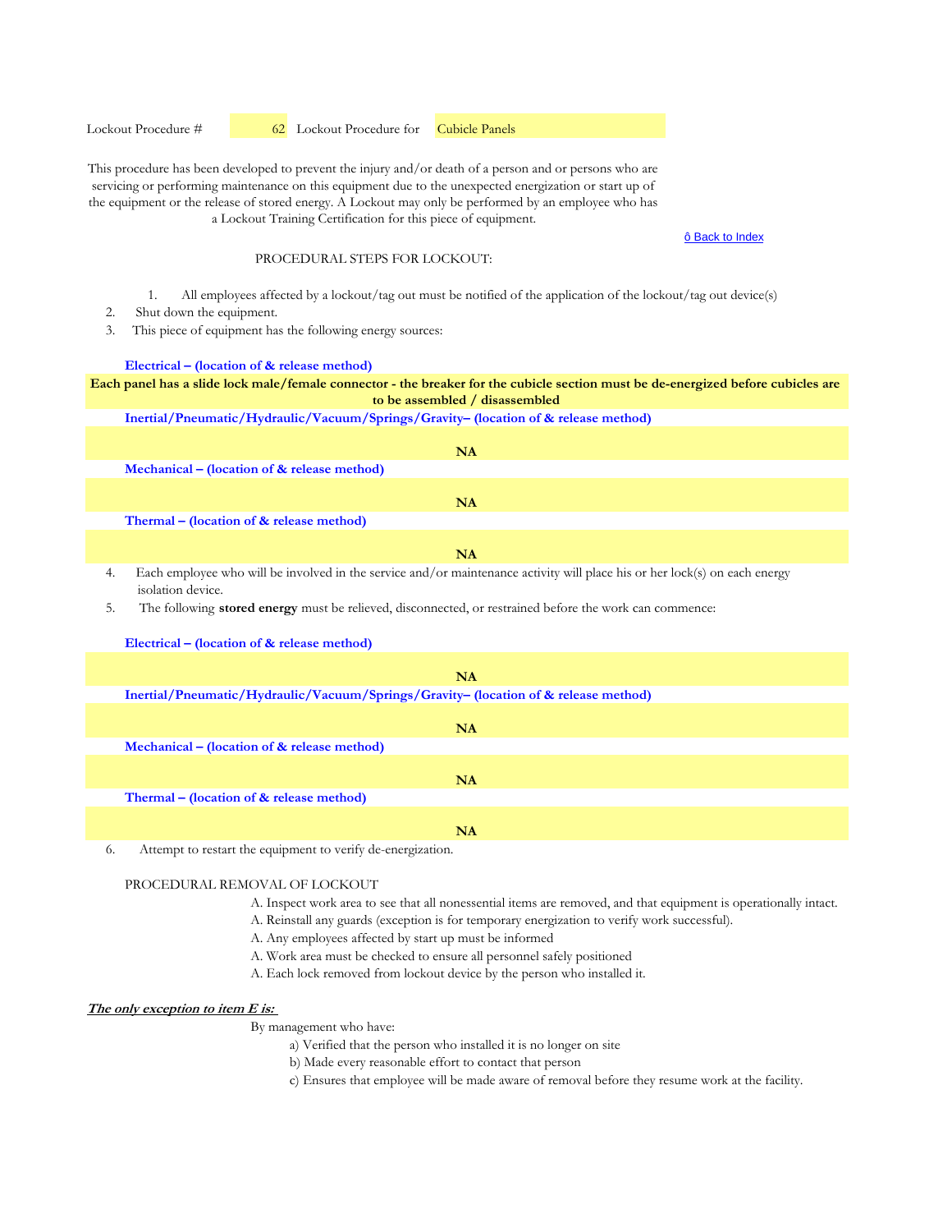Lockout Procedure #  62 Lockout Procedure for Cubicle Panels

This procedure has been developed to prevent the injury and/or death of a person and or persons who are servicing or performing maintenance on this equipment due to the unexpected energization or start up of the equipment or the release of stored energy. A Lockout may only be performed by an employee who has a Lockout Training Certification for this piece of equipment.

#### ô Back to Index

# PROCEDURAL STEPS FOR LOCKOUT:

- 1. All employees affected by a lockout/tag out must be notified of the application of the lockout/tag out device(s)
- 2. Shut down the equipment.
- 3. This piece of equipment has the following energy sources:

#### **Electrical – (location of & release method)**

**Each panel has a slide lock male/female connector - the breaker for the cubicle section must be de-energized before cubicles are to be assembled / disassembled**

**Inertial/Pneumatic/Hydraulic/Vacuum/Springs/Gravity– (location of & release method)** 

|    | NA                                                                                                                                              |
|----|-------------------------------------------------------------------------------------------------------------------------------------------------|
|    | Mechanical – (location of $\&$ release method)                                                                                                  |
|    | NA                                                                                                                                              |
|    | Thermal – (location of & release method)                                                                                                        |
|    | NA                                                                                                                                              |
| 4. | Each employee who will be involved in the service and/or maintenance activity will place his or her lock(s) on each energy<br>isolation device. |
| 5. | The following <b>stored energy</b> must be relieved, disconnected, or restrained before the work can commence:                                  |

| Electrical – (location of $\&$ release method)                                      |
|-------------------------------------------------------------------------------------|
|                                                                                     |
| <b>NA</b>                                                                           |
| Inertial/Pneumatic/Hydraulic/Vacuum/Springs/Gravity- (location of & release method) |
|                                                                                     |
| NA                                                                                  |
| Mechanical – (location of $\&$ release method)                                      |
|                                                                                     |
| NA                                                                                  |
| Thermal – (location of $\&$ release method)                                         |
|                                                                                     |
| <b>NA</b>                                                                           |
| Attempt to restart the equipment to verify de-energization.<br>6.                   |

#### PROCEDURAL REMOVAL OF LOCKOUT

- A. Inspect work area to see that all nonessential items are removed, and that equipment is operationally intact.
- A. Reinstall any guards (exception is for temporary energization to verify work successful).
- A. Any employees affected by start up must be informed
- A. Work area must be checked to ensure all personnel safely positioned
- A. Each lock removed from lockout device by the person who installed it.

#### **The only exception to item E is:**

- a) Verified that the person who installed it is no longer on site
- b) Made every reasonable effort to contact that person
- c) Ensures that employee will be made aware of removal before they resume work at the facility.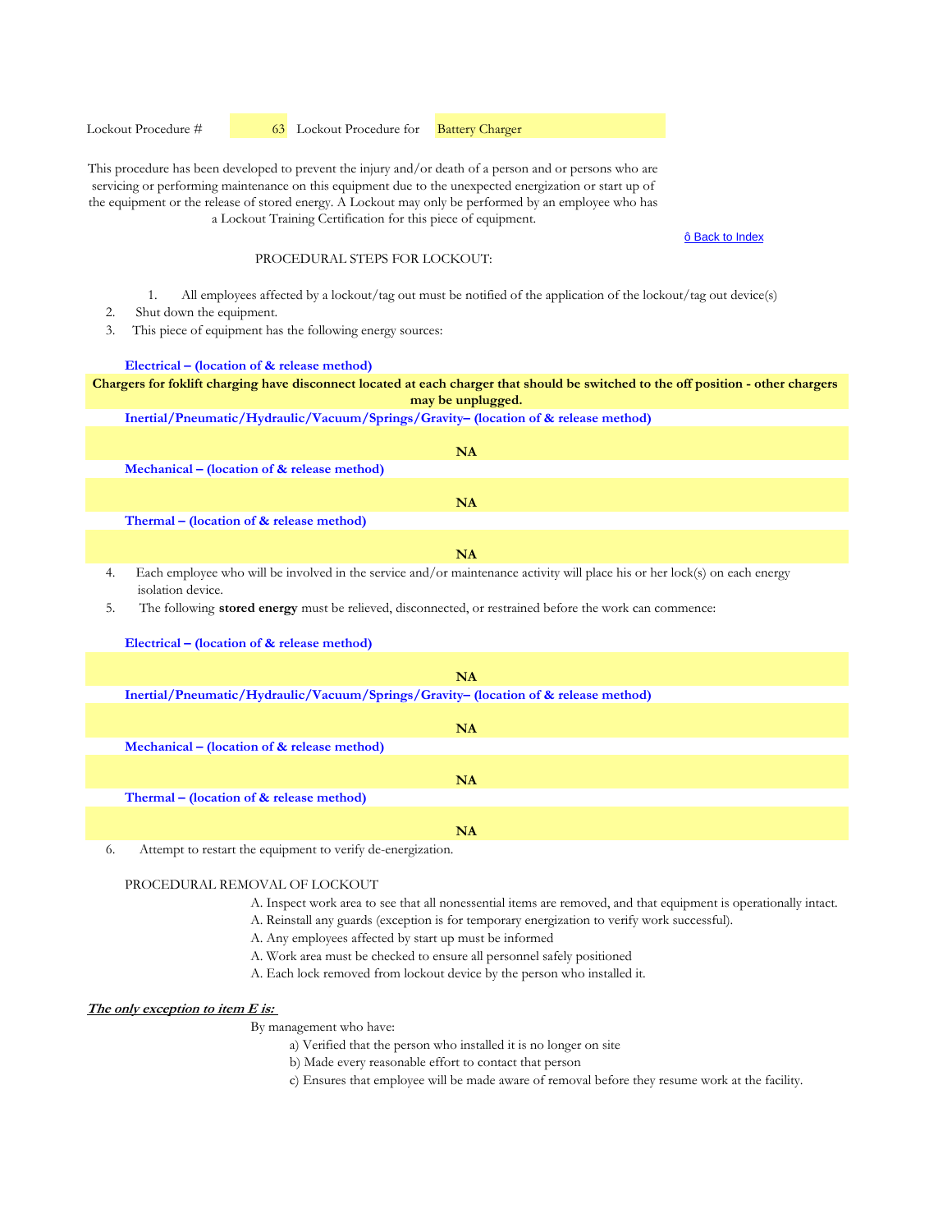Lockout Procedure #  63 Lockout Procedure for Battery Charger

This procedure has been developed to prevent the injury and/or death of a person and or persons who are servicing or performing maintenance on this equipment due to the unexpected energization or start up of the equipment or the release of stored energy. A Lockout may only be performed by an employee who has a Lockout Training Certification for this piece of equipment.

#### ô Back to Index

# PROCEDURAL STEPS FOR LOCKOUT:

- 1. All employees affected by a lockout/tag out must be notified of the application of the lockout/tag out device(s)
- 2. Shut down the equipment.
- 3. This piece of equipment has the following energy sources:

#### **Electrical – (location of & release method)**

**Chargers for foklift charging have disconnect located at each charger that should be switched to the off position - other chargers may be unplugged.**

**Inertial/Pneumatic/Hydraulic/Vacuum/Springs/Gravity– (location of & release method)** 

|    | NA                                                                                                                                              |
|----|-------------------------------------------------------------------------------------------------------------------------------------------------|
|    | Mechanical – (location of $\&$ release method)                                                                                                  |
|    |                                                                                                                                                 |
|    | NA                                                                                                                                              |
|    | Thermal – (location of $&$ release method)                                                                                                      |
|    |                                                                                                                                                 |
|    | <b>NA</b>                                                                                                                                       |
| 4. | Each employee who will be involved in the service and/or maintenance activity will place his or her lock(s) on each energy<br>isolation device. |
|    | The following stared energy must be religied disconnected or restrained before the work can commence.                                           |

5. The following **stored energy** must be relieved, disconnected, or restrained before the work can commence:

| Electrical – (location of $\&$ release method)                                      |
|-------------------------------------------------------------------------------------|
|                                                                                     |
| <b>NA</b>                                                                           |
| Inertial/Pneumatic/Hydraulic/Vacuum/Springs/Gravity- (location of & release method) |
|                                                                                     |
| <b>NA</b>                                                                           |
| Mechanical – (location of $\&$ release method)                                      |
|                                                                                     |
| NA                                                                                  |
| Thermal – (location of & release method)                                            |
|                                                                                     |
| NA                                                                                  |
| Attempt to restart the equipment to verify de-energization.<br>6.                   |

#### PROCEDURAL REMOVAL OF LOCKOUT

- A. Inspect work area to see that all nonessential items are removed, and that equipment is operationally intact.
- A. Reinstall any guards (exception is for temporary energization to verify work successful).
- A. Any employees affected by start up must be informed
- A. Work area must be checked to ensure all personnel safely positioned
- A. Each lock removed from lockout device by the person who installed it.

#### **The only exception to item E is:**

- a) Verified that the person who installed it is no longer on site
	- b) Made every reasonable effort to contact that person
- c) Ensures that employee will be made aware of removal before they resume work at the facility.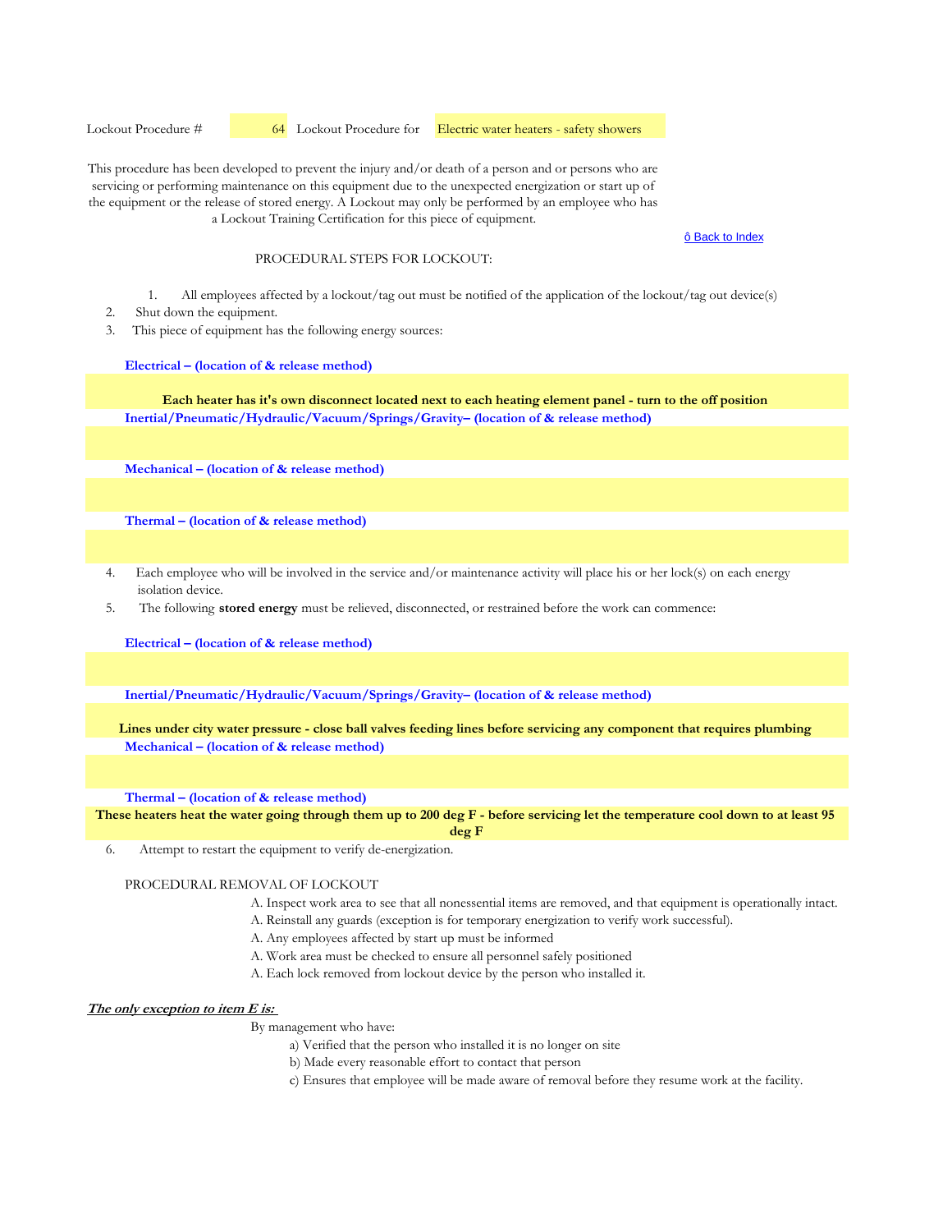Lockout Procedure #  64 Lockout Procedure for Electric water heaters - safety showers

This procedure has been developed to prevent the injury and/or death of a person and or persons who are servicing or performing maintenance on this equipment due to the unexpected energization or start up of the equipment or the release of stored energy. A Lockout may only be performed by an employee who has a Lockout Training Certification for this piece of equipment.

#### ô Back to Index

## PROCEDURAL STEPS FOR LOCKOUT:

- 1. All employees affected by a lockout/tag out must be notified of the application of the lockout/tag out device(s)
- 2. Shut down the equipment.
- 3. This piece of equipment has the following energy sources:

**Electrical – (location of & release method)**

**Inertial/Pneumatic/Hydraulic/Vacuum/Springs/Gravity– (location of & release method) Each heater has it's own disconnect located next to each heating element panel - turn to the off position**

**Mechanical – (location of & release method)** 

**Thermal – (location of & release method)** 

- 4. Each employee who will be involved in the service and/or maintenance activity will place his or her lock(s) on each energy isolation device.
- 5. The following **stored energy** must be relieved, disconnected, or restrained before the work can commence:

**Electrical – (location of & release method)**

**Inertial/Pneumatic/Hydraulic/Vacuum/Springs/Gravity– (location of & release method)** 

**Mechanical – (location of & release method) Lines under city water pressure - close ball valves feeding lines before servicing any component that requires plumbing**

**Thermal – (location of & release method)** 

**These heaters heat the water going through them up to 200 deg F - before servicing let the temperature cool down to at least 95 deg F**

6. Attempt to restart the equipment to verify de-energization.

PROCEDURAL REMOVAL OF LOCKOUT

- A. Inspect work area to see that all nonessential items are removed, and that equipment is operationally intact.
- A. Reinstall any guards (exception is for temporary energization to verify work successful).
- A. Any employees affected by start up must be informed
- A. Work area must be checked to ensure all personnel safely positioned
- A. Each lock removed from lockout device by the person who installed it.

**The only exception to item E is:** 

- a) Verified that the person who installed it is no longer on site
	- b) Made every reasonable effort to contact that person
- c) Ensures that employee will be made aware of removal before they resume work at the facility.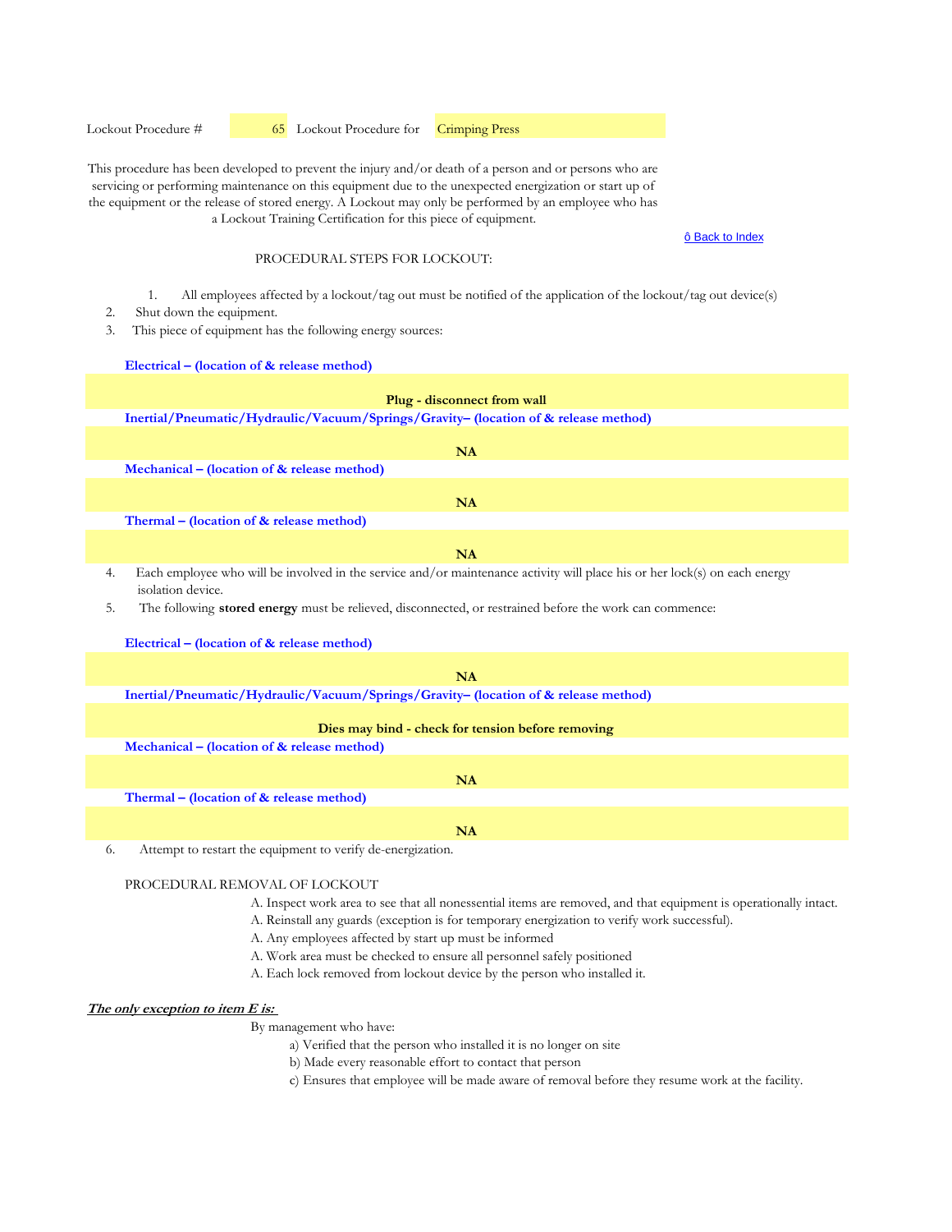Lockout Procedure #  65 Lockout Procedure for Crimping Press

This procedure has been developed to prevent the injury and/or death of a person and or persons who are servicing or performing maintenance on this equipment due to the unexpected energization or start up of the equipment or the release of stored energy. A Lockout may only be performed by an employee who has a Lockout Training Certification for this piece of equipment.

#### ô Back to Index

## PROCEDURAL STEPS FOR LOCKOUT:

- 1. All employees affected by a lockout/tag out must be notified of the application of the lockout/tag out device(s)
- 2. Shut down the equipment.
- 3. This piece of equipment has the following energy sources:

**Electrical – (location of & release method)**

|    | Plug - disconnect from wall                                                                                                                     |
|----|-------------------------------------------------------------------------------------------------------------------------------------------------|
|    | Inertial/Pneumatic/Hydraulic/Vacuum/Springs/Gravity- (location of & release method)                                                             |
|    |                                                                                                                                                 |
|    | <b>NA</b>                                                                                                                                       |
|    | Mechanical – (location of & release method)                                                                                                     |
|    | <b>NA</b>                                                                                                                                       |
|    | Thermal - (location of & release method)                                                                                                        |
|    |                                                                                                                                                 |
|    | <b>NA</b>                                                                                                                                       |
| 4. | Each employee who will be involved in the service and/or maintenance activity will place his or her lock(s) on each energy<br>isolation device. |
| 5. | The following stored energy must be relieved, disconnected, or restrained before the work can commence:                                         |
|    | Electrical – (location of & release method)                                                                                                     |
|    |                                                                                                                                                 |
|    | <b>NA</b>                                                                                                                                       |
|    | Inertial/Pneumatic/Hydraulic/Vacuum/Springs/Gravity- (location of & release method)                                                             |
|    | Dies may bind - check for tension before removing                                                                                               |
|    |                                                                                                                                                 |
|    | Mechanical – (location of & release method)                                                                                                     |
|    | <b>NA</b>                                                                                                                                       |
|    | Thermal – (location of & release method)                                                                                                        |

**NA**

6. Attempt to restart the equipment to verify de-energization.

## PROCEDURAL REMOVAL OF LOCKOUT

- A. Inspect work area to see that all nonessential items are removed, and that equipment is operationally intact.
- A. Reinstall any guards (exception is for temporary energization to verify work successful).
- A. Any employees affected by start up must be informed
- A. Work area must be checked to ensure all personnel safely positioned
- A. Each lock removed from lockout device by the person who installed it.

#### **The only exception to item E is:**

- a) Verified that the person who installed it is no longer on site
- b) Made every reasonable effort to contact that person
- c) Ensures that employee will be made aware of removal before they resume work at the facility.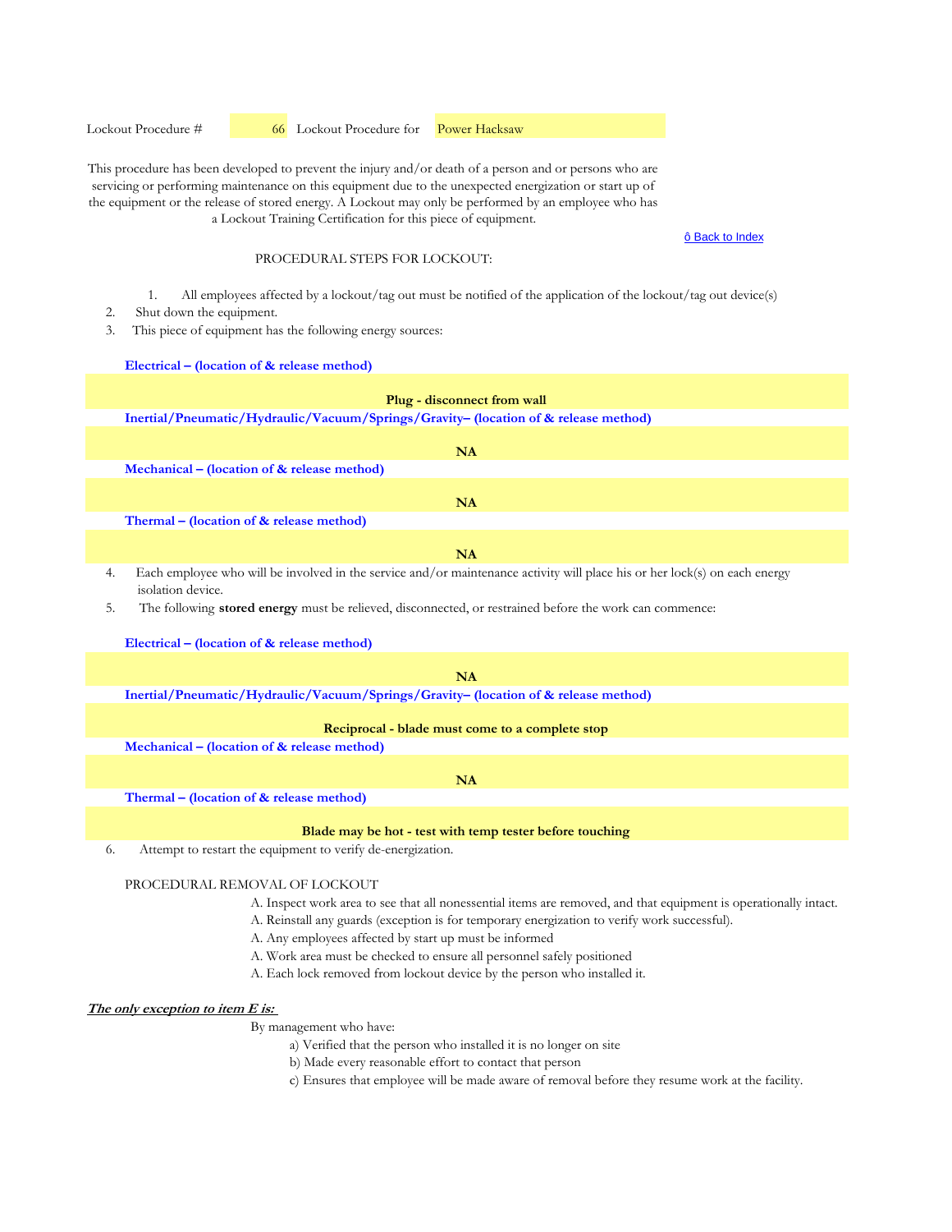Lockout Procedure #  66 Lockout Procedure for Power Hacksaw

This procedure has been developed to prevent the injury and/or death of a person and or persons who are servicing or performing maintenance on this equipment due to the unexpected energization or start up of the equipment or the release of stored energy. A Lockout may only be performed by an employee who has a Lockout Training Certification for this piece of equipment.

#### ô Back to Index

## PROCEDURAL STEPS FOR LOCKOUT:

- 1. All employees affected by a lockout/tag out must be notified of the application of the lockout/tag out device(s)
- 2. Shut down the equipment.
- 3. This piece of equipment has the following energy sources:

**Electrical – (location of & release method)**

| <b>Plug - disconnect from wall</b>                                                                                            |
|-------------------------------------------------------------------------------------------------------------------------------|
| Inertial/Pneumatic/Hydraulic/Vacuum/Springs/Gravity- (location of & release method)                                           |
|                                                                                                                               |
| <b>NA</b>                                                                                                                     |
| Mechanical – (location of $\&$ release method)                                                                                |
|                                                                                                                               |
| <b>NA</b>                                                                                                                     |
| Thermal – (location of & release method)                                                                                      |
|                                                                                                                               |
| <b>NA</b>                                                                                                                     |
| The detection of the will be involved in the convice and (or maintenance extinity will also bis or lead looke) on each convey |

- Each employee who will be involved in the service and/or maintenance activity will place his or her lock(s) on each energy isolation device.
- 5. The following **stored energy** must be relieved, disconnected, or restrained before the work can commence:

#### **Electrical – (location of & release method)**

#### **NA**

**Inertial/Pneumatic/Hydraulic/Vacuum/Springs/Gravity– (location of & release method)** 

#### **Reciprocal - blade must come to a complete stop**

**Mechanical – (location of & release method)** 

#### **NA**

**Thermal – (location of & release method)** 

#### **Blade may be hot - test with temp tester before touching**

6. Attempt to restart the equipment to verify de-energization.

## PROCEDURAL REMOVAL OF LOCKOUT

- A. Inspect work area to see that all nonessential items are removed, and that equipment is operationally intact.
- A. Reinstall any guards (exception is for temporary energization to verify work successful).
- A. Any employees affected by start up must be informed
- A. Work area must be checked to ensure all personnel safely positioned
- A. Each lock removed from lockout device by the person who installed it.

#### **The only exception to item E is:**

- a) Verified that the person who installed it is no longer on site
	- b) Made every reasonable effort to contact that person
- c) Ensures that employee will be made aware of removal before they resume work at the facility.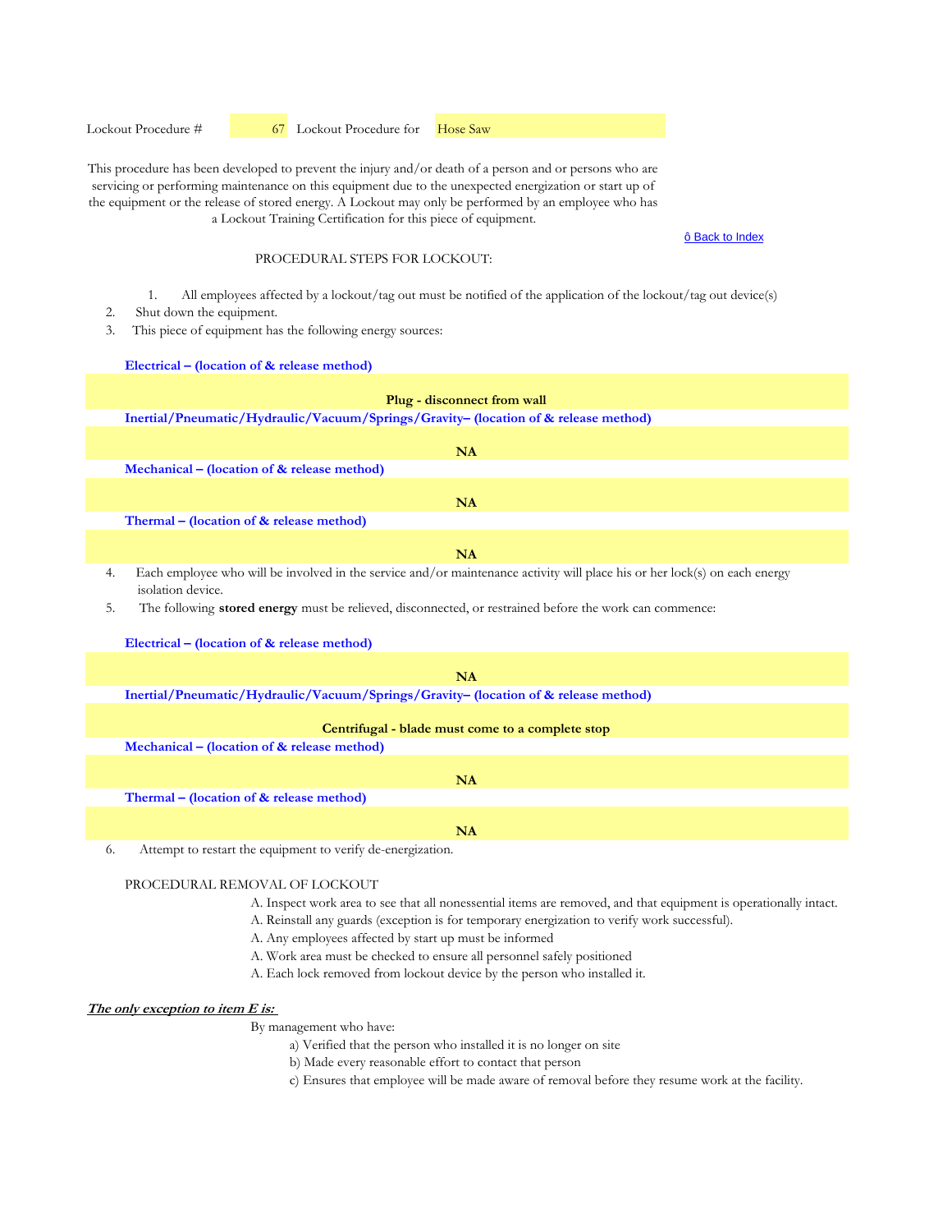Lockout Procedure #  67 Lockout Procedure for Hose Saw

This procedure has been developed to prevent the injury and/or death of a person and or persons who are servicing or performing maintenance on this equipment due to the unexpected energization or start up of the equipment or the release of stored energy. A Lockout may only be performed by an employee who has a Lockout Training Certification for this piece of equipment.

#### ô Back to Index

## PROCEDURAL STEPS FOR LOCKOUT:

- 1. All employees affected by a lockout/tag out must be notified of the application of the lockout/tag out device(s)
- 2. Shut down the equipment.
- 3. This piece of equipment has the following energy sources:

**Electrical – (location of & release method)**

|    | Plug - disconnect from wall                                                                                                                     |
|----|-------------------------------------------------------------------------------------------------------------------------------------------------|
|    | Inertial/Pneumatic/Hydraulic/Vacuum/Springs/Gravity- (location of & release method)                                                             |
|    |                                                                                                                                                 |
|    | <b>NA</b>                                                                                                                                       |
|    | Mechanical – (location of & release method)                                                                                                     |
|    |                                                                                                                                                 |
|    | <b>NA</b>                                                                                                                                       |
|    | Thermal – (location of & release method)                                                                                                        |
|    |                                                                                                                                                 |
|    | <b>NA</b>                                                                                                                                       |
| 4. | Each employee who will be involved in the service and/or maintenance activity will place his or her lock(s) on each energy<br>isolation device. |
| 5. | The following stored energy must be relieved, disconnected, or restrained before the work can commence:                                         |
|    | Electrical – (location of $\&$ release method)                                                                                                  |
|    |                                                                                                                                                 |
|    | NA                                                                                                                                              |
|    | Inertial/Pneumatic/Hydraulic/Vacuum/Springs/Gravity- (location of & release method)                                                             |
|    | Centrifugal - blade must come to a complete stop                                                                                                |
|    | Mechanical – (location of $\&$ release method)                                                                                                  |
|    |                                                                                                                                                 |
|    | <b>NA</b>                                                                                                                                       |
|    | Thermal – (location of & release method)                                                                                                        |
|    |                                                                                                                                                 |
|    | <b>NA</b>                                                                                                                                       |

6. Attempt to restart the equipment to verify de-energization.

## PROCEDURAL REMOVAL OF LOCKOUT

- A. Inspect work area to see that all nonessential items are removed, and that equipment is operationally intact.
- A. Reinstall any guards (exception is for temporary energization to verify work successful).
- A. Any employees affected by start up must be informed
- A. Work area must be checked to ensure all personnel safely positioned
- A. Each lock removed from lockout device by the person who installed it.

#### **The only exception to item E is:**

- a) Verified that the person who installed it is no longer on site
- b) Made every reasonable effort to contact that person
- c) Ensures that employee will be made aware of removal before they resume work at the facility.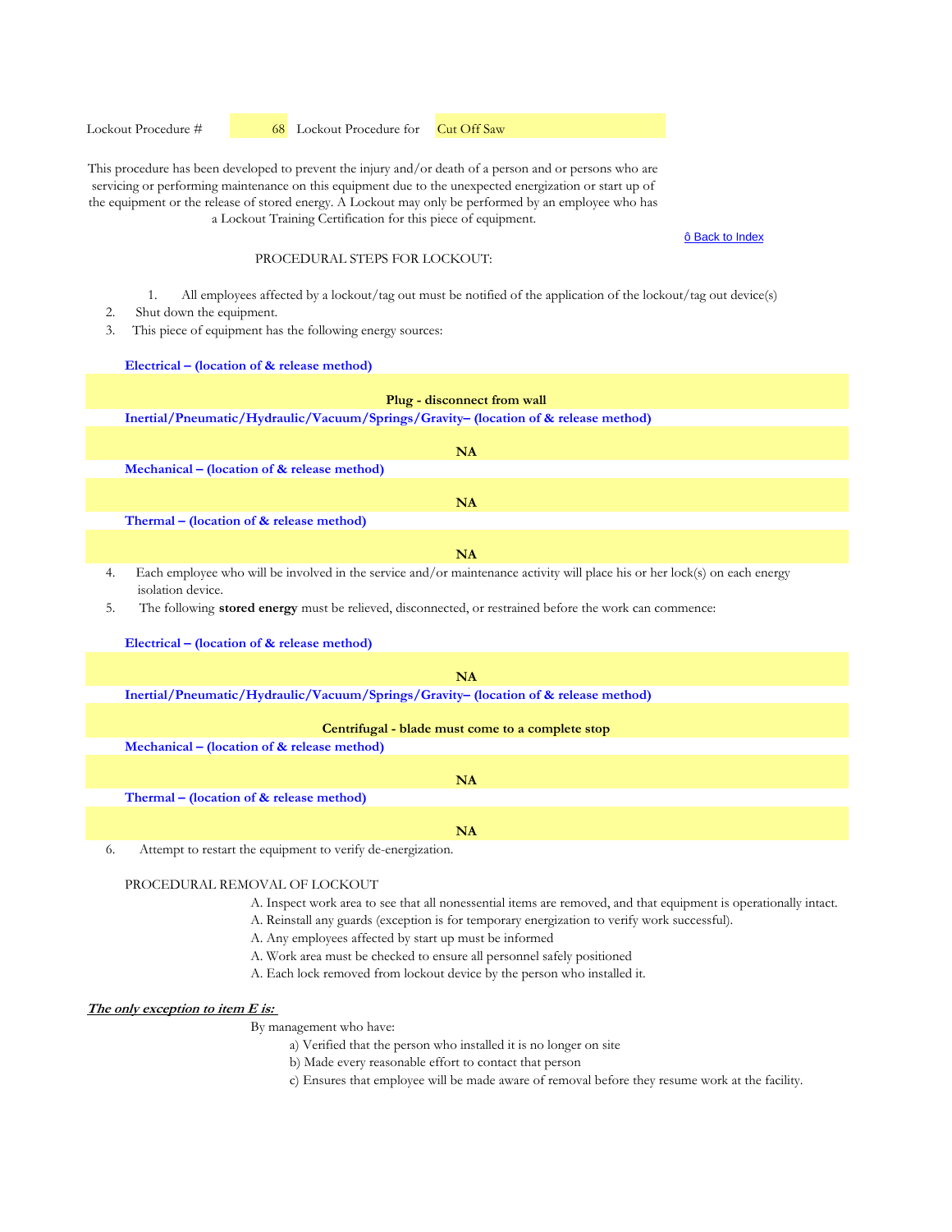Lockout Procedure #  68 Lockout Procedure for Cut Off Saw

This procedure has been developed to prevent the injury and/or death of a person and or persons who are servicing or performing maintenance on this equipment due to the unexpected energization or start up of the equipment or the release of stored energy. A Lockout may only be performed by an employee who has a Lockout Training Certification for this piece of equipment.

#### ô Back to Index

## PROCEDURAL STEPS FOR LOCKOUT:

- 1. All employees affected by a lockout/tag out must be notified of the application of the lockout/tag out device(s)
- 2. Shut down the equipment.
- 3. This piece of equipment has the following energy sources:

**Electrical – (location of & release method)**

| Plug - disconnect from wall                                                                                                                           |
|-------------------------------------------------------------------------------------------------------------------------------------------------------|
| Inertial/Pneumatic/Hydraulic/Vacuum/Springs/Gravity- (location of & release method)                                                                   |
|                                                                                                                                                       |
| <b>NA</b>                                                                                                                                             |
| Mechanical – (location of & release method)                                                                                                           |
| <b>NA</b>                                                                                                                                             |
| Thermal – (location of $&$ release method)                                                                                                            |
|                                                                                                                                                       |
| <b>NA</b>                                                                                                                                             |
| Each employee who will be involved in the service and/or maintenance activity will place his or her lock(s) on each energy<br>4.<br>isolation device. |
| The following <b>stored energy</b> must be relieved, disconnected, or restrained before the work can commence:<br>5.                                  |
| Electrical – (location of $\&$ release method)                                                                                                        |
|                                                                                                                                                       |
| <b>NA</b>                                                                                                                                             |
| Inertial/Pneumatic/Hydraulic/Vacuum/Springs/Gravity- (location of & release method)                                                                   |
|                                                                                                                                                       |
| Centrifugal - blade must come to a complete stop                                                                                                      |
| Mechanical – (location of & release method)                                                                                                           |
| <b>NA</b>                                                                                                                                             |
| Thermal – (location of $&$ release method)                                                                                                            |

**NA**

6. Attempt to restart the equipment to verify de-energization.

## PROCEDURAL REMOVAL OF LOCKOUT

- A. Inspect work area to see that all nonessential items are removed, and that equipment is operationally intact.
- A. Reinstall any guards (exception is for temporary energization to verify work successful).
- A. Any employees affected by start up must be informed
- A. Work area must be checked to ensure all personnel safely positioned
- A. Each lock removed from lockout device by the person who installed it.

#### **The only exception to item E is:**

- a) Verified that the person who installed it is no longer on site
- b) Made every reasonable effort to contact that person
- c) Ensures that employee will be made aware of removal before they resume work at the facility.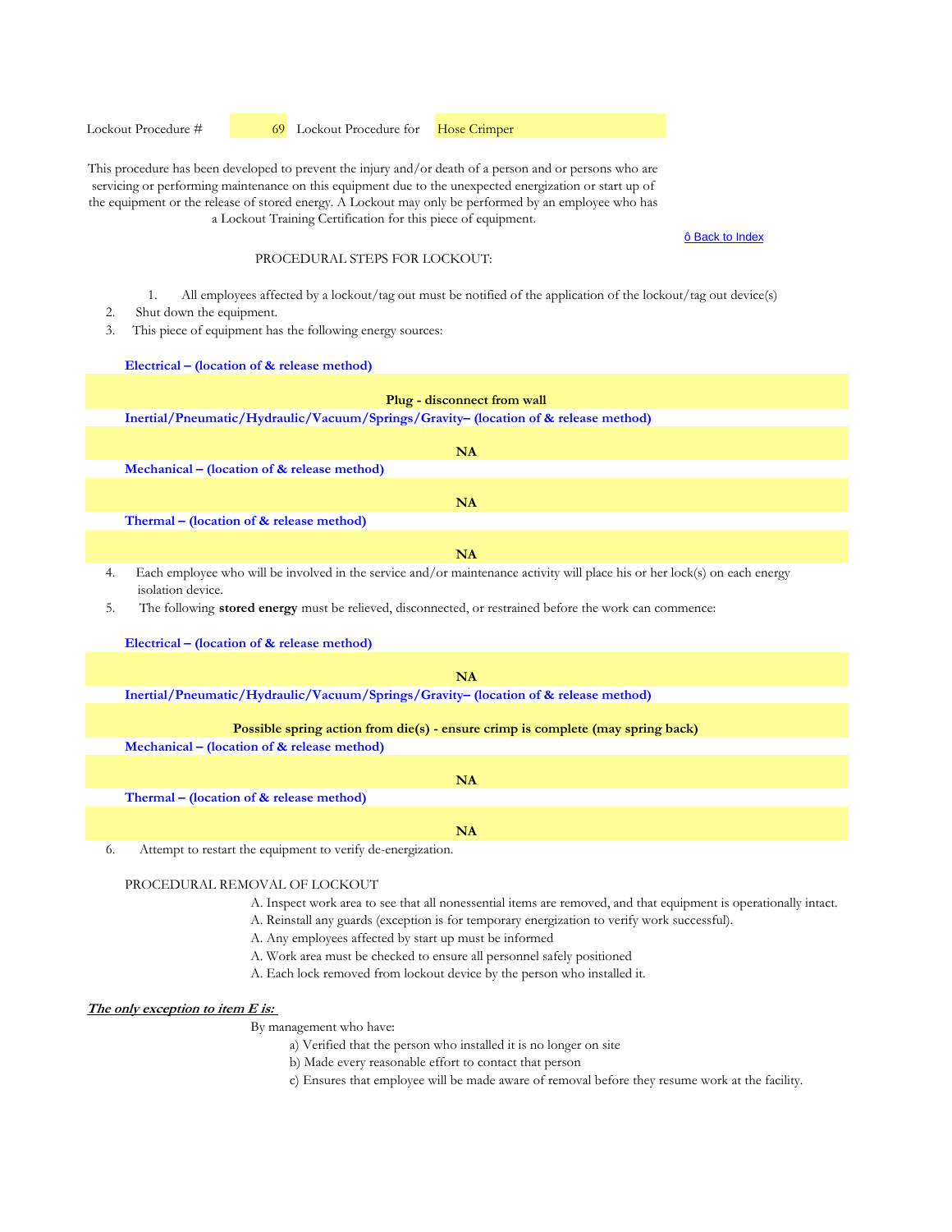Lockout Procedure #  69 Lockout Procedure for Hose Crimper

This procedure has been developed to prevent the injury and/or death of a person and or persons who are servicing or performing maintenance on this equipment due to the unexpected energization or start up of the equipment or the release of stored energy. A Lockout may only be performed by an employee who has a Lockout Training Certification for this piece of equipment.

#### ô Back to Index

## PROCEDURAL STEPS FOR LOCKOUT:

- 1. All employees affected by a lockout/tag out must be notified of the application of the lockout/tag out device(s)
- 2. Shut down the equipment.
- 3. This piece of equipment has the following energy sources:

**Electrical – (location of & release method)**

|    | Plug - disconnect from wall                                                                                                                     |
|----|-------------------------------------------------------------------------------------------------------------------------------------------------|
|    | Inertial/Pneumatic/Hydraulic/Vacuum/Springs/Gravity- (location of & release method)                                                             |
|    |                                                                                                                                                 |
|    | <b>NA</b>                                                                                                                                       |
|    | Mechanical – (location of & release method)                                                                                                     |
|    | NA                                                                                                                                              |
|    | Thermal - (location of & release method)                                                                                                        |
|    |                                                                                                                                                 |
|    | <b>NA</b>                                                                                                                                       |
| 4. | Each employee who will be involved in the service and/or maintenance activity will place his or her lock(s) on each energy<br>isolation device. |
| 5. | The following <b>stored energy</b> must be relieved, disconnected, or restrained before the work can commence:                                  |
|    | Electrical – (location of & release method)                                                                                                     |
|    | NA                                                                                                                                              |
|    |                                                                                                                                                 |
|    | Inertial/Pneumatic/Hydraulic/Vacuum/Springs/Gravity- (location of & release method)                                                             |
|    | Possible spring action from $die(s)$ - ensure crimp is complete (may spring back)                                                               |
|    | Mechanical – (location of & release method)                                                                                                     |
|    | NA                                                                                                                                              |
|    | Thermal – (location of & release method)                                                                                                        |
|    |                                                                                                                                                 |
|    | <b>NA</b>                                                                                                                                       |

6. Attempt to restart the equipment to verify de-energization.

## PROCEDURAL REMOVAL OF LOCKOUT

- A. Inspect work area to see that all nonessential items are removed, and that equipment is operationally intact.
- A. Reinstall any guards (exception is for temporary energization to verify work successful).
- A. Any employees affected by start up must be informed
- A. Work area must be checked to ensure all personnel safely positioned
- A. Each lock removed from lockout device by the person who installed it.

#### **The only exception to item E is:**

- a) Verified that the person who installed it is no longer on site
- b) Made every reasonable effort to contact that person
- c) Ensures that employee will be made aware of removal before they resume work at the facility.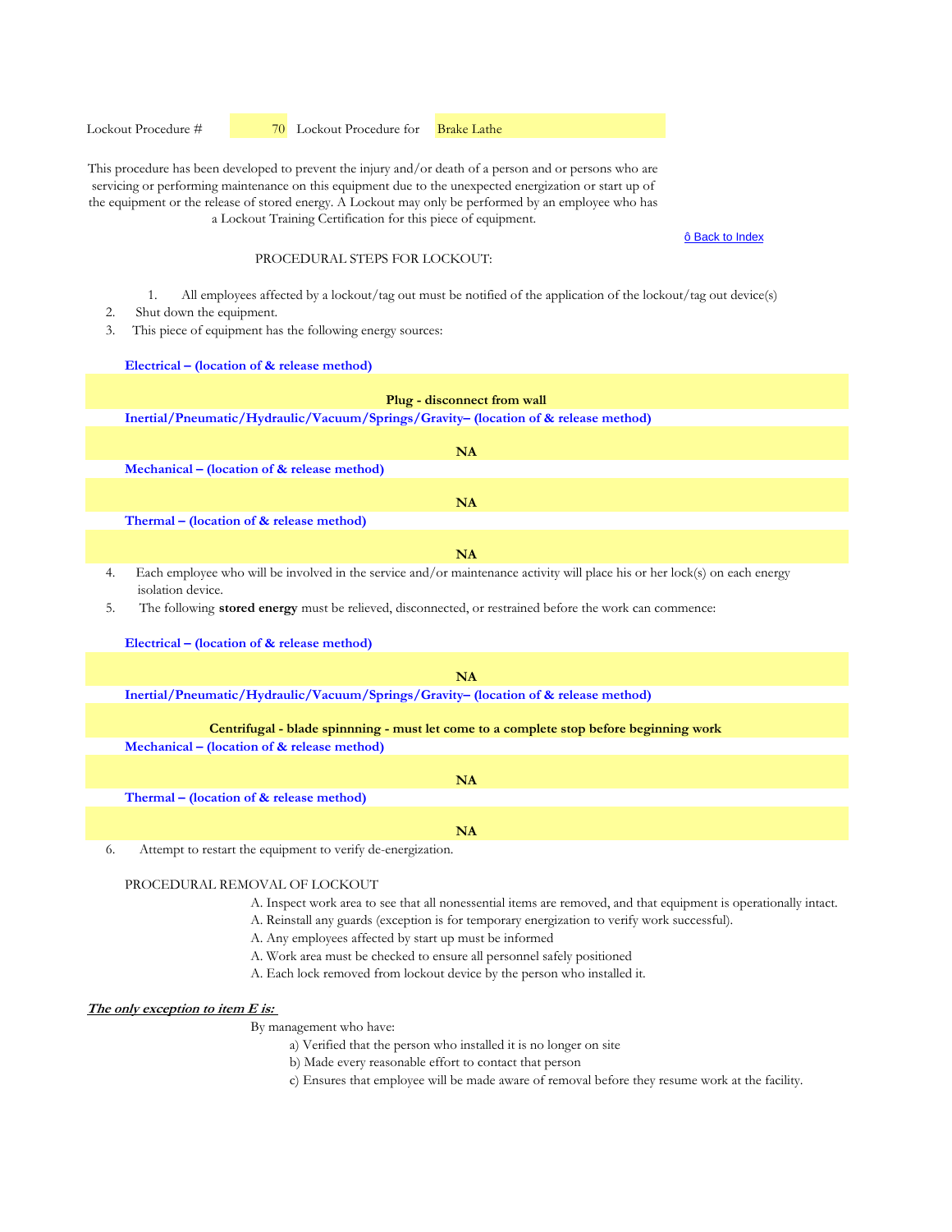Lockout Procedure #  70 Lockout Procedure for Brake Lathe

This procedure has been developed to prevent the injury and/or death of a person and or persons who are servicing or performing maintenance on this equipment due to the unexpected energization or start up of the equipment or the release of stored energy. A Lockout may only be performed by an employee who has a Lockout Training Certification for this piece of equipment.

#### ô Back to Index

## PROCEDURAL STEPS FOR LOCKOUT:

- 1. All employees affected by a lockout/tag out must be notified of the application of the lockout/tag out device(s)
- 2. Shut down the equipment.
- 3. This piece of equipment has the following energy sources:

**Electrical – (location of & release method)**

| Plug - disconnect from wall                                                                                                                     |
|-------------------------------------------------------------------------------------------------------------------------------------------------|
| Inertial/Pneumatic/Hydraulic/Vacuum/Springs/Gravity- (location of & release method)                                                             |
| NA                                                                                                                                              |
| Mechanical – (location of & release method)                                                                                                     |
|                                                                                                                                                 |
| NA                                                                                                                                              |
| Thermal – (location of $&$ release method)                                                                                                      |
|                                                                                                                                                 |
| NA                                                                                                                                              |
| Each employee who will be involved in the service and/or maintenance activity will place his or her lock(s) on each energy<br>isolation device. |
| The following stored energy must be relieved, disconnected, or restrained before the work can commence:                                         |
| Electrical – (location of & release method)                                                                                                     |
|                                                                                                                                                 |
| NA                                                                                                                                              |
| Inertial/Pneumatic/Hydraulic/Vacuum/Springs/Gravity- (location of & release method)                                                             |
|                                                                                                                                                 |
| Centrifugal - blade spinnning - must let come to a complete stop before beginning work                                                          |
| Mechanical – (location of & release method)                                                                                                     |
| <b>NA</b>                                                                                                                                       |
| Thermal – (location of $&$ release method)                                                                                                      |
| <b>NA</b>                                                                                                                                       |

6. Attempt to restart the equipment to verify de-energization.

#### PROCEDURAL REMOVAL OF LOCKOUT

- A. Inspect work area to see that all nonessential items are removed, and that equipment is operationally intact.
- A. Reinstall any guards (exception is for temporary energization to verify work successful).
- A. Any employees affected by start up must be informed
- A. Work area must be checked to ensure all personnel safely positioned
- A. Each lock removed from lockout device by the person who installed it.

#### **The only exception to item E is:**

- a) Verified that the person who installed it is no longer on site
- b) Made every reasonable effort to contact that person
- c) Ensures that employee will be made aware of removal before they resume work at the facility.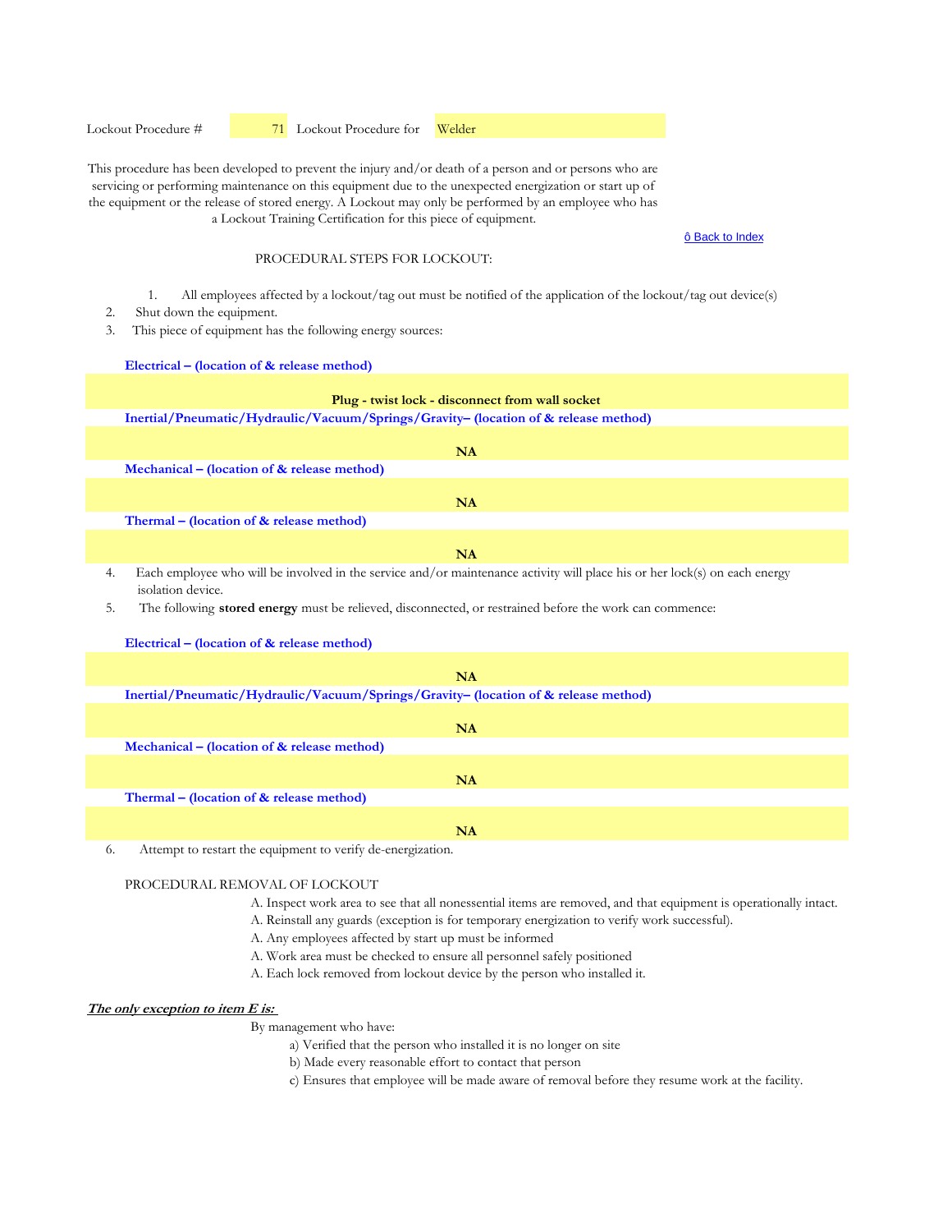Lockout Procedure #  71 Lockout Procedure for Welder

This procedure has been developed to prevent the injury and/or death of a person and or persons who are servicing or performing maintenance on this equipment due to the unexpected energization or start up of the equipment or the release of stored energy. A Lockout may only be performed by an employee who has a Lockout Training Certification for this piece of equipment.

#### ô Back to Index

### PROCEDURAL STEPS FOR LOCKOUT:

- 1. All employees affected by a lockout/tag out must be notified of the application of the lockout/tag out device(s)
- 2. Shut down the equipment.
- 3. This piece of equipment has the following energy sources:

**Electrical – (location of & release method)**

# **Plug - twist lock - disconnect from wall socket**

**Inertial/Pneumatic/Hydraulic/Vacuum/Springs/Gravity– (location of & release method)** 

|    | NA                                                                                                                                              |
|----|-------------------------------------------------------------------------------------------------------------------------------------------------|
|    | Mechanical – (location of $\&$ release method)                                                                                                  |
|    | NA                                                                                                                                              |
|    | Thermal – (location of $\&$ release method)                                                                                                     |
|    | <b>NA</b>                                                                                                                                       |
| 4. | Each employee who will be involved in the service and/or maintenance activity will place his or her lock(s) on each energy<br>isolation device. |
| 5. | The following <b>stored energy</b> must be relieved, disconnected, or restrained before the work can commence:                                  |

| Electrical – (location of $\&$ release method)                                                |
|-----------------------------------------------------------------------------------------------|
|                                                                                               |
| <b>NA</b>                                                                                     |
| Inertial/Pneumatic/Hydraulic/Vacuum/Springs/Gravity- (location of & release method)           |
|                                                                                               |
| <b>NA</b>                                                                                     |
| Mechanical – (location of $\&$ release method)                                                |
|                                                                                               |
| <b>NA</b>                                                                                     |
| Thermal – (location of & release method)                                                      |
|                                                                                               |
| <b>NA</b>                                                                                     |
| . A sequence and consequently constructions are constituted to constructions of<br>$\sqrt{2}$ |

6. Attempt to restart the equipment to verify de-energization.

#### PROCEDURAL REMOVAL OF LOCKOUT

- A. Inspect work area to see that all nonessential items are removed, and that equipment is operationally intact.
- A. Reinstall any guards (exception is for temporary energization to verify work successful).
- A. Any employees affected by start up must be informed
- A. Work area must be checked to ensure all personnel safely positioned
- A. Each lock removed from lockout device by the person who installed it.

#### **The only exception to item E is:**

- a) Verified that the person who installed it is no longer on site
- b) Made every reasonable effort to contact that person
- c) Ensures that employee will be made aware of removal before they resume work at the facility.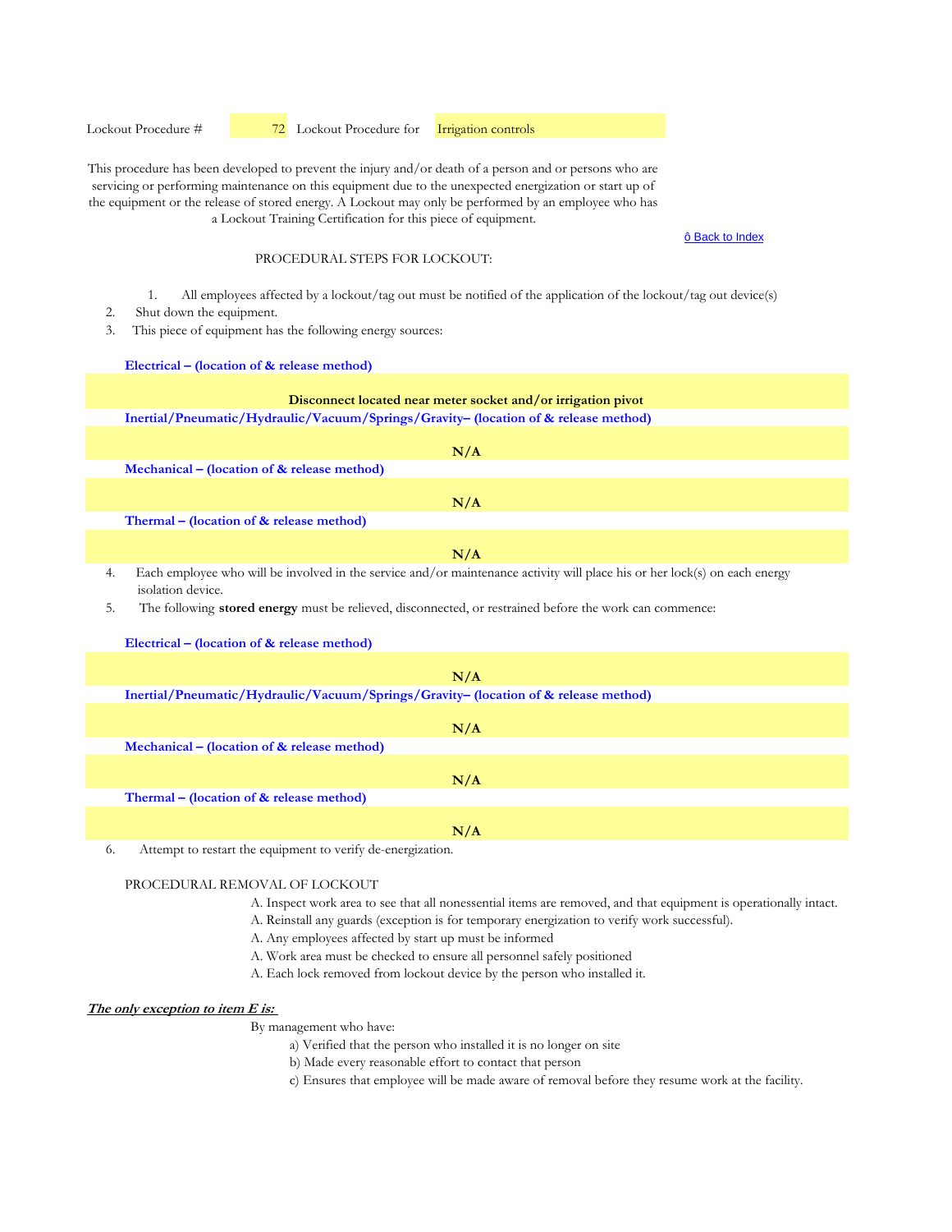This procedure has been developed to prevent the injury and/or death of a person and or persons who are servicing or performing maintenance on this equipment due to the unexpected energization or start up of the equipment or the release of stored energy. A Lockout may only be performed by an employee who has a Lockout Training Certification for this piece of equipment.

#### ô Back to Index

### PROCEDURAL STEPS FOR LOCKOUT:

- 1. All employees affected by a lockout/tag out must be notified of the application of the lockout/tag out device(s)
- 2. Shut down the equipment.
- 3. This piece of equipment has the following energy sources:

**Electrical – (location of & release method)**

# **Disconnect located near meter socket and/or irrigation pivot**

**Inertial/Pneumatic/Hydraulic/Vacuum/Springs/Gravity– (location of & release method)** 

| N/A                                                                                                                                                   |
|-------------------------------------------------------------------------------------------------------------------------------------------------------|
| Mechanical – (location of & release method)                                                                                                           |
|                                                                                                                                                       |
| N/A                                                                                                                                                   |
| Thermal - (location of & release method)                                                                                                              |
|                                                                                                                                                       |
| N/A                                                                                                                                                   |
| Each employee who will be involved in the service and/or maintenance activity will place his or her lock(s) on each energy<br>4.<br>isolation device. |
| 5.<br>The following <b>stored energy</b> must be relieved, disconnected, or restrained before the work can commence:                                  |
| Electrical – (location of & release method)                                                                                                           |
|                                                                                                                                                       |
| N/A                                                                                                                                                   |
| Inertial/Pneumatic/Hydraulic/Vacuum/Springs/Gravity- (location of & release method)                                                                   |
|                                                                                                                                                       |
| N/A                                                                                                                                                   |
| Mechanical – (location of $\&$ release method)                                                                                                        |
|                                                                                                                                                       |

**Thermal – (location of & release method)** 

**N/A**

**N/A**

6. Attempt to restart the equipment to verify de-energization.

# PROCEDURAL REMOVAL OF LOCKOUT

A. Inspect work area to see that all nonessential items are removed, and that equipment is operationally intact.

A. Reinstall any guards (exception is for temporary energization to verify work successful).

- A. Any employees affected by start up must be informed
- A. Work area must be checked to ensure all personnel safely positioned
- A. Each lock removed from lockout device by the person who installed it.

## **The only exception to item E is:**

- a) Verified that the person who installed it is no longer on site
- b) Made every reasonable effort to contact that person
- c) Ensures that employee will be made aware of removal before they resume work at the facility.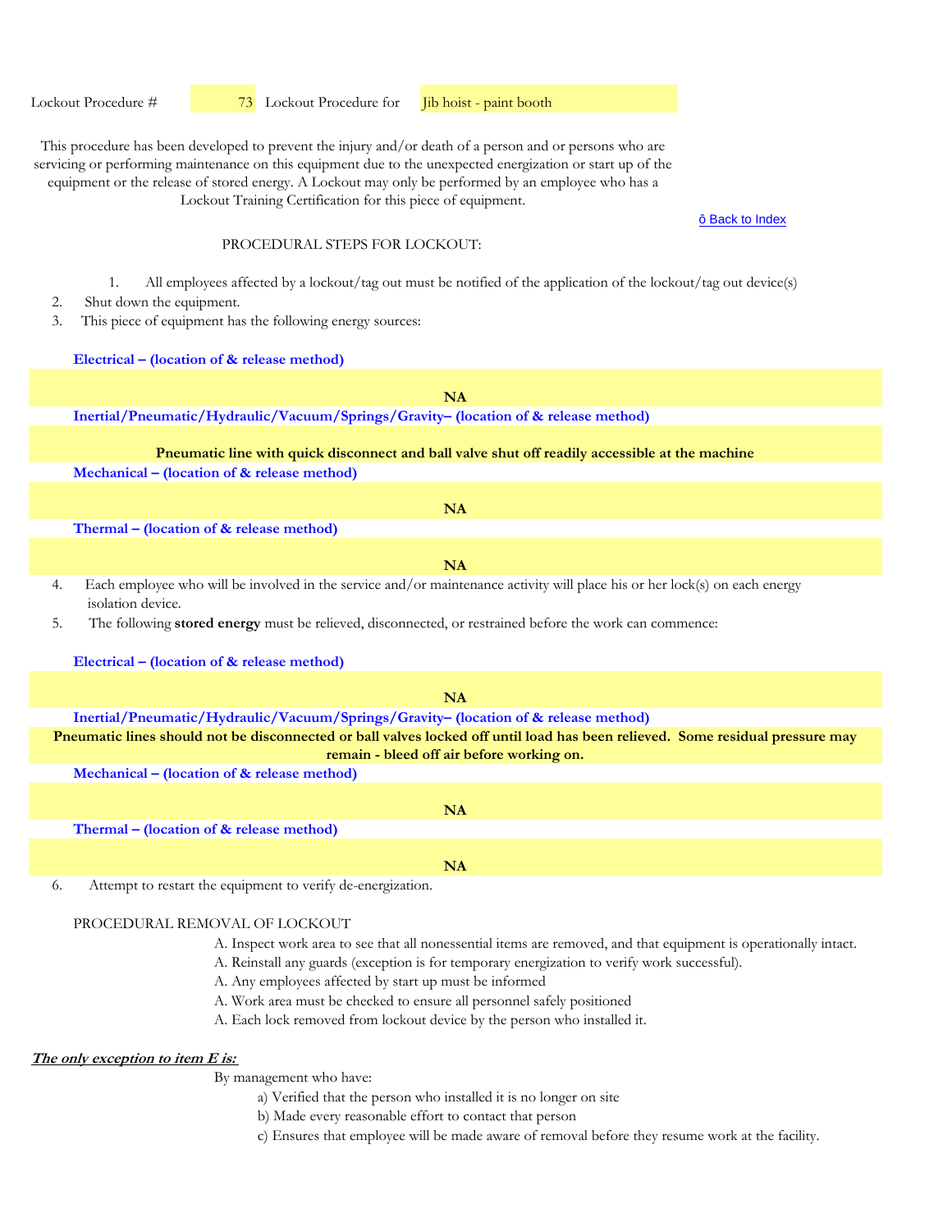Lockout Procedure #  73 Lockout Procedure for Jib hoist - paint booth

This procedure has been developed to prevent the injury and/or death of a person and or persons who are servicing or performing maintenance on this equipment due to the unexpected energization or start up of the equipment or the release of stored energy. A Lockout may only be performed by an employee who has a

Lockout Training Certification for this piece of equipment.

#### ô Back to Index

#### PROCEDURAL STEPS FOR LOCKOUT.

- 1. All employees affected by a lockout/tag out must be notified of the application of the lockout/tag out device(s)
- 2. Shut down the equipment.
- 3. This piece of equipment has the following energy sources:

**Electrical – (location of & release method)**

**Inertial/Pneumatic/Hydraulic/Vacuum/Springs/Gravity– (location of & release method) Mechanical – (location of & release method) Thermal – (location of & release method)**  4. Each employee who will be involved in the service and/or maintenance activity will place his or her lock(s) on each energy isolation device. 5. The following **stored energy** must be relieved, disconnected, or restrained before the work can commence: **Electrical – (location of & release method) Inertial/Pneumatic/Hydraulic/Vacuum/Springs/Gravity– (location of & release method) Mechanical – (location of & release method) Thermal – (location of & release method)**  6. Attempt to restart the equipment to verify de-energization. **NA Pneumatic lines should not be disconnected or ball valves locked off until load has been relieved. Some residual pressure may remain - bleed off air before working on. NA NA NA Pneumatic line with quick disconnect and ball valve shut off readily accessible at the machine NA NA**

### PROCEDURAL REMOVAL OF LOCKOUT

- A. Inspect work area to see that all nonessential items are removed, and that equipment is operationally intact.
- A. Reinstall any guards (exception is for temporary energization to verify work successful).
- A. Any employees affected by start up must be informed
- A. Work area must be checked to ensure all personnel safely positioned
- A. Each lock removed from lockout device by the person who installed it.

#### **The only exception to item E is:**

- a) Verified that the person who installed it is no longer on site
- b) Made every reasonable effort to contact that person
- c) Ensures that employee will be made aware of removal before they resume work at the facility.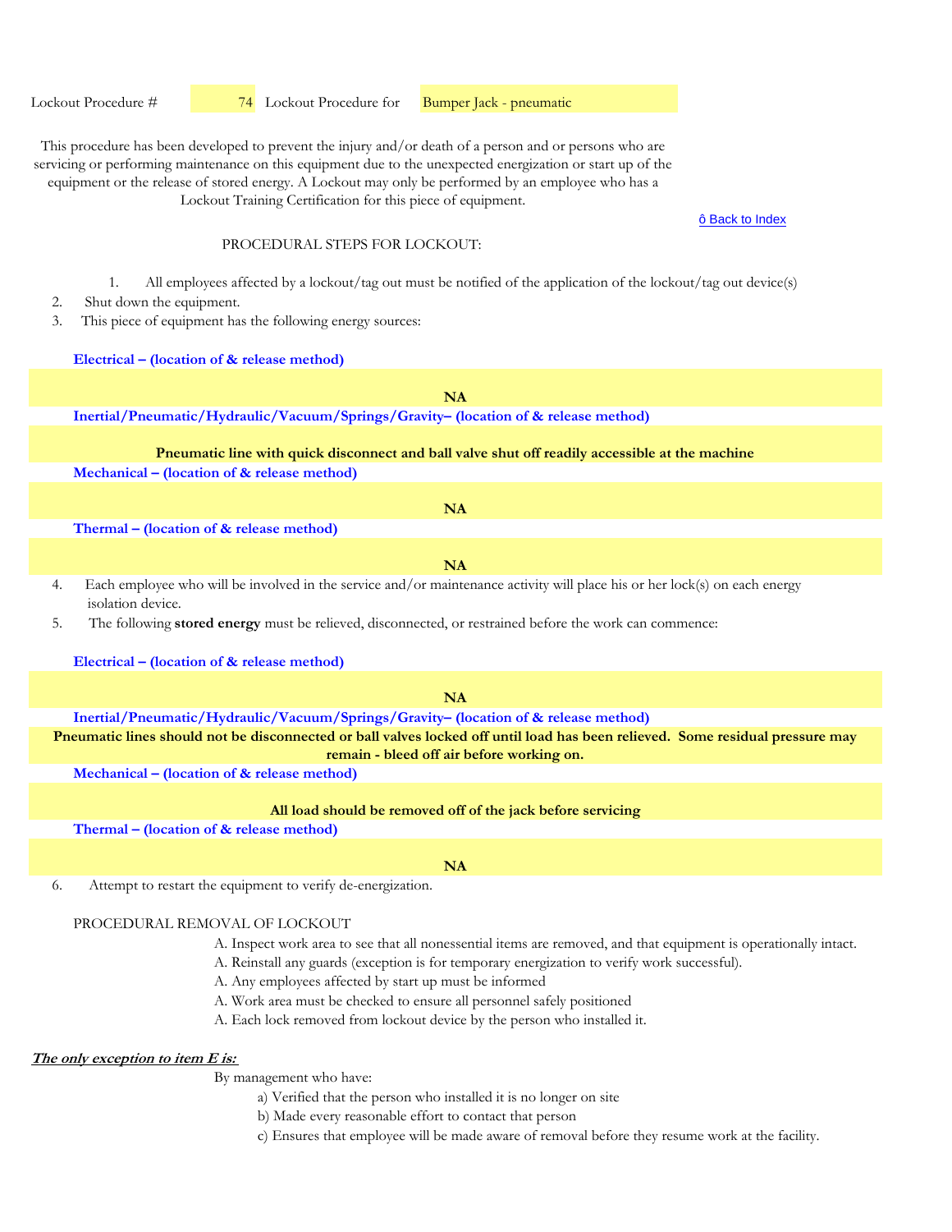Lockout Procedure # **74** Lockout Procedure for **Bumper Jack - pneumatic** 

This procedure has been developed to prevent the injury and/or death of a person and or persons who are servicing or performing maintenance on this equipment due to the unexpected energization or start up of the equipment or the release of stored energy. A Lockout may only be performed by an employee who has a

Lockout Training Certification for this piece of equipment.

#### ô Back to Index

#### PROCEDURAL STEPS FOR LOCKOUT.

- 1. All employees affected by a lockout/tag out must be notified of the application of the lockout/tag out device(s)
- 2. Shut down the equipment.
- 3. This piece of equipment has the following energy sources:

**Electrical – (location of & release method)**

**NA**

**Inertial/Pneumatic/Hydraulic/Vacuum/Springs/Gravity– (location of & release method)** 

### **Pneumatic line with quick disconnect and ball valve shut off readily accessible at the machine**

**Mechanical – (location of & release method)** 

**Thermal – (location of & release method)** 

**NA**

**NA**

- 4. Each employee who will be involved in the service and/or maintenance activity will place his or her lock(s) on each energy isolation device.
- 5. The following **stored energy** must be relieved, disconnected, or restrained before the work can commence:

#### **Electrical – (location of & release method)**

**Inertial/Pneumatic/Hydraulic/Vacuum/Springs/Gravity– (location of & release method) NA Pneumatic lines should not be disconnected or ball valves locked off until load has been relieved. Some residual pressure may** 

**remain - bleed off air before working on.**

**Mechanical – (location of & release method)** 

#### **All load should be removed off of the jack before servicing**

**Thermal – (location of & release method)** 

**NA**

6. Attempt to restart the equipment to verify de-energization.

# PROCEDURAL REMOVAL OF LOCKOUT

- A. Inspect work area to see that all nonessential items are removed, and that equipment is operationally intact.
- A. Reinstall any guards (exception is for temporary energization to verify work successful).
- A. Any employees affected by start up must be informed
- A. Work area must be checked to ensure all personnel safely positioned
- A. Each lock removed from lockout device by the person who installed it.

#### **The only exception to item E is:**

- a) Verified that the person who installed it is no longer on site
- b) Made every reasonable effort to contact that person
- c) Ensures that employee will be made aware of removal before they resume work at the facility.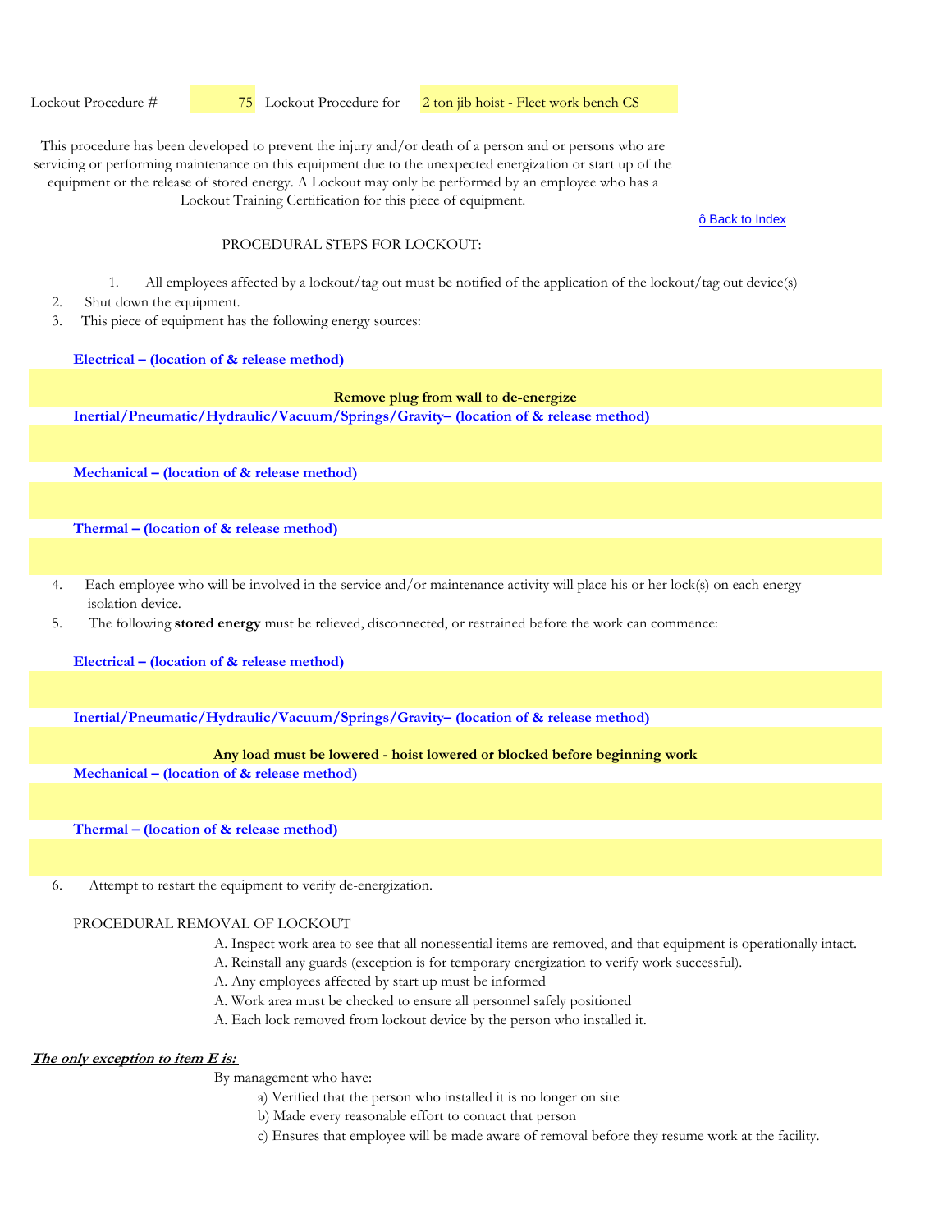Lockout Procedure #  $\frac{75}{15}$  Lockout Procedure for 2 ton jib hoist - Fleet work bench CS

This procedure has been developed to prevent the injury and/or death of a person and or persons who are servicing or performing maintenance on this equipment due to the unexpected energization or start up of the equipment or the release of stored energy. A Lockout may only be performed by an employee who has a Lockout Training Certification for this piece of equipment.

ô Back to Index

### PROCEDURAL STEPS FOR LOCKOUT.

- 1. All employees affected by a lockout/tag out must be notified of the application of the lockout/tag out device(s)
- 2. Shut down the equipment.
- 3. This piece of equipment has the following energy sources:

**Electrical – (location of & release method)**

#### **Remove plug from wall to de-energize**

**Inertial/Pneumatic/Hydraulic/Vacuum/Springs/Gravity– (location of & release method)** 

**Mechanical – (location of & release method)** 

**Thermal – (location of & release method)** 

- 4. Each employee who will be involved in the service and/or maintenance activity will place his or her lock(s) on each energy isolation device.
- 5. The following **stored energy** must be relieved, disconnected, or restrained before the work can commence:

**Electrical – (location of & release method)**

**Inertial/Pneumatic/Hydraulic/Vacuum/Springs/Gravity– (location of & release method)** 

#### **Any load must be lowered - hoist lowered or blocked before beginning work**

**Mechanical – (location of & release method)** 

**Thermal – (location of & release method)** 

6. Attempt to restart the equipment to verify de-energization.

# PROCEDURAL REMOVAL OF LOCKOUT

- A. Inspect work area to see that all nonessential items are removed, and that equipment is operationally intact.
- A. Reinstall any guards (exception is for temporary energization to verify work successful).
- A. Any employees affected by start up must be informed
- A. Work area must be checked to ensure all personnel safely positioned
- A. Each lock removed from lockout device by the person who installed it.

# **The only exception to item E is:**

- a) Verified that the person who installed it is no longer on site
- b) Made every reasonable effort to contact that person
- c) Ensures that employee will be made aware of removal before they resume work at the facility.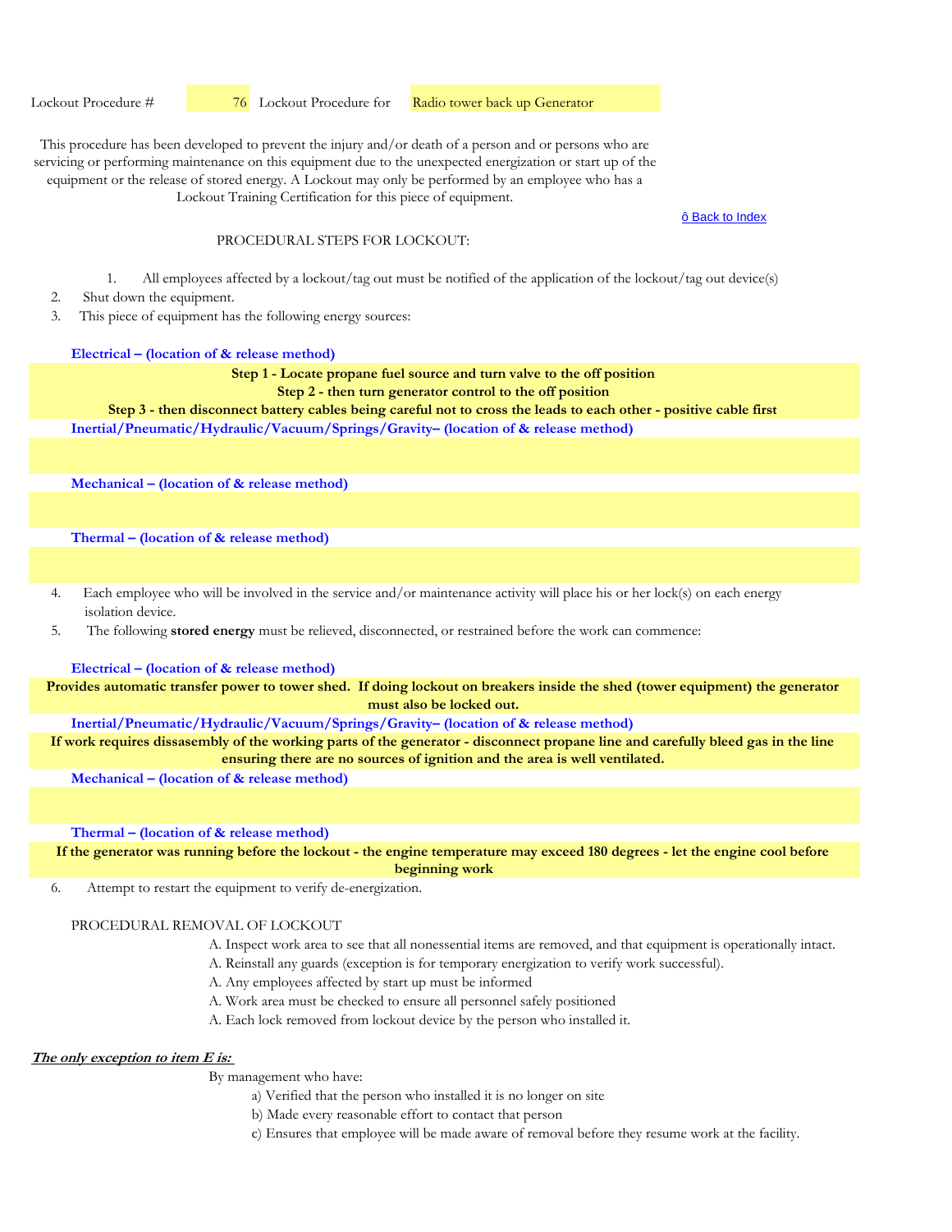Lockout Procedure #  76 Lockout Procedure for Radio tower back up Generator

This procedure has been developed to prevent the injury and/or death of a person and or persons who are servicing or performing maintenance on this equipment due to the unexpected energization or start up of the equipment or the release of stored energy. A Lockout may only be performed by an employee who has a

Lockout Training Certification for this piece of equipment.

ô Back to Index

### PROCEDURAL STEPS FOR LOCKOUT:

- 1. All employees affected by a lockout/tag out must be notified of the application of the lockout/tag out device(s)
- 2. Shut down the equipment.
- 3. This piece of equipment has the following energy sources:

#### **Electrical – (location of & release method)**

#### **Step 1 - Locate propane fuel source and turn valve to the off position**

**Step 2 - then turn generator control to the off position** 

**Inertial/Pneumatic/Hydraulic/Vacuum/Springs/Gravity– (location of & release method) Step 3 - then disconnect battery cables being careful not to cross the leads to each other - positive cable first**

**Mechanical – (location of & release method)** 

**Thermal – (location of & release method)** 

- 4. Each employee who will be involved in the service and/or maintenance activity will place his or her lock(s) on each energy isolation device.
- 5. The following **stored energy** must be relieved, disconnected, or restrained before the work can commence:

**Electrical – (location of & release method)**

**Provides automatic transfer power to tower shed. If doing lockout on breakers inside the shed (tower equipment) the generator must also be locked out.**

**Inertial/Pneumatic/Hydraulic/Vacuum/Springs/Gravity– (location of & release method)** 

**If work requires dissasembly of the working parts of the generator - disconnect propane line and carefully bleed gas in the line ensuring there are no sources of ignition and the area is well ventilated.**

**Mechanical – (location of & release method)** 

**Thermal – (location of & release method)** 

**If the generator was running before the lockout - the engine temperature may exceed 180 degrees - let the engine cool before beginning work**

6. Attempt to restart the equipment to verify de-energization.

# PROCEDURAL REMOVAL OF LOCKOUT

- A. Inspect work area to see that all nonessential items are removed, and that equipment is operationally intact.
- A. Reinstall any guards (exception is for temporary energization to verify work successful).
- A. Any employees affected by start up must be informed
- A. Work area must be checked to ensure all personnel safely positioned
- A. Each lock removed from lockout device by the person who installed it.

#### **The only exception to item E is:**

- a) Verified that the person who installed it is no longer on site
- b) Made every reasonable effort to contact that person
- c) Ensures that employee will be made aware of removal before they resume work at the facility.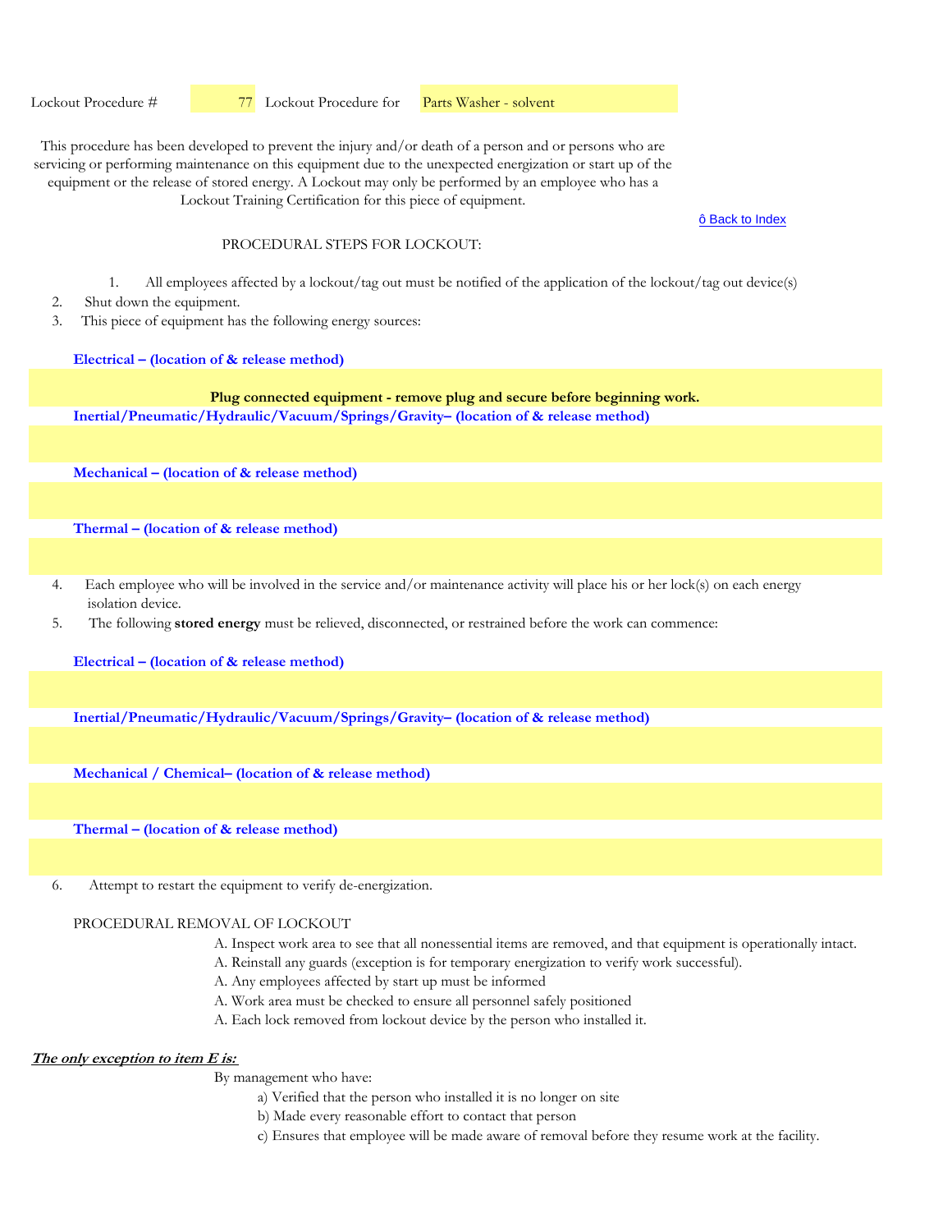Lockout Procedure #  77 Lockout Procedure for Parts Washer - solvent

This procedure has been developed to prevent the injury and/or death of a person and or persons who are servicing or performing maintenance on this equipment due to the unexpected energization or start up of the equipment or the release of stored energy. A Lockout may only be performed by an employee who has a Lockout Training Certification for this piece of equipment.

ô Back to Index

### PROCEDURAL STEPS FOR LOCKOUT.

- 1. All employees affected by a lockout/tag out must be notified of the application of the lockout/tag out device(s)
- 2. Shut down the equipment.
- 3. This piece of equipment has the following energy sources:

**Electrical – (location of & release method)**

**Inertial/Pneumatic/Hydraulic/Vacuum/Springs/Gravity– (location of & release method) Plug connected equipment - remove plug and secure before beginning work.**

**Mechanical – (location of & release method)** 

**Thermal – (location of & release method)** 

- 4. Each employee who will be involved in the service and/or maintenance activity will place his or her lock(s) on each energy isolation device.
- 5. The following **stored energy** must be relieved, disconnected, or restrained before the work can commence:

**Electrical – (location of & release method)**

**Inertial/Pneumatic/Hydraulic/Vacuum/Springs/Gravity– (location of & release method)** 

**Mechanical / Chemical– (location of & release method)** 

**Thermal – (location of & release method)** 

6. Attempt to restart the equipment to verify de-energization.

# PROCEDURAL REMOVAL OF LOCKOUT

- A. Inspect work area to see that all nonessential items are removed, and that equipment is operationally intact.
- A. Reinstall any guards (exception is for temporary energization to verify work successful).
- A. Any employees affected by start up must be informed
- A. Work area must be checked to ensure all personnel safely positioned
- A. Each lock removed from lockout device by the person who installed it.

# **The only exception to item E is:**

- a) Verified that the person who installed it is no longer on site
- b) Made every reasonable effort to contact that person
- c) Ensures that employee will be made aware of removal before they resume work at the facility.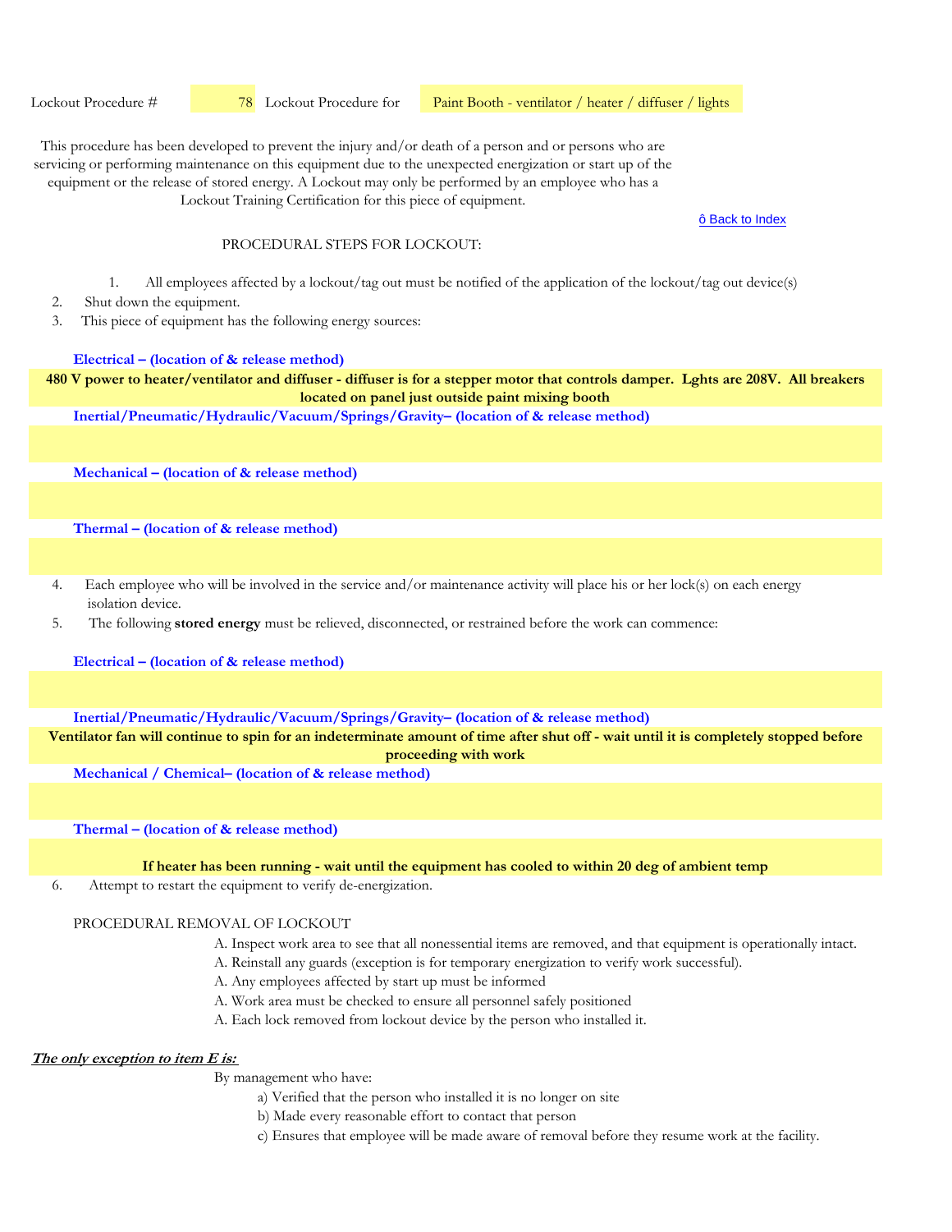Lockout Procedure #  78 Lockout Procedure for

Paint Booth - ventilator / heater / diffuser / lights

This procedure has been developed to prevent the injury and/or death of a person and or persons who are servicing or performing maintenance on this equipment due to the unexpected energization or start up of the equipment or the release of stored energy. A Lockout may only be performed by an employee who has a

Lockout Training Certification for this piece of equipment.

ô Back to Index

#### PROCEDURAL STEPS FOR LOCKOUT.

- 1. All employees affected by a lockout/tag out must be notified of the application of the lockout/tag out device(s)
- 2. Shut down the equipment.
- 3. This piece of equipment has the following energy sources:

#### **Electrical – (location of & release method)**

**480 V power to heater/ventilator and diffuser - diffuser is for a stepper motor that controls damper. Lghts are 208V. All breakers located on panel just outside paint mixing booth**

**Inertial/Pneumatic/Hydraulic/Vacuum/Springs/Gravity– (location of & release method)** 

**Mechanical – (location of & release method)** 

**Thermal – (location of & release method)** 

- 4. Each employee who will be involved in the service and/or maintenance activity will place his or her lock(s) on each energy isolation device.
- 5. The following **stored energy** must be relieved, disconnected, or restrained before the work can commence:

**Electrical – (location of & release method)**

**Inertial/Pneumatic/Hydraulic/Vacuum/Springs/Gravity– (location of & release method)** 

**Ventilator fan will continue to spin for an indeterminate amount of time after shut off - wait until it is completely stopped before proceeding with work**

**Mechanical / Chemical– (location of & release method)** 

**Thermal – (location of & release method)** 

**If heater has been running - wait until the equipment has cooled to within 20 deg of ambient temp**

6. Attempt to restart the equipment to verify de-energization.

### PROCEDURAL REMOVAL OF LOCKOUT

- A. Inspect work area to see that all nonessential items are removed, and that equipment is operationally intact.
- A. Reinstall any guards (exception is for temporary energization to verify work successful).
- A. Any employees affected by start up must be informed
- A. Work area must be checked to ensure all personnel safely positioned
- A. Each lock removed from lockout device by the person who installed it.

# **The only exception to item E is:**

- a) Verified that the person who installed it is no longer on site
- b) Made every reasonable effort to contact that person
- c) Ensures that employee will be made aware of removal before they resume work at the facility.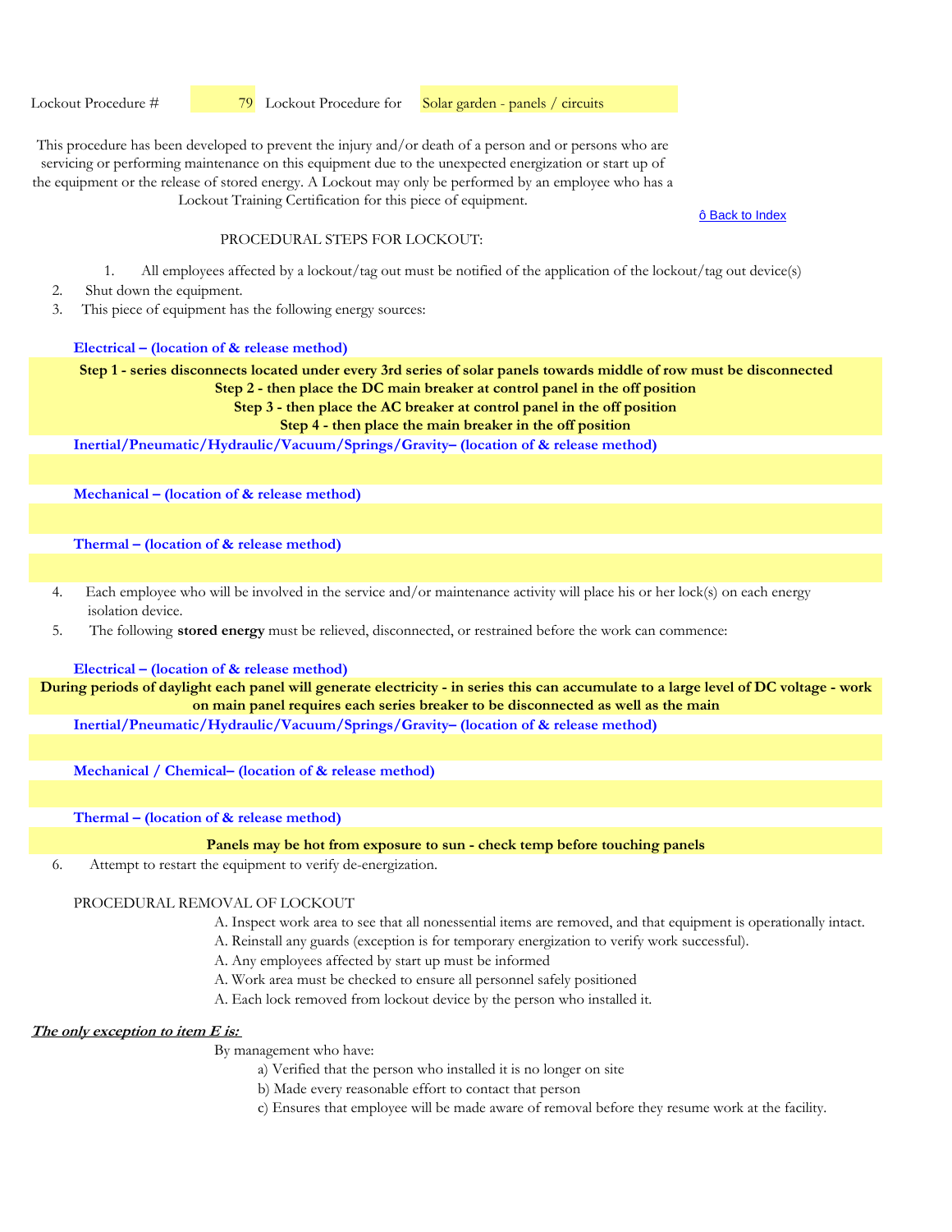Lockout Procedure #  79 Lockout Procedure for Solar garden - panels / circuits

This procedure has been developed to prevent the injury and/or death of a person and or persons who are servicing or performing maintenance on this equipment due to the unexpected energization or start up of the equipment or the release of stored energy. A Lockout may only be performed by an employee who has a Lockout Training Certification for this piece of equipment.

ô Back to Index

# PROCEDURAL STEPS FOR LOCKOUT:

- 1. All employees affected by a lockout/tag out must be notified of the application of the lockout/tag out device(s)
- 2. Shut down the equipment.
- 3. This piece of equipment has the following energy sources:

### **Electrical – (location of & release method)**

**Step 1 - series disconnects located under every 3rd series of solar panels towards middle of row must be disconnected Step 2 - then place the DC main breaker at control panel in the off position**

**Step 3 - then place the AC breaker at control panel in the off position**

**Step 4 - then place the main breaker in the off position**

**Inertial/Pneumatic/Hydraulic/Vacuum/Springs/Gravity– (location of & release method)** 

**Mechanical – (location of & release method)** 

**Thermal – (location of & release method)** 

- 4. Each employee who will be involved in the service and/or maintenance activity will place his or her lock(s) on each energy isolation device.
- 5. The following **stored energy** must be relieved, disconnected, or restrained before the work can commence:

### **Electrical – (location of & release method)**

**During periods of daylight each panel will generate electricity - in series this can accumulate to a large level of DC voltage - work on main panel requires each series breaker to be disconnected as well as the main**

**Inertial/Pneumatic/Hydraulic/Vacuum/Springs/Gravity– (location of & release method)** 

**Mechanical / Chemical– (location of & release method)** 

**Thermal – (location of & release method)** 

**Panels may be hot from exposure to sun - check temp before touching panels**

6. Attempt to restart the equipment to verify de-energization.

## PROCEDURAL REMOVAL OF LOCKOUT

A. Inspect work area to see that all nonessential items are removed, and that equipment is operationally intact.

A. Reinstall any guards (exception is for temporary energization to verify work successful).

- A. Any employees affected by start up must be informed
- A. Work area must be checked to ensure all personnel safely positioned
- A. Each lock removed from lockout device by the person who installed it.

## **The only exception to item E is:**

- a) Verified that the person who installed it is no longer on site
- b) Made every reasonable effort to contact that person
- c) Ensures that employee will be made aware of removal before they resume work at the facility.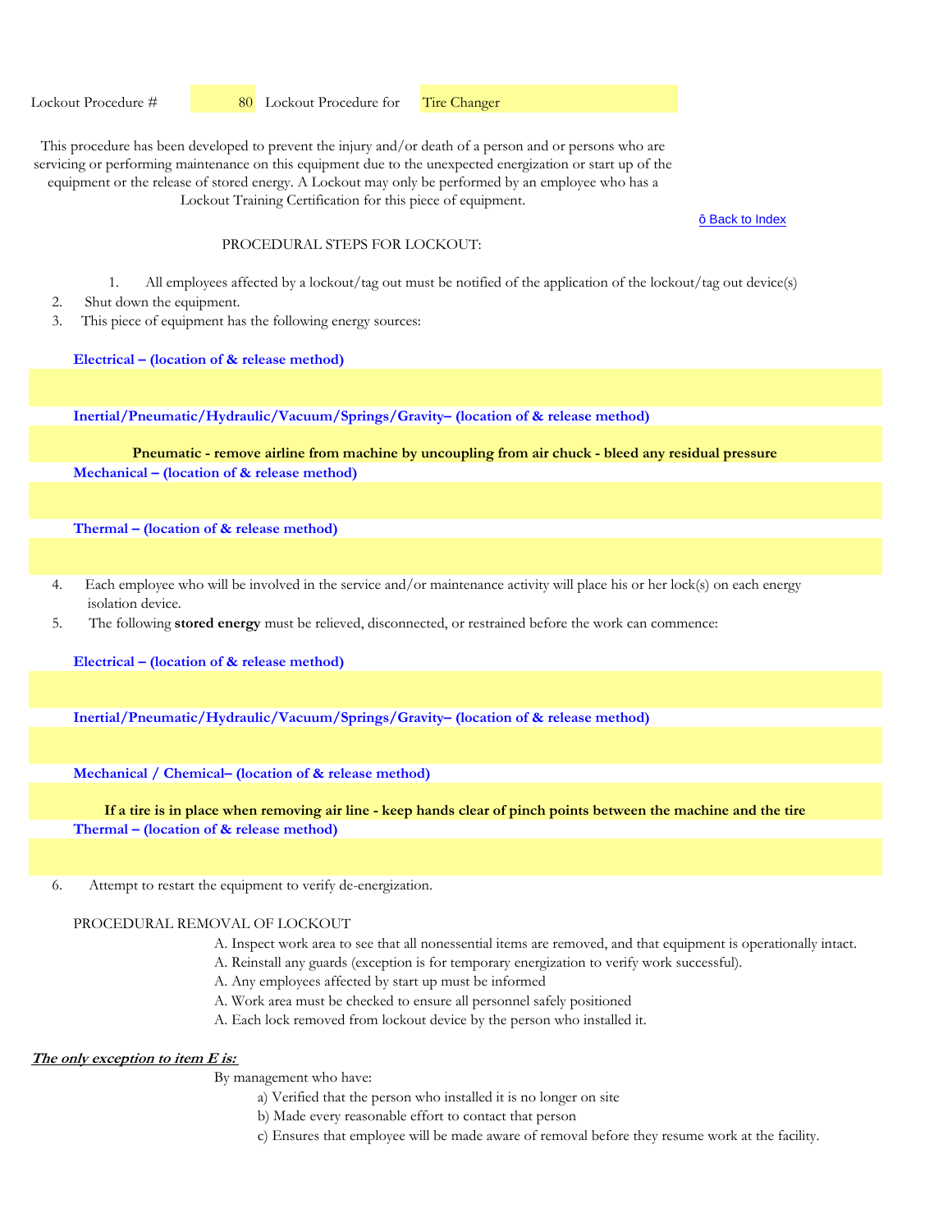Lockout Procedure # 80 Lockout Procedure for Tire Changer

This procedure has been developed to prevent the injury and/or death of a person and or persons who are servicing or performing maintenance on this equipment due to the unexpected energization or start up of the equipment or the release of stored energy. A Lockout may only be performed by an employee who has a Lockout Training Certification for this piece of equipment.

#### ô Back to Index

### PROCEDURAL STEPS FOR LOCKOUT.

- 1. All employees affected by a lockout/tag out must be notified of the application of the lockout/tag out device(s)
- 2. Shut down the equipment.
- 3. This piece of equipment has the following energy sources:

**Electrical – (location of & release method)**

**Inertial/Pneumatic/Hydraulic/Vacuum/Springs/Gravity– (location of & release method)** 

**Mechanical – (location of & release method) Pneumatic - remove airline from machine by uncoupling from air chuck - bleed any residual pressure**

**Thermal – (location of & release method)** 

- 4. Each employee who will be involved in the service and/or maintenance activity will place his or her lock(s) on each energy isolation device.
- 5. The following **stored energy** must be relieved, disconnected, or restrained before the work can commence:

**Electrical – (location of & release method)**

**Inertial/Pneumatic/Hydraulic/Vacuum/Springs/Gravity– (location of & release method)** 

**Mechanical / Chemical– (location of & release method)** 

**Thermal – (location of & release method) If a tire is in place when removing air line - keep hands clear of pinch points between the machine and the tire**

6. Attempt to restart the equipment to verify de-energization.

# PROCEDURAL REMOVAL OF LOCKOUT

- A. Inspect work area to see that all nonessential items are removed, and that equipment is operationally intact.
- A. Reinstall any guards (exception is for temporary energization to verify work successful).
- A. Any employees affected by start up must be informed
- A. Work area must be checked to ensure all personnel safely positioned
- A. Each lock removed from lockout device by the person who installed it.

# **The only exception to item E is:**

- a) Verified that the person who installed it is no longer on site
- b) Made every reasonable effort to contact that person
- c) Ensures that employee will be made aware of removal before they resume work at the facility.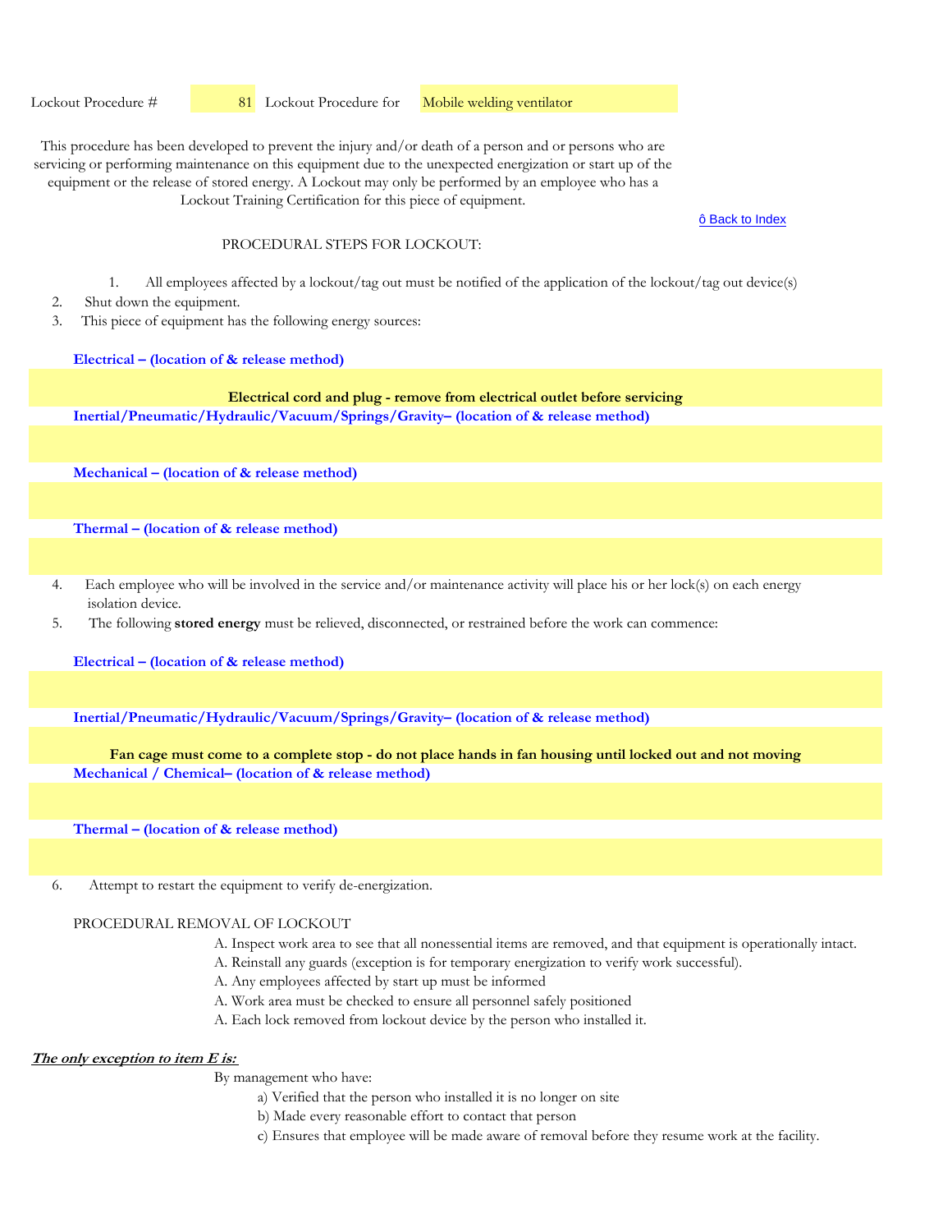Lockout Procedure # 81 Lockout Procedure for **Mobile welding ventilator** 

This procedure has been developed to prevent the injury and/or death of a person and or persons who are servicing or performing maintenance on this equipment due to the unexpected energization or start up of the equipment or the release of stored energy. A Lockout may only be performed by an employee who has a Lockout Training Certification for this piece of equipment.

ô Back to Index

### PROCEDURAL STEPS FOR LOCKOUT.

- 1. All employees affected by a lockout/tag out must be notified of the application of the lockout/tag out device(s)
- 2. Shut down the equipment.
- 3. This piece of equipment has the following energy sources:

**Electrical – (location of & release method)**

**Inertial/Pneumatic/Hydraulic/Vacuum/Springs/Gravity– (location of & release method) Electrical cord and plug - remove from electrical outlet before servicing**

**Mechanical – (location of & release method)** 

**Thermal – (location of & release method)** 

- 4. Each employee who will be involved in the service and/or maintenance activity will place his or her lock(s) on each energy isolation device.
- 5. The following **stored energy** must be relieved, disconnected, or restrained before the work can commence:

**Electrical – (location of & release method)**

**Inertial/Pneumatic/Hydraulic/Vacuum/Springs/Gravity– (location of & release method)** 

**Mechanical / Chemical– (location of & release method) Fan cage must come to a complete stop - do not place hands in fan housing until locked out and not moving**

**Thermal – (location of & release method)** 

6. Attempt to restart the equipment to verify de-energization.

### PROCEDURAL REMOVAL OF LOCKOUT

- A. Inspect work area to see that all nonessential items are removed, and that equipment is operationally intact.
- A. Reinstall any guards (exception is for temporary energization to verify work successful).
- A. Any employees affected by start up must be informed
- A. Work area must be checked to ensure all personnel safely positioned
- A. Each lock removed from lockout device by the person who installed it.

### **The only exception to item E is:**

- a) Verified that the person who installed it is no longer on site
- b) Made every reasonable effort to contact that person
- c) Ensures that employee will be made aware of removal before they resume work at the facility.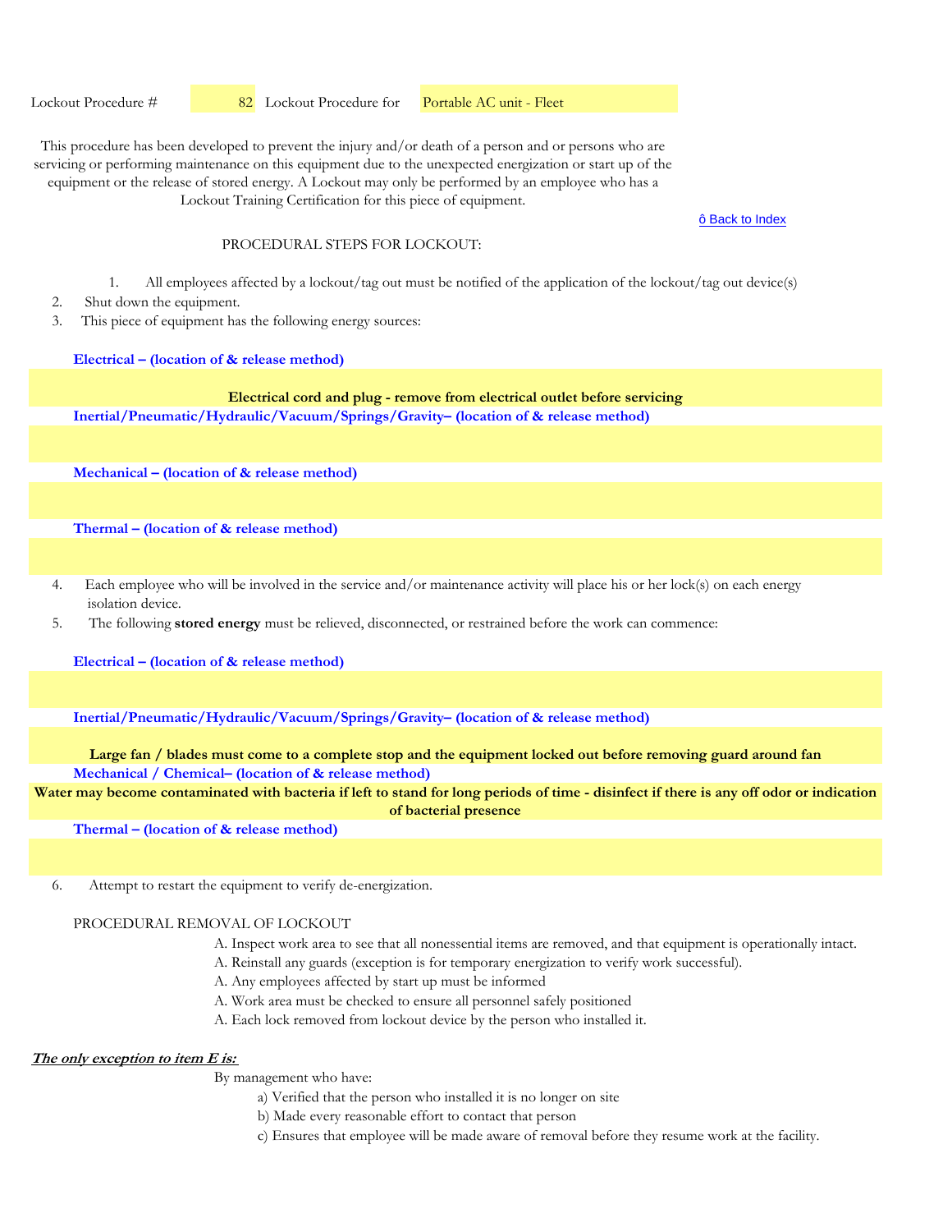Lockout Procedure # 82 Lockout Procedure for Portable AC unit - Fleet

This procedure has been developed to prevent the injury and/or death of a person and or persons who are servicing or performing maintenance on this equipment due to the unexpected energization or start up of the equipment or the release of stored energy. A Lockout may only be performed by an employee who has a

Lockout Training Certification for this piece of equipment.

ô Back to Index

### PROCEDURAL STEPS FOR LOCKOUT.

- 1. All employees affected by a lockout/tag out must be notified of the application of the lockout/tag out device(s)
- 2. Shut down the equipment.
- 3. This piece of equipment has the following energy sources:

**Electrical – (location of & release method)**

### **Inertial/Pneumatic/Hydraulic/Vacuum/Springs/Gravity– (location of & release method) Electrical cord and plug - remove from electrical outlet before servicing**

**Mechanical – (location of & release method)** 

**Thermal – (location of & release method)** 

- 4. Each employee who will be involved in the service and/or maintenance activity will place his or her lock(s) on each energy isolation device.
- 5. The following **stored energy** must be relieved, disconnected, or restrained before the work can commence:

**Electrical – (location of & release method)**

**Inertial/Pneumatic/Hydraulic/Vacuum/Springs/Gravity– (location of & release method)** 

**Mechanical / Chemical– (location of & release method) Large fan / blades must come to a complete stop and the equipment locked out before removing guard around fan**

**Water may become contaminated with bacteria if left to stand for long periods of time - disinfect if there is any off odor or indication of bacterial presence**

**Thermal – (location of & release method)** 

6. Attempt to restart the equipment to verify de-energization.

# PROCEDURAL REMOVAL OF LOCKOUT

- A. Inspect work area to see that all nonessential items are removed, and that equipment is operationally intact.
- A. Reinstall any guards (exception is for temporary energization to verify work successful).
- A. Any employees affected by start up must be informed
- A. Work area must be checked to ensure all personnel safely positioned
- A. Each lock removed from lockout device by the person who installed it.

### **The only exception to item E is:**

- a) Verified that the person who installed it is no longer on site
- b) Made every reasonable effort to contact that person
- c) Ensures that employee will be made aware of removal before they resume work at the facility.